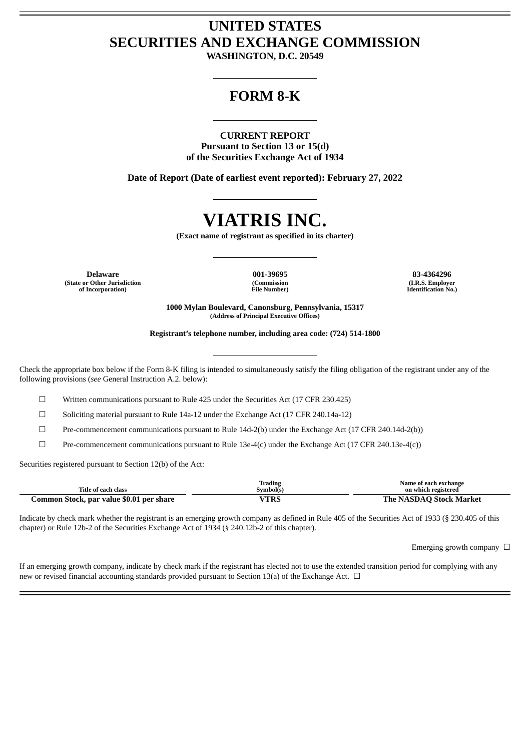# **UNITED STATES SECURITIES AND EXCHANGE COMMISSION**

**WASHINGTON, D.C. 20549**

# **FORM 8-K**

### **CURRENT REPORT**

**Pursuant to Section 13 or 15(d) of the Securities Exchange Act of 1934**

**Date of Report (Date of earliest event reported): February 27, 2022**

# **VIATRIS INC.**

**(Exact name of registrant as specified in its charter)**

**Delaware 001-39695 83-4364296 (State or Other Jurisdiction of Incorporation)**

**(Commission File Number)**

**(I.R.S. Employer Identification No.)**

**1000 Mylan Boulevard, Canonsburg, Pennsylvania, 15317 (Address of Principal Executive Offices)**

**Registrant's telephone number, including area code: (724) 514-1800**

Check the appropriate box below if the Form 8-K filing is intended to simultaneously satisfy the filing obligation of the registrant under any of the following provisions (*see* General Instruction A.2. below):

☐ Written communications pursuant to Rule 425 under the Securities Act (17 CFR 230.425)

☐ Soliciting material pursuant to Rule 14a-12 under the Exchange Act (17 CFR 240.14a-12)

☐ Pre-commencement communications pursuant to Rule 14d-2(b) under the Exchange Act (17 CFR 240.14d-2(b))

 $\Box$  Pre-commencement communications pursuant to Rule 13e-4(c) under the Exchange Act (17 CFR 240.13e-4(c))

Securities registered pursuant to Section 12(b) of the Act:

|                                          | Trading   | Name of each exchange          |
|------------------------------------------|-----------|--------------------------------|
| Title of each class                      | Svmbol(s) | on which registered            |
| Common Stock, par value \$0.01 per share | /TRS      | <b>The NASDAO Stock Market</b> |

Indicate by check mark whether the registrant is an emerging growth company as defined in Rule 405 of the Securities Act of 1933 (§ 230.405 of this chapter) or Rule 12b-2 of the Securities Exchange Act of 1934 (§ 240.12b-2 of this chapter).

Emerging growth company  $\Box$ 

If an emerging growth company, indicate by check mark if the registrant has elected not to use the extended transition period for complying with any new or revised financial accounting standards provided pursuant to Section 13(a) of the Exchange Act.  $\Box$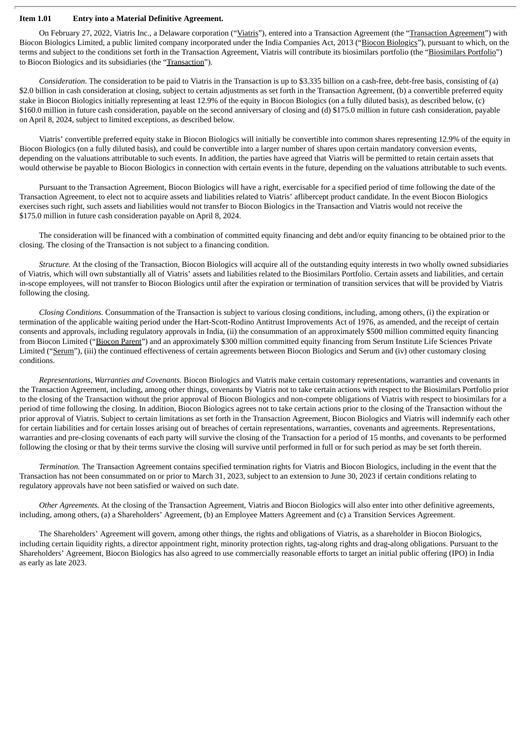#### **Item 1.01 Entry into a Material Definitive Agreement.**

On February 27, 2022, Viatris Inc., a Delaware corporation ("Viatris"), entered into a Transaction Agreement (the "Transaction Agreement") with Biocon Biologics Limited, a public limited company incorporated under the India Companies Act, 2013 ("Biocon Biologics"), pursuant to which, on the terms and subject to the conditions set forth in the Transaction Agreement, Viatris will contribute its biosimilars portfolio (the "Biosimilars Portfolio") to Biocon Biologics and its subsidiaries (the "Transaction").

*Consideration*. The consideration to be paid to Viatris in the Transaction is up to \$3.335 billion on a cash-free, debt-free basis, consisting of (a) \$2.0 billion in cash consideration at closing, subject to certain adjustments as set forth in the Transaction Agreement, (b) a convertible preferred equity stake in Biocon Biologics initially representing at least 12.9% of the equity in Biocon Biologics (on a fully diluted basis), as described below, (c) \$160.0 million in future cash consideration, payable on the second anniversary of closing and (d) \$175.0 million in future cash consideration, payable on April 8, 2024, subject to limited exceptions, as described below.

Viatris' convertible preferred equity stake in Biocon Biologics will initially be convertible into common shares representing 12.9% of the equity in Biocon Biologics (on a fully diluted basis), and could be convertible into a larger number of shares upon certain mandatory conversion events, depending on the valuations attributable to such events. In addition, the parties have agreed that Viatris will be permitted to retain certain assets that would otherwise be payable to Biocon Biologics in connection with certain events in the future, depending on the valuations attributable to such events.

Pursuant to the Transaction Agreement, Biocon Biologics will have a right, exercisable for a specified period of time following the date of the Transaction Agreement, to elect not to acquire assets and liabilities related to Viatris' aflibercept product candidate. In the event Biocon Biologics exercises such right, such assets and liabilities would not transfer to Biocon Biologics in the Transaction and Viatris would not receive the \$175.0 million in future cash consideration payable on April 8, 2024.

The consideration will be financed with a combination of committed equity financing and debt and/or equity financing to be obtained prior to the closing. The closing of the Transaction is not subject to a financing condition.

*Structure.* At the closing of the Transaction, Biocon Biologics will acquire all of the outstanding equity interests in two wholly owned subsidiaries of Viatris, which will own substantially all of Viatris' assets and liabilities related to the Biosimilars Portfolio. Certain assets and liabilities, and certain in-scope employees, will not transfer to Biocon Biologics until after the expiration or termination of transition services that will be provided by Viatris following the closing.

*Closing Conditions.* Consummation of the Transaction is subject to various closing conditions, including, among others, (i) the expiration or termination of the applicable waiting period under the Hart-Scott-Rodino Antitrust Improvements Act of 1976, as amended, and the receipt of certain consents and approvals, including regulatory approvals in India, (ii) the consummation of an approximately \$500 million committed equity financing from Biocon Limited ("Biocon Parent") and an approximately \$300 million committed equity financing from Serum Institute Life Sciences Private Limited ("Serum"), (iii) the continued effectiveness of certain agreements between Biocon Biologics and Serum and (iv) other customary closing conditions.

*Representations, Warranties and Covenants.* Biocon Biologics and Viatris make certain customary representations, warranties and covenants in the Transaction Agreement, including, among other things, covenants by Viatris not to take certain actions with respect to the Biosimilars Portfolio prior to the closing of the Transaction without the prior approval of Biocon Biologics and non-compete obligations of Viatris with respect to biosimilars for a period of time following the closing. In addition, Biocon Biologics agrees not to take certain actions prior to the closing of the Transaction without the prior approval of Viatris. Subject to certain limitations as set forth in the Transaction Agreement, Biocon Biologics and Viatris will indemnify each other for certain liabilities and for certain losses arising out of breaches of certain representations, warranties, covenants and agreements. Representations, warranties and pre-closing covenants of each party will survive the closing of the Transaction for a period of 15 months, and covenants to be performed following the closing or that by their terms survive the closing will survive until performed in full or for such period as may be set forth therein.

*Termination.* The Transaction Agreement contains specified termination rights for Viatris and Biocon Biologics, including in the event that the Transaction has not been consummated on or prior to March 31, 2023, subject to an extension to June 30, 2023 if certain conditions relating to regulatory approvals have not been satisfied or waived on such date.

*Other Agreements.* At the closing of the Transaction Agreement, Viatris and Biocon Biologics will also enter into other definitive agreements, including, among others, (a) a Shareholders' Agreement, (b) an Employee Matters Agreement and (c) a Transition Services Agreement.

The Shareholders' Agreement will govern, among other things, the rights and obligations of Viatris, as a shareholder in Biocon Biologics, including certain liquidity rights, a director appointment right, minority protection rights, tag-along rights and drag-along obligations. Pursuant to the Shareholders' Agreement, Biocon Biologics has also agreed to use commercially reasonable efforts to target an initial public offering (IPO) in India as early as late 2023.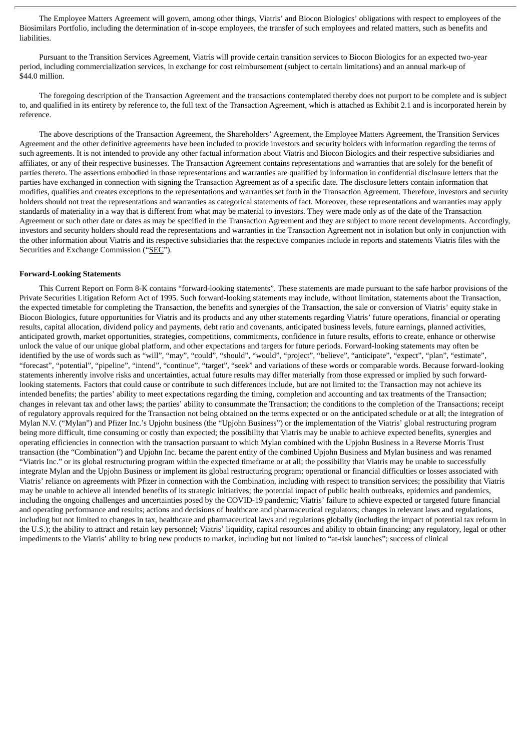The Employee Matters Agreement will govern, among other things, Viatris' and Biocon Biologics' obligations with respect to employees of the Biosimilars Portfolio, including the determination of in-scope employees, the transfer of such employees and related matters, such as benefits and liabilities.

Pursuant to the Transition Services Agreement, Viatris will provide certain transition services to Biocon Biologics for an expected two-year period, including commercialization services, in exchange for cost reimbursement (subject to certain limitations) and an annual mark-up of \$44.0 million.

The foregoing description of the Transaction Agreement and the transactions contemplated thereby does not purport to be complete and is subject to, and qualified in its entirety by reference to, the full text of the Transaction Agreement, which is attached as Exhibit 2.1 and is incorporated herein by reference.

The above descriptions of the Transaction Agreement, the Shareholders' Agreement, the Employee Matters Agreement, the Transition Services Agreement and the other definitive agreements have been included to provide investors and security holders with information regarding the terms of such agreements. It is not intended to provide any other factual information about Viatris and Biocon Biologics and their respective subsidiaries and affiliates, or any of their respective businesses. The Transaction Agreement contains representations and warranties that are solely for the benefit of parties thereto. The assertions embodied in those representations and warranties are qualified by information in confidential disclosure letters that the parties have exchanged in connection with signing the Transaction Agreement as of a specific date. The disclosure letters contain information that modifies, qualifies and creates exceptions to the representations and warranties set forth in the Transaction Agreement. Therefore, investors and security holders should not treat the representations and warranties as categorical statements of fact. Moreover, these representations and warranties may apply standards of materiality in a way that is different from what may be material to investors. They were made only as of the date of the Transaction Agreement or such other date or dates as may be specified in the Transaction Agreement and they are subject to more recent developments. Accordingly, investors and security holders should read the representations and warranties in the Transaction Agreement not in isolation but only in conjunction with the other information about Viatris and its respective subsidiaries that the respective companies include in reports and statements Viatris files with the Securities and Exchange Commission ("SEC").

#### **Forward-Looking Statements**

This Current Report on Form 8-K contains "forward-looking statements". These statements are made pursuant to the safe harbor provisions of the Private Securities Litigation Reform Act of 1995. Such forward-looking statements may include, without limitation, statements about the Transaction, the expected timetable for completing the Transaction, the benefits and synergies of the Transaction, the sale or conversion of Viatris' equity stake in Biocon Biologics, future opportunities for Viatris and its products and any other statements regarding Viatris' future operations, financial or operating results, capital allocation, dividend policy and payments, debt ratio and covenants, anticipated business levels, future earnings, planned activities, anticipated growth, market opportunities, strategies, competitions, commitments, confidence in future results, efforts to create, enhance or otherwise unlock the value of our unique global platform, and other expectations and targets for future periods. Forward-looking statements may often be identified by the use of words such as "will", "may", "could", "should", "would", "project", "believe", "anticipate", "expect", "plan", "estimate", "forecast", "potential", "pipeline", "intend", "continue", "target", "seek" and variations of these words or comparable words. Because forward-looking statements inherently involve risks and uncertainties, actual future results may differ materially from those expressed or implied by such forwardlooking statements. Factors that could cause or contribute to such differences include, but are not limited to: the Transaction may not achieve its intended benefits; the parties' ability to meet expectations regarding the timing, completion and accounting and tax treatments of the Transaction; changes in relevant tax and other laws; the parties' ability to consummate the Transaction; the conditions to the completion of the Transactions; receipt of regulatory approvals required for the Transaction not being obtained on the terms expected or on the anticipated schedule or at all; the integration of Mylan N.V. ("Mylan") and Pfizer Inc.'s Upjohn business (the "Upjohn Business") or the implementation of the Viatris' global restructuring program being more difficult, time consuming or costly than expected; the possibility that Viatris may be unable to achieve expected benefits, synergies and operating efficiencies in connection with the transaction pursuant to which Mylan combined with the Upjohn Business in a Reverse Morris Trust transaction (the "Combination") and Upjohn Inc. became the parent entity of the combined Upjohn Business and Mylan business and was renamed "Viatris Inc." or its global restructuring program within the expected timeframe or at all; the possibility that Viatris may be unable to successfully integrate Mylan and the Upjohn Business or implement its global restructuring program; operational or financial difficulties or losses associated with Viatris' reliance on agreements with Pfizer in connection with the Combination, including with respect to transition services; the possibility that Viatris may be unable to achieve all intended benefits of its strategic initiatives; the potential impact of public health outbreaks, epidemics and pandemics, including the ongoing challenges and uncertainties posed by the COVID-19 pandemic; Viatris' failure to achieve expected or targeted future financial and operating performance and results; actions and decisions of healthcare and pharmaceutical regulators; changes in relevant laws and regulations, including but not limited to changes in tax, healthcare and pharmaceutical laws and regulations globally (including the impact of potential tax reform in the U.S.); the ability to attract and retain key personnel; Viatris' liquidity, capital resources and ability to obtain financing; any regulatory, legal or other impediments to the Viatris' ability to bring new products to market, including but not limited to "at-risk launches"; success of clinical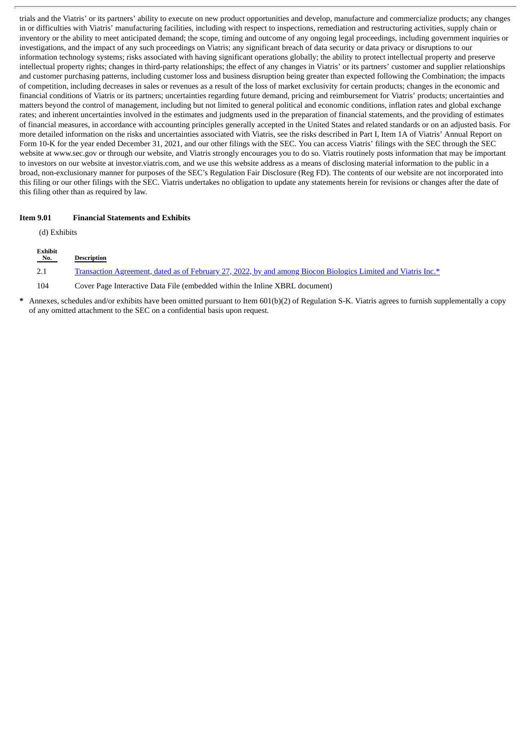trials and the Viatris' or its partners' ability to execute on new product opportunities and develop, manufacture and commercialize products; any changes in or difficulties with Viatris' manufacturing facilities, including with respect to inspections, remediation and restructuring activities, supply chain or inventory or the ability to meet anticipated demand; the scope, timing and outcome of any ongoing legal proceedings, including government inquiries or investigations, and the impact of any such proceedings on Viatris; any significant breach of data security or data privacy or disruptions to our information technology systems; risks associated with having significant operations globally; the ability to protect intellectual property and preserve intellectual property rights; changes in third-party relationships; the effect of any changes in Viatris' or its partners' customer and supplier relationships and customer purchasing patterns, including customer loss and business disruption being greater than expected following the Combination; the impacts of competition, including decreases in sales or revenues as a result of the loss of market exclusivity for certain products; changes in the economic and financial conditions of Viatris or its partners; uncertainties regarding future demand, pricing and reimbursement for Viatris' products; uncertainties and matters beyond the control of management, including but not limited to general political and economic conditions, inflation rates and global exchange rates; and inherent uncertainties involved in the estimates and judgments used in the preparation of financial statements, and the providing of estimates of financial measures, in accordance with accounting principles generally accepted in the United States and related standards or on an adjusted basis. For more detailed information on the risks and uncertainties associated with Viatris, see the risks described in Part I, Item 1A of Viatris' Annual Report on Form 10-K for the year ended December 31, 2021, and our other filings with the SEC. You can access Viatris' filings with the SEC through the SEC website at www.sec.gov or through our website, and Viatris strongly encourages you to do so. Viatris routinely posts information that may be important to investors on our website at investor.viatris.com, and we use this website address as a means of disclosing material information to the public in a broad, non-exclusionary manner for purposes of the SEC's Regulation Fair Disclosure (Reg FD). The contents of our website are not incorporated into this filing or our other filings with the SEC. Viatris undertakes no obligation to update any statements herein for revisions or changes after the date of this filing other than as required by law.

#### **Item 9.01 Financial Statements and Exhibits**

(d) Exhibits

| <b>Exhibit</b><br>No. | Description                                                                                                   |
|-----------------------|---------------------------------------------------------------------------------------------------------------|
| 2.1                   | Transaction Agreement, dated as of February 27, 2022, by and among Biocon Biologics Limited and Viatris Inc.* |
| 104                   | Cover Page Interactive Data File (embedded within the Inline XBRL document)                                   |

**\*** Annexes, schedules and/or exhibits have been omitted pursuant to Item 601(b)(2) of Regulation S-K. Viatris agrees to furnish supplementally a copy of any omitted attachment to the SEC on a confidential basis upon request.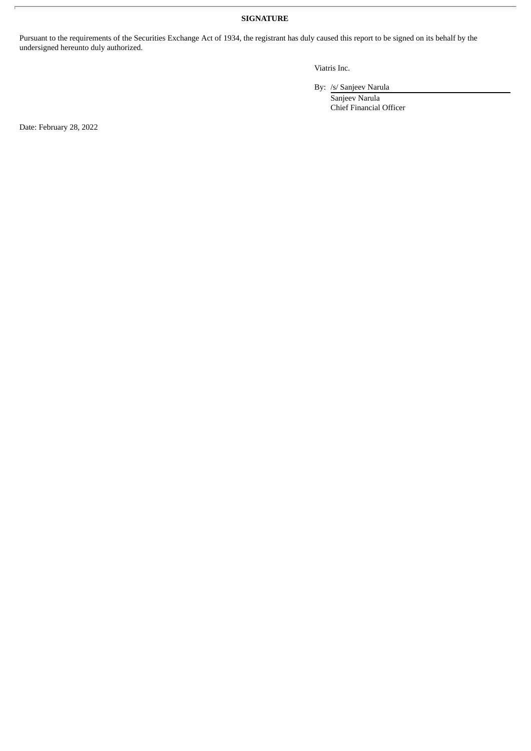### **SIGNATURE**

Pursuant to the requirements of the Securities Exchange Act of 1934, the registrant has duly caused this report to be signed on its behalf by the undersigned hereunto duly authorized.

Viatris Inc.

By: /s/ Sanjeev Narula

Sanjeev Narula Chief Financial Officer

Date: February 28, 2022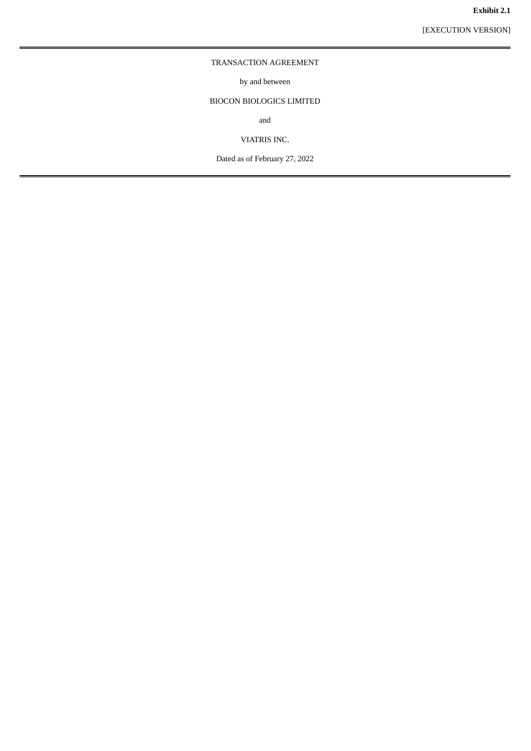#### **Exhibit 2.1**

[EXECUTION VERSION]

#### <span id="page-5-0"></span>TRANSACTION AGREEMENT

by and between

## BIOCON BIOLOGICS LIMITED

and

VIATRIS INC.

Dated as of February 27, 2022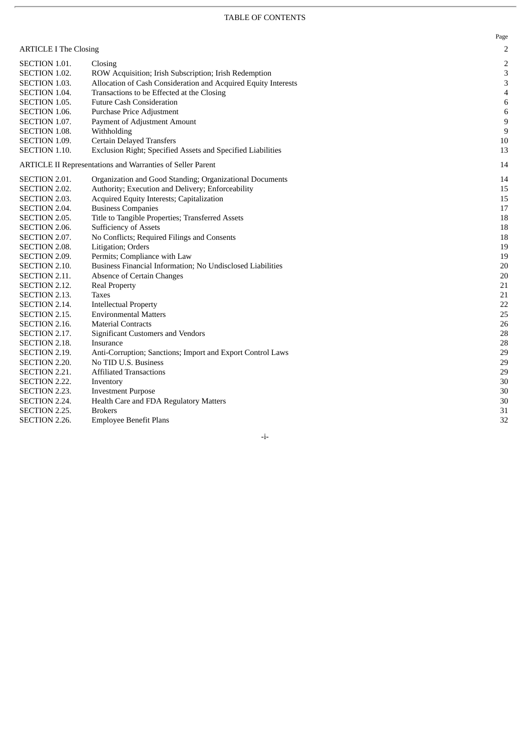#### TABLE OF CONTENTS

|                              |                                                                | Page           |
|------------------------------|----------------------------------------------------------------|----------------|
| <b>ARTICLE I The Closing</b> |                                                                | 2              |
| SECTION 1.01.                | Closing                                                        | 2              |
| SECTION 1.02.                | ROW Acquisition; Irish Subscription; Irish Redemption          | 3              |
| SECTION 1.03.                | Allocation of Cash Consideration and Acquired Equity Interests | 3              |
| SECTION 1.04.                | Transactions to be Effected at the Closing                     | $\overline{4}$ |
| SECTION 1.05.                | <b>Future Cash Consideration</b>                               | 6              |
| SECTION 1.06.                | Purchase Price Adjustment                                      | 6              |
| SECTION 1.07.                | Payment of Adjustment Amount                                   | 9              |
| SECTION 1.08.                | Withholding                                                    | 9              |
| SECTION 1.09.                | <b>Certain Delayed Transfers</b>                               | 10             |
| SECTION 1.10.                | Exclusion Right; Specified Assets and Specified Liabilities    | 13             |
|                              | ARTICLE II Representations and Warranties of Seller Parent     | 14             |
| SECTION 2.01.                | Organization and Good Standing; Organizational Documents       | 14             |
| SECTION 2.02.                | Authority; Execution and Delivery; Enforceability              | 15             |
| SECTION 2.03.                | Acquired Equity Interests; Capitalization                      | 15             |
| SECTION 2.04.                | <b>Business Companies</b>                                      | 17             |
| SECTION 2.05.                | Title to Tangible Properties; Transferred Assets               | 18             |
| <b>SECTION 2.06.</b>         | <b>Sufficiency of Assets</b>                                   | 18             |
| SECTION 2.07.                | No Conflicts; Required Filings and Consents                    | 18             |
| <b>SECTION 2.08.</b>         | Litigation; Orders                                             | 19             |
| SECTION 2.09.                | Permits; Compliance with Law                                   | 19             |
| <b>SECTION 2.10.</b>         | Business Financial Information; No Undisclosed Liabilities     | 20             |
| SECTION 2.11.                | Absence of Certain Changes                                     | 20             |
| SECTION 2.12.                | <b>Real Property</b>                                           | 21             |
| SECTION 2.13.                | Taxes                                                          | 21             |
| SECTION 2.14.                | <b>Intellectual Property</b>                                   | 22             |
| SECTION 2.15.                | <b>Environmental Matters</b>                                   | 25             |
| SECTION 2.16.                | <b>Material Contracts</b>                                      | 26             |
| SECTION 2.17.                | <b>Significant Customers and Vendors</b>                       | 28             |
| <b>SECTION 2.18.</b>         | Insurance                                                      | 28             |
| SECTION 2.19.                | Anti-Corruption; Sanctions; Import and Export Control Laws     | 29             |
| SECTION 2.20.                | No TID U.S. Business                                           | 29             |
| SECTION 2.21.                | <b>Affiliated Transactions</b>                                 | 29             |
| SECTION 2.22.                | Inventory                                                      | 30             |
| SECTION 2.23.                | <b>Investment Purpose</b>                                      | 30             |
| SECTION 2.24.                | Health Care and FDA Regulatory Matters                         | 30             |
| SECTION 2.25.                | <b>Brokers</b>                                                 | 31             |
| SECTION 2.26.                | <b>Employee Benefit Plans</b>                                  | 32             |

- i -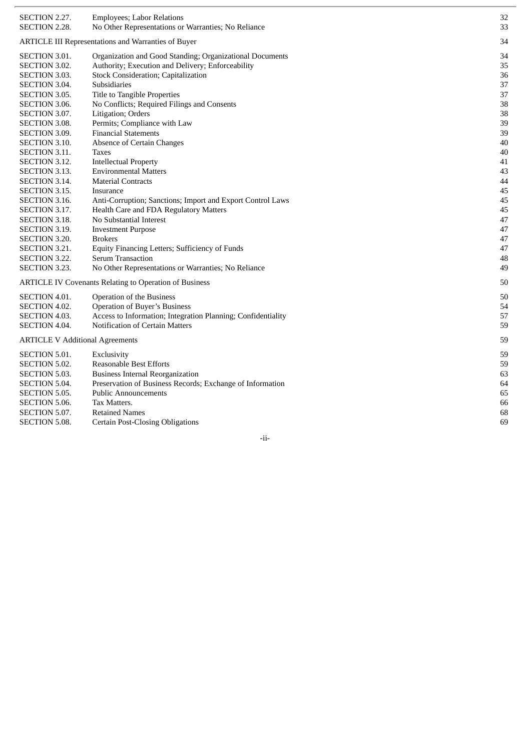| SECTION 2.27.                          | <b>Employees; Labor Relations</b>                             | 32 |
|----------------------------------------|---------------------------------------------------------------|----|
| SECTION 2.28.                          | No Other Representations or Warranties; No Reliance           | 33 |
|                                        | <b>ARTICLE III Representations and Warranties of Buyer</b>    | 34 |
| <b>SECTION 3.01.</b>                   | Organization and Good Standing; Organizational Documents      | 34 |
| SECTION 3.02.                          | Authority; Execution and Delivery; Enforceability             | 35 |
| SECTION 3.03.                          | <b>Stock Consideration; Capitalization</b>                    | 36 |
| <b>SECTION 3.04.</b>                   | Subsidiaries                                                  | 37 |
| SECTION 3.05.                          | Title to Tangible Properties                                  | 37 |
| SECTION 3.06.                          | No Conflicts; Required Filings and Consents                   | 38 |
| SECTION 3.07.                          | Litigation; Orders                                            | 38 |
| <b>SECTION 3.08.</b>                   | Permits; Compliance with Law                                  | 39 |
| SECTION 3.09.                          | <b>Financial Statements</b>                                   | 39 |
| <b>SECTION 3.10.</b>                   | <b>Absence of Certain Changes</b>                             | 40 |
| SECTION 3.11.                          | <b>Taxes</b>                                                  | 40 |
| SECTION 3.12.                          | <b>Intellectual Property</b>                                  | 41 |
| <b>SECTION 3.13.</b>                   | <b>Environmental Matters</b>                                  | 43 |
| SECTION 3.14.                          | <b>Material Contracts</b>                                     | 44 |
| SECTION 3.15.                          | Insurance                                                     | 45 |
| SECTION 3.16.                          | Anti-Corruption; Sanctions; Import and Export Control Laws    | 45 |
| SECTION 3.17.                          | Health Care and FDA Regulatory Matters                        | 45 |
| SECTION 3.18.                          | No Substantial Interest                                       | 47 |
| SECTION 3.19.                          | <b>Investment Purpose</b>                                     | 47 |
| SECTION 3.20.                          | <b>Brokers</b>                                                | 47 |
| SECTION 3.21.                          | Equity Financing Letters; Sufficiency of Funds                | 47 |
| SECTION 3.22.                          | <b>Serum Transaction</b>                                      | 48 |
| SECTION 3.23.                          | No Other Representations or Warranties; No Reliance           | 49 |
|                                        | <b>ARTICLE IV Covenants Relating to Operation of Business</b> | 50 |
| SECTION 4.01.                          | Operation of the Business                                     | 50 |
| SECTION 4.02.                          | <b>Operation of Buyer's Business</b>                          | 54 |
| SECTION 4.03.                          | Access to Information; Integration Planning; Confidentiality  | 57 |
| SECTION 4.04.                          | <b>Notification of Certain Matters</b>                        | 59 |
| <b>ARTICLE V Additional Agreements</b> |                                                               | 59 |
| SECTION 5.01.                          | Exclusivity                                                   | 59 |
| SECTION 5.02.                          | <b>Reasonable Best Efforts</b>                                | 59 |
| SECTION 5.03.                          | <b>Business Internal Reorganization</b>                       | 63 |
| SECTION 5.04.                          | Preservation of Business Records; Exchange of Information     | 64 |
| SECTION 5.05.                          | <b>Public Announcements</b>                                   | 65 |
| SECTION 5.06.                          | Tax Matters.                                                  | 66 |
| SECTION 5.07.                          | <b>Retained Names</b>                                         | 68 |
| <b>SECTION 5.08.</b>                   | <b>Certain Post-Closing Obligations</b>                       | 69 |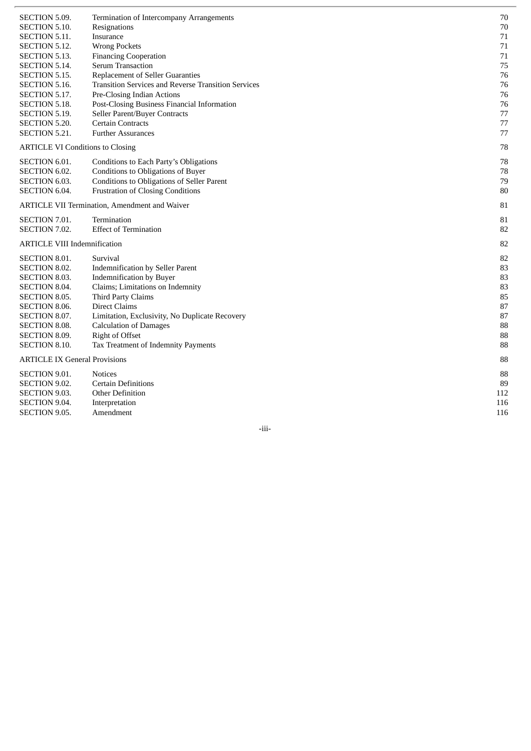| SECTION 5.09.                                        | Termination of Intercompany Arrangements                   | 70  |
|------------------------------------------------------|------------------------------------------------------------|-----|
| SECTION 5.10.                                        | Resignations                                               | 70  |
| <b>SECTION 5.11.</b>                                 | Insurance                                                  | 71  |
| SECTION 5.12.                                        | <b>Wrong Pockets</b>                                       | 71  |
| SECTION 5.13.                                        | <b>Financing Cooperation</b>                               | 71  |
| SECTION 5.14.                                        | <b>Serum Transaction</b>                                   | 75  |
| SECTION 5.15.                                        | <b>Replacement of Seller Guaranties</b>                    | 76  |
| SECTION 5.16.                                        | <b>Transition Services and Reverse Transition Services</b> | 76  |
| SECTION 5.17.                                        | Pre-Closing Indian Actions                                 | 76  |
| SECTION 5.18.                                        | Post-Closing Business Financial Information                | 76  |
| SECTION 5.19.                                        | Seller Parent/Buyer Contracts                              | 77  |
| SECTION 5.20.                                        | <b>Certain Contracts</b>                                   | 77  |
| <b>SECTION 5.21.</b>                                 | <b>Further Assurances</b>                                  | 77  |
| <b>ARTICLE VI Conditions to Closing</b>              |                                                            | 78  |
| SECTION 6.01.                                        | Conditions to Each Party's Obligations                     | 78  |
| SECTION 6.02.                                        | Conditions to Obligations of Buyer                         | 78  |
| <b>SECTION 6.03.</b>                                 | <b>Conditions to Obligations of Seller Parent</b>          | 79  |
| SECTION 6.04.                                        | <b>Frustration of Closing Conditions</b>                   | 80  |
| <b>ARTICLE VII Termination, Amendment and Waiver</b> |                                                            | 81  |
| SECTION 7.01.                                        | Termination                                                | 81  |
| SECTION 7.02.                                        | <b>Effect of Termination</b>                               | 82  |
| <b>ARTICLE VIII Indemnification</b>                  |                                                            | 82  |
| <b>SECTION 8.01.</b>                                 | Survival                                                   | 82  |
| <b>SECTION 8.02.</b>                                 | <b>Indemnification by Seller Parent</b>                    | 83  |
| <b>SECTION 8.03.</b>                                 | <b>Indemnification by Buyer</b>                            | 83  |
| <b>SECTION 8.04.</b>                                 | Claims; Limitations on Indemnity                           | 83  |
| SECTION 8.05.                                        | <b>Third Party Claims</b>                                  | 85  |
| <b>SECTION 8.06.</b>                                 | <b>Direct Claims</b>                                       | 87  |
| SECTION 8.07.                                        | Limitation, Exclusivity, No Duplicate Recovery             | 87  |
| <b>SECTION 8.08.</b>                                 | <b>Calculation of Damages</b>                              | 88  |
| <b>SECTION 8.09.</b>                                 | <b>Right of Offset</b>                                     | 88  |
| <b>SECTION 8.10.</b>                                 | Tax Treatment of Indemnity Payments                        | 88  |
| <b>ARTICLE IX General Provisions</b>                 |                                                            | 88  |
| SECTION 9.01.                                        | <b>Notices</b>                                             | 88  |
| SECTION 9.02.                                        | <b>Certain Definitions</b>                                 | 89  |
| <b>SECTION 9.03.</b>                                 | <b>Other Definition</b>                                    | 112 |
| SECTION 9.04.                                        | Interpretation                                             | 116 |
| <b>SECTION 9.05.</b>                                 | Amendment                                                  | 116 |
|                                                      |                                                            |     |

-iii-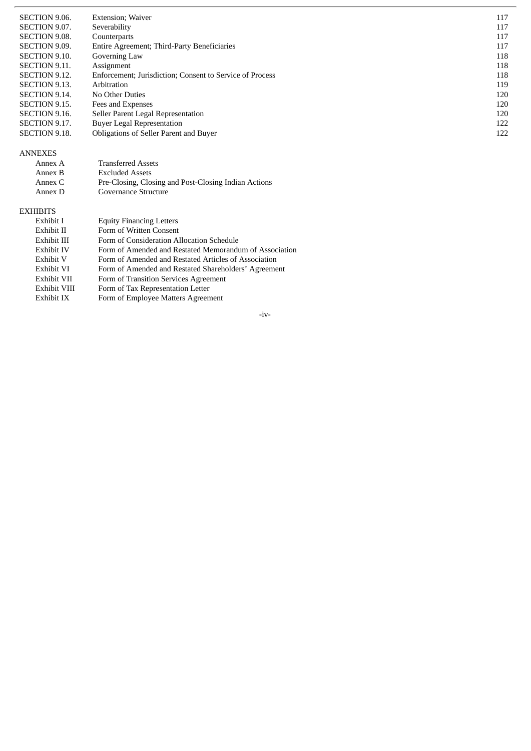| SECTION 9.06.        | <b>Extension</b> ; Waiver                                | 117 |
|----------------------|----------------------------------------------------------|-----|
| SECTION 9.07.        | Severability                                             | 117 |
| SECTION 9.08.        | Counterparts                                             | 117 |
| <b>SECTION 9.09.</b> | Entire Agreement; Third-Party Beneficiaries              | 117 |
| SECTION 9.10.        | Governing Law                                            | 118 |
| <b>SECTION 9.11.</b> | Assignment                                               | 118 |
| SECTION 9.12.        | Enforcement; Jurisdiction; Consent to Service of Process | 118 |
| SECTION 9.13.        | Arbitration                                              | 119 |
| SECTION 9.14.        | No Other Duties                                          | 120 |
| SECTION 9.15.        | Fees and Expenses                                        | 120 |
| SECTION 9.16.        | Seller Parent Legal Representation                       | 120 |
| SECTION 9.17.        | <b>Buyer Legal Representation</b>                        | 122 |
| <b>SECTION 9.18.</b> | Obligations of Seller Parent and Buyer                   | 122 |
| <b>ANNEXES</b>       |                                                          |     |

| Annex B  | <b>Excluded Assets</b>                               |
|----------|------------------------------------------------------|
| Annex C  | Pre-Closing, Closing and Post-Closing Indian Actions |
| Annex D- | Governance Structure                                 |
|          |                                                      |

Transferred Assets

#### EXHIBITS

l,

A n n e x A

| Exhibit I         | <b>Equity Financing Letters</b>                        |
|-------------------|--------------------------------------------------------|
| Exhibit II        | Form of Written Consent                                |
| Exhibit III       | Form of Consideration Allocation Schedule              |
| <b>Exhibit IV</b> | Form of Amended and Restated Memorandum of Association |
| Exhibit V         | Form of Amended and Restated Articles of Association   |
| Exhibit VI        | Form of Amended and Restated Shareholders' Agreement   |
| Exhibit VII       | Form of Transition Services Agreement                  |
| Exhibit VIII      | Form of Tax Representation Letter                      |
| Exhibit IX        | Form of Employee Matters Agreement                     |

- i v -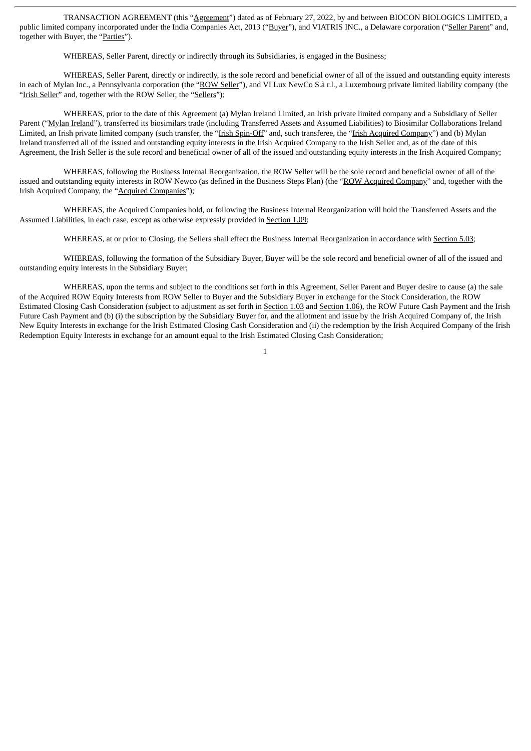TRANSACTION AGREEMENT (this "Agreement") dated as of February 27, 2022, by and between BIOCON BIOLOGICS LIMITED, a public limited company incorporated under the India Companies Act, 2013 ("Buyer"), and VIATRIS INC., a Delaware corporation ("Seller Parent" and, together with Buyer, the "Parties").

WHEREAS, Seller Parent, directly or indirectly through its Subsidiaries, is engaged in the Business;

WHEREAS, Seller Parent, directly or indirectly, is the sole record and beneficial owner of all of the issued and outstanding equity interests in each of Mylan Inc., a Pennsylvania corporation (the "ROW Seller"), and VI Lux NewCo S.à r.l., a Luxembourg private limited liability company (the "Irish Seller" and, together with the ROW Seller, the "Sellers");

WHEREAS, prior to the date of this Agreement (a) Mylan Ireland Limited, an Irish private limited company and a Subsidiary of Seller Parent ("Mylan Ireland"), transferred its biosimilars trade (including Transferred Assets and Assumed Liabilities) to Biosimilar Collaborations Ireland Limited, an Irish private limited company (such transfer, the "Irish Spin-Off" and, such transferee, the "Irish Acquired Company") and (b) Mylan Ireland transferred all of the issued and outstanding equity interests in the Irish Acquired Company to the Irish Seller and, as of the date of this Agreement, the Irish Seller is the sole record and beneficial owner of all of the issued and outstanding equity interests in the Irish Acquired Company;

WHEREAS, following the Business Internal Reorganization, the ROW Seller will be the sole record and beneficial owner of all of the issued and outstanding equity interests in ROW Newco (as defined in the Business Steps Plan) (the "ROW Acquired Company" and, together with the Irish Acquired Company, the "Acquired Companies");

WHEREAS, the Acquired Companies hold, or following the Business Internal Reorganization will hold the Transferred Assets and the Assumed Liabilities, in each case, except as otherwise expressly provided in Section 1.09;

WHEREAS, at or prior to Closing, the Sellers shall effect the Business Internal Reorganization in accordance with Section 5.03;

WHEREAS, following the formation of the Subsidiary Buyer, Buyer will be the sole record and beneficial owner of all of the issued and outstanding equity interests in the Subsidiary Buyer;

WHEREAS, upon the terms and subject to the conditions set forth in this Agreement, Seller Parent and Buyer desire to cause (a) the sale of the Acquired ROW Equity Interests from ROW Seller to Buyer and the Subsidiary Buyer in exchange for the Stock Consideration, the ROW Estimated Closing Cash Consideration (subject to adjustment as set forth in Section 1.03 and Section 1.06), the ROW Future Cash Payment and the Irish Future Cash Payment and (b) (i) the subscription by the Subsidiary Buyer for, and the allotment and issue by the Irish Acquired Company of, the Irish New Equity Interests in exchange for the Irish Estimated Closing Cash Consideration and (ii) the redemption by the Irish Acquired Company of the Irish Redemption Equity Interests in exchange for an amount equal to the Irish Estimated Closing Cash Consideration;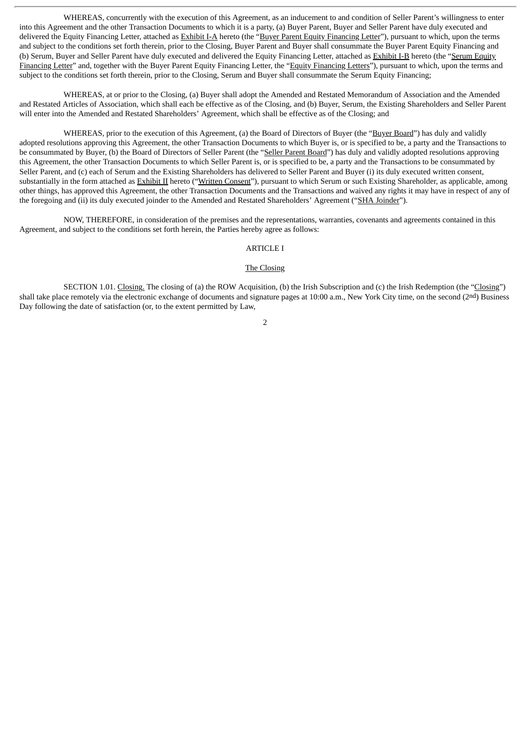WHEREAS, concurrently with the execution of this Agreement, as an inducement to and condition of Seller Parent's willingness to enter into this Agreement and the other Transaction Documents to which it is a party, (a) Buyer Parent, Buyer and Seller Parent have duly executed and delivered the Equity Financing Letter, attached as Exhibit I-A hereto (the "Buyer Parent Equity Financing Letter"), pursuant to which, upon the terms and subject to the conditions set forth therein, prior to the Closing, Buyer Parent and Buyer shall consummate the Buyer Parent Equity Financing and (b) Serum, Buyer and Seller Parent have duly executed and delivered the Equity Financing Letter, attached as **Exhibit I-B** hereto (the "Serum Equity Financing Letter" and, together with the Buyer Parent Equity Financing Letter, the "Equity Financing Letters"), pursuant to which, upon the terms and subject to the conditions set forth therein, prior to the Closing, Serum and Buyer shall consummate the Serum Equity Financing;

WHEREAS, at or prior to the Closing, (a) Buyer shall adopt the Amended and Restated Memorandum of Association and the Amended and Restated Articles of Association, which shall each be effective as of the Closing, and (b) Buyer, Serum, the Existing Shareholders and Seller Parent will enter into the Amended and Restated Shareholders' Agreement, which shall be effective as of the Closing; and

WHEREAS, prior to the execution of this Agreement, (a) the Board of Directors of Buyer (the "Buyer Board") has duly and validly adopted resolutions approving this Agreement, the other Transaction Documents to which Buyer is, or is specified to be, a party and the Transactions to be consummated by Buyer, (b) the Board of Directors of Seller Parent (the "Seller Parent Board") has duly and validly adopted resolutions approving this Agreement, the other Transaction Documents to which Seller Parent is, or is specified to be, a party and the Transactions to be consummated by Seller Parent, and (c) each of Serum and the Existing Shareholders has delivered to Seller Parent and Buyer (i) its duly executed written consent, substantially in the form attached as Exhibit II hereto ("Written Consent"), pursuant to which Serum or such Existing Shareholder, as applicable, among other things, has approved this Agreement, the other Transaction Documents and the Transactions and waived any rights it may have in respect of any of the foregoing and (ii) its duly executed joinder to the Amended and Restated Shareholders' Agreement ("SHA Joinder").

NOW, THEREFORE, in consideration of the premises and the representations, warranties, covenants and agreements contained in this Agreement, and subject to the conditions set forth herein, the Parties hereby agree as follows:

#### ARTICLE I

#### The Closing

SECTION 1.01. Closing. The closing of (a) the ROW Acquisition, (b) the Irish Subscription and (c) the Irish Redemption (the "Closing") shall take place remotely via the electronic exchange of documents and signature pages at 10:00 a.m., New York City time, on the second (2nd) Business Day following the date of satisfaction (or, to the extent permitted by Law,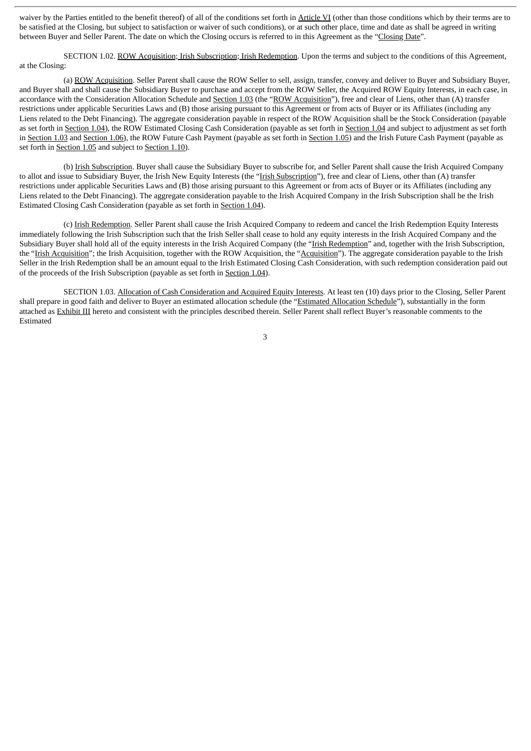waiver by the Parties entitled to the benefit thereof) of all of the conditions set forth in Article VI (other than those conditions which by their terms are to be satisfied at the Closing, but subject to satisfaction or waiver of such conditions), or at such other place, time and date as shall be agreed in writing between Buyer and Seller Parent. The date on which the Closing occurs is referred to in this Agreement as the "Closing Date".

SECTION 1.02. ROW Acquisition; Irish Subscription; Irish Redemption. Upon the terms and subject to the conditions of this Agreement, at the Closing:

(a) ROW Acquisition. Seller Parent shall cause the ROW Seller to sell, assign, transfer, convey and deliver to Buyer and Subsidiary Buyer, and Buyer shall and shall cause the Subsidiary Buyer to purchase and accept from the ROW Seller, the Acquired ROW Equity Interests, in each case, in accordance with the Consideration Allocation Schedule and Section 1.03 (the "ROW Acquisition"), free and clear of Liens, other than (A) transfer restrictions under applicable Securities Laws and (B) those arising pursuant to this Agreement or from acts of Buyer or its Affiliates (including any Liens related to the Debt Financing). The aggregate consideration payable in respect of the ROW Acquisition shall be the Stock Consideration (payable as set forth in Section 1.04), the ROW Estimated Closing Cash Consideration (payable as set forth in Section 1.04 and subject to adjustment as set forth in Section 1.03 and Section 1.06), the ROW Future Cash Payment (payable as set forth in Section 1.05) and the Irish Future Cash Payment (payable as set forth in Section 1.05 and subject to Section 1.10).

(b) Irish Subscription. Buyer shall cause the Subsidiary Buyer to subscribe for, and Seller Parent shall cause the Irish Acquired Company to allot and issue to Subsidiary Buyer, the Irish New Equity Interests (the "Irish Subscription"), free and clear of Liens, other than (A) transfer restrictions under applicable Securities Laws and (B) those arising pursuant to this Agreement or from acts of Buyer or its Affiliates (including any Liens related to the Debt Financing). The aggregate consideration payable to the Irish Acquired Company in the Irish Subscription shall be the Irish Estimated Closing Cash Consideration (payable as set forth in Section 1.04).

(c) Irish Redemption. Seller Parent shall cause the Irish Acquired Company to redeem and cancel the Irish Redemption Equity Interests immediately following the Irish Subscription such that the Irish Seller shall cease to hold any equity interests in the Irish Acquired Company and the Subsidiary Buyer shall hold all of the equity interests in the Irish Acquired Company (the "Irish Redemption" and, together with the Irish Subscription, the "Irish Acquisition"; the Irish Acquisition, together with the ROW Acquisition, the "Acquisition"). The aggregate consideration payable to the Irish Seller in the Irish Redemption shall be an amount equal to the Irish Estimated Closing Cash Consideration, with such redemption consideration paid out of the proceeds of the Irish Subscription (payable as set forth in Section 1.04).

SECTION 1.03. Allocation of Cash Consideration and Acquired Equity Interests. At least ten (10) days prior to the Closing, Seller Parent shall prepare in good faith and deliver to Buyer an estimated allocation schedule (the "Estimated Allocation Schedule"), substantially in the form attached as Exhibit III hereto and consistent with the principles described therein. Seller Parent shall reflect Buyer's reasonable comments to the Estimated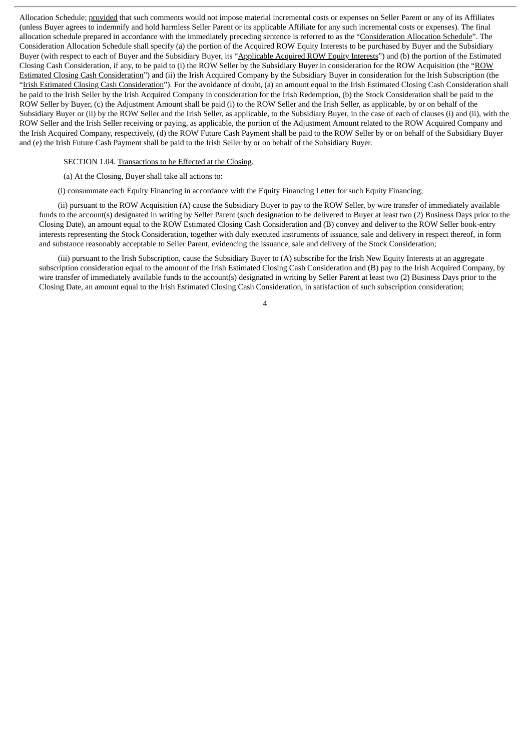Allocation Schedule; provided that such comments would not impose material incremental costs or expenses on Seller Parent or any of its Affiliates (unless Buyer agrees to indemnify and hold harmless Seller Parent or its applicable Affiliate for any such incremental costs or expenses). The final allocation schedule prepared in accordance with the immediately preceding sentence is referred to as the "Consideration Allocation Schedule". The Consideration Allocation Schedule shall specify (a) the portion of the Acquired ROW Equity Interests to be purchased by Buyer and the Subsidiary Buyer (with respect to each of Buyer and the Subsidiary Buyer, its "Applicable Acquired ROW Equity Interests") and (b) the portion of the Estimated Closing Cash Consideration, if any, to be paid to (i) the ROW Seller by the Subsidiary Buyer in consideration for the ROW Acquisition (the "ROW Estimated Closing Cash Consideration") and (ii) the Irish Acquired Company by the Subsidiary Buyer in consideration for the Irish Subscription (the "Irish Estimated Closing Cash Consideration"). For the avoidance of doubt, (a) an amount equal to the Irish Estimated Closing Cash Consideration shall be paid to the Irish Seller by the Irish Acquired Company in consideration for the Irish Redemption, (b) the Stock Consideration shall be paid to the ROW Seller by Buyer, (c) the Adjustment Amount shall be paid (i) to the ROW Seller and the Irish Seller, as applicable, by or on behalf of the Subsidiary Buyer or (ii) by the ROW Seller and the Irish Seller, as applicable, to the Subsidiary Buyer, in the case of each of clauses (i) and (ii), with the ROW Seller and the Irish Seller receiving or paying, as applicable, the portion of the Adjustment Amount related to the ROW Acquired Company and the Irish Acquired Company, respectively, (d) the ROW Future Cash Payment shall be paid to the ROW Seller by or on behalf of the Subsidiary Buyer and (e) the Irish Future Cash Payment shall be paid to the Irish Seller by or on behalf of the Subsidiary Buyer.

#### SECTION 1.04. Transactions to be Effected at the Closing.

(a) At the Closing, Buyer shall take all actions to:

(i) consummate each Equity Financing in accordance with the Equity Financing Letter for such Equity Financing;

(ii) pursuant to the ROW Acquisition (A) cause the Subsidiary Buyer to pay to the ROW Seller, by wire transfer of immediately available funds to the account(s) designated in writing by Seller Parent (such designation to be delivered to Buyer at least two (2) Business Days prior to the Closing Date), an amount equal to the ROW Estimated Closing Cash Consideration and (B) convey and deliver to the ROW Seller book-entry interests representing the Stock Consideration, together with duly executed instruments of issuance, sale and delivery in respect thereof, in form and substance reasonably acceptable to Seller Parent, evidencing the issuance, sale and delivery of the Stock Consideration;

(iii) pursuant to the Irish Subscription, cause the Subsidiary Buyer to (A) subscribe for the Irish New Equity Interests at an aggregate subscription consideration equal to the amount of the Irish Estimated Closing Cash Consideration and (B) pay to the Irish Acquired Company, by wire transfer of immediately available funds to the account(s) designated in writing by Seller Parent at least two (2) Business Days prior to the Closing Date, an amount equal to the Irish Estimated Closing Cash Consideration, in satisfaction of such subscription consideration;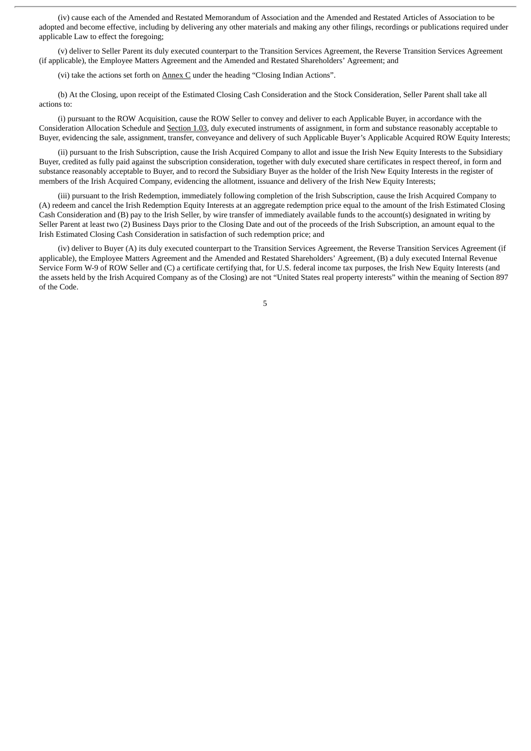(iv) cause each of the Amended and Restated Memorandum of Association and the Amended and Restated Articles of Association to be adopted and become effective, including by delivering any other materials and making any other filings, recordings or publications required under applicable Law to effect the foregoing;

(v) deliver to Seller Parent its duly executed counterpart to the Transition Services Agreement, the Reverse Transition Services Agreement (if applicable), the Employee Matters Agreement and the Amended and Restated Shareholders' Agreement; and

(vi) take the actions set forth on Annex C under the heading "Closing Indian Actions".

(b) At the Closing, upon receipt of the Estimated Closing Cash Consideration and the Stock Consideration, Seller Parent shall take all actions to:

(i) pursuant to the ROW Acquisition, cause the ROW Seller to convey and deliver to each Applicable Buyer, in accordance with the Consideration Allocation Schedule and Section 1.03, duly executed instruments of assignment, in form and substance reasonably acceptable to Buyer, evidencing the sale, assignment, transfer, conveyance and delivery of such Applicable Buyer's Applicable Acquired ROW Equity Interests;

(ii) pursuant to the Irish Subscription, cause the Irish Acquired Company to allot and issue the Irish New Equity Interests to the Subsidiary Buyer, credited as fully paid against the subscription consideration, together with duly executed share certificates in respect thereof, in form and substance reasonably acceptable to Buyer, and to record the Subsidiary Buyer as the holder of the Irish New Equity Interests in the register of members of the Irish Acquired Company, evidencing the allotment, issuance and delivery of the Irish New Equity Interests;

(iii) pursuant to the Irish Redemption, immediately following completion of the Irish Subscription, cause the Irish Acquired Company to (A) redeem and cancel the Irish Redemption Equity Interests at an aggregate redemption price equal to the amount of the Irish Estimated Closing Cash Consideration and (B) pay to the Irish Seller, by wire transfer of immediately available funds to the account(s) designated in writing by Seller Parent at least two (2) Business Days prior to the Closing Date and out of the proceeds of the Irish Subscription, an amount equal to the Irish Estimated Closing Cash Consideration in satisfaction of such redemption price; and

(iv) deliver to Buyer (A) its duly executed counterpart to the Transition Services Agreement, the Reverse Transition Services Agreement (if applicable), the Employee Matters Agreement and the Amended and Restated Shareholders' Agreement, (B) a duly executed Internal Revenue Service Form W-9 of ROW Seller and (C) a certificate certifying that, for U.S. federal income tax purposes, the Irish New Equity Interests (and the assets held by the Irish Acquired Company as of the Closing) are not "United States real property interests" within the meaning of Section 897 of the Code.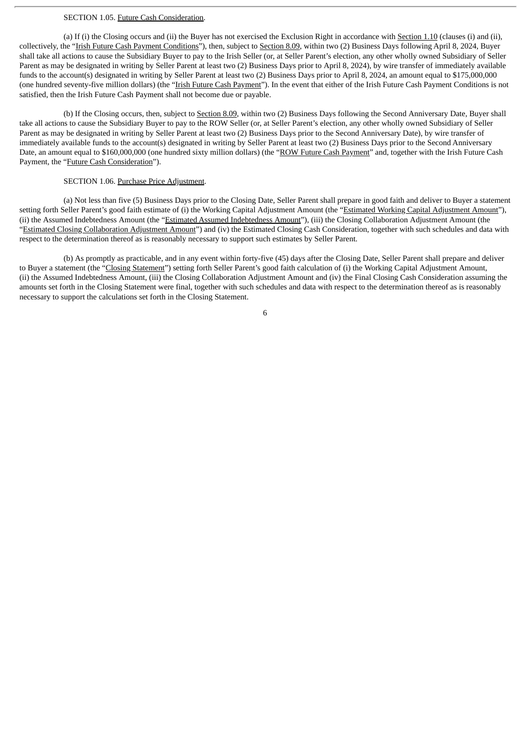#### SECTION 1.05. Future Cash Consideration.

(a) If (i) the Closing occurs and (ii) the Buyer has not exercised the Exclusion Right in accordance with Section 1.10 (clauses (i) and (ii), collectively, the "Irish Future Cash Payment Conditions"), then, subject to Section 8.09, within two (2) Business Days following April 8, 2024, Buyer shall take all actions to cause the Subsidiary Buyer to pay to the Irish Seller (or, at Seller Parent's election, any other wholly owned Subsidiary of Seller Parent as may be designated in writing by Seller Parent at least two (2) Business Days prior to April 8, 2024), by wire transfer of immediately available funds to the account(s) designated in writing by Seller Parent at least two (2) Business Days prior to April 8, 2024, an amount equal to \$175,000,000 (one hundred seventy-five million dollars) (the "Irish Future Cash Payment"). In the event that either of the Irish Future Cash Payment Conditions is not satisfied, then the Irish Future Cash Payment shall not become due or payable.

(b) If the Closing occurs, then, subject to Section 8.09, within two (2) Business Days following the Second Anniversary Date, Buyer shall take all actions to cause the Subsidiary Buyer to pay to the ROW Seller (or, at Seller Parent's election, any other wholly owned Subsidiary of Seller Parent as may be designated in writing by Seller Parent at least two (2) Business Days prior to the Second Anniversary Date), by wire transfer of immediately available funds to the account(s) designated in writing by Seller Parent at least two (2) Business Days prior to the Second Anniversary Date, an amount equal to \$160,000,000 (one hundred sixty million dollars) (the "ROW Future Cash Payment" and, together with the Irish Future Cash Payment, the "Future Cash Consideration").

#### SECTION 1.06. Purchase Price Adjustment.

(a) Not less than five (5) Business Days prior to the Closing Date, Seller Parent shall prepare in good faith and deliver to Buyer a statement setting forth Seller Parent's good faith estimate of (i) the Working Capital Adjustment Amount (the "Estimated Working Capital Adjustment Amount"), (ii) the Assumed Indebtedness Amount (the "Estimated Assumed Indebtedness Amount"), (iii) the Closing Collaboration Adjustment Amount (the "Estimated Closing Collaboration Adjustment Amount") and (iv) the Estimated Closing Cash Consideration, together with such schedules and data with respect to the determination thereof as is reasonably necessary to support such estimates by Seller Parent.

(b) As promptly as practicable, and in any event within forty-five (45) days after the Closing Date, Seller Parent shall prepare and deliver to Buyer a statement (the "Closing Statement") setting forth Seller Parent's good faith calculation of (i) the Working Capital Adjustment Amount, (ii) the Assumed Indebtedness Amount, (iii) the Closing Collaboration Adjustment Amount and (iv) the Final Closing Cash Consideration assuming the amounts set forth in the Closing Statement were final, together with such schedules and data with respect to the determination thereof as is reasonably necessary to support the calculations set forth in the Closing Statement.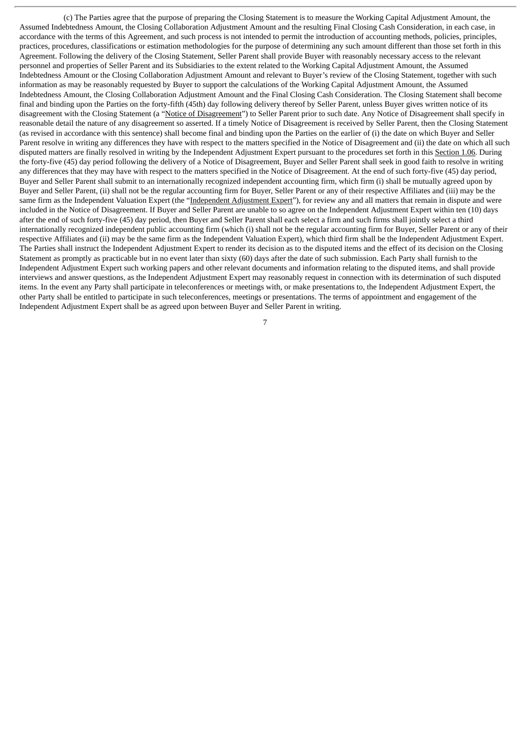(c) The Parties agree that the purpose of preparing the Closing Statement is to measure the Working Capital Adjustment Amount, the Assumed Indebtedness Amount, the Closing Collaboration Adjustment Amount and the resulting Final Closing Cash Consideration, in each case, in accordance with the terms of this Agreement, and such process is not intended to permit the introduction of accounting methods, policies, principles, practices, procedures, classifications or estimation methodologies for the purpose of determining any such amount different than those set forth in this Agreement. Following the delivery of the Closing Statement, Seller Parent shall provide Buyer with reasonably necessary access to the relevant personnel and properties of Seller Parent and its Subsidiaries to the extent related to the Working Capital Adjustment Amount, the Assumed Indebtedness Amount or the Closing Collaboration Adjustment Amount and relevant to Buyer's review of the Closing Statement, together with such information as may be reasonably requested by Buyer to support the calculations of the Working Capital Adjustment Amount, the Assumed Indebtedness Amount, the Closing Collaboration Adjustment Amount and the Final Closing Cash Consideration. The Closing Statement shall become final and binding upon the Parties on the forty-fifth (45th) day following delivery thereof by Seller Parent, unless Buyer gives written notice of its disagreement with the Closing Statement (a "Notice of Disagreement") to Seller Parent prior to such date. Any Notice of Disagreement shall specify in reasonable detail the nature of any disagreement so asserted. If a timely Notice of Disagreement is received by Seller Parent, then the Closing Statement (as revised in accordance with this sentence) shall become final and binding upon the Parties on the earlier of (i) the date on which Buyer and Seller Parent resolve in writing any differences they have with respect to the matters specified in the Notice of Disagreement and (ii) the date on which all such disputed matters are finally resolved in writing by the Independent Adjustment Expert pursuant to the procedures set forth in this Section 1.06. During the forty-five (45) day period following the delivery of a Notice of Disagreement, Buyer and Seller Parent shall seek in good faith to resolve in writing any differences that they may have with respect to the matters specified in the Notice of Disagreement. At the end of such forty-five (45) day period, Buyer and Seller Parent shall submit to an internationally recognized independent accounting firm, which firm (i) shall be mutually agreed upon by Buyer and Seller Parent, (ii) shall not be the regular accounting firm for Buyer, Seller Parent or any of their respective Affiliates and (iii) may be the same firm as the Independent Valuation Expert (the "Independent Adjustment Expert"), for review any and all matters that remain in dispute and were included in the Notice of Disagreement. If Buyer and Seller Parent are unable to so agree on the Independent Adjustment Expert within ten (10) days after the end of such forty-five (45) day period, then Buyer and Seller Parent shall each select a firm and such firms shall jointly select a third internationally recognized independent public accounting firm (which (i) shall not be the regular accounting firm for Buyer, Seller Parent or any of their respective Affiliates and (ii) may be the same firm as the Independent Valuation Expert), which third firm shall be the Independent Adjustment Expert. The Parties shall instruct the Independent Adjustment Expert to render its decision as to the disputed items and the effect of its decision on the Closing Statement as promptly as practicable but in no event later than sixty (60) days after the date of such submission. Each Party shall furnish to the Independent Adjustment Expert such working papers and other relevant documents and information relating to the disputed items, and shall provide interviews and answer questions, as the Independent Adjustment Expert may reasonably request in connection with its determination of such disputed items. In the event any Party shall participate in teleconferences or meetings with, or make presentations to, the Independent Adjustment Expert, the other Party shall be entitled to participate in such teleconferences, meetings or presentations. The terms of appointment and engagement of the Independent Adjustment Expert shall be as agreed upon between Buyer and Seller Parent in writing.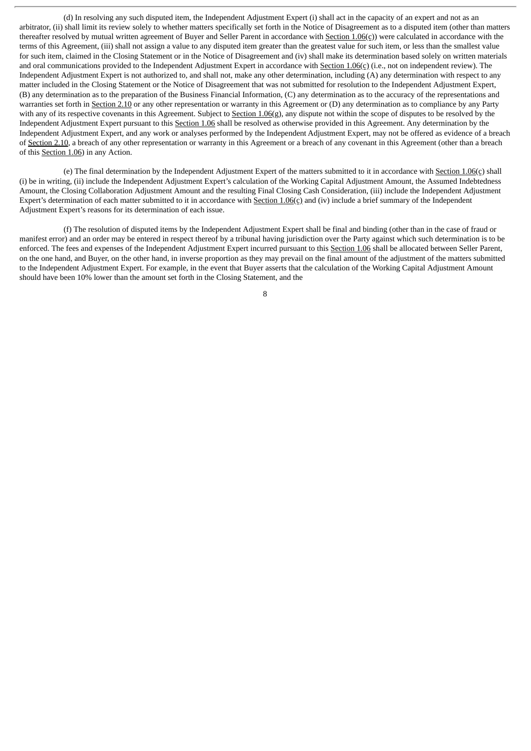(d) In resolving any such disputed item, the Independent Adjustment Expert (i) shall act in the capacity of an expert and not as an arbitrator, (ii) shall limit its review solely to whether matters specifically set forth in the Notice of Disagreement as to a disputed item (other than matters thereafter resolved by mutual written agreement of Buyer and Seller Parent in accordance with Section 1.06(c)) were calculated in accordance with the terms of this Agreement, (iii) shall not assign a value to any disputed item greater than the greatest value for such item, or less than the smallest value for such item, claimed in the Closing Statement or in the Notice of Disagreement and (iv) shall make its determination based solely on written materials and oral communications provided to the Independent Adjustment Expert in accordance with Section 1.06(c) (i.e., not on independent review). The Independent Adjustment Expert is not authorized to, and shall not, make any other determination, including (A) any determination with respect to any matter included in the Closing Statement or the Notice of Disagreement that was not submitted for resolution to the Independent Adjustment Expert, (B) any determination as to the preparation of the Business Financial Information, (C) any determination as to the accuracy of the representations and warranties set forth in Section 2.10 or any other representation or warranty in this Agreement or (D) any determination as to compliance by any Party with any of its respective covenants in this Agreement. Subject to Section 1.06(g), any dispute not within the scope of disputes to be resolved by the Independent Adjustment Expert pursuant to this Section 1.06 shall be resolved as otherwise provided in this Agreement. Any determination by the Independent Adjustment Expert, and any work or analyses performed by the Independent Adjustment Expert, may not be offered as evidence of a breach of Section 2.10, a breach of any other representation or warranty in this Agreement or a breach of any covenant in this Agreement (other than a breach of this Section 1.06) in any Action.

(e) The final determination by the Independent Adjustment Expert of the matters submitted to it in accordance with Section  $1.06(c)$  shall (i) be in writing, (ii) include the Independent Adjustment Expert's calculation of the Working Capital Adjustment Amount, the Assumed Indebtedness Amount, the Closing Collaboration Adjustment Amount and the resulting Final Closing Cash Consideration, (iii) include the Independent Adjustment Expert's determination of each matter submitted to it in accordance with  $Section 1.06(c)$  and (iv) include a brief summary of the Independent Adjustment Expert's reasons for its determination of each issue.

(f) The resolution of disputed items by the Independent Adjustment Expert shall be final and binding (other than in the case of fraud or manifest error) and an order may be entered in respect thereof by a tribunal having jurisdiction over the Party against which such determination is to be enforced. The fees and expenses of the Independent Adjustment Expert incurred pursuant to this Section 1.06 shall be allocated between Seller Parent, on the one hand, and Buyer, on the other hand, in inverse proportion as they may prevail on the final amount of the adjustment of the matters submitted to the Independent Adjustment Expert. For example, in the event that Buyer asserts that the calculation of the Working Capital Adjustment Amount should have been 10% lower than the amount set forth in the Closing Statement, and the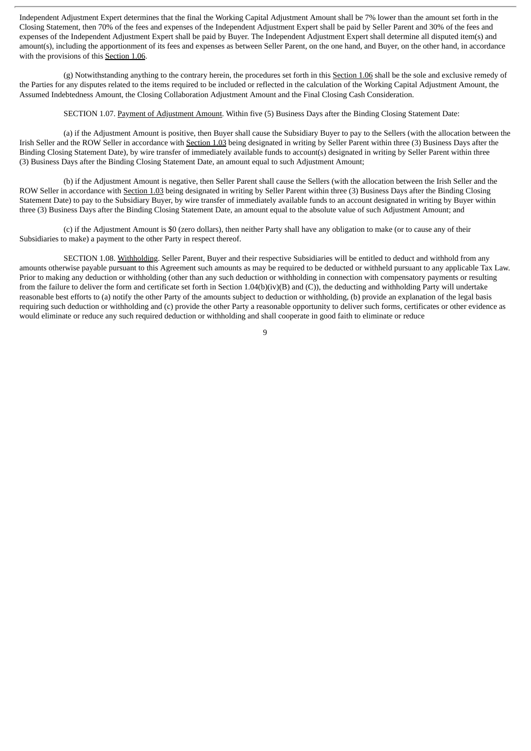Independent Adjustment Expert determines that the final the Working Capital Adjustment Amount shall be 7% lower than the amount set forth in the Closing Statement, then 70% of the fees and expenses of the Independent Adjustment Expert shall be paid by Seller Parent and 30% of the fees and expenses of the Independent Adjustment Expert shall be paid by Buyer. The Independent Adjustment Expert shall determine all disputed item(s) and amount(s), including the apportionment of its fees and expenses as between Seller Parent, on the one hand, and Buyer, on the other hand, in accordance with the provisions of this Section 1.06.

(g) Notwithstanding anything to the contrary herein, the procedures set forth in this Section 1.06 shall be the sole and exclusive remedy of the Parties for any disputes related to the items required to be included or reflected in the calculation of the Working Capital Adjustment Amount, the Assumed Indebtedness Amount, the Closing Collaboration Adjustment Amount and the Final Closing Cash Consideration.

SECTION 1.07. Payment of Adjustment Amount. Within five (5) Business Days after the Binding Closing Statement Date:

(a) if the Adjustment Amount is positive, then Buyer shall cause the Subsidiary Buyer to pay to the Sellers (with the allocation between the Irish Seller and the ROW Seller in accordance with Section 1.03 being designated in writing by Seller Parent within three (3) Business Days after the Binding Closing Statement Date), by wire transfer of immediately available funds to account(s) designated in writing by Seller Parent within three (3) Business Days after the Binding Closing Statement Date, an amount equal to such Adjustment Amount;

(b) if the Adjustment Amount is negative, then Seller Parent shall cause the Sellers (with the allocation between the Irish Seller and the ROW Seller in accordance with Section 1.03 being designated in writing by Seller Parent within three (3) Business Days after the Binding Closing Statement Date) to pay to the Subsidiary Buyer, by wire transfer of immediately available funds to an account designated in writing by Buyer within three (3) Business Days after the Binding Closing Statement Date, an amount equal to the absolute value of such Adjustment Amount; and

(c) if the Adjustment Amount is \$0 (zero dollars), then neither Party shall have any obligation to make (or to cause any of their Subsidiaries to make) a payment to the other Party in respect thereof.

SECTION 1.08. Withholding. Seller Parent, Buyer and their respective Subsidiaries will be entitled to deduct and withhold from any amounts otherwise payable pursuant to this Agreement such amounts as may be required to be deducted or withheld pursuant to any applicable Tax Law. Prior to making any deduction or withholding (other than any such deduction or withholding in connection with compensatory payments or resulting from the failure to deliver the form and certificate set forth in Section 1.04(b)(iv)(B) and (C)), the deducting and withholding Party will undertake reasonable best efforts to (a) notify the other Party of the amounts subject to deduction or withholding, (b) provide an explanation of the legal basis requiring such deduction or withholding and (c) provide the other Party a reasonable opportunity to deliver such forms, certificates or other evidence as would eliminate or reduce any such required deduction or withholding and shall cooperate in good faith to eliminate or reduce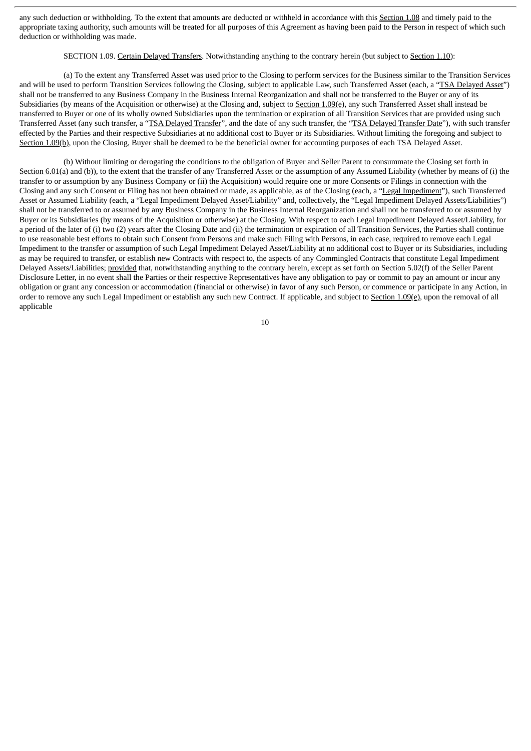any such deduction or withholding. To the extent that amounts are deducted or withheld in accordance with this Section 1.08 and timely paid to the appropriate taxing authority, such amounts will be treated for all purposes of this Agreement as having been paid to the Person in respect of which such deduction or withholding was made.

SECTION 1.09. Certain Delayed Transfers. Notwithstanding anything to the contrary herein (but subject to Section 1.10):

(a) To the extent any Transferred Asset was used prior to the Closing to perform services for the Business similar to the Transition Services and will be used to perform Transition Services following the Closing, subject to applicable Law, such Transferred Asset (each, a "TSA Delayed Asset") shall not be transferred to any Business Company in the Business Internal Reorganization and shall not be transferred to the Buyer or any of its Subsidiaries (by means of the Acquisition or otherwise) at the Closing and, subject to Section 1.09(e), any such Transferred Asset shall instead be transferred to Buyer or one of its wholly owned Subsidiaries upon the termination or expiration of all Transition Services that are provided using such Transferred Asset (any such transfer, a "TSA Delayed Transfer", and the date of any such transfer, the "TSA Delayed Transfer Date"), with such transfer effected by the Parties and their respective Subsidiaries at no additional cost to Buyer or its Subsidiaries. Without limiting the foregoing and subject to Section 1.09(b), upon the Closing, Buyer shall be deemed to be the beneficial owner for accounting purposes of each TSA Delayed Asset.

(b) Without limiting or derogating the conditions to the obligation of Buyer and Seller Parent to consummate the Closing set forth in Section 6.01(a) and (b)), to the extent that the transfer of any Transferred Asset or the assumption of any Assumed Liability (whether by means of (i) the transfer to or assumption by any Business Company or (ii) the Acquisition) would require one or more Consents or Filings in connection with the Closing and any such Consent or Filing has not been obtained or made, as applicable, as of the Closing (each, a "Legal Impediment"), such Transferred Asset or Assumed Liability (each, a "Legal Impediment Delayed Asset/Liability" and, collectively, the "Legal Impediment Delayed Assets/Liabilities") shall not be transferred to or assumed by any Business Company in the Business Internal Reorganization and shall not be transferred to or assumed by Buyer or its Subsidiaries (by means of the Acquisition or otherwise) at the Closing. With respect to each Legal Impediment Delayed Asset/Liability, for a period of the later of (i) two (2) years after the Closing Date and (ii) the termination or expiration of all Transition Services, the Parties shall continue to use reasonable best efforts to obtain such Consent from Persons and make such Filing with Persons, in each case, required to remove each Legal Impediment to the transfer or assumption of such Legal Impediment Delayed Asset/Liability at no additional cost to Buyer or its Subsidiaries, including as may be required to transfer, or establish new Contracts with respect to, the aspects of any Commingled Contracts that constitute Legal Impediment Delayed Assets/Liabilities; provided that, notwithstanding anything to the contrary herein, except as set forth on Section 5.02(f) of the Seller Parent Disclosure Letter, in no event shall the Parties or their respective Representatives have any obligation to pay or commit to pay an amount or incur any obligation or grant any concession or accommodation (financial or otherwise) in favor of any such Person, or commence or participate in any Action, in order to remove any such Legal Impediment or establish any such new Contract. If applicable, and subject to Section 1.09(e), upon the removal of all applicable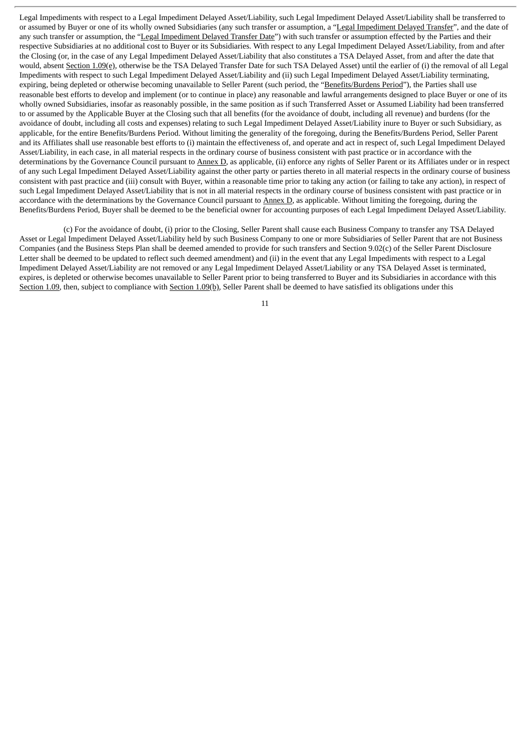Legal Impediments with respect to a Legal Impediment Delayed Asset/Liability, such Legal Impediment Delayed Asset/Liability shall be transferred to or assumed by Buyer or one of its wholly owned Subsidiaries (any such transfer or assumption, a "Legal Impediment Delayed Transfer", and the date of any such transfer or assumption, the "Legal Impediment Delayed Transfer Date") with such transfer or assumption effected by the Parties and their respective Subsidiaries at no additional cost to Buyer or its Subsidiaries. With respect to any Legal Impediment Delayed Asset/Liability, from and after the Closing (or, in the case of any Legal Impediment Delayed Asset/Liability that also constitutes a TSA Delayed Asset, from and after the date that would, absent Section 1.09(e), otherwise be the TSA Delayed Transfer Date for such TSA Delayed Asset) until the earlier of (i) the removal of all Legal Impediments with respect to such Legal Impediment Delayed Asset/Liability and (ii) such Legal Impediment Delayed Asset/Liability terminating, expiring, being depleted or otherwise becoming unavailable to Seller Parent (such period, the "Benefits/Burdens Period"), the Parties shall use reasonable best efforts to develop and implement (or to continue in place) any reasonable and lawful arrangements designed to place Buyer or one of its wholly owned Subsidiaries, insofar as reasonably possible, in the same position as if such Transferred Asset or Assumed Liability had been transferred to or assumed by the Applicable Buyer at the Closing such that all benefits (for the avoidance of doubt, including all revenue) and burdens (for the avoidance of doubt, including all costs and expenses) relating to such Legal Impediment Delayed Asset/Liability inure to Buyer or such Subsidiary, as applicable, for the entire Benefits/Burdens Period. Without limiting the generality of the foregoing, during the Benefits/Burdens Period, Seller Parent and its Affiliates shall use reasonable best efforts to (i) maintain the effectiveness of, and operate and act in respect of, such Legal Impediment Delayed Asset/Liability, in each case, in all material respects in the ordinary course of business consistent with past practice or in accordance with the determinations by the Governance Council pursuant to Annex D, as applicable, (ii) enforce any rights of Seller Parent or its Affiliates under or in respect of any such Legal Impediment Delayed Asset/Liability against the other party or parties thereto in all material respects in the ordinary course of business consistent with past practice and (iii) consult with Buyer, within a reasonable time prior to taking any action (or failing to take any action), in respect of such Legal Impediment Delayed Asset/Liability that is not in all material respects in the ordinary course of business consistent with past practice or in accordance with the determinations by the Governance Council pursuant to Annex D, as applicable. Without limiting the foregoing, during the Benefits/Burdens Period, Buyer shall be deemed to be the beneficial owner for accounting purposes of each Legal Impediment Delayed Asset/Liability.

(c) For the avoidance of doubt, (i) prior to the Closing, Seller Parent shall cause each Business Company to transfer any TSA Delayed Asset or Legal Impediment Delayed Asset/Liability held by such Business Company to one or more Subsidiaries of Seller Parent that are not Business Companies (and the Business Steps Plan shall be deemed amended to provide for such transfers and Section 9.02(c) of the Seller Parent Disclosure Letter shall be deemed to be updated to reflect such deemed amendment) and (ii) in the event that any Legal Impediments with respect to a Legal Impediment Delayed Asset/Liability are not removed or any Legal Impediment Delayed Asset/Liability or any TSA Delayed Asset is terminated, expires, is depleted or otherwise becomes unavailable to Seller Parent prior to being transferred to Buyer and its Subsidiaries in accordance with this Section 1.09, then, subject to compliance with Section 1.09(b), Seller Parent shall be deemed to have satisfied its obligations under this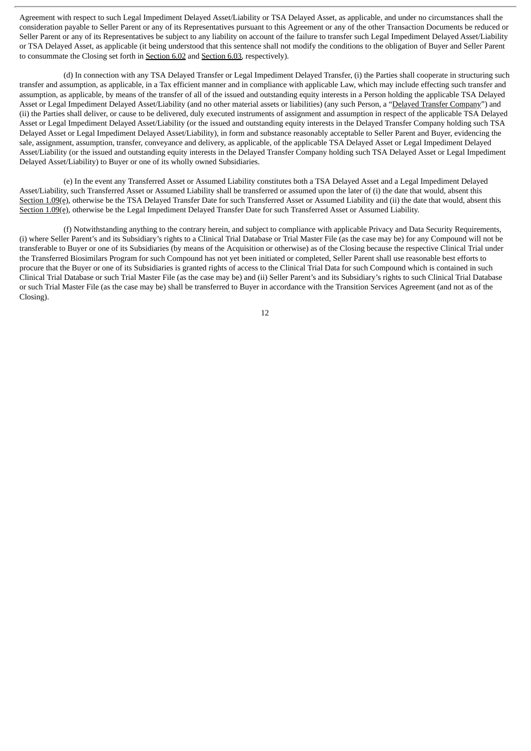Agreement with respect to such Legal Impediment Delayed Asset/Liability or TSA Delayed Asset, as applicable, and under no circumstances shall the consideration payable to Seller Parent or any of its Representatives pursuant to this Agreement or any of the other Transaction Documents be reduced or Seller Parent or any of its Representatives be subject to any liability on account of the failure to transfer such Legal Impediment Delayed Asset/Liability or TSA Delayed Asset, as applicable (it being understood that this sentence shall not modify the conditions to the obligation of Buyer and Seller Parent to consummate the Closing set forth in Section 6.02 and Section 6.03, respectively).

(d) In connection with any TSA Delayed Transfer or Legal Impediment Delayed Transfer, (i) the Parties shall cooperate in structuring such transfer and assumption, as applicable, in a Tax efficient manner and in compliance with applicable Law, which may include effecting such transfer and assumption, as applicable, by means of the transfer of all of the issued and outstanding equity interests in a Person holding the applicable TSA Delayed Asset or Legal Impediment Delayed Asset/Liability (and no other material assets or liabilities) (any such Person, a "Delayed Transfer Company") and (ii) the Parties shall deliver, or cause to be delivered, duly executed instruments of assignment and assumption in respect of the applicable TSA Delayed Asset or Legal Impediment Delayed Asset/Liability (or the issued and outstanding equity interests in the Delayed Transfer Company holding such TSA Delayed Asset or Legal Impediment Delayed Asset/Liability), in form and substance reasonably acceptable to Seller Parent and Buyer, evidencing the sale, assignment, assumption, transfer, conveyance and delivery, as applicable, of the applicable TSA Delayed Asset or Legal Impediment Delayed Asset/Liability (or the issued and outstanding equity interests in the Delayed Transfer Company holding such TSA Delayed Asset or Legal Impediment Delayed Asset/Liability) to Buyer or one of its wholly owned Subsidiaries.

(e) In the event any Transferred Asset or Assumed Liability constitutes both a TSA Delayed Asset and a Legal Impediment Delayed Asset/Liability, such Transferred Asset or Assumed Liability shall be transferred or assumed upon the later of (i) the date that would, absent this Section 1.09(e), otherwise be the TSA Delayed Transfer Date for such Transferred Asset or Assumed Liability and (ii) the date that would, absent this Section 1.09(e), otherwise be the Legal Impediment Delayed Transfer Date for such Transferred Asset or Assumed Liability.

(f) Notwithstanding anything to the contrary herein, and subject to compliance with applicable Privacy and Data Security Requirements, (i) where Seller Parent's and its Subsidiary's rights to a Clinical Trial Database or Trial Master File (as the case may be) for any Compound will not be transferable to Buyer or one of its Subsidiaries (by means of the Acquisition or otherwise) as of the Closing because the respective Clinical Trial under the Transferred Biosimilars Program for such Compound has not yet been initiated or completed, Seller Parent shall use reasonable best efforts to procure that the Buyer or one of its Subsidiaries is granted rights of access to the Clinical Trial Data for such Compound which is contained in such Clinical Trial Database or such Trial Master File (as the case may be) and (ii) Seller Parent's and its Subsidiary's rights to such Clinical Trial Database or such Trial Master File (as the case may be) shall be transferred to Buyer in accordance with the Transition Services Agreement (and not as of the Closing).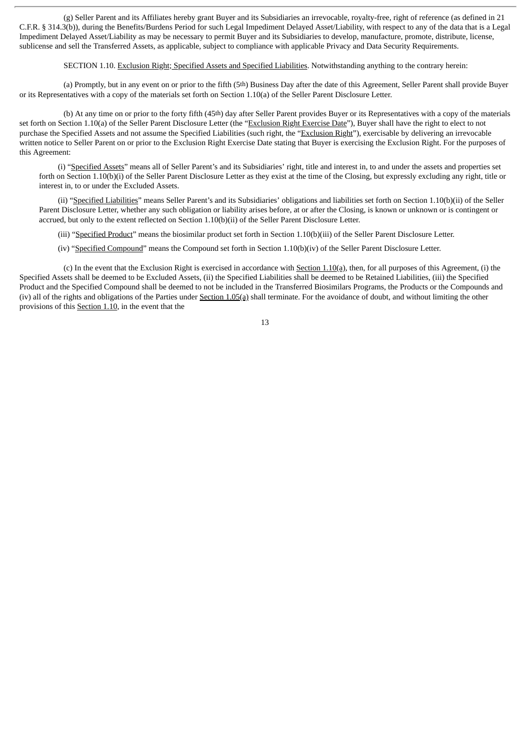(g) Seller Parent and its Affiliates hereby grant Buyer and its Subsidiaries an irrevocable, royalty-free, right of reference (as defined in 21 C.F.R. § 314.3(b)), during the Benefits/Burdens Period for such Legal Impediment Delayed Asset/Liability, with respect to any of the data that is a Legal Impediment Delayed Asset/Liability as may be necessary to permit Buyer and its Subsidiaries to develop, manufacture, promote, distribute, license, sublicense and sell the Transferred Assets, as applicable, subject to compliance with applicable Privacy and Data Security Requirements.

#### SECTION 1.10. Exclusion Right; Specified Assets and Specified Liabilities. Notwithstanding anything to the contrary herein:

(a) Promptly, but in any event on or prior to the fifth (5th) Business Day after the date of this Agreement, Seller Parent shall provide Buyer or its Representatives with a copy of the materials set forth on Section 1.10(a) of the Seller Parent Disclosure Letter.

(b) At any time on or prior to the forty fifth (45th) day after Seller Parent provides Buyer or its Representatives with a copy of the materials set forth on Section 1.10(a) of the Seller Parent Disclosure Letter (the "Exclusion Right Exercise Date"), Buyer shall have the right to elect to not purchase the Specified Assets and not assume the Specified Liabilities (such right, the "Exclusion Right"), exercisable by delivering an irrevocable written notice to Seller Parent on or prior to the Exclusion Right Exercise Date stating that Buyer is exercising the Exclusion Right. For the purposes of this Agreement:

(i) "Specified Assets" means all of Seller Parent's and its Subsidiaries' right, title and interest in, to and under the assets and properties set forth on Section 1.10(b)(i) of the Seller Parent Disclosure Letter as they exist at the time of the Closing, but expressly excluding any right, title or interest in, to or under the Excluded Assets.

(ii) "Specified Liabilities" means Seller Parent's and its Subsidiaries' obligations and liabilities set forth on Section 1.10(b)(ii) of the Seller Parent Disclosure Letter, whether any such obligation or liability arises before, at or after the Closing, is known or unknown or is contingent or accrued, but only to the extent reflected on Section 1.10(b)(ii) of the Seller Parent Disclosure Letter.

(iii) "Specified Product" means the biosimilar product set forth in Section 1.10(b)(iii) of the Seller Parent Disclosure Letter.

(iv) "Specified Compound" means the Compound set forth in Section 1.10(b)(iv) of the Seller Parent Disclosure Letter.

(c) In the event that the Exclusion Right is exercised in accordance with Section 1.10(a), then, for all purposes of this Agreement, (i) the Specified Assets shall be deemed to be Excluded Assets, (ii) the Specified Liabilities shall be deemed to be Retained Liabilities, (iii) the Specified Product and the Specified Compound shall be deemed to not be included in the Transferred Biosimilars Programs, the Products or the Compounds and (iv) all of the rights and obligations of the Parties under  $Section 1.05(a)$  shall terminate. For the avoidance of doubt, and without limiting the other provisions of this Section 1.10, in the event that the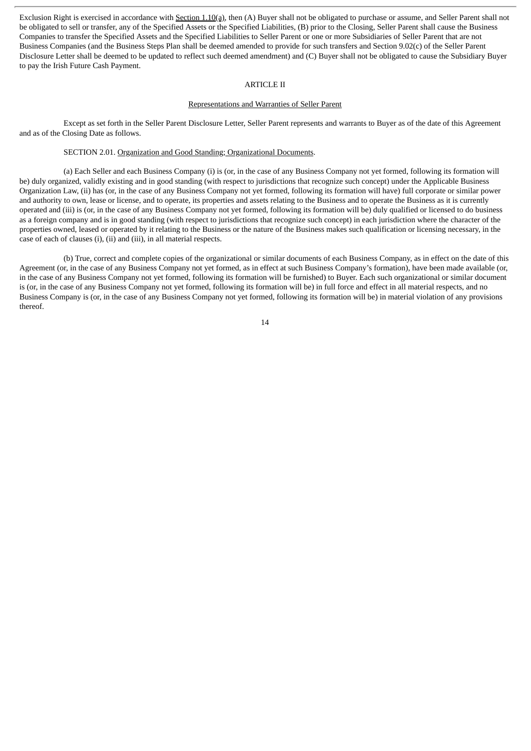Exclusion Right is exercised in accordance with Section 1.10(a), then (A) Buyer shall not be obligated to purchase or assume, and Seller Parent shall not be obligated to sell or transfer, any of the Specified Assets or the Specified Liabilities, (B) prior to the Closing, Seller Parent shall cause the Business Companies to transfer the Specified Assets and the Specified Liabilities to Seller Parent or one or more Subsidiaries of Seller Parent that are not Business Companies (and the Business Steps Plan shall be deemed amended to provide for such transfers and Section 9.02(c) of the Seller Parent Disclosure Letter shall be deemed to be updated to reflect such deemed amendment) and (C) Buyer shall not be obligated to cause the Subsidiary Buyer to pay the Irish Future Cash Payment.

#### ARTICLE II

#### Representations and Warranties of Seller Parent

Except as set forth in the Seller Parent Disclosure Letter, Seller Parent represents and warrants to Buyer as of the date of this Agreement and as of the Closing Date as follows.

#### SECTION 2.01. Organization and Good Standing; Organizational Documents.

(a) Each Seller and each Business Company (i) is (or, in the case of any Business Company not yet formed, following its formation will be) duly organized, validly existing and in good standing (with respect to jurisdictions that recognize such concept) under the Applicable Business Organization Law, (ii) has (or, in the case of any Business Company not yet formed, following its formation will have) full corporate or similar power and authority to own, lease or license, and to operate, its properties and assets relating to the Business and to operate the Business as it is currently operated and (iii) is (or, in the case of any Business Company not yet formed, following its formation will be) duly qualified or licensed to do business as a foreign company and is in good standing (with respect to jurisdictions that recognize such concept) in each jurisdiction where the character of the properties owned, leased or operated by it relating to the Business or the nature of the Business makes such qualification or licensing necessary, in the case of each of clauses (i), (ii) and (iii), in all material respects.

(b) True, correct and complete copies of the organizational or similar documents of each Business Company, as in effect on the date of this Agreement (or, in the case of any Business Company not yet formed, as in effect at such Business Company's formation), have been made available (or, in the case of any Business Company not yet formed, following its formation will be furnished) to Buyer. Each such organizational or similar document is (or, in the case of any Business Company not yet formed, following its formation will be) in full force and effect in all material respects, and no Business Company is (or, in the case of any Business Company not yet formed, following its formation will be) in material violation of any provisions thereof.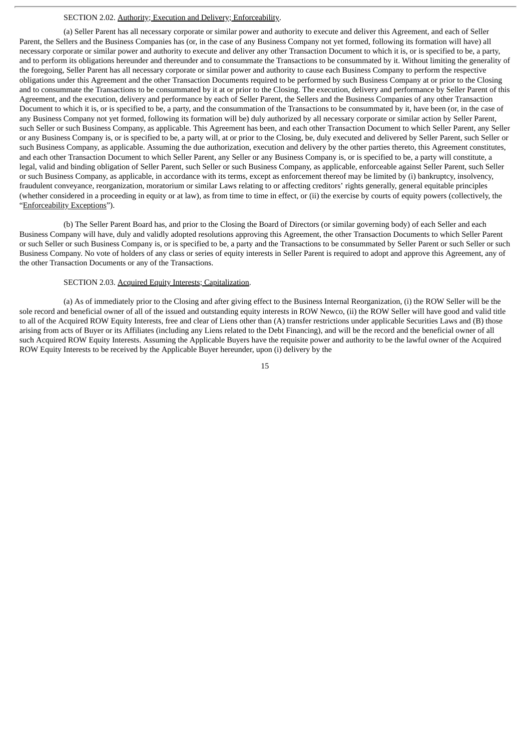#### SECTION 2.02. Authority; Execution and Delivery; Enforceability.

(a) Seller Parent has all necessary corporate or similar power and authority to execute and deliver this Agreement, and each of Seller Parent, the Sellers and the Business Companies has (or, in the case of any Business Company not yet formed, following its formation will have) all necessary corporate or similar power and authority to execute and deliver any other Transaction Document to which it is, or is specified to be, a party, and to perform its obligations hereunder and thereunder and to consummate the Transactions to be consummated by it. Without limiting the generality of the foregoing, Seller Parent has all necessary corporate or similar power and authority to cause each Business Company to perform the respective obligations under this Agreement and the other Transaction Documents required to be performed by such Business Company at or prior to the Closing and to consummate the Transactions to be consummated by it at or prior to the Closing. The execution, delivery and performance by Seller Parent of this Agreement, and the execution, delivery and performance by each of Seller Parent, the Sellers and the Business Companies of any other Transaction Document to which it is, or is specified to be, a party, and the consummation of the Transactions to be consummated by it, have been (or, in the case of any Business Company not yet formed, following its formation will be) duly authorized by all necessary corporate or similar action by Seller Parent, such Seller or such Business Company, as applicable. This Agreement has been, and each other Transaction Document to which Seller Parent, any Seller or any Business Company is, or is specified to be, a party will, at or prior to the Closing, be, duly executed and delivered by Seller Parent, such Seller or such Business Company, as applicable. Assuming the due authorization, execution and delivery by the other parties thereto, this Agreement constitutes, and each other Transaction Document to which Seller Parent, any Seller or any Business Company is, or is specified to be, a party will constitute, a legal, valid and binding obligation of Seller Parent, such Seller or such Business Company, as applicable, enforceable against Seller Parent, such Seller or such Business Company, as applicable, in accordance with its terms, except as enforcement thereof may be limited by (i) bankruptcy, insolvency, fraudulent conveyance, reorganization, moratorium or similar Laws relating to or affecting creditors' rights generally, general equitable principles (whether considered in a proceeding in equity or at law), as from time to time in effect, or (ii) the exercise by courts of equity powers (collectively, the "Enforceability Exceptions").

(b) The Seller Parent Board has, and prior to the Closing the Board of Directors (or similar governing body) of each Seller and each Business Company will have, duly and validly adopted resolutions approving this Agreement, the other Transaction Documents to which Seller Parent or such Seller or such Business Company is, or is specified to be, a party and the Transactions to be consummated by Seller Parent or such Seller or such Business Company. No vote of holders of any class or series of equity interests in Seller Parent is required to adopt and approve this Agreement, any of the other Transaction Documents or any of the Transactions.

#### SECTION 2.03. Acquired Equity Interests; Capitalization.

(a) As of immediately prior to the Closing and after giving effect to the Business Internal Reorganization, (i) the ROW Seller will be the sole record and beneficial owner of all of the issued and outstanding equity interests in ROW Newco, (ii) the ROW Seller will have good and valid title to all of the Acquired ROW Equity Interests, free and clear of Liens other than (A) transfer restrictions under applicable Securities Laws and (B) those arising from acts of Buyer or its Affiliates (including any Liens related to the Debt Financing), and will be the record and the beneficial owner of all such Acquired ROW Equity Interests. Assuming the Applicable Buyers have the requisite power and authority to be the lawful owner of the Acquired ROW Equity Interests to be received by the Applicable Buyer hereunder, upon (i) delivery by the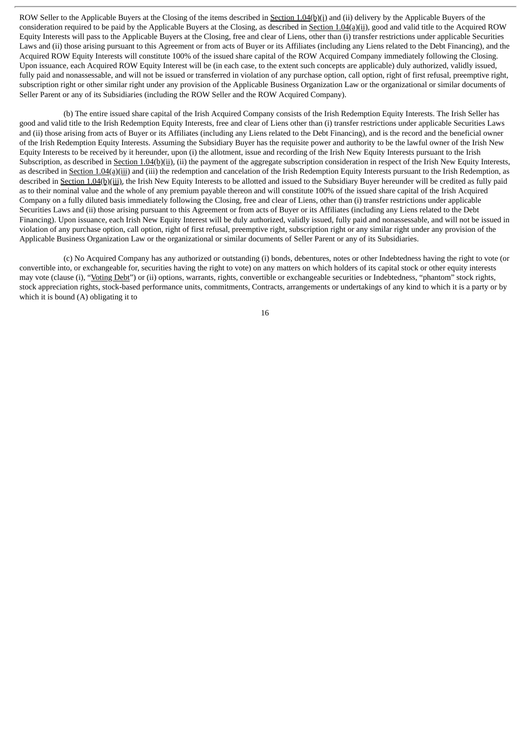ROW Seller to the Applicable Buyers at the Closing of the items described in Section 1.04(b)(i) and (ii) delivery by the Applicable Buyers of the consideration required to be paid by the Applicable Buyers at the Closing, as described in Section 1.04(a)(ii), good and valid title to the Acquired ROW Equity Interests will pass to the Applicable Buyers at the Closing, free and clear of Liens, other than (i) transfer restrictions under applicable Securities Laws and (ii) those arising pursuant to this Agreement or from acts of Buyer or its Affiliates (including any Liens related to the Debt Financing), and the Acquired ROW Equity Interests will constitute 100% of the issued share capital of the ROW Acquired Company immediately following the Closing. Upon issuance, each Acquired ROW Equity Interest will be (in each case, to the extent such concepts are applicable) duly authorized, validly issued, fully paid and nonassessable, and will not be issued or transferred in violation of any purchase option, call option, right of first refusal, preemptive right, subscription right or other similar right under any provision of the Applicable Business Organization Law or the organizational or similar documents of Seller Parent or any of its Subsidiaries (including the ROW Seller and the ROW Acquired Company).

(b) The entire issued share capital of the Irish Acquired Company consists of the Irish Redemption Equity Interests. The Irish Seller has good and valid title to the Irish Redemption Equity Interests, free and clear of Liens other than (i) transfer restrictions under applicable Securities Laws and (ii) those arising from acts of Buyer or its Affiliates (including any Liens related to the Debt Financing), and is the record and the beneficial owner of the Irish Redemption Equity Interests. Assuming the Subsidiary Buyer has the requisite power and authority to be the lawful owner of the Irish New Equity Interests to be received by it hereunder, upon (i) the allotment, issue and recording of the Irish New Equity Interests pursuant to the Irish Subscription, as described in Section 1.04(b)(ii), (ii) the payment of the aggregate subscription consideration in respect of the Irish New Equity Interests, as described in Section 1.04(a)(iii) and (iii) the redemption and cancelation of the Irish Redemption Equity Interests pursuant to the Irish Redemption, as described in Section 1.04(b)(iii), the Irish New Equity Interests to be allotted and issued to the Subsidiary Buyer hereunder will be credited as fully paid as to their nominal value and the whole of any premium payable thereon and will constitute 100% of the issued share capital of the Irish Acquired Company on a fully diluted basis immediately following the Closing, free and clear of Liens, other than (i) transfer restrictions under applicable Securities Laws and (ii) those arising pursuant to this Agreement or from acts of Buyer or its Affiliates (including any Liens related to the Debt Financing). Upon issuance, each Irish New Equity Interest will be duly authorized, validly issued, fully paid and nonassessable, and will not be issued in violation of any purchase option, call option, right of first refusal, preemptive right, subscription right or any similar right under any provision of the Applicable Business Organization Law or the organizational or similar documents of Seller Parent or any of its Subsidiaries.

(c) No Acquired Company has any authorized or outstanding (i) bonds, debentures, notes or other Indebtedness having the right to vote (or convertible into, or exchangeable for, securities having the right to vote) on any matters on which holders of its capital stock or other equity interests may vote (clause (i), "Voting Debt") or (ii) options, warrants, rights, convertible or exchangeable securities or Indebtedness, "phantom" stock rights, stock appreciation rights, stock-based performance units, commitments, Contracts, arrangements or undertakings of any kind to which it is a party or by which it is bound (A) obligating it to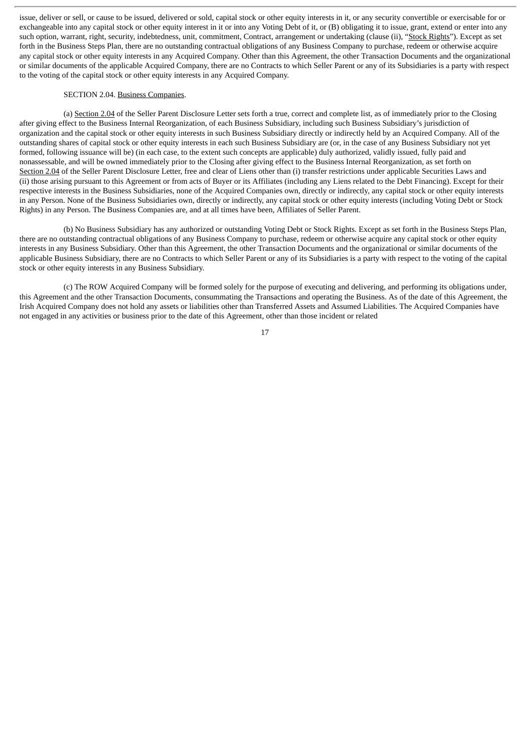issue, deliver or sell, or cause to be issued, delivered or sold, capital stock or other equity interests in it, or any security convertible or exercisable for or exchangeable into any capital stock or other equity interest in it or into any Voting Debt of it, or (B) obligating it to issue, grant, extend or enter into any such option, warrant, right, security, indebtedness, unit, commitment, Contract, arrangement or undertaking (clause (ii), "Stock Rights"). Except as set forth in the Business Steps Plan, there are no outstanding contractual obligations of any Business Company to purchase, redeem or otherwise acquire any capital stock or other equity interests in any Acquired Company. Other than this Agreement, the other Transaction Documents and the organizational or similar documents of the applicable Acquired Company, there are no Contracts to which Seller Parent or any of its Subsidiaries is a party with respect to the voting of the capital stock or other equity interests in any Acquired Company.

#### SECTION 2.04. Business Companies.

(a) Section 2.04 of the Seller Parent Disclosure Letter sets forth a true, correct and complete list, as of immediately prior to the Closing after giving effect to the Business Internal Reorganization, of each Business Subsidiary, including such Business Subsidiary's jurisdiction of organization and the capital stock or other equity interests in such Business Subsidiary directly or indirectly held by an Acquired Company. All of the outstanding shares of capital stock or other equity interests in each such Business Subsidiary are (or, in the case of any Business Subsidiary not yet formed, following issuance will be) (in each case, to the extent such concepts are applicable) duly authorized, validly issued, fully paid and nonassessable, and will be owned immediately prior to the Closing after giving effect to the Business Internal Reorganization, as set forth on Section 2.04 of the Seller Parent Disclosure Letter, free and clear of Liens other than (i) transfer restrictions under applicable Securities Laws and (ii) those arising pursuant to this Agreement or from acts of Buyer or its Affiliates (including any Liens related to the Debt Financing). Except for their respective interests in the Business Subsidiaries, none of the Acquired Companies own, directly or indirectly, any capital stock or other equity interests in any Person. None of the Business Subsidiaries own, directly or indirectly, any capital stock or other equity interests (including Voting Debt or Stock Rights) in any Person. The Business Companies are, and at all times have been, Affiliates of Seller Parent.

(b) No Business Subsidiary has any authorized or outstanding Voting Debt or Stock Rights. Except as set forth in the Business Steps Plan, there are no outstanding contractual obligations of any Business Company to purchase, redeem or otherwise acquire any capital stock or other equity interests in any Business Subsidiary. Other than this Agreement, the other Transaction Documents and the organizational or similar documents of the applicable Business Subsidiary, there are no Contracts to which Seller Parent or any of its Subsidiaries is a party with respect to the voting of the capital stock or other equity interests in any Business Subsidiary.

(c) The ROW Acquired Company will be formed solely for the purpose of executing and delivering, and performing its obligations under, this Agreement and the other Transaction Documents, consummating the Transactions and operating the Business. As of the date of this Agreement, the Irish Acquired Company does not hold any assets or liabilities other than Transferred Assets and Assumed Liabilities. The Acquired Companies have not engaged in any activities or business prior to the date of this Agreement, other than those incident or related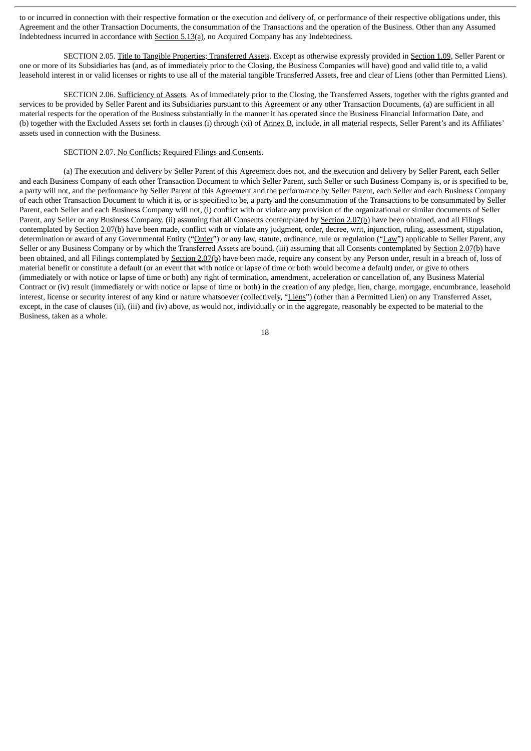to or incurred in connection with their respective formation or the execution and delivery of, or performance of their respective obligations under, this Agreement and the other Transaction Documents, the consummation of the Transactions and the operation of the Business. Other than any Assumed Indebtedness incurred in accordance with Section 5.13(a), no Acquired Company has any Indebtedness.

SECTION 2.05. Title to Tangible Properties; Transferred Assets. Except as otherwise expressly provided in Section 1.09, Seller Parent or one or more of its Subsidiaries has (and, as of immediately prior to the Closing, the Business Companies will have) good and valid title to, a valid leasehold interest in or valid licenses or rights to use all of the material tangible Transferred Assets, free and clear of Liens (other than Permitted Liens).

SECTION 2.06. Sufficiency of Assets. As of immediately prior to the Closing, the Transferred Assets, together with the rights granted and services to be provided by Seller Parent and its Subsidiaries pursuant to this Agreement or any other Transaction Documents, (a) are sufficient in all material respects for the operation of the Business substantially in the manner it has operated since the Business Financial Information Date, and (b) together with the Excluded Assets set forth in clauses (i) through (xi) of Annex B, include, in all material respects, Seller Parent's and its Affiliates' assets used in connection with the Business.

#### SECTION 2.07. No Conflicts; Required Filings and Consents.

(a) The execution and delivery by Seller Parent of this Agreement does not, and the execution and delivery by Seller Parent, each Seller and each Business Company of each other Transaction Document to which Seller Parent, such Seller or such Business Company is, or is specified to be, a party will not, and the performance by Seller Parent of this Agreement and the performance by Seller Parent, each Seller and each Business Company of each other Transaction Document to which it is, or is specified to be, a party and the consummation of the Transactions to be consummated by Seller Parent, each Seller and each Business Company will not, (i) conflict with or violate any provision of the organizational or similar documents of Seller Parent, any Seller or any Business Company, (ii) assuming that all Consents contemplated by Section 2.07(b) have been obtained, and all Filings contemplated by Section 2.07(b) have been made, conflict with or violate any judgment, order, decree, writ, injunction, ruling, assessment, stipulation, determination or award of any Governmental Entity ("Order") or any law, statute, ordinance, rule or regulation ("Law") applicable to Seller Parent, any Seller or any Business Company or by which the Transferred Assets are bound, (iii) assuming that all Consents contemplated by Section 2.07(b) have been obtained, and all Filings contemplated by Section 2.07(b) have been made, require any consent by any Person under, result in a breach of, loss of material benefit or constitute a default (or an event that with notice or lapse of time or both would become a default) under, or give to others (immediately or with notice or lapse of time or both) any right of termination, amendment, acceleration or cancellation of, any Business Material Contract or (iv) result (immediately or with notice or lapse of time or both) in the creation of any pledge, lien, charge, mortgage, encumbrance, leasehold interest, license or security interest of any kind or nature whatsoever (collectively, "Liens") (other than a Permitted Lien) on any Transferred Asset, except, in the case of clauses (ii), (iii) and (iv) above, as would not, individually or in the aggregate, reasonably be expected to be material to the Business, taken as a whole.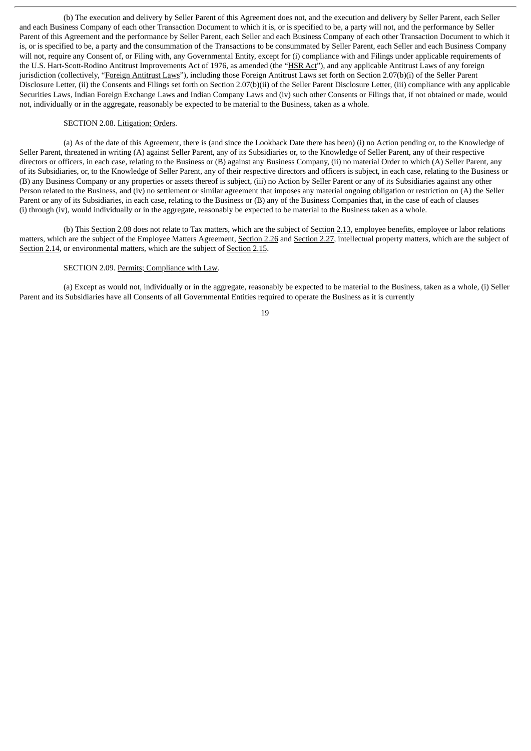(b) The execution and delivery by Seller Parent of this Agreement does not, and the execution and delivery by Seller Parent, each Seller and each Business Company of each other Transaction Document to which it is, or is specified to be, a party will not, and the performance by Seller Parent of this Agreement and the performance by Seller Parent, each Seller and each Business Company of each other Transaction Document to which it is, or is specified to be, a party and the consummation of the Transactions to be consummated by Seller Parent, each Seller and each Business Company will not, require any Consent of, or Filing with, any Governmental Entity, except for (i) compliance with and Filings under applicable requirements of the U.S. Hart-Scott-Rodino Antitrust Improvements Act of 1976, as amended (the "HSR Act"), and any applicable Antitrust Laws of any foreign jurisdiction (collectively, "Foreign Antitrust Laws"), including those Foreign Antitrust Laws set forth on Section 2.07(b)(i) of the Seller Parent Disclosure Letter, (ii) the Consents and Filings set forth on Section 2.07(b)(ii) of the Seller Parent Disclosure Letter, (iii) compliance with any applicable Securities Laws, Indian Foreign Exchange Laws and Indian Company Laws and (iv) such other Consents or Filings that, if not obtained or made, would not, individually or in the aggregate, reasonably be expected to be material to the Business, taken as a whole.

#### SECTION 2.08. Litigation; Orders.

(a) As of the date of this Agreement, there is (and since the Lookback Date there has been) (i) no Action pending or, to the Knowledge of Seller Parent, threatened in writing (A) against Seller Parent, any of its Subsidiaries or, to the Knowledge of Seller Parent, any of their respective directors or officers, in each case, relating to the Business or (B) against any Business Company, (ii) no material Order to which (A) Seller Parent, any of its Subsidiaries, or, to the Knowledge of Seller Parent, any of their respective directors and officers is subject, in each case, relating to the Business or (B) any Business Company or any properties or assets thereof is subject, (iii) no Action by Seller Parent or any of its Subsidiaries against any other Person related to the Business, and (iv) no settlement or similar agreement that imposes any material ongoing obligation or restriction on (A) the Seller Parent or any of its Subsidiaries, in each case, relating to the Business or (B) any of the Business Companies that, in the case of each of clauses (i) through (iv), would individually or in the aggregate, reasonably be expected to be material to the Business taken as a whole.

(b) This Section 2.08 does not relate to Tax matters, which are the subject of Section 2.13, employee benefits, employee or labor relations matters, which are the subject of the Employee Matters Agreement, Section 2.26 and Section 2.27, intellectual property matters, which are the subject of Section 2.14, or environmental matters, which are the subject of Section 2.15.

#### SECTION 2.09. Permits; Compliance with Law.

(a) Except as would not, individually or in the aggregate, reasonably be expected to be material to the Business, taken as a whole, (i) Seller Parent and its Subsidiaries have all Consents of all Governmental Entities required to operate the Business as it is currently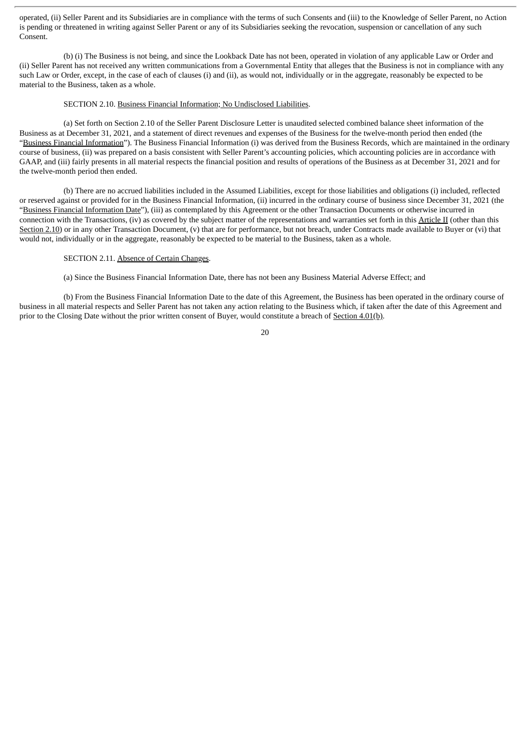operated, (ii) Seller Parent and its Subsidiaries are in compliance with the terms of such Consents and (iii) to the Knowledge of Seller Parent, no Action is pending or threatened in writing against Seller Parent or any of its Subsidiaries seeking the revocation, suspension or cancellation of any such Consent.

(b) (i) The Business is not being, and since the Lookback Date has not been, operated in violation of any applicable Law or Order and (ii) Seller Parent has not received any written communications from a Governmental Entity that alleges that the Business is not in compliance with any such Law or Order, except, in the case of each of clauses (i) and (ii), as would not, individually or in the aggregate, reasonably be expected to be material to the Business, taken as a whole.

#### SECTION 2.10. Business Financial Information; No Undisclosed Liabilities.

(a) Set forth on Section 2.10 of the Seller Parent Disclosure Letter is unaudited selected combined balance sheet information of the Business as at December 31, 2021, and a statement of direct revenues and expenses of the Business for the twelve-month period then ended (the "Business Financial Information"). The Business Financial Information (i) was derived from the Business Records, which are maintained in the ordinary course of business, (ii) was prepared on a basis consistent with Seller Parent's accounting policies, which accounting policies are in accordance with GAAP, and (iii) fairly presents in all material respects the financial position and results of operations of the Business as at December 31, 2021 and for the twelve-month period then ended.

(b) There are no accrued liabilities included in the Assumed Liabilities, except for those liabilities and obligations (i) included, reflected or reserved against or provided for in the Business Financial Information, (ii) incurred in the ordinary course of business since December 31, 2021 (the "Business Financial Information Date"), (iii) as contemplated by this Agreement or the other Transaction Documents or otherwise incurred in connection with the Transactions, (iv) as covered by the subject matter of the representations and warranties set forth in this Article II (other than this Section 2.10) or in any other Transaction Document, (v) that are for performance, but not breach, under Contracts made available to Buyer or (vi) that would not, individually or in the aggregate, reasonably be expected to be material to the Business, taken as a whole.

#### SECTION 2.11. Absence of Certain Changes.

(a) Since the Business Financial Information Date, there has not been any Business Material Adverse Effect; and

(b) From the Business Financial Information Date to the date of this Agreement, the Business has been operated in the ordinary course of business in all material respects and Seller Parent has not taken any action relating to the Business which, if taken after the date of this Agreement and prior to the Closing Date without the prior written consent of Buyer, would constitute a breach of Section 4.01(b).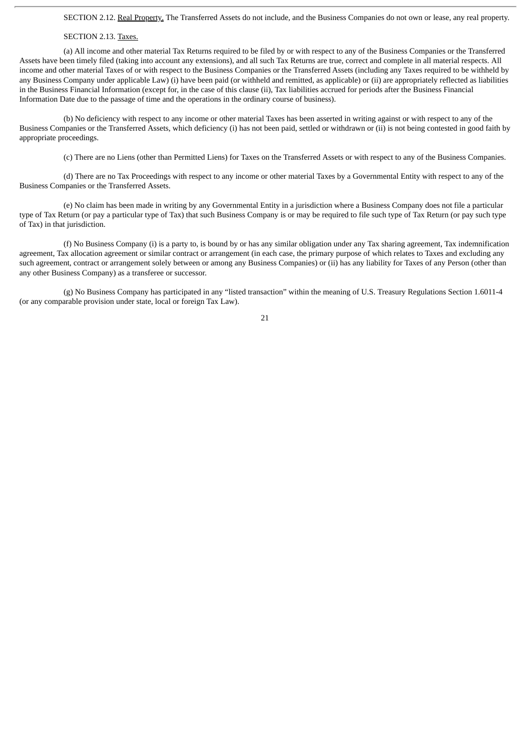SECTION 2.12. Real Property. The Transferred Assets do not include, and the Business Companies do not own or lease, any real property.

#### SECTION 2.13. Taxes.

(a) All income and other material Tax Returns required to be filed by or with respect to any of the Business Companies or the Transferred Assets have been timely filed (taking into account any extensions), and all such Tax Returns are true, correct and complete in all material respects. All income and other material Taxes of or with respect to the Business Companies or the Transferred Assets (including any Taxes required to be withheld by any Business Company under applicable Law) (i) have been paid (or withheld and remitted, as applicable) or (ii) are appropriately reflected as liabilities in the Business Financial Information (except for, in the case of this clause (ii), Tax liabilities accrued for periods after the Business Financial Information Date due to the passage of time and the operations in the ordinary course of business).

(b) No deficiency with respect to any income or other material Taxes has been asserted in writing against or with respect to any of the Business Companies or the Transferred Assets, which deficiency (i) has not been paid, settled or withdrawn or (ii) is not being contested in good faith by appropriate proceedings.

(c) There are no Liens (other than Permitted Liens) for Taxes on the Transferred Assets or with respect to any of the Business Companies.

(d) There are no Tax Proceedings with respect to any income or other material Taxes by a Governmental Entity with respect to any of the Business Companies or the Transferred Assets.

(e) No claim has been made in writing by any Governmental Entity in a jurisdiction where a Business Company does not file a particular type of Tax Return (or pay a particular type of Tax) that such Business Company is or may be required to file such type of Tax Return (or pay such type of Tax) in that jurisdiction.

(f) No Business Company (i) is a party to, is bound by or has any similar obligation under any Tax sharing agreement, Tax indemnification agreement, Tax allocation agreement or similar contract or arrangement (in each case, the primary purpose of which relates to Taxes and excluding any such agreement, contract or arrangement solely between or among any Business Companies) or (ii) has any liability for Taxes of any Person (other than any other Business Company) as a transferee or successor.

(g) No Business Company has participated in any "listed transaction" within the meaning of U.S. Treasury Regulations Section 1.6011-4 (or any comparable provision under state, local or foreign Tax Law).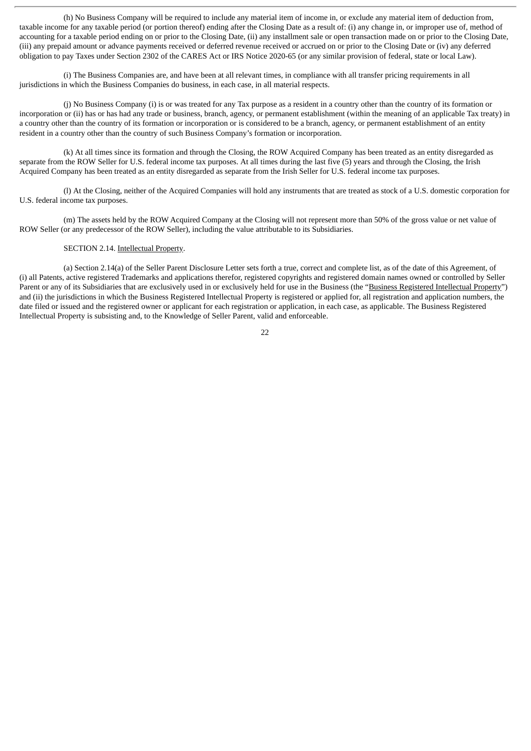(h) No Business Company will be required to include any material item of income in, or exclude any material item of deduction from, taxable income for any taxable period (or portion thereof) ending after the Closing Date as a result of: (i) any change in, or improper use of, method of accounting for a taxable period ending on or prior to the Closing Date, (ii) any installment sale or open transaction made on or prior to the Closing Date, (iii) any prepaid amount or advance payments received or deferred revenue received or accrued on or prior to the Closing Date or (iv) any deferred obligation to pay Taxes under Section 2302 of the CARES Act or IRS Notice 2020-65 (or any similar provision of federal, state or local Law).

(i) The Business Companies are, and have been at all relevant times, in compliance with all transfer pricing requirements in all jurisdictions in which the Business Companies do business, in each case, in all material respects.

(j) No Business Company (i) is or was treated for any Tax purpose as a resident in a country other than the country of its formation or incorporation or (ii) has or has had any trade or business, branch, agency, or permanent establishment (within the meaning of an applicable Tax treaty) in a country other than the country of its formation or incorporation or is considered to be a branch, agency, or permanent establishment of an entity resident in a country other than the country of such Business Company's formation or incorporation.

(k) At all times since its formation and through the Closing, the ROW Acquired Company has been treated as an entity disregarded as separate from the ROW Seller for U.S. federal income tax purposes. At all times during the last five (5) years and through the Closing, the Irish Acquired Company has been treated as an entity disregarded as separate from the Irish Seller for U.S. federal income tax purposes.

(l) At the Closing, neither of the Acquired Companies will hold any instruments that are treated as stock of a U.S. domestic corporation for U.S. federal income tax purposes.

(m) The assets held by the ROW Acquired Company at the Closing will not represent more than 50% of the gross value or net value of ROW Seller (or any predecessor of the ROW Seller), including the value attributable to its Subsidiaries.

#### SECTION 2.14. Intellectual Property.

(a) Section 2.14(a) of the Seller Parent Disclosure Letter sets forth a true, correct and complete list, as of the date of this Agreement, of (i) all Patents, active registered Trademarks and applications therefor, registered copyrights and registered domain names owned or controlled by Seller Parent or any of its Subsidiaries that are exclusively used in or exclusively held for use in the Business (the "Business Registered Intellectual Property") and (ii) the jurisdictions in which the Business Registered Intellectual Property is registered or applied for, all registration and application numbers, the date filed or issued and the registered owner or applicant for each registration or application, in each case, as applicable. The Business Registered Intellectual Property is subsisting and, to the Knowledge of Seller Parent, valid and enforceable.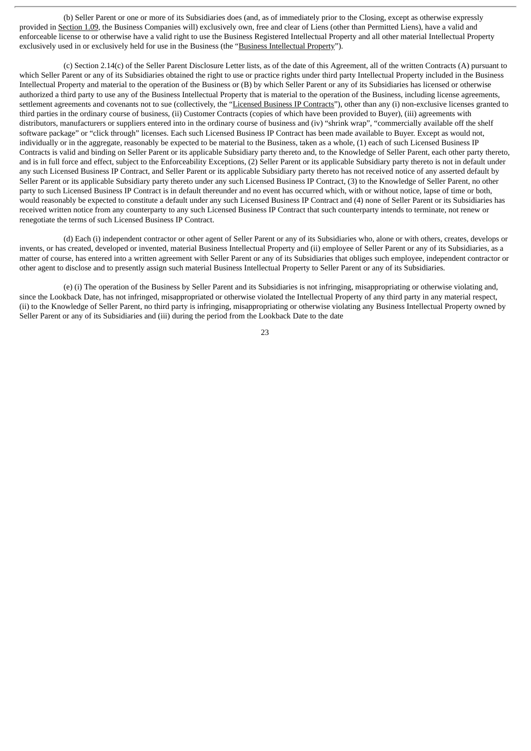(b) Seller Parent or one or more of its Subsidiaries does (and, as of immediately prior to the Closing, except as otherwise expressly provided in Section 1.09, the Business Companies will) exclusively own, free and clear of Liens (other than Permitted Liens), have a valid and enforceable license to or otherwise have a valid right to use the Business Registered Intellectual Property and all other material Intellectual Property exclusively used in or exclusively held for use in the Business (the "Business Intellectual Property").

(c) Section 2.14(c) of the Seller Parent Disclosure Letter lists, as of the date of this Agreement, all of the written Contracts (A) pursuant to which Seller Parent or any of its Subsidiaries obtained the right to use or practice rights under third party Intellectual Property included in the Business Intellectual Property and material to the operation of the Business or (B) by which Seller Parent or any of its Subsidiaries has licensed or otherwise authorized a third party to use any of the Business Intellectual Property that is material to the operation of the Business, including license agreements, settlement agreements and covenants not to sue (collectively, the "Licensed Business IP Contracts"), other than any (i) non-exclusive licenses granted to third parties in the ordinary course of business, (ii) Customer Contracts (copies of which have been provided to Buyer), (iii) agreements with distributors, manufacturers or suppliers entered into in the ordinary course of business and (iv) "shrink wrap", "commercially available off the shelf software package" or "click through" licenses. Each such Licensed Business IP Contract has been made available to Buyer. Except as would not, individually or in the aggregate, reasonably be expected to be material to the Business, taken as a whole, (1) each of such Licensed Business IP Contracts is valid and binding on Seller Parent or its applicable Subsidiary party thereto and, to the Knowledge of Seller Parent, each other party thereto, and is in full force and effect, subject to the Enforceability Exceptions, (2) Seller Parent or its applicable Subsidiary party thereto is not in default under any such Licensed Business IP Contract, and Seller Parent or its applicable Subsidiary party thereto has not received notice of any asserted default by Seller Parent or its applicable Subsidiary party thereto under any such Licensed Business IP Contract, (3) to the Knowledge of Seller Parent, no other party to such Licensed Business IP Contract is in default thereunder and no event has occurred which, with or without notice, lapse of time or both, would reasonably be expected to constitute a default under any such Licensed Business IP Contract and (4) none of Seller Parent or its Subsidiaries has received written notice from any counterparty to any such Licensed Business IP Contract that such counterparty intends to terminate, not renew or renegotiate the terms of such Licensed Business IP Contract.

(d) Each (i) independent contractor or other agent of Seller Parent or any of its Subsidiaries who, alone or with others, creates, develops or invents, or has created, developed or invented, material Business Intellectual Property and (ii) employee of Seller Parent or any of its Subsidiaries, as a matter of course, has entered into a written agreement with Seller Parent or any of its Subsidiaries that obliges such employee, independent contractor or other agent to disclose and to presently assign such material Business Intellectual Property to Seller Parent or any of its Subsidiaries.

(e) (i) The operation of the Business by Seller Parent and its Subsidiaries is not infringing, misappropriating or otherwise violating and, since the Lookback Date, has not infringed, misappropriated or otherwise violated the Intellectual Property of any third party in any material respect, (ii) to the Knowledge of Seller Parent, no third party is infringing, misappropriating or otherwise violating any Business Intellectual Property owned by Seller Parent or any of its Subsidiaries and (iii) during the period from the Lookback Date to the date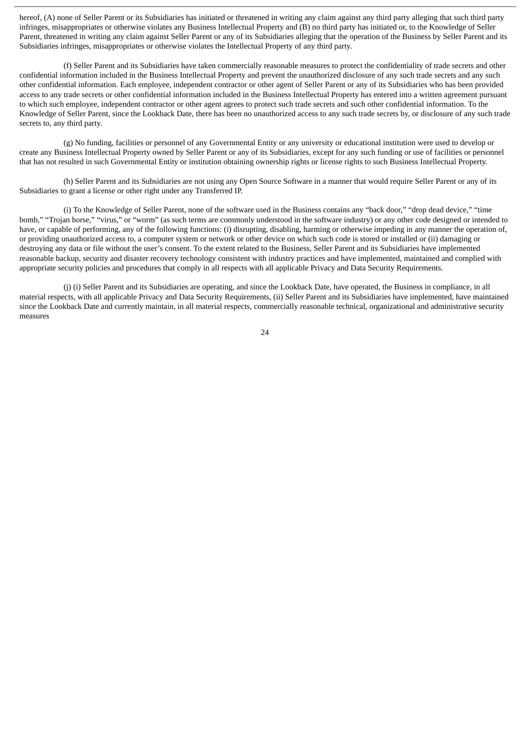hereof, (A) none of Seller Parent or its Subsidiaries has initiated or threatened in writing any claim against any third party alleging that such third party infringes, misappropriates or otherwise violates any Business Intellectual Property and (B) no third party has initiated or, to the Knowledge of Seller Parent, threatened in writing any claim against Seller Parent or any of its Subsidiaries alleging that the operation of the Business by Seller Parent and its Subsidiaries infringes, misappropriates or otherwise violates the Intellectual Property of any third party.

(f) Seller Parent and its Subsidiaries have taken commercially reasonable measures to protect the confidentiality of trade secrets and other confidential information included in the Business Intellectual Property and prevent the unauthorized disclosure of any such trade secrets and any such other confidential information. Each employee, independent contractor or other agent of Seller Parent or any of its Subsidiaries who has been provided access to any trade secrets or other confidential information included in the Business Intellectual Property has entered into a written agreement pursuant to which such employee, independent contractor or other agent agrees to protect such trade secrets and such other confidential information. To the Knowledge of Seller Parent, since the Lookback Date, there has been no unauthorized access to any such trade secrets by, or disclosure of any such trade secrets to, any third party.

(g) No funding, facilities or personnel of any Governmental Entity or any university or educational institution were used to develop or create any Business Intellectual Property owned by Seller Parent or any of its Subsidiaries, except for any such funding or use of facilities or personnel that has not resulted in such Governmental Entity or institution obtaining ownership rights or license rights to such Business Intellectual Property.

(h) Seller Parent and its Subsidiaries are not using any Open Source Software in a manner that would require Seller Parent or any of its Subsidiaries to grant a license or other right under any Transferred IP.

(i) To the Knowledge of Seller Parent, none of the software used in the Business contains any "back door," "drop dead device," "time bomb," "Trojan horse," "virus," or "worm" (as such terms are commonly understood in the software industry) or any other code designed or intended to have, or capable of performing, any of the following functions: (i) disrupting, disabling, harming or otherwise impeding in any manner the operation of, or providing unauthorized access to, a computer system or network or other device on which such code is stored or installed or (ii) damaging or destroying any data or file without the user's consent. To the extent related to the Business, Seller Parent and its Subsidiaries have implemented reasonable backup, security and disaster recovery technology consistent with industry practices and have implemented, maintained and complied with appropriate security policies and procedures that comply in all respects with all applicable Privacy and Data Security Requirements.

(j) (i) Seller Parent and its Subsidiaries are operating, and since the Lookback Date, have operated, the Business in compliance, in all material respects, with all applicable Privacy and Data Security Requirements, (ii) Seller Parent and its Subsidiaries have implemented, have maintained since the Lookback Date and currently maintain, in all material respects, commercially reasonable technical, organizational and administrative security measures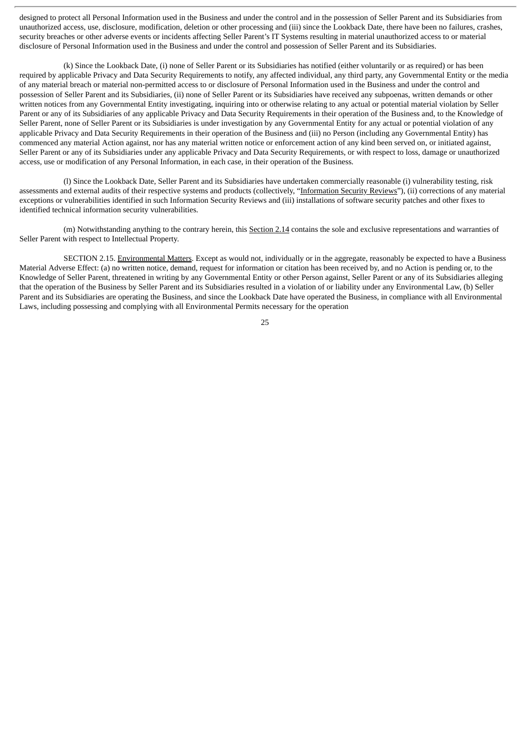designed to protect all Personal Information used in the Business and under the control and in the possession of Seller Parent and its Subsidiaries from unauthorized access, use, disclosure, modification, deletion or other processing and (iii) since the Lookback Date, there have been no failures, crashes, security breaches or other adverse events or incidents affecting Seller Parent's IT Systems resulting in material unauthorized access to or material disclosure of Personal Information used in the Business and under the control and possession of Seller Parent and its Subsidiaries.

(k) Since the Lookback Date, (i) none of Seller Parent or its Subsidiaries has notified (either voluntarily or as required) or has been required by applicable Privacy and Data Security Requirements to notify, any affected individual, any third party, any Governmental Entity or the media of any material breach or material non-permitted access to or disclosure of Personal Information used in the Business and under the control and possession of Seller Parent and its Subsidiaries, (ii) none of Seller Parent or its Subsidiaries have received any subpoenas, written demands or other written notices from any Governmental Entity investigating, inquiring into or otherwise relating to any actual or potential material violation by Seller Parent or any of its Subsidiaries of any applicable Privacy and Data Security Requirements in their operation of the Business and, to the Knowledge of Seller Parent, none of Seller Parent or its Subsidiaries is under investigation by any Governmental Entity for any actual or potential violation of any applicable Privacy and Data Security Requirements in their operation of the Business and (iii) no Person (including any Governmental Entity) has commenced any material Action against, nor has any material written notice or enforcement action of any kind been served on, or initiated against, Seller Parent or any of its Subsidiaries under any applicable Privacy and Data Security Requirements, or with respect to loss, damage or unauthorized access, use or modification of any Personal Information, in each case, in their operation of the Business.

(l) Since the Lookback Date, Seller Parent and its Subsidiaries have undertaken commercially reasonable (i) vulnerability testing, risk assessments and external audits of their respective systems and products (collectively, "Information Security Reviews"), (ii) corrections of any material exceptions or vulnerabilities identified in such Information Security Reviews and (iii) installations of software security patches and other fixes to identified technical information security vulnerabilities.

(m) Notwithstanding anything to the contrary herein, this Section 2.14 contains the sole and exclusive representations and warranties of Seller Parent with respect to Intellectual Property.

SECTION 2.15. Environmental Matters. Except as would not, individually or in the aggregate, reasonably be expected to have a Business Material Adverse Effect: (a) no written notice, demand, request for information or citation has been received by, and no Action is pending or, to the Knowledge of Seller Parent, threatened in writing by any Governmental Entity or other Person against, Seller Parent or any of its Subsidiaries alleging that the operation of the Business by Seller Parent and its Subsidiaries resulted in a violation of or liability under any Environmental Law, (b) Seller Parent and its Subsidiaries are operating the Business, and since the Lookback Date have operated the Business, in compliance with all Environmental Laws, including possessing and complying with all Environmental Permits necessary for the operation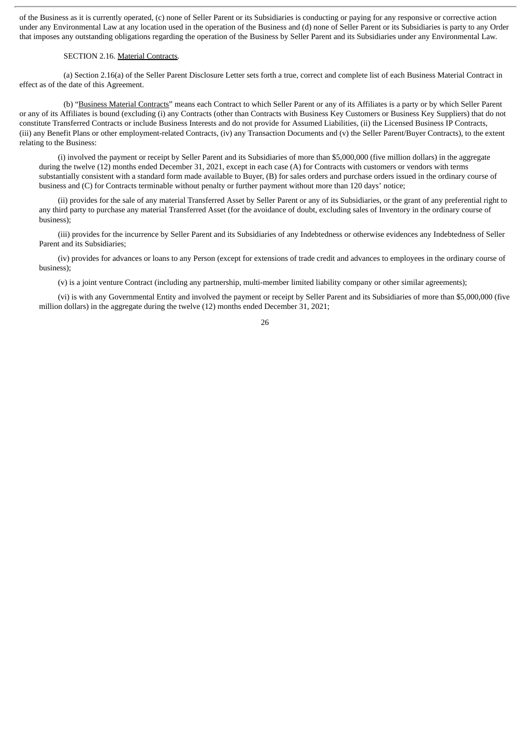of the Business as it is currently operated, (c) none of Seller Parent or its Subsidiaries is conducting or paying for any responsive or corrective action under any Environmental Law at any location used in the operation of the Business and (d) none of Seller Parent or its Subsidiaries is party to any Order that imposes any outstanding obligations regarding the operation of the Business by Seller Parent and its Subsidiaries under any Environmental Law.

#### SECTION 2.16. Material Contracts.

(a) Section 2.16(a) of the Seller Parent Disclosure Letter sets forth a true, correct and complete list of each Business Material Contract in effect as of the date of this Agreement.

(b) "Business Material Contracts" means each Contract to which Seller Parent or any of its Affiliates is a party or by which Seller Parent or any of its Affiliates is bound (excluding (i) any Contracts (other than Contracts with Business Key Customers or Business Key Suppliers) that do not constitute Transferred Contracts or include Business Interests and do not provide for Assumed Liabilities, (ii) the Licensed Business IP Contracts, (iii) any Benefit Plans or other employment-related Contracts, (iv) any Transaction Documents and (v) the Seller Parent/Buyer Contracts), to the extent relating to the Business:

(i) involved the payment or receipt by Seller Parent and its Subsidiaries of more than \$5,000,000 (five million dollars) in the aggregate during the twelve (12) months ended December 31, 2021, except in each case (A) for Contracts with customers or vendors with terms substantially consistent with a standard form made available to Buyer, (B) for sales orders and purchase orders issued in the ordinary course of business and (C) for Contracts terminable without penalty or further payment without more than 120 days' notice;

(ii) provides for the sale of any material Transferred Asset by Seller Parent or any of its Subsidiaries, or the grant of any preferential right to any third party to purchase any material Transferred Asset (for the avoidance of doubt, excluding sales of Inventory in the ordinary course of business);

(iii) provides for the incurrence by Seller Parent and its Subsidiaries of any Indebtedness or otherwise evidences any Indebtedness of Seller Parent and its Subsidiaries;

(iv) provides for advances or loans to any Person (except for extensions of trade credit and advances to employees in the ordinary course of business);

(v) is a joint venture Contract (including any partnership, multi-member limited liability company or other similar agreements);

(vi) is with any Governmental Entity and involved the payment or receipt by Seller Parent and its Subsidiaries of more than \$5,000,000 (five million dollars) in the aggregate during the twelve (12) months ended December 31, 2021;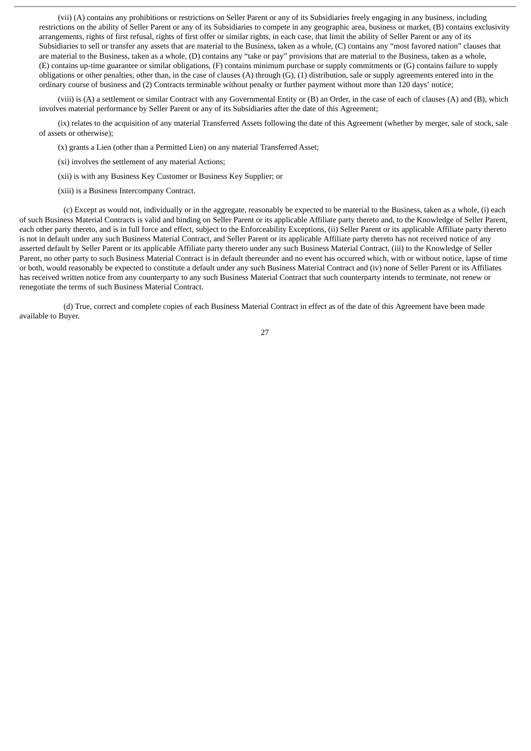(vii) (A) contains any prohibitions or restrictions on Seller Parent or any of its Subsidiaries freely engaging in any business, including restrictions on the ability of Seller Parent or any of its Subsidiaries to compete in any geographic area, business or market, (B) contains exclusivity arrangements, rights of first refusal, rights of first offer or similar rights, in each case, that limit the ability of Seller Parent or any of its Subsidiaries to sell or transfer any assets that are material to the Business, taken as a whole, (C) contains any "most favored nation" clauses that are material to the Business, taken as a whole, (D) contains any "take or pay" provisions that are material to the Business, taken as a whole, (E) contains up-time guarantee or similar obligations, (F) contains minimum purchase or supply commitments or (G) contains failure to supply obligations or other penalties, other than, in the case of clauses  $(A)$  through  $(G)$ ,  $(1)$  distribution, sale or supply agreements entered into in the ordinary course of business and (2) Contracts terminable without penalty or further payment without more than 120 days' notice;

(viii) is (A) a settlement or similar Contract with any Governmental Entity or (B) an Order, in the case of each of clauses (A) and (B), which involves material performance by Seller Parent or any of its Subsidiaries after the date of this Agreement;

(ix) relates to the acquisition of any material Transferred Assets following the date of this Agreement (whether by merger, sale of stock, sale of assets or otherwise);

(x) grants a Lien (other than a Permitted Lien) on any material Transferred Asset;

(xi) involves the settlement of any material Actions;

- (xii) is with any Business Key Customer or Business Key Supplier; or
- (xiii) is a Business Intercompany Contract.

(c) Except as would not, individually or in the aggregate, reasonably be expected to be material to the Business, taken as a whole, (i) each of such Business Material Contracts is valid and binding on Seller Parent or its applicable Affiliate party thereto and, to the Knowledge of Seller Parent, each other party thereto, and is in full force and effect, subject to the Enforceability Exceptions, (ii) Seller Parent or its applicable Affiliate party thereto is not in default under any such Business Material Contract, and Seller Parent or its applicable Affiliate party thereto has not received notice of any asserted default by Seller Parent or its applicable Affiliate party thereto under any such Business Material Contract, (iii) to the Knowledge of Seller Parent, no other party to such Business Material Contract is in default thereunder and no event has occurred which, with or without notice, lapse of time or both, would reasonably be expected to constitute a default under any such Business Material Contract and (iv) none of Seller Parent or its Affiliates has received written notice from any counterparty to any such Business Material Contract that such counterparty intends to terminate, not renew or renegotiate the terms of such Business Material Contract.

(d) True, correct and complete copies of each Business Material Contract in effect as of the date of this Agreement have been made available to Buyer.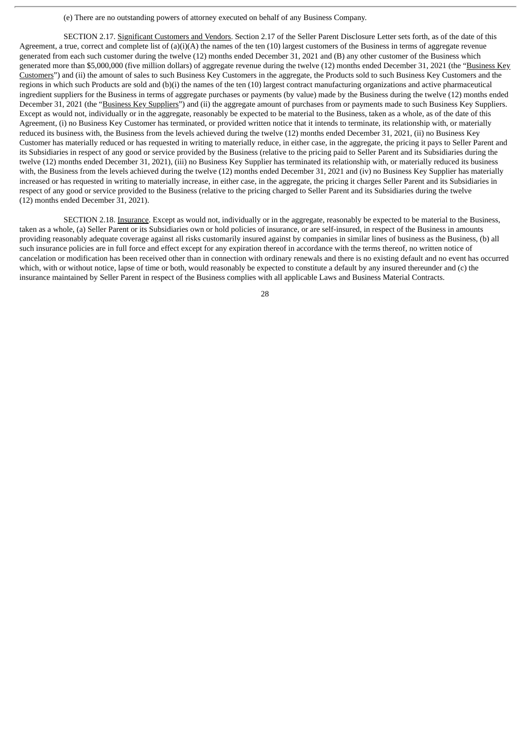(e) There are no outstanding powers of attorney executed on behalf of any Business Company.

SECTION 2.17. Significant Customers and Vendors. Section 2.17 of the Seller Parent Disclosure Letter sets forth, as of the date of this Agreement, a true, correct and complete list of (a)(i)(A) the names of the ten (10) largest customers of the Business in terms of aggregate revenue generated from each such customer during the twelve (12) months ended December 31, 2021 and (B) any other customer of the Business which generated more than \$5,000,000 (five million dollars) of aggregate revenue during the twelve (12) months ended December 31, 2021 (the "Business Key Customers") and (ii) the amount of sales to such Business Key Customers in the aggregate, the Products sold to such Business Key Customers and the regions in which such Products are sold and (b)(i) the names of the ten (10) largest contract manufacturing organizations and active pharmaceutical ingredient suppliers for the Business in terms of aggregate purchases or payments (by value) made by the Business during the twelve (12) months ended December 31, 2021 (the "Business Key Suppliers") and (ii) the aggregate amount of purchases from or payments made to such Business Key Suppliers. Except as would not, individually or in the aggregate, reasonably be expected to be material to the Business, taken as a whole, as of the date of this Agreement, (i) no Business Key Customer has terminated, or provided written notice that it intends to terminate, its relationship with, or materially reduced its business with, the Business from the levels achieved during the twelve (12) months ended December 31, 2021, (ii) no Business Key Customer has materially reduced or has requested in writing to materially reduce, in either case, in the aggregate, the pricing it pays to Seller Parent and its Subsidiaries in respect of any good or service provided by the Business (relative to the pricing paid to Seller Parent and its Subsidiaries during the twelve (12) months ended December 31, 2021), (iii) no Business Key Supplier has terminated its relationship with, or materially reduced its business with, the Business from the levels achieved during the twelve (12) months ended December 31, 2021 and (iv) no Business Key Supplier has materially increased or has requested in writing to materially increase, in either case, in the aggregate, the pricing it charges Seller Parent and its Subsidiaries in respect of any good or service provided to the Business (relative to the pricing charged to Seller Parent and its Subsidiaries during the twelve (12) months ended December 31, 2021).

SECTION 2.18. Insurance. Except as would not, individually or in the aggregate, reasonably be expected to be material to the Business, taken as a whole, (a) Seller Parent or its Subsidiaries own or hold policies of insurance, or are self-insured, in respect of the Business in amounts providing reasonably adequate coverage against all risks customarily insured against by companies in similar lines of business as the Business, (b) all such insurance policies are in full force and effect except for any expiration thereof in accordance with the terms thereof, no written notice of cancelation or modification has been received other than in connection with ordinary renewals and there is no existing default and no event has occurred which, with or without notice, lapse of time or both, would reasonably be expected to constitute a default by any insured thereunder and (c) the insurance maintained by Seller Parent in respect of the Business complies with all applicable Laws and Business Material Contracts.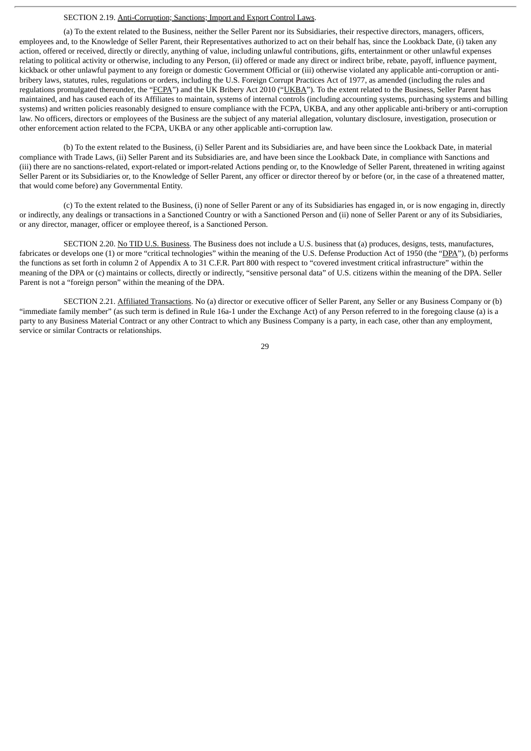### SECTION 2.19. Anti-Corruption; Sanctions; Import and Export Control Laws.

(a) To the extent related to the Business, neither the Seller Parent nor its Subsidiaries, their respective directors, managers, officers, employees and, to the Knowledge of Seller Parent, their Representatives authorized to act on their behalf has, since the Lookback Date, (i) taken any action, offered or received, directly or directly, anything of value, including unlawful contributions, gifts, entertainment or other unlawful expenses relating to political activity or otherwise, including to any Person, (ii) offered or made any direct or indirect bribe, rebate, payoff, influence payment, kickback or other unlawful payment to any foreign or domestic Government Official or (iii) otherwise violated any applicable anti-corruption or antibribery laws, statutes, rules, regulations or orders, including the U.S. Foreign Corrupt Practices Act of 1977, as amended (including the rules and regulations promulgated thereunder, the "FCPA") and the UK Bribery Act 2010 ("UKBA"). To the extent related to the Business, Seller Parent has maintained, and has caused each of its Affiliates to maintain, systems of internal controls (including accounting systems, purchasing systems and billing systems) and written policies reasonably designed to ensure compliance with the FCPA, UKBA, and any other applicable anti-bribery or anti-corruption law. No officers, directors or employees of the Business are the subject of any material allegation, voluntary disclosure, investigation, prosecution or other enforcement action related to the FCPA, UKBA or any other applicable anti-corruption law.

(b) To the extent related to the Business, (i) Seller Parent and its Subsidiaries are, and have been since the Lookback Date, in material compliance with Trade Laws, (ii) Seller Parent and its Subsidiaries are, and have been since the Lookback Date, in compliance with Sanctions and (iii) there are no sanctions-related, export-related or import-related Actions pending or, to the Knowledge of Seller Parent, threatened in writing against Seller Parent or its Subsidiaries or, to the Knowledge of Seller Parent, any officer or director thereof by or before (or, in the case of a threatened matter, that would come before) any Governmental Entity.

(c) To the extent related to the Business, (i) none of Seller Parent or any of its Subsidiaries has engaged in, or is now engaging in, directly or indirectly, any dealings or transactions in a Sanctioned Country or with a Sanctioned Person and (ii) none of Seller Parent or any of its Subsidiaries, or any director, manager, officer or employee thereof, is a Sanctioned Person.

SECTION 2.20. No TID U.S. Business. The Business does not include a U.S. business that (a) produces, designs, tests, manufactures, fabricates or develops one (1) or more "critical technologies" within the meaning of the U.S. Defense Production Act of 1950 (the "DPA"), (b) performs the functions as set forth in column 2 of Appendix A to 31 C.F.R. Part 800 with respect to "covered investment critical infrastructure" within the meaning of the DPA or (c) maintains or collects, directly or indirectly, "sensitive personal data" of U.S. citizens within the meaning of the DPA. Seller Parent is not a "foreign person" within the meaning of the DPA.

SECTION 2.21. Affiliated Transactions. No (a) director or executive officer of Seller Parent, any Seller or any Business Company or (b) "immediate family member" (as such term is defined in Rule 16a-1 under the Exchange Act) of any Person referred to in the foregoing clause (a) is a party to any Business Material Contract or any other Contract to which any Business Company is a party, in each case, other than any employment, service or similar Contracts or relationships.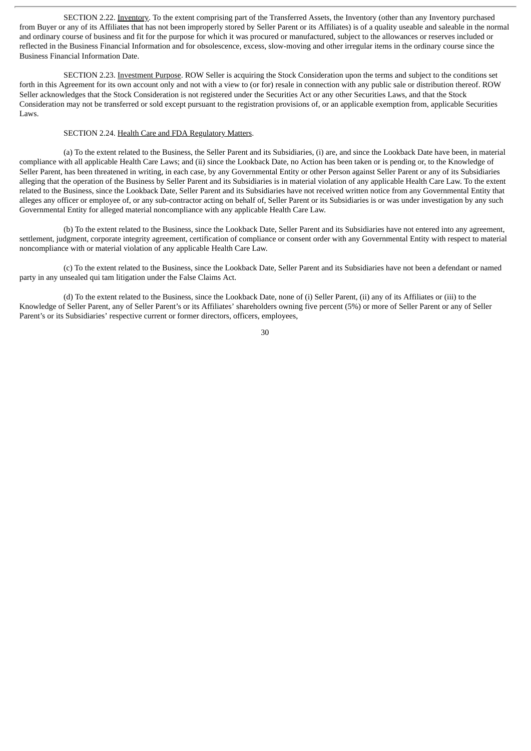SECTION 2.22. Inventory. To the extent comprising part of the Transferred Assets, the Inventory (other than any Inventory purchased from Buyer or any of its Affiliates that has not been improperly stored by Seller Parent or its Affiliates) is of a quality useable and saleable in the normal and ordinary course of business and fit for the purpose for which it was procured or manufactured, subject to the allowances or reserves included or reflected in the Business Financial Information and for obsolescence, excess, slow-moving and other irregular items in the ordinary course since the Business Financial Information Date.

SECTION 2.23. Investment Purpose. ROW Seller is acquiring the Stock Consideration upon the terms and subject to the conditions set forth in this Agreement for its own account only and not with a view to (or for) resale in connection with any public sale or distribution thereof. ROW Seller acknowledges that the Stock Consideration is not registered under the Securities Act or any other Securities Laws, and that the Stock Consideration may not be transferred or sold except pursuant to the registration provisions of, or an applicable exemption from, applicable Securities Laws.

# SECTION 2.24. Health Care and FDA Regulatory Matters.

(a) To the extent related to the Business, the Seller Parent and its Subsidiaries, (i) are, and since the Lookback Date have been, in material compliance with all applicable Health Care Laws; and (ii) since the Lookback Date, no Action has been taken or is pending or, to the Knowledge of Seller Parent, has been threatened in writing, in each case, by any Governmental Entity or other Person against Seller Parent or any of its Subsidiaries alleging that the operation of the Business by Seller Parent and its Subsidiaries is in material violation of any applicable Health Care Law. To the extent related to the Business, since the Lookback Date, Seller Parent and its Subsidiaries have not received written notice from any Governmental Entity that alleges any officer or employee of, or any sub-contractor acting on behalf of, Seller Parent or its Subsidiaries is or was under investigation by any such Governmental Entity for alleged material noncompliance with any applicable Health Care Law.

(b) To the extent related to the Business, since the Lookback Date, Seller Parent and its Subsidiaries have not entered into any agreement, settlement, judgment, corporate integrity agreement, certification of compliance or consent order with any Governmental Entity with respect to material noncompliance with or material violation of any applicable Health Care Law.

(c) To the extent related to the Business, since the Lookback Date, Seller Parent and its Subsidiaries have not been a defendant or named party in any unsealed qui tam litigation under the False Claims Act.

(d) To the extent related to the Business, since the Lookback Date, none of (i) Seller Parent, (ii) any of its Affiliates or (iii) to the Knowledge of Seller Parent, any of Seller Parent's or its Affiliates' shareholders owning five percent (5%) or more of Seller Parent or any of Seller Parent's or its Subsidiaries' respective current or former directors, officers, employees,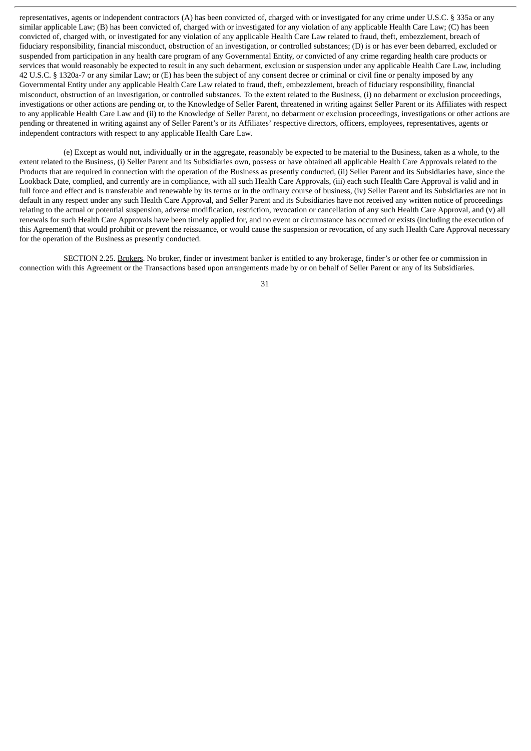representatives, agents or independent contractors (A) has been convicted of, charged with or investigated for any crime under U.S.C. § 335a or any similar applicable Law; (B) has been convicted of, charged with or investigated for any violation of any applicable Health Care Law; (C) has been convicted of, charged with, or investigated for any violation of any applicable Health Care Law related to fraud, theft, embezzlement, breach of fiduciary responsibility, financial misconduct, obstruction of an investigation, or controlled substances; (D) is or has ever been debarred, excluded or suspended from participation in any health care program of any Governmental Entity, or convicted of any crime regarding health care products or services that would reasonably be expected to result in any such debarment, exclusion or suspension under any applicable Health Care Law, including 42 U.S.C. § 1320a-7 or any similar Law; or (E) has been the subject of any consent decree or criminal or civil fine or penalty imposed by any Governmental Entity under any applicable Health Care Law related to fraud, theft, embezzlement, breach of fiduciary responsibility, financial misconduct, obstruction of an investigation, or controlled substances. To the extent related to the Business, (i) no debarment or exclusion proceedings, investigations or other actions are pending or, to the Knowledge of Seller Parent, threatened in writing against Seller Parent or its Affiliates with respect to any applicable Health Care Law and (ii) to the Knowledge of Seller Parent, no debarment or exclusion proceedings, investigations or other actions are pending or threatened in writing against any of Seller Parent's or its Affiliates' respective directors, officers, employees, representatives, agents or independent contractors with respect to any applicable Health Care Law.

(e) Except as would not, individually or in the aggregate, reasonably be expected to be material to the Business, taken as a whole, to the extent related to the Business, (i) Seller Parent and its Subsidiaries own, possess or have obtained all applicable Health Care Approvals related to the Products that are required in connection with the operation of the Business as presently conducted, (ii) Seller Parent and its Subsidiaries have, since the Lookback Date, complied, and currently are in compliance, with all such Health Care Approvals, (iii) each such Health Care Approval is valid and in full force and effect and is transferable and renewable by its terms or in the ordinary course of business, (iv) Seller Parent and its Subsidiaries are not in default in any respect under any such Health Care Approval, and Seller Parent and its Subsidiaries have not received any written notice of proceedings relating to the actual or potential suspension, adverse modification, restriction, revocation or cancellation of any such Health Care Approval, and (v) all renewals for such Health Care Approvals have been timely applied for, and no event or circumstance has occurred or exists (including the execution of this Agreement) that would prohibit or prevent the reissuance, or would cause the suspension or revocation, of any such Health Care Approval necessary for the operation of the Business as presently conducted.

SECTION 2.25. Brokers. No broker, finder or investment banker is entitled to any brokerage, finder's or other fee or commission in connection with this Agreement or the Transactions based upon arrangements made by or on behalf of Seller Parent or any of its Subsidiaries.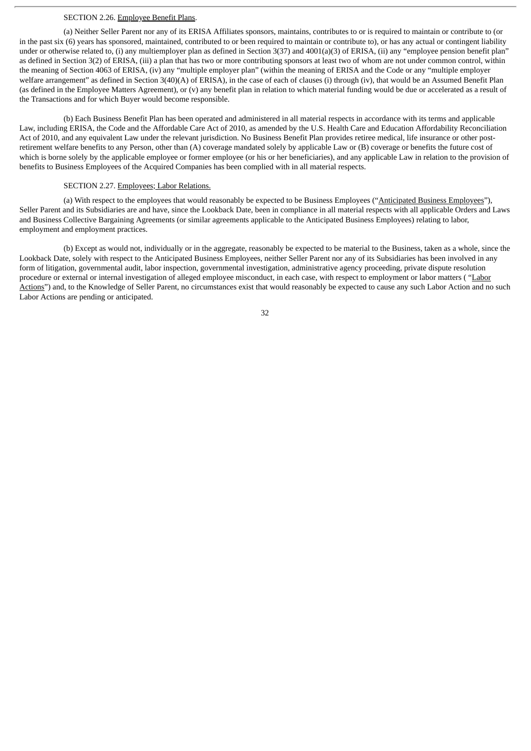#### SECTION 2.26. Employee Benefit Plans.

(a) Neither Seller Parent nor any of its ERISA Affiliates sponsors, maintains, contributes to or is required to maintain or contribute to (or in the past six (6) years has sponsored, maintained, contributed to or been required to maintain or contribute to), or has any actual or contingent liability under or otherwise related to, (i) any multiemployer plan as defined in Section 3(37) and 4001(a)(3) of ERISA, (ii) any "employee pension benefit plan" as defined in Section 3(2) of ERISA, (iii) a plan that has two or more contributing sponsors at least two of whom are not under common control, within the meaning of Section 4063 of ERISA, (iv) any "multiple employer plan" (within the meaning of ERISA and the Code or any "multiple employer welfare arrangement" as defined in Section 3(40)(A) of ERISA), in the case of each of clauses (i) through (iv), that would be an Assumed Benefit Plan (as defined in the Employee Matters Agreement), or (v) any benefit plan in relation to which material funding would be due or accelerated as a result of the Transactions and for which Buyer would become responsible.

(b) Each Business Benefit Plan has been operated and administered in all material respects in accordance with its terms and applicable Law, including ERISA, the Code and the Affordable Care Act of 2010, as amended by the U.S. Health Care and Education Affordability Reconciliation Act of 2010, and any equivalent Law under the relevant jurisdiction. No Business Benefit Plan provides retiree medical, life insurance or other postretirement welfare benefits to any Person, other than (A) coverage mandated solely by applicable Law or (B) coverage or benefits the future cost of which is borne solely by the applicable employee or former employee (or his or her beneficiaries), and any applicable Law in relation to the provision of benefits to Business Employees of the Acquired Companies has been complied with in all material respects.

### SECTION 2.27. Employees; Labor Relations.

(a) With respect to the employees that would reasonably be expected to be Business Employees ("Anticipated Business Employees"), Seller Parent and its Subsidiaries are and have, since the Lookback Date, been in compliance in all material respects with all applicable Orders and Laws and Business Collective Bargaining Agreements (or similar agreements applicable to the Anticipated Business Employees) relating to labor, employment and employment practices.

(b) Except as would not, individually or in the aggregate, reasonably be expected to be material to the Business, taken as a whole, since the Lookback Date, solely with respect to the Anticipated Business Employees, neither Seller Parent nor any of its Subsidiaries has been involved in any form of litigation, governmental audit, labor inspection, governmental investigation, administrative agency proceeding, private dispute resolution procedure or external or internal investigation of alleged employee misconduct, in each case, with respect to employment or labor matters ("Labor Actions") and, to the Knowledge of Seller Parent, no circumstances exist that would reasonably be expected to cause any such Labor Action and no such Labor Actions are pending or anticipated.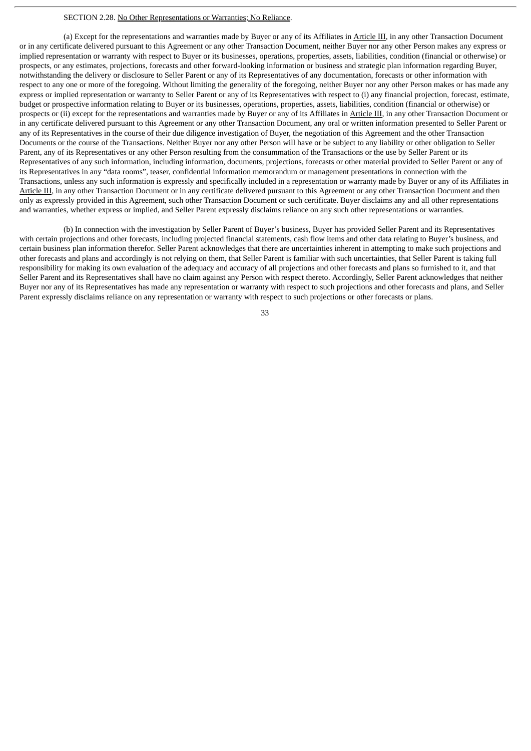#### SECTION 2.28. No Other Representations or Warranties; No Reliance.

(a) Except for the representations and warranties made by Buyer or any of its Affiliates in Article III, in any other Transaction Document or in any certificate delivered pursuant to this Agreement or any other Transaction Document, neither Buyer nor any other Person makes any express or implied representation or warranty with respect to Buyer or its businesses, operations, properties, assets, liabilities, condition (financial or otherwise) or prospects, or any estimates, projections, forecasts and other forward-looking information or business and strategic plan information regarding Buyer, notwithstanding the delivery or disclosure to Seller Parent or any of its Representatives of any documentation, forecasts or other information with respect to any one or more of the foregoing. Without limiting the generality of the foregoing, neither Buyer nor any other Person makes or has made any express or implied representation or warranty to Seller Parent or any of its Representatives with respect to (i) any financial projection, forecast, estimate, budget or prospective information relating to Buyer or its businesses, operations, properties, assets, liabilities, condition (financial or otherwise) or prospects or (ii) except for the representations and warranties made by Buyer or any of its Affiliates in Article III, in any other Transaction Document or in any certificate delivered pursuant to this Agreement or any other Transaction Document, any oral or written information presented to Seller Parent or any of its Representatives in the course of their due diligence investigation of Buyer, the negotiation of this Agreement and the other Transaction Documents or the course of the Transactions. Neither Buyer nor any other Person will have or be subject to any liability or other obligation to Seller Parent, any of its Representatives or any other Person resulting from the consummation of the Transactions or the use by Seller Parent or its Representatives of any such information, including information, documents, projections, forecasts or other material provided to Seller Parent or any of its Representatives in any "data rooms", teaser, confidential information memorandum or management presentations in connection with the Transactions, unless any such information is expressly and specifically included in a representation or warranty made by Buyer or any of its Affiliates in Article III, in any other Transaction Document or in any certificate delivered pursuant to this Agreement or any other Transaction Document and then only as expressly provided in this Agreement, such other Transaction Document or such certificate. Buyer disclaims any and all other representations and warranties, whether express or implied, and Seller Parent expressly disclaims reliance on any such other representations or warranties.

(b) In connection with the investigation by Seller Parent of Buyer's business, Buyer has provided Seller Parent and its Representatives with certain projections and other forecasts, including projected financial statements, cash flow items and other data relating to Buyer's business, and certain business plan information therefor. Seller Parent acknowledges that there are uncertainties inherent in attempting to make such projections and other forecasts and plans and accordingly is not relying on them, that Seller Parent is familiar with such uncertainties, that Seller Parent is taking full responsibility for making its own evaluation of the adequacy and accuracy of all projections and other forecasts and plans so furnished to it, and that Seller Parent and its Representatives shall have no claim against any Person with respect thereto. Accordingly, Seller Parent acknowledges that neither Buyer nor any of its Representatives has made any representation or warranty with respect to such projections and other forecasts and plans, and Seller Parent expressly disclaims reliance on any representation or warranty with respect to such projections or other forecasts or plans.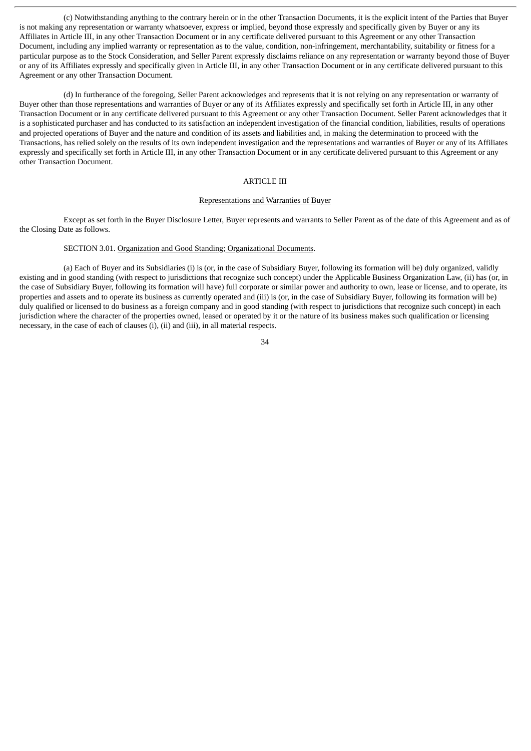(c) Notwithstanding anything to the contrary herein or in the other Transaction Documents, it is the explicit intent of the Parties that Buyer is not making any representation or warranty whatsoever, express or implied, beyond those expressly and specifically given by Buyer or any its Affiliates in Article III, in any other Transaction Document or in any certificate delivered pursuant to this Agreement or any other Transaction Document, including any implied warranty or representation as to the value, condition, non-infringement, merchantability, suitability or fitness for a particular purpose as to the Stock Consideration, and Seller Parent expressly disclaims reliance on any representation or warranty beyond those of Buyer or any of its Affiliates expressly and specifically given in Article III, in any other Transaction Document or in any certificate delivered pursuant to this Agreement or any other Transaction Document.

(d) In furtherance of the foregoing, Seller Parent acknowledges and represents that it is not relying on any representation or warranty of Buyer other than those representations and warranties of Buyer or any of its Affiliates expressly and specifically set forth in Article III, in any other Transaction Document or in any certificate delivered pursuant to this Agreement or any other Transaction Document. Seller Parent acknowledges that it is a sophisticated purchaser and has conducted to its satisfaction an independent investigation of the financial condition, liabilities, results of operations and projected operations of Buyer and the nature and condition of its assets and liabilities and, in making the determination to proceed with the Transactions, has relied solely on the results of its own independent investigation and the representations and warranties of Buyer or any of its Affiliates expressly and specifically set forth in Article III, in any other Transaction Document or in any certificate delivered pursuant to this Agreement or any other Transaction Document.

## ARTICLE III

### Representations and Warranties of Buyer

Except as set forth in the Buyer Disclosure Letter, Buyer represents and warrants to Seller Parent as of the date of this Agreement and as of the Closing Date as follows.

# SECTION 3.01. Organization and Good Standing; Organizational Documents.

(a) Each of Buyer and its Subsidiaries (i) is (or, in the case of Subsidiary Buyer, following its formation will be) duly organized, validly existing and in good standing (with respect to jurisdictions that recognize such concept) under the Applicable Business Organization Law, (ii) has (or, in the case of Subsidiary Buyer, following its formation will have) full corporate or similar power and authority to own, lease or license, and to operate, its properties and assets and to operate its business as currently operated and (iii) is (or, in the case of Subsidiary Buyer, following its formation will be) duly qualified or licensed to do business as a foreign company and in good standing (with respect to jurisdictions that recognize such concept) in each jurisdiction where the character of the properties owned, leased or operated by it or the nature of its business makes such qualification or licensing necessary, in the case of each of clauses (i), (ii) and (iii), in all material respects.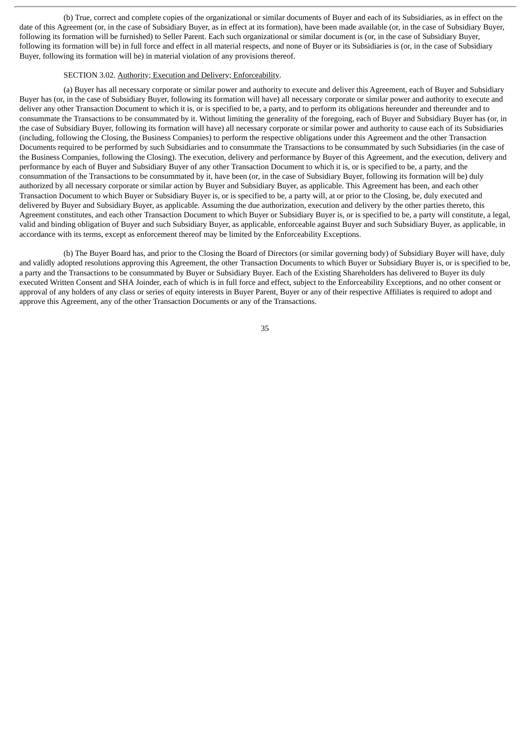(b) True, correct and complete copies of the organizational or similar documents of Buyer and each of its Subsidiaries, as in effect on the date of this Agreement (or, in the case of Subsidiary Buyer, as in effect at its formation), have been made available (or, in the case of Subsidiary Buyer, following its formation will be furnished) to Seller Parent. Each such organizational or similar document is (or, in the case of Subsidiary Buyer, following its formation will be) in full force and effect in all material respects, and none of Buyer or its Subsidiaries is (or, in the case of Subsidiary Buyer, following its formation will be) in material violation of any provisions thereof.

#### SECTION 3.02. Authority; Execution and Delivery; Enforceability.

(a) Buyer has all necessary corporate or similar power and authority to execute and deliver this Agreement, each of Buyer and Subsidiary Buyer has (or, in the case of Subsidiary Buyer, following its formation will have) all necessary corporate or similar power and authority to execute and deliver any other Transaction Document to which it is, or is specified to be, a party, and to perform its obligations hereunder and thereunder and to consummate the Transactions to be consummated by it. Without limiting the generality of the foregoing, each of Buyer and Subsidiary Buyer has (or, in the case of Subsidiary Buyer, following its formation will have) all necessary corporate or similar power and authority to cause each of its Subsidiaries (including, following the Closing, the Business Companies) to perform the respective obligations under this Agreement and the other Transaction Documents required to be performed by such Subsidiaries and to consummate the Transactions to be consummated by such Subsidiaries (in the case of the Business Companies, following the Closing). The execution, delivery and performance by Buyer of this Agreement, and the execution, delivery and performance by each of Buyer and Subsidiary Buyer of any other Transaction Document to which it is, or is specified to be, a party, and the consummation of the Transactions to be consummated by it, have been (or, in the case of Subsidiary Buyer, following its formation will be) duly authorized by all necessary corporate or similar action by Buyer and Subsidiary Buyer, as applicable. This Agreement has been, and each other Transaction Document to which Buyer or Subsidiary Buyer is, or is specified to be, a party will, at or prior to the Closing, be, duly executed and delivered by Buyer and Subsidiary Buyer, as applicable. Assuming the due authorization, execution and delivery by the other parties thereto, this Agreement constitutes, and each other Transaction Document to which Buyer or Subsidiary Buyer is, or is specified to be, a party will constitute, a legal, valid and binding obligation of Buyer and such Subsidiary Buyer, as applicable, enforceable against Buyer and such Subsidiary Buyer, as applicable, in accordance with its terms, except as enforcement thereof may be limited by the Enforceability Exceptions.

(b) The Buyer Board has, and prior to the Closing the Board of Directors (or similar governing body) of Subsidiary Buyer will have, duly and validly adopted resolutions approving this Agreement, the other Transaction Documents to which Buyer or Subsidiary Buyer is, or is specified to be, a party and the Transactions to be consummated by Buyer or Subsidiary Buyer. Each of the Existing Shareholders has delivered to Buyer its duly executed Written Consent and SHA Joinder, each of which is in full force and effect, subject to the Enforceability Exceptions, and no other consent or approval of any holders of any class or series of equity interests in Buyer Parent, Buyer or any of their respective Affiliates is required to adopt and approve this Agreement, any of the other Transaction Documents or any of the Transactions.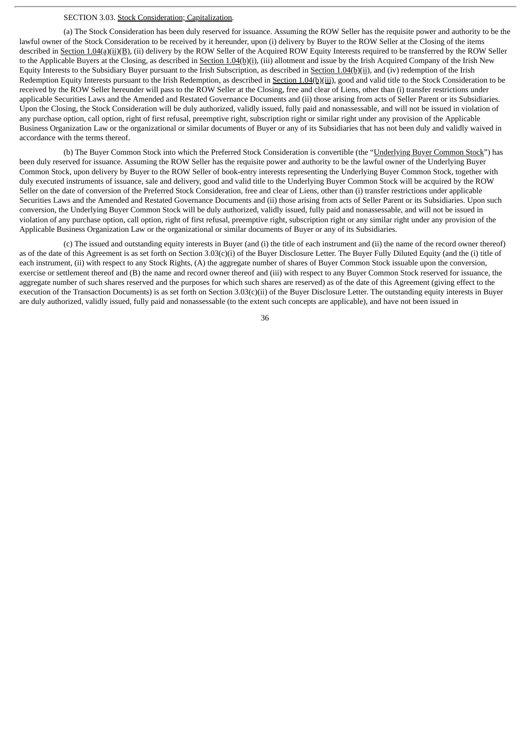### SECTION 3.03. Stock Consideration; Capitalization.

(a) The Stock Consideration has been duly reserved for issuance. Assuming the ROW Seller has the requisite power and authority to be the lawful owner of the Stock Consideration to be received by it hereunder, upon (i) delivery by Buyer to the ROW Seller at the Closing of the items described in Section 1.04(a)(ii)(B), (ii) delivery by the ROW Seller of the Acquired ROW Equity Interests required to be transferred by the ROW Seller to the Applicable Buyers at the Closing, as described in Section 1.04(b)(i), (iii) allotment and issue by the Irish Acquired Company of the Irish New Equity Interests to the Subsidiary Buyer pursuant to the Irish Subscription, as described in Section 1.04(b)(ii), and (iv) redemption of the Irish Redemption Equity Interests pursuant to the Irish Redemption, as described in Section 1.04(b)(iii), good and valid title to the Stock Consideration to be received by the ROW Seller hereunder will pass to the ROW Seller at the Closing, free and clear of Liens, other than (i) transfer restrictions under applicable Securities Laws and the Amended and Restated Governance Documents and (ii) those arising from acts of Seller Parent or its Subsidiaries. Upon the Closing, the Stock Consideration will be duly authorized, validly issued, fully paid and nonassessable, and will not be issued in violation of any purchase option, call option, right of first refusal, preemptive right, subscription right or similar right under any provision of the Applicable Business Organization Law or the organizational or similar documents of Buyer or any of its Subsidiaries that has not been duly and validly waived in accordance with the terms thereof.

(b) The Buyer Common Stock into which the Preferred Stock Consideration is convertible (the "Underlying Buyer Common Stock") has been duly reserved for issuance. Assuming the ROW Seller has the requisite power and authority to be the lawful owner of the Underlying Buyer Common Stock, upon delivery by Buyer to the ROW Seller of book-entry interests representing the Underlying Buyer Common Stock, together with duly executed instruments of issuance, sale and delivery, good and valid title to the Underlying Buyer Common Stock will be acquired by the ROW Seller on the date of conversion of the Preferred Stock Consideration, free and clear of Liens, other than (i) transfer restrictions under applicable Securities Laws and the Amended and Restated Governance Documents and (ii) those arising from acts of Seller Parent or its Subsidiaries. Upon such conversion, the Underlying Buyer Common Stock will be duly authorized, validly issued, fully paid and nonassessable, and will not be issued in violation of any purchase option, call option, right of first refusal, preemptive right, subscription right or any similar right under any provision of the Applicable Business Organization Law or the organizational or similar documents of Buyer or any of its Subsidiaries.

(c) The issued and outstanding equity interests in Buyer (and (i) the title of each instrument and (ii) the name of the record owner thereof) as of the date of this Agreement is as set forth on Section 3.03(c)(i) of the Buyer Disclosure Letter. The Buyer Fully Diluted Equity (and the (i) title of each instrument, (ii) with respect to any Stock Rights, (A) the aggregate number of shares of Buyer Common Stock issuable upon the conversion, exercise or settlement thereof and (B) the name and record owner thereof and (iii) with respect to any Buyer Common Stock reserved for issuance, the aggregate number of such shares reserved and the purposes for which such shares are reserved) as of the date of this Agreement (giving effect to the execution of the Transaction Documents) is as set forth on Section 3.03(c)(ii) of the Buyer Disclosure Letter. The outstanding equity interests in Buyer are duly authorized, validly issued, fully paid and nonassessable (to the extent such concepts are applicable), and have not been issued in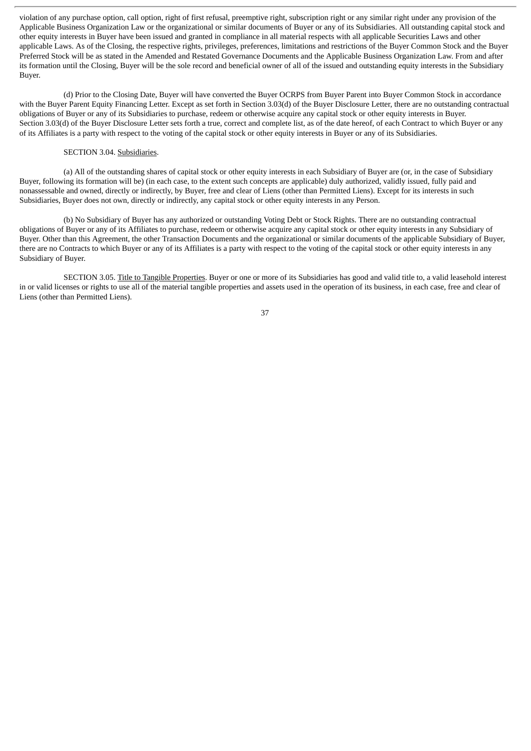violation of any purchase option, call option, right of first refusal, preemptive right, subscription right or any similar right under any provision of the Applicable Business Organization Law or the organizational or similar documents of Buyer or any of its Subsidiaries. All outstanding capital stock and other equity interests in Buyer have been issued and granted in compliance in all material respects with all applicable Securities Laws and other applicable Laws. As of the Closing, the respective rights, privileges, preferences, limitations and restrictions of the Buyer Common Stock and the Buyer Preferred Stock will be as stated in the Amended and Restated Governance Documents and the Applicable Business Organization Law. From and after its formation until the Closing, Buyer will be the sole record and beneficial owner of all of the issued and outstanding equity interests in the Subsidiary Buyer.

(d) Prior to the Closing Date, Buyer will have converted the Buyer OCRPS from Buyer Parent into Buyer Common Stock in accordance with the Buyer Parent Equity Financing Letter. Except as set forth in Section 3.03(d) of the Buyer Disclosure Letter, there are no outstanding contractual obligations of Buyer or any of its Subsidiaries to purchase, redeem or otherwise acquire any capital stock or other equity interests in Buyer. Section 3.03(d) of the Buyer Disclosure Letter sets forth a true, correct and complete list, as of the date hereof, of each Contract to which Buyer or any of its Affiliates is a party with respect to the voting of the capital stock or other equity interests in Buyer or any of its Subsidiaries.

### SECTION 3.04. Subsidiaries.

(a) All of the outstanding shares of capital stock or other equity interests in each Subsidiary of Buyer are (or, in the case of Subsidiary Buyer, following its formation will be) (in each case, to the extent such concepts are applicable) duly authorized, validly issued, fully paid and nonassessable and owned, directly or indirectly, by Buyer, free and clear of Liens (other than Permitted Liens). Except for its interests in such Subsidiaries, Buyer does not own, directly or indirectly, any capital stock or other equity interests in any Person.

(b) No Subsidiary of Buyer has any authorized or outstanding Voting Debt or Stock Rights. There are no outstanding contractual obligations of Buyer or any of its Affiliates to purchase, redeem or otherwise acquire any capital stock or other equity interests in any Subsidiary of Buyer. Other than this Agreement, the other Transaction Documents and the organizational or similar documents of the applicable Subsidiary of Buyer, there are no Contracts to which Buyer or any of its Affiliates is a party with respect to the voting of the capital stock or other equity interests in any Subsidiary of Buyer.

SECTION 3.05. Title to Tangible Properties. Buyer or one or more of its Subsidiaries has good and valid title to, a valid leasehold interest in or valid licenses or rights to use all of the material tangible properties and assets used in the operation of its business, in each case, free and clear of Liens (other than Permitted Liens).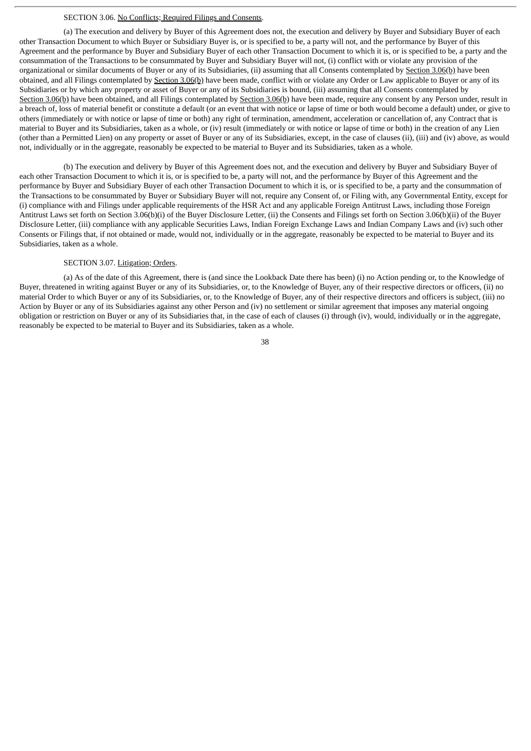### SECTION 3.06. No Conflicts; Required Filings and Consents.

(a) The execution and delivery by Buyer of this Agreement does not, the execution and delivery by Buyer and Subsidiary Buyer of each other Transaction Document to which Buyer or Subsidiary Buyer is, or is specified to be, a party will not, and the performance by Buyer of this Agreement and the performance by Buyer and Subsidiary Buyer of each other Transaction Document to which it is, or is specified to be, a party and the consummation of the Transactions to be consummated by Buyer and Subsidiary Buyer will not, (i) conflict with or violate any provision of the organizational or similar documents of Buyer or any of its Subsidiaries, (ii) assuming that all Consents contemplated by Section 3.06(b) have been obtained, and all Filings contemplated by Section 3.06(b) have been made, conflict with or violate any Order or Law applicable to Buyer or any of its Subsidiaries or by which any property or asset of Buyer or any of its Subsidiaries is bound, (iii) assuming that all Consents contemplated by Section 3.06(b) have been obtained, and all Filings contemplated by Section 3.06(b) have been made, require any consent by any Person under, result in a breach of, loss of material benefit or constitute a default (or an event that with notice or lapse of time or both would become a default) under, or give to others (immediately or with notice or lapse of time or both) any right of termination, amendment, acceleration or cancellation of, any Contract that is material to Buyer and its Subsidiaries, taken as a whole, or (iv) result (immediately or with notice or lapse of time or both) in the creation of any Lien (other than a Permitted Lien) on any property or asset of Buyer or any of its Subsidiaries, except, in the case of clauses (ii), (iii) and (iv) above, as would not, individually or in the aggregate, reasonably be expected to be material to Buyer and its Subsidiaries, taken as a whole.

(b) The execution and delivery by Buyer of this Agreement does not, and the execution and delivery by Buyer and Subsidiary Buyer of each other Transaction Document to which it is, or is specified to be, a party will not, and the performance by Buyer of this Agreement and the performance by Buyer and Subsidiary Buyer of each other Transaction Document to which it is, or is specified to be, a party and the consummation of the Transactions to be consummated by Buyer or Subsidiary Buyer will not, require any Consent of, or Filing with, any Governmental Entity, except for (i) compliance with and Filings under applicable requirements of the HSR Act and any applicable Foreign Antitrust Laws, including those Foreign Antitrust Laws set forth on Section 3.06(b)(i) of the Buyer Disclosure Letter, (ii) the Consents and Filings set forth on Section 3.06(b)(ii) of the Buyer Disclosure Letter, (iii) compliance with any applicable Securities Laws, Indian Foreign Exchange Laws and Indian Company Laws and (iv) such other Consents or Filings that, if not obtained or made, would not, individually or in the aggregate, reasonably be expected to be material to Buyer and its Subsidiaries, taken as a whole.

#### SECTION 3.07. Litigation; Orders.

(a) As of the date of this Agreement, there is (and since the Lookback Date there has been) (i) no Action pending or, to the Knowledge of Buyer, threatened in writing against Buyer or any of its Subsidiaries, or, to the Knowledge of Buyer, any of their respective directors or officers, (ii) no material Order to which Buyer or any of its Subsidiaries, or, to the Knowledge of Buyer, any of their respective directors and officers is subject, (iii) no Action by Buyer or any of its Subsidiaries against any other Person and (iv) no settlement or similar agreement that imposes any material ongoing obligation or restriction on Buyer or any of its Subsidiaries that, in the case of each of clauses (i) through (iv), would, individually or in the aggregate, reasonably be expected to be material to Buyer and its Subsidiaries, taken as a whole.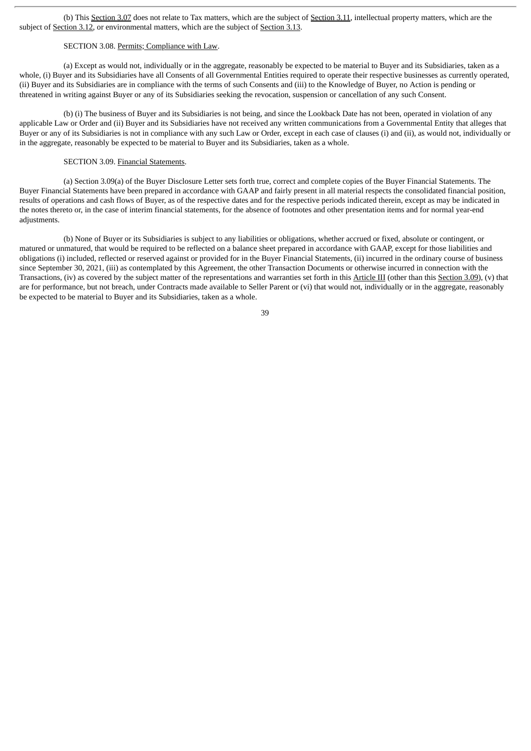(b) This Section 3.07 does not relate to Tax matters, which are the subject of Section 3.11, intellectual property matters, which are the subject of Section 3.12, or environmental matters, which are the subject of Section 3.13.

# SECTION 3.08. Permits; Compliance with Law.

(a) Except as would not, individually or in the aggregate, reasonably be expected to be material to Buyer and its Subsidiaries, taken as a whole, (i) Buyer and its Subsidiaries have all Consents of all Governmental Entities required to operate their respective businesses as currently operated, (ii) Buyer and its Subsidiaries are in compliance with the terms of such Consents and (iii) to the Knowledge of Buyer, no Action is pending or threatened in writing against Buyer or any of its Subsidiaries seeking the revocation, suspension or cancellation of any such Consent.

(b) (i) The business of Buyer and its Subsidiaries is not being, and since the Lookback Date has not been, operated in violation of any applicable Law or Order and (ii) Buyer and its Subsidiaries have not received any written communications from a Governmental Entity that alleges that Buyer or any of its Subsidiaries is not in compliance with any such Law or Order, except in each case of clauses (i) and (ii), as would not, individually or in the aggregate, reasonably be expected to be material to Buyer and its Subsidiaries, taken as a whole.

#### SECTION 3.09. Financial Statements.

(a) Section 3.09(a) of the Buyer Disclosure Letter sets forth true, correct and complete copies of the Buyer Financial Statements. The Buyer Financial Statements have been prepared in accordance with GAAP and fairly present in all material respects the consolidated financial position, results of operations and cash flows of Buyer, as of the respective dates and for the respective periods indicated therein, except as may be indicated in the notes thereto or, in the case of interim financial statements, for the absence of footnotes and other presentation items and for normal year-end adjustments.

(b) None of Buyer or its Subsidiaries is subject to any liabilities or obligations, whether accrued or fixed, absolute or contingent, or matured or unmatured, that would be required to be reflected on a balance sheet prepared in accordance with GAAP, except for those liabilities and obligations (i) included, reflected or reserved against or provided for in the Buyer Financial Statements, (ii) incurred in the ordinary course of business since September 30, 2021, (iii) as contemplated by this Agreement, the other Transaction Documents or otherwise incurred in connection with the Transactions, (iv) as covered by the subject matter of the representations and warranties set forth in this Article III (other than this Section 3.09), (v) that are for performance, but not breach, under Contracts made available to Seller Parent or (vi) that would not, individually or in the aggregate, reasonably be expected to be material to Buyer and its Subsidiaries, taken as a whole.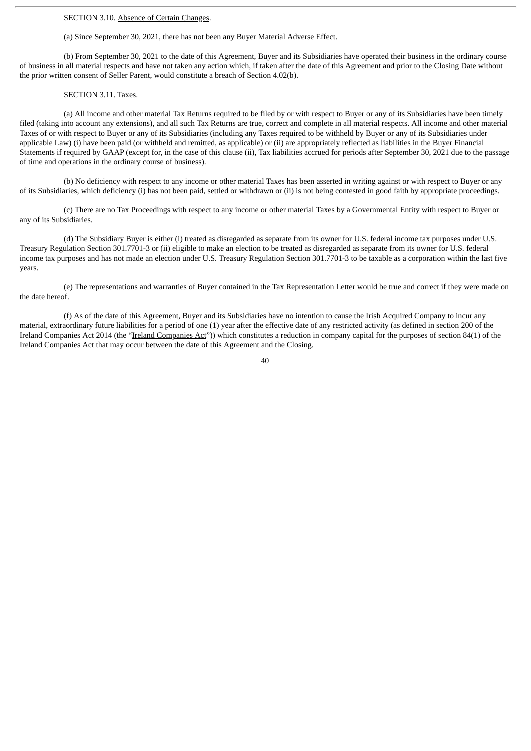### SECTION 3.10. Absence of Certain Changes.

(a) Since September 30, 2021, there has not been any Buyer Material Adverse Effect.

(b) From September 30, 2021 to the date of this Agreement, Buyer and its Subsidiaries have operated their business in the ordinary course of business in all material respects and have not taken any action which, if taken after the date of this Agreement and prior to the Closing Date without the prior written consent of Seller Parent, would constitute a breach of Section 4.02(b).

#### SECTION 3.11. Taxes.

(a) All income and other material Tax Returns required to be filed by or with respect to Buyer or any of its Subsidiaries have been timely filed (taking into account any extensions), and all such Tax Returns are true, correct and complete in all material respects. All income and other material Taxes of or with respect to Buyer or any of its Subsidiaries (including any Taxes required to be withheld by Buyer or any of its Subsidiaries under applicable Law) (i) have been paid (or withheld and remitted, as applicable) or (ii) are appropriately reflected as liabilities in the Buyer Financial Statements if required by GAAP (except for, in the case of this clause (ii), Tax liabilities accrued for periods after September 30, 2021 due to the passage of time and operations in the ordinary course of business).

(b) No deficiency with respect to any income or other material Taxes has been asserted in writing against or with respect to Buyer or any of its Subsidiaries, which deficiency (i) has not been paid, settled or withdrawn or (ii) is not being contested in good faith by appropriate proceedings.

(c) There are no Tax Proceedings with respect to any income or other material Taxes by a Governmental Entity with respect to Buyer or any of its Subsidiaries.

(d) The Subsidiary Buyer is either (i) treated as disregarded as separate from its owner for U.S. federal income tax purposes under U.S. Treasury Regulation Section 301.7701-3 or (ii) eligible to make an election to be treated as disregarded as separate from its owner for U.S. federal income tax purposes and has not made an election under U.S. Treasury Regulation Section 301.7701-3 to be taxable as a corporation within the last five years.

(e) The representations and warranties of Buyer contained in the Tax Representation Letter would be true and correct if they were made on the date hereof.

(f) As of the date of this Agreement, Buyer and its Subsidiaries have no intention to cause the Irish Acquired Company to incur any material, extraordinary future liabilities for a period of one (1) year after the effective date of any restricted activity (as defined in section 200 of the Ireland Companies Act 2014 (the "Ireland Companies Act")) which constitutes a reduction in company capital for the purposes of section 84(1) of the Ireland Companies Act that may occur between the date of this Agreement and the Closing.

 $\overline{40}$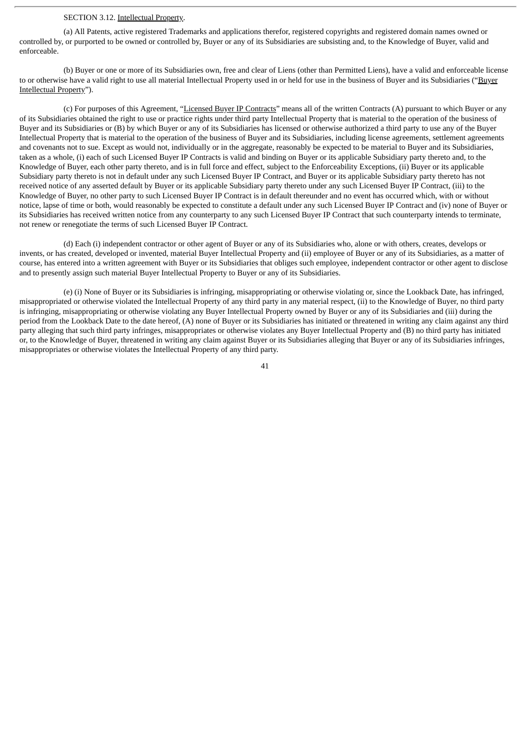### SECTION 3.12. Intellectual Property.

(a) All Patents, active registered Trademarks and applications therefor, registered copyrights and registered domain names owned or controlled by, or purported to be owned or controlled by, Buyer or any of its Subsidiaries are subsisting and, to the Knowledge of Buyer, valid and enforceable.

(b) Buyer or one or more of its Subsidiaries own, free and clear of Liens (other than Permitted Liens), have a valid and enforceable license to or otherwise have a valid right to use all material Intellectual Property used in or held for use in the business of Buyer and its Subsidiaries ("Buyer Intellectual Property").

(c) For purposes of this Agreement, "Licensed Buyer IP Contracts" means all of the written Contracts (A) pursuant to which Buyer or any of its Subsidiaries obtained the right to use or practice rights under third party Intellectual Property that is material to the operation of the business of Buyer and its Subsidiaries or (B) by which Buyer or any of its Subsidiaries has licensed or otherwise authorized a third party to use any of the Buyer Intellectual Property that is material to the operation of the business of Buyer and its Subsidiaries, including license agreements, settlement agreements and covenants not to sue. Except as would not, individually or in the aggregate, reasonably be expected to be material to Buyer and its Subsidiaries, taken as a whole, (i) each of such Licensed Buyer IP Contracts is valid and binding on Buyer or its applicable Subsidiary party thereto and, to the Knowledge of Buyer, each other party thereto, and is in full force and effect, subject to the Enforceability Exceptions, (ii) Buyer or its applicable Subsidiary party thereto is not in default under any such Licensed Buyer IP Contract, and Buyer or its applicable Subsidiary party thereto has not received notice of any asserted default by Buyer or its applicable Subsidiary party thereto under any such Licensed Buyer IP Contract, (iii) to the Knowledge of Buyer, no other party to such Licensed Buyer IP Contract is in default thereunder and no event has occurred which, with or without notice, lapse of time or both, would reasonably be expected to constitute a default under any such Licensed Buyer IP Contract and (iv) none of Buyer or its Subsidiaries has received written notice from any counterparty to any such Licensed Buyer IP Contract that such counterparty intends to terminate, not renew or renegotiate the terms of such Licensed Buyer IP Contract.

(d) Each (i) independent contractor or other agent of Buyer or any of its Subsidiaries who, alone or with others, creates, develops or invents, or has created, developed or invented, material Buyer Intellectual Property and (ii) employee of Buyer or any of its Subsidiaries, as a matter of course, has entered into a written agreement with Buyer or its Subsidiaries that obliges such employee, independent contractor or other agent to disclose and to presently assign such material Buyer Intellectual Property to Buyer or any of its Subsidiaries.

(e) (i) None of Buyer or its Subsidiaries is infringing, misappropriating or otherwise violating or, since the Lookback Date, has infringed, misappropriated or otherwise violated the Intellectual Property of any third party in any material respect, (ii) to the Knowledge of Buyer, no third party is infringing, misappropriating or otherwise violating any Buyer Intellectual Property owned by Buyer or any of its Subsidiaries and (iii) during the period from the Lookback Date to the date hereof, (A) none of Buyer or its Subsidiaries has initiated or threatened in writing any claim against any third party alleging that such third party infringes, misappropriates or otherwise violates any Buyer Intellectual Property and (B) no third party has initiated or, to the Knowledge of Buyer, threatened in writing any claim against Buyer or its Subsidiaries alleging that Buyer or any of its Subsidiaries infringes, misappropriates or otherwise violates the Intellectual Property of any third party.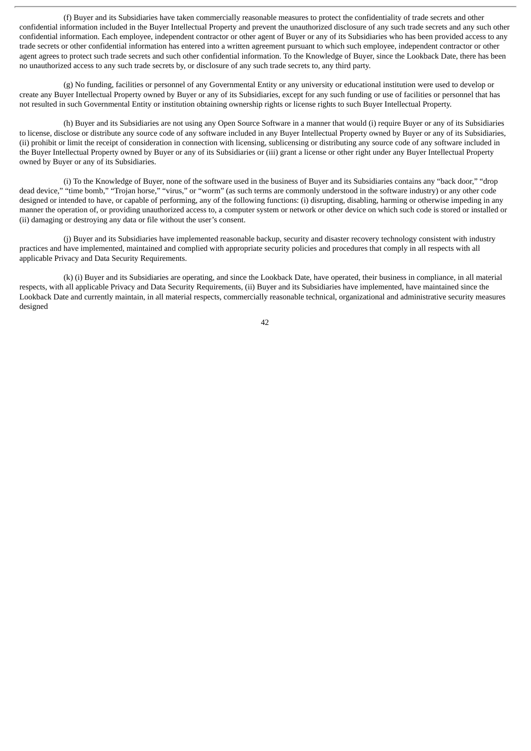(f) Buyer and its Subsidiaries have taken commercially reasonable measures to protect the confidentiality of trade secrets and other confidential information included in the Buyer Intellectual Property and prevent the unauthorized disclosure of any such trade secrets and any such other confidential information. Each employee, independent contractor or other agent of Buyer or any of its Subsidiaries who has been provided access to any trade secrets or other confidential information has entered into a written agreement pursuant to which such employee, independent contractor or other agent agrees to protect such trade secrets and such other confidential information. To the Knowledge of Buyer, since the Lookback Date, there has been no unauthorized access to any such trade secrets by, or disclosure of any such trade secrets to, any third party.

(g) No funding, facilities or personnel of any Governmental Entity or any university or educational institution were used to develop or create any Buyer Intellectual Property owned by Buyer or any of its Subsidiaries, except for any such funding or use of facilities or personnel that has not resulted in such Governmental Entity or institution obtaining ownership rights or license rights to such Buyer Intellectual Property.

(h) Buyer and its Subsidiaries are not using any Open Source Software in a manner that would (i) require Buyer or any of its Subsidiaries to license, disclose or distribute any source code of any software included in any Buyer Intellectual Property owned by Buyer or any of its Subsidiaries, (ii) prohibit or limit the receipt of consideration in connection with licensing, sublicensing or distributing any source code of any software included in the Buyer Intellectual Property owned by Buyer or any of its Subsidiaries or (iii) grant a license or other right under any Buyer Intellectual Property owned by Buyer or any of its Subsidiaries.

(i) To the Knowledge of Buyer, none of the software used in the business of Buyer and its Subsidiaries contains any "back door," "drop dead device," "time bomb," "Trojan horse," "virus," or "worm" (as such terms are commonly understood in the software industry) or any other code designed or intended to have, or capable of performing, any of the following functions: (i) disrupting, disabling, harming or otherwise impeding in any manner the operation of, or providing unauthorized access to, a computer system or network or other device on which such code is stored or installed or (ii) damaging or destroying any data or file without the user's consent.

(j) Buyer and its Subsidiaries have implemented reasonable backup, security and disaster recovery technology consistent with industry practices and have implemented, maintained and complied with appropriate security policies and procedures that comply in all respects with all applicable Privacy and Data Security Requirements.

(k) (i) Buyer and its Subsidiaries are operating, and since the Lookback Date, have operated, their business in compliance, in all material respects, with all applicable Privacy and Data Security Requirements, (ii) Buyer and its Subsidiaries have implemented, have maintained since the Lookback Date and currently maintain, in all material respects, commercially reasonable technical, organizational and administrative security measures designed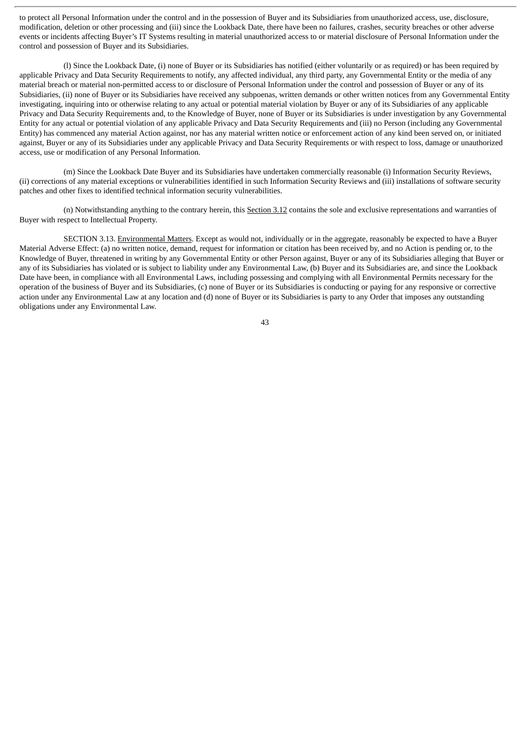to protect all Personal Information under the control and in the possession of Buyer and its Subsidiaries from unauthorized access, use, disclosure, modification, deletion or other processing and (iii) since the Lookback Date, there have been no failures, crashes, security breaches or other adverse events or incidents affecting Buyer's IT Systems resulting in material unauthorized access to or material disclosure of Personal Information under the control and possession of Buyer and its Subsidiaries.

(l) Since the Lookback Date, (i) none of Buyer or its Subsidiaries has notified (either voluntarily or as required) or has been required by applicable Privacy and Data Security Requirements to notify, any affected individual, any third party, any Governmental Entity or the media of any material breach or material non-permitted access to or disclosure of Personal Information under the control and possession of Buyer or any of its Subsidiaries, (ii) none of Buyer or its Subsidiaries have received any subpoenas, written demands or other written notices from any Governmental Entity investigating, inquiring into or otherwise relating to any actual or potential material violation by Buyer or any of its Subsidiaries of any applicable Privacy and Data Security Requirements and, to the Knowledge of Buyer, none of Buyer or its Subsidiaries is under investigation by any Governmental Entity for any actual or potential violation of any applicable Privacy and Data Security Requirements and (iii) no Person (including any Governmental Entity) has commenced any material Action against, nor has any material written notice or enforcement action of any kind been served on, or initiated against, Buyer or any of its Subsidiaries under any applicable Privacy and Data Security Requirements or with respect to loss, damage or unauthorized access, use or modification of any Personal Information.

(m) Since the Lookback Date Buyer and its Subsidiaries have undertaken commercially reasonable (i) Information Security Reviews, (ii) corrections of any material exceptions or vulnerabilities identified in such Information Security Reviews and (iii) installations of software security patches and other fixes to identified technical information security vulnerabilities.

(n) Notwithstanding anything to the contrary herein, this Section 3.12 contains the sole and exclusive representations and warranties of Buyer with respect to Intellectual Property.

SECTION 3.13. Environmental Matters. Except as would not, individually or in the aggregate, reasonably be expected to have a Buyer Material Adverse Effect: (a) no written notice, demand, request for information or citation has been received by, and no Action is pending or, to the Knowledge of Buyer, threatened in writing by any Governmental Entity or other Person against, Buyer or any of its Subsidiaries alleging that Buyer or any of its Subsidiaries has violated or is subject to liability under any Environmental Law, (b) Buyer and its Subsidiaries are, and since the Lookback Date have been, in compliance with all Environmental Laws, including possessing and complying with all Environmental Permits necessary for the operation of the business of Buyer and its Subsidiaries, (c) none of Buyer or its Subsidiaries is conducting or paying for any responsive or corrective action under any Environmental Law at any location and (d) none of Buyer or its Subsidiaries is party to any Order that imposes any outstanding obligations under any Environmental Law.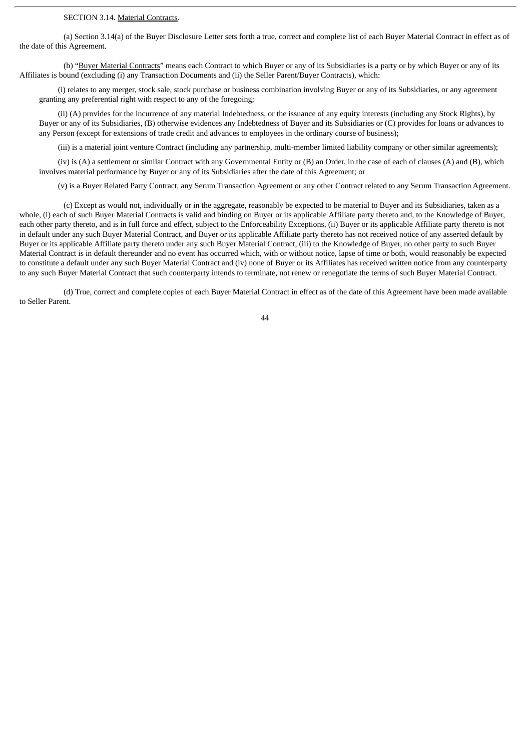### SECTION 3.14. Material Contracts.

(a) Section 3.14(a) of the Buyer Disclosure Letter sets forth a true, correct and complete list of each Buyer Material Contract in effect as of the date of this Agreement.

(b) "Buyer Material Contracts" means each Contract to which Buyer or any of its Subsidiaries is a party or by which Buyer or any of its Affiliates is bound (excluding (i) any Transaction Documents and (ii) the Seller Parent/Buyer Contracts), which:

(i) relates to any merger, stock sale, stock purchase or business combination involving Buyer or any of its Subsidiaries, or any agreement granting any preferential right with respect to any of the foregoing;

(ii) (A) provides for the incurrence of any material Indebtedness, or the issuance of any equity interests (including any Stock Rights), by Buyer or any of its Subsidiaries, (B) otherwise evidences any Indebtedness of Buyer and its Subsidiaries or (C) provides for loans or advances to any Person (except for extensions of trade credit and advances to employees in the ordinary course of business);

(iii) is a material joint venture Contract (including any partnership, multi-member limited liability company or other similar agreements);

(iv) is (A) a settlement or similar Contract with any Governmental Entity or (B) an Order, in the case of each of clauses (A) and (B), which involves material performance by Buyer or any of its Subsidiaries after the date of this Agreement; or

(v) is a Buyer Related Party Contract, any Serum Transaction Agreement or any other Contract related to any Serum Transaction Agreement.

(c) Except as would not, individually or in the aggregate, reasonably be expected to be material to Buyer and its Subsidiaries, taken as a whole, (i) each of such Buyer Material Contracts is valid and binding on Buyer or its applicable Affiliate party thereto and, to the Knowledge of Buyer, each other party thereto, and is in full force and effect, subject to the Enforceability Exceptions, (ii) Buyer or its applicable Affiliate party thereto is not in default under any such Buyer Material Contract, and Buyer or its applicable Affiliate party thereto has not received notice of any asserted default by Buyer or its applicable Affiliate party thereto under any such Buyer Material Contract, (iii) to the Knowledge of Buyer, no other party to such Buyer Material Contract is in default thereunder and no event has occurred which, with or without notice, lapse of time or both, would reasonably be expected to constitute a default under any such Buyer Material Contract and (iv) none of Buyer or its Affiliates has received written notice from any counterparty to any such Buyer Material Contract that such counterparty intends to terminate, not renew or renegotiate the terms of such Buyer Material Contract.

(d) True, correct and complete copies of each Buyer Material Contract in effect as of the date of this Agreement have been made available to Seller Parent.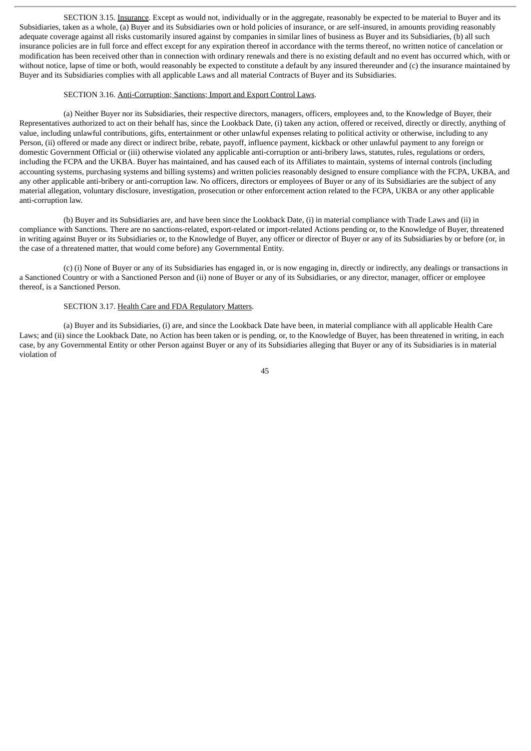SECTION 3.15. Insurance. Except as would not, individually or in the aggregate, reasonably be expected to be material to Buyer and its Subsidiaries, taken as a whole, (a) Buyer and its Subsidiaries own or hold policies of insurance, or are self-insured, in amounts providing reasonably adequate coverage against all risks customarily insured against by companies in similar lines of business as Buyer and its Subsidiaries, (b) all such insurance policies are in full force and effect except for any expiration thereof in accordance with the terms thereof, no written notice of cancelation or modification has been received other than in connection with ordinary renewals and there is no existing default and no event has occurred which, with or without notice, lapse of time or both, would reasonably be expected to constitute a default by any insured thereunder and (c) the insurance maintained by Buyer and its Subsidiaries complies with all applicable Laws and all material Contracts of Buyer and its Subsidiaries.

#### SECTION 3.16. Anti-Corruption; Sanctions; Import and Export Control Laws.

(a) Neither Buyer nor its Subsidiaries, their respective directors, managers, officers, employees and, to the Knowledge of Buyer, their Representatives authorized to act on their behalf has, since the Lookback Date, (i) taken any action, offered or received, directly or directly, anything of value, including unlawful contributions, gifts, entertainment or other unlawful expenses relating to political activity or otherwise, including to any Person, (ii) offered or made any direct or indirect bribe, rebate, payoff, influence payment, kickback or other unlawful payment to any foreign or domestic Government Official or (iii) otherwise violated any applicable anti-corruption or anti-bribery laws, statutes, rules, regulations or orders, including the FCPA and the UKBA. Buyer has maintained, and has caused each of its Affiliates to maintain, systems of internal controls (including accounting systems, purchasing systems and billing systems) and written policies reasonably designed to ensure compliance with the FCPA, UKBA, and any other applicable anti-bribery or anti-corruption law. No officers, directors or employees of Buyer or any of its Subsidiaries are the subject of any material allegation, voluntary disclosure, investigation, prosecution or other enforcement action related to the FCPA, UKBA or any other applicable anti-corruption law.

(b) Buyer and its Subsidiaries are, and have been since the Lookback Date, (i) in material compliance with Trade Laws and (ii) in compliance with Sanctions. There are no sanctions-related, export-related or import-related Actions pending or, to the Knowledge of Buyer, threatened in writing against Buyer or its Subsidiaries or, to the Knowledge of Buyer, any officer or director of Buyer or any of its Subsidiaries by or before (or, in the case of a threatened matter, that would come before) any Governmental Entity.

(c) (i) None of Buyer or any of its Subsidiaries has engaged in, or is now engaging in, directly or indirectly, any dealings or transactions in a Sanctioned Country or with a Sanctioned Person and (ii) none of Buyer or any of its Subsidiaries, or any director, manager, officer or employee thereof, is a Sanctioned Person.

#### SECTION 3.17. Health Care and FDA Regulatory Matters.

(a) Buyer and its Subsidiaries, (i) are, and since the Lookback Date have been, in material compliance with all applicable Health Care Laws; and (ii) since the Lookback Date, no Action has been taken or is pending, or, to the Knowledge of Buyer, has been threatened in writing, in each case, by any Governmental Entity or other Person against Buyer or any of its Subsidiaries alleging that Buyer or any of its Subsidiaries is in material violation of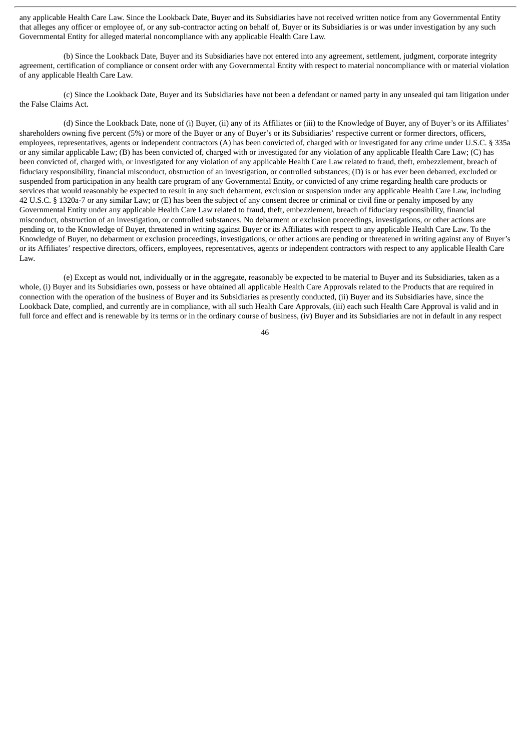any applicable Health Care Law. Since the Lookback Date, Buyer and its Subsidiaries have not received written notice from any Governmental Entity that alleges any officer or employee of, or any sub-contractor acting on behalf of, Buyer or its Subsidiaries is or was under investigation by any such Governmental Entity for alleged material noncompliance with any applicable Health Care Law.

(b) Since the Lookback Date, Buyer and its Subsidiaries have not entered into any agreement, settlement, judgment, corporate integrity agreement, certification of compliance or consent order with any Governmental Entity with respect to material noncompliance with or material violation of any applicable Health Care Law.

(c) Since the Lookback Date, Buyer and its Subsidiaries have not been a defendant or named party in any unsealed qui tam litigation under the False Claims Act.

(d) Since the Lookback Date, none of (i) Buyer, (ii) any of its Affiliates or (iii) to the Knowledge of Buyer, any of Buyer's or its Affiliates' shareholders owning five percent (5%) or more of the Buyer or any of Buyer's or its Subsidiaries' respective current or former directors, officers, employees, representatives, agents or independent contractors (A) has been convicted of, charged with or investigated for any crime under U.S.C. § 335a or any similar applicable Law; (B) has been convicted of, charged with or investigated for any violation of any applicable Health Care Law; (C) has been convicted of, charged with, or investigated for any violation of any applicable Health Care Law related to fraud, theft, embezzlement, breach of fiduciary responsibility, financial misconduct, obstruction of an investigation, or controlled substances; (D) is or has ever been debarred, excluded or suspended from participation in any health care program of any Governmental Entity, or convicted of any crime regarding health care products or services that would reasonably be expected to result in any such debarment, exclusion or suspension under any applicable Health Care Law, including 42 U.S.C. § 1320a-7 or any similar Law; or (E) has been the subject of any consent decree or criminal or civil fine or penalty imposed by any Governmental Entity under any applicable Health Care Law related to fraud, theft, embezzlement, breach of fiduciary responsibility, financial misconduct, obstruction of an investigation, or controlled substances. No debarment or exclusion proceedings, investigations, or other actions are pending or, to the Knowledge of Buyer, threatened in writing against Buyer or its Affiliates with respect to any applicable Health Care Law. To the Knowledge of Buyer, no debarment or exclusion proceedings, investigations, or other actions are pending or threatened in writing against any of Buyer's or its Affiliates' respective directors, officers, employees, representatives, agents or independent contractors with respect to any applicable Health Care Law.

(e) Except as would not, individually or in the aggregate, reasonably be expected to be material to Buyer and its Subsidiaries, taken as a whole, (i) Buyer and its Subsidiaries own, possess or have obtained all applicable Health Care Approvals related to the Products that are required in connection with the operation of the business of Buyer and its Subsidiaries as presently conducted, (ii) Buyer and its Subsidiaries have, since the Lookback Date, complied, and currently are in compliance, with all such Health Care Approvals, (iii) each such Health Care Approval is valid and in full force and effect and is renewable by its terms or in the ordinary course of business, (iv) Buyer and its Subsidiaries are not in default in any respect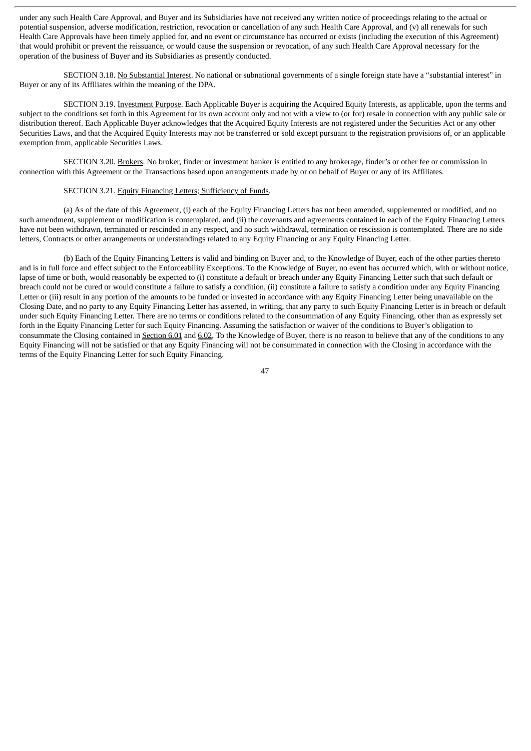under any such Health Care Approval, and Buyer and its Subsidiaries have not received any written notice of proceedings relating to the actual or potential suspension, adverse modification, restriction, revocation or cancellation of any such Health Care Approval, and (v) all renewals for such Health Care Approvals have been timely applied for, and no event or circumstance has occurred or exists (including the execution of this Agreement) that would prohibit or prevent the reissuance, or would cause the suspension or revocation, of any such Health Care Approval necessary for the operation of the business of Buyer and its Subsidiaries as presently conducted.

SECTION 3.18. No Substantial Interest. No national or subnational governments of a single foreign state have a "substantial interest" in Buyer or any of its Affiliates within the meaning of the DPA.

SECTION 3.19. Investment Purpose. Each Applicable Buyer is acquiring the Acquired Equity Interests, as applicable, upon the terms and subject to the conditions set forth in this Agreement for its own account only and not with a view to (or for) resale in connection with any public sale or distribution thereof. Each Applicable Buyer acknowledges that the Acquired Equity Interests are not registered under the Securities Act or any other Securities Laws, and that the Acquired Equity Interests may not be transferred or sold except pursuant to the registration provisions of, or an applicable exemption from, applicable Securities Laws.

SECTION 3.20. Brokers. No broker, finder or investment banker is entitled to any brokerage, finder's or other fee or commission in connection with this Agreement or the Transactions based upon arrangements made by or on behalf of Buyer or any of its Affiliates.

# SECTION 3.21. Equity Financing Letters; Sufficiency of Funds.

(a) As of the date of this Agreement, (i) each of the Equity Financing Letters has not been amended, supplemented or modified, and no such amendment, supplement or modification is contemplated, and (ii) the covenants and agreements contained in each of the Equity Financing Letters have not been withdrawn, terminated or rescinded in any respect, and no such withdrawal, termination or rescission is contemplated. There are no side letters, Contracts or other arrangements or understandings related to any Equity Financing or any Equity Financing Letter.

(b) Each of the Equity Financing Letters is valid and binding on Buyer and, to the Knowledge of Buyer, each of the other parties thereto and is in full force and effect subject to the Enforceability Exceptions. To the Knowledge of Buyer, no event has occurred which, with or without notice, lapse of time or both, would reasonably be expected to (i) constitute a default or breach under any Equity Financing Letter such that such default or breach could not be cured or would constitute a failure to satisfy a condition, (ii) constitute a failure to satisfy a condition under any Equity Financing Letter or (iii) result in any portion of the amounts to be funded or invested in accordance with any Equity Financing Letter being unavailable on the Closing Date, and no party to any Equity Financing Letter has asserted, in writing, that any party to such Equity Financing Letter is in breach or default under such Equity Financing Letter. There are no terms or conditions related to the consummation of any Equity Financing, other than as expressly set forth in the Equity Financing Letter for such Equity Financing. Assuming the satisfaction or waiver of the conditions to Buyer's obligation to consummate the Closing contained in Section 6.01 and 6.02, To the Knowledge of Buyer, there is no reason to believe that any of the conditions to any Equity Financing will not be satisfied or that any Equity Financing will not be consummated in connection with the Closing in accordance with the terms of the Equity Financing Letter for such Equity Financing.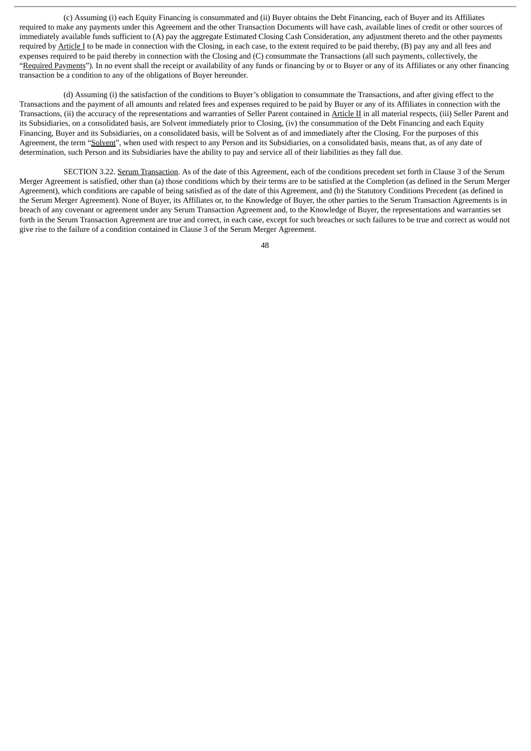(c) Assuming (i) each Equity Financing is consummated and (ii) Buyer obtains the Debt Financing, each of Buyer and its Affiliates required to make any payments under this Agreement and the other Transaction Documents will have cash, available lines of credit or other sources of immediately available funds sufficient to (A) pay the aggregate Estimated Closing Cash Consideration, any adjustment thereto and the other payments required by Article I to be made in connection with the Closing, in each case, to the extent required to be paid thereby, (B) pay any and all fees and expenses required to be paid thereby in connection with the Closing and (C) consummate the Transactions (all such payments, collectively, the "Required Payments"). In no event shall the receipt or availability of any funds or financing by or to Buyer or any of its Affiliates or any other financing transaction be a condition to any of the obligations of Buyer hereunder.

(d) Assuming (i) the satisfaction of the conditions to Buyer's obligation to consummate the Transactions, and after giving effect to the Transactions and the payment of all amounts and related fees and expenses required to be paid by Buyer or any of its Affiliates in connection with the Transactions, (ii) the accuracy of the representations and warranties of Seller Parent contained in Article II in all material respects, (iii) Seller Parent and its Subsidiaries, on a consolidated basis, are Solvent immediately prior to Closing, (iv) the consummation of the Debt Financing and each Equity Financing, Buyer and its Subsidiaries, on a consolidated basis, will be Solvent as of and immediately after the Closing. For the purposes of this Agreement, the term "Solvent", when used with respect to any Person and its Subsidiaries, on a consolidated basis, means that, as of any date of determination, such Person and its Subsidiaries have the ability to pay and service all of their liabilities as they fall due.

SECTION 3.22. Serum Transaction. As of the date of this Agreement, each of the conditions precedent set forth in Clause 3 of the Serum Merger Agreement is satisfied, other than (a) those conditions which by their terms are to be satisfied at the Completion (as defined in the Serum Merger Agreement), which conditions are capable of being satisfied as of the date of this Agreement, and (b) the Statutory Conditions Precedent (as defined in the Serum Merger Agreement). None of Buyer, its Affiliates or, to the Knowledge of Buyer, the other parties to the Serum Transaction Agreements is in breach of any covenant or agreement under any Serum Transaction Agreement and, to the Knowledge of Buyer, the representations and warranties set forth in the Serum Transaction Agreement are true and correct, in each case, except for such breaches or such failures to be true and correct as would not give rise to the failure of a condition contained in Clause 3 of the Serum Merger Agreement.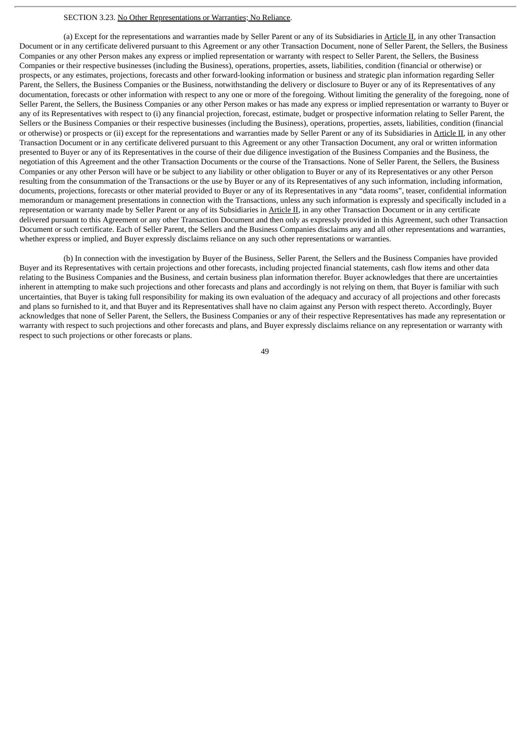#### SECTION 3.23. No Other Representations or Warranties; No Reliance.

(a) Except for the representations and warranties made by Seller Parent or any of its Subsidiaries in Article II, in any other Transaction Document or in any certificate delivered pursuant to this Agreement or any other Transaction Document, none of Seller Parent, the Sellers, the Business Companies or any other Person makes any express or implied representation or warranty with respect to Seller Parent, the Sellers, the Business Companies or their respective businesses (including the Business), operations, properties, assets, liabilities, condition (financial or otherwise) or prospects, or any estimates, projections, forecasts and other forward-looking information or business and strategic plan information regarding Seller Parent, the Sellers, the Business Companies or the Business, notwithstanding the delivery or disclosure to Buyer or any of its Representatives of any documentation, forecasts or other information with respect to any one or more of the foregoing. Without limiting the generality of the foregoing, none of Seller Parent, the Sellers, the Business Companies or any other Person makes or has made any express or implied representation or warranty to Buyer or any of its Representatives with respect to (i) any financial projection, forecast, estimate, budget or prospective information relating to Seller Parent, the Sellers or the Business Companies or their respective businesses (including the Business), operations, properties, assets, liabilities, condition (financial or otherwise) or prospects or (ii) except for the representations and warranties made by Seller Parent or any of its Subsidiaries in Article II, in any other Transaction Document or in any certificate delivered pursuant to this Agreement or any other Transaction Document, any oral or written information presented to Buyer or any of its Representatives in the course of their due diligence investigation of the Business Companies and the Business, the negotiation of this Agreement and the other Transaction Documents or the course of the Transactions. None of Seller Parent, the Sellers, the Business Companies or any other Person will have or be subject to any liability or other obligation to Buyer or any of its Representatives or any other Person resulting from the consummation of the Transactions or the use by Buyer or any of its Representatives of any such information, including information, documents, projections, forecasts or other material provided to Buyer or any of its Representatives in any "data rooms", teaser, confidential information memorandum or management presentations in connection with the Transactions, unless any such information is expressly and specifically included in a representation or warranty made by Seller Parent or any of its Subsidiaries in Article II, in any other Transaction Document or in any certificate delivered pursuant to this Agreement or any other Transaction Document and then only as expressly provided in this Agreement, such other Transaction Document or such certificate. Each of Seller Parent, the Sellers and the Business Companies disclaims any and all other representations and warranties, whether express or implied, and Buyer expressly disclaims reliance on any such other representations or warranties.

(b) In connection with the investigation by Buyer of the Business, Seller Parent, the Sellers and the Business Companies have provided Buyer and its Representatives with certain projections and other forecasts, including projected financial statements, cash flow items and other data relating to the Business Companies and the Business, and certain business plan information therefor. Buyer acknowledges that there are uncertainties inherent in attempting to make such projections and other forecasts and plans and accordingly is not relying on them, that Buyer is familiar with such uncertainties, that Buyer is taking full responsibility for making its own evaluation of the adequacy and accuracy of all projections and other forecasts and plans so furnished to it, and that Buyer and its Representatives shall have no claim against any Person with respect thereto. Accordingly, Buyer acknowledges that none of Seller Parent, the Sellers, the Business Companies or any of their respective Representatives has made any representation or warranty with respect to such projections and other forecasts and plans, and Buyer expressly disclaims reliance on any representation or warranty with respect to such projections or other forecasts or plans.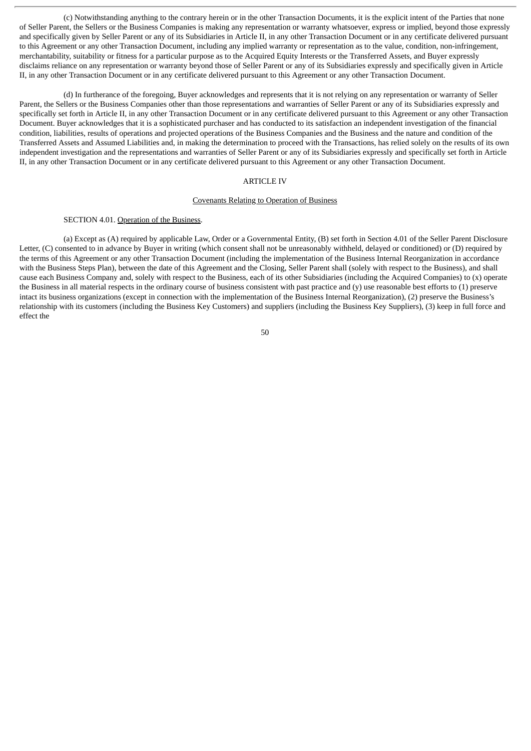(c) Notwithstanding anything to the contrary herein or in the other Transaction Documents, it is the explicit intent of the Parties that none of Seller Parent, the Sellers or the Business Companies is making any representation or warranty whatsoever, express or implied, beyond those expressly and specifically given by Seller Parent or any of its Subsidiaries in Article II, in any other Transaction Document or in any certificate delivered pursuant to this Agreement or any other Transaction Document, including any implied warranty or representation as to the value, condition, non-infringement, merchantability, suitability or fitness for a particular purpose as to the Acquired Equity Interests or the Transferred Assets, and Buyer expressly disclaims reliance on any representation or warranty beyond those of Seller Parent or any of its Subsidiaries expressly and specifically given in Article II, in any other Transaction Document or in any certificate delivered pursuant to this Agreement or any other Transaction Document.

(d) In furtherance of the foregoing, Buyer acknowledges and represents that it is not relying on any representation or warranty of Seller Parent, the Sellers or the Business Companies other than those representations and warranties of Seller Parent or any of its Subsidiaries expressly and specifically set forth in Article II, in any other Transaction Document or in any certificate delivered pursuant to this Agreement or any other Transaction Document. Buyer acknowledges that it is a sophisticated purchaser and has conducted to its satisfaction an independent investigation of the financial condition, liabilities, results of operations and projected operations of the Business Companies and the Business and the nature and condition of the Transferred Assets and Assumed Liabilities and, in making the determination to proceed with the Transactions, has relied solely on the results of its own independent investigation and the representations and warranties of Seller Parent or any of its Subsidiaries expressly and specifically set forth in Article II, in any other Transaction Document or in any certificate delivered pursuant to this Agreement or any other Transaction Document.

# ARTICLE IV

### Covenants Relating to Operation of Business

### SECTION 4.01. Operation of the Business.

(a) Except as (A) required by applicable Law, Order or a Governmental Entity, (B) set forth in Section 4.01 of the Seller Parent Disclosure Letter, (C) consented to in advance by Buyer in writing (which consent shall not be unreasonably withheld, delayed or conditioned) or (D) required by the terms of this Agreement or any other Transaction Document (including the implementation of the Business Internal Reorganization in accordance with the Business Steps Plan), between the date of this Agreement and the Closing, Seller Parent shall (solely with respect to the Business), and shall cause each Business Company and, solely with respect to the Business, each of its other Subsidiaries (including the Acquired Companies) to (x) operate the Business in all material respects in the ordinary course of business consistent with past practice and (y) use reasonable best efforts to (1) preserve intact its business organizations (except in connection with the implementation of the Business Internal Reorganization), (2) preserve the Business's relationship with its customers (including the Business Key Customers) and suppliers (including the Business Key Suppliers), (3) keep in full force and effect the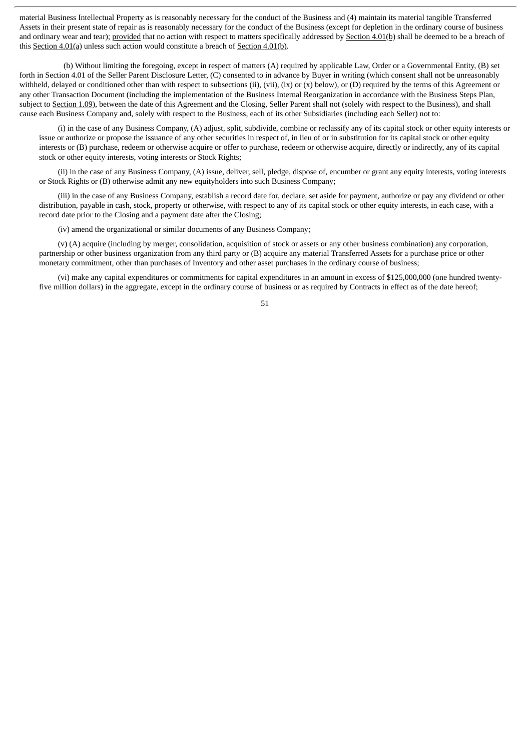material Business Intellectual Property as is reasonably necessary for the conduct of the Business and (4) maintain its material tangible Transferred Assets in their present state of repair as is reasonably necessary for the conduct of the Business (except for depletion in the ordinary course of business and ordinary wear and tear); provided that no action with respect to matters specifically addressed by Section 4.01(b) shall be deemed to be a breach of this Section 4.01(a) unless such action would constitute a breach of Section 4.01(b).

(b) Without limiting the foregoing, except in respect of matters (A) required by applicable Law, Order or a Governmental Entity, (B) set forth in Section 4.01 of the Seller Parent Disclosure Letter, (C) consented to in advance by Buyer in writing (which consent shall not be unreasonably withheld, delayed or conditioned other than with respect to subsections (ii), (vii), (ix) or  $(x)$  below), or  $(D)$  required by the terms of this Agreement or any other Transaction Document (including the implementation of the Business Internal Reorganization in accordance with the Business Steps Plan, subject to Section 1.09), between the date of this Agreement and the Closing, Seller Parent shall not (solely with respect to the Business), and shall cause each Business Company and, solely with respect to the Business, each of its other Subsidiaries (including each Seller) not to:

(i) in the case of any Business Company, (A) adjust, split, subdivide, combine or reclassify any of its capital stock or other equity interests or issue or authorize or propose the issuance of any other securities in respect of, in lieu of or in substitution for its capital stock or other equity interests or (B) purchase, redeem or otherwise acquire or offer to purchase, redeem or otherwise acquire, directly or indirectly, any of its capital stock or other equity interests, voting interests or Stock Rights;

(ii) in the case of any Business Company, (A) issue, deliver, sell, pledge, dispose of, encumber or grant any equity interests, voting interests or Stock Rights or (B) otherwise admit any new equityholders into such Business Company;

(iii) in the case of any Business Company, establish a record date for, declare, set aside for payment, authorize or pay any dividend or other distribution, payable in cash, stock, property or otherwise, with respect to any of its capital stock or other equity interests, in each case, with a record date prior to the Closing and a payment date after the Closing;

(iv) amend the organizational or similar documents of any Business Company;

(v) (A) acquire (including by merger, consolidation, acquisition of stock or assets or any other business combination) any corporation, partnership or other business organization from any third party or (B) acquire any material Transferred Assets for a purchase price or other monetary commitment, other than purchases of Inventory and other asset purchases in the ordinary course of business;

(vi) make any capital expenditures or commitments for capital expenditures in an amount in excess of \$125,000,000 (one hundred twentyfive million dollars) in the aggregate, except in the ordinary course of business or as required by Contracts in effect as of the date hereof;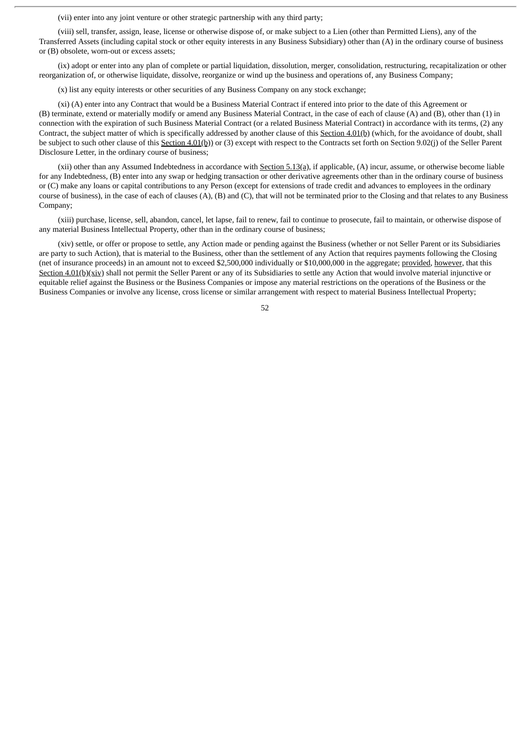(vii) enter into any joint venture or other strategic partnership with any third party;

(viii) sell, transfer, assign, lease, license or otherwise dispose of, or make subject to a Lien (other than Permitted Liens), any of the Transferred Assets (including capital stock or other equity interests in any Business Subsidiary) other than (A) in the ordinary course of business or (B) obsolete, worn-out or excess assets;

(ix) adopt or enter into any plan of complete or partial liquidation, dissolution, merger, consolidation, restructuring, recapitalization or other reorganization of, or otherwise liquidate, dissolve, reorganize or wind up the business and operations of, any Business Company;

(x) list any equity interests or other securities of any Business Company on any stock exchange;

(xi) (A) enter into any Contract that would be a Business Material Contract if entered into prior to the date of this Agreement or (B) terminate, extend or materially modify or amend any Business Material Contract, in the case of each of clause (A) and (B), other than (1) in connection with the expiration of such Business Material Contract (or a related Business Material Contract) in accordance with its terms, (2) any Contract, the subject matter of which is specifically addressed by another clause of this Section 4.01(b) (which, for the avoidance of doubt, shall be subject to such other clause of this Section 4.01(b)) or (3) except with respect to the Contracts set forth on Section 9.02(j) of the Seller Parent Disclosure Letter, in the ordinary course of business;

(xii) other than any Assumed Indebtedness in accordance with Section 5.13(a), if applicable, (A) incur, assume, or otherwise become liable for any Indebtedness, (B) enter into any swap or hedging transaction or other derivative agreements other than in the ordinary course of business or (C) make any loans or capital contributions to any Person (except for extensions of trade credit and advances to employees in the ordinary course of business), in the case of each of clauses  $(A)$ ,  $(B)$  and  $(C)$ , that will not be terminated prior to the Closing and that relates to any Business Company;

(xiii) purchase, license, sell, abandon, cancel, let lapse, fail to renew, fail to continue to prosecute, fail to maintain, or otherwise dispose of any material Business Intellectual Property, other than in the ordinary course of business;

(xiv) settle, or offer or propose to settle, any Action made or pending against the Business (whether or not Seller Parent or its Subsidiaries are party to such Action), that is material to the Business, other than the settlement of any Action that requires payments following the Closing (net of insurance proceeds) in an amount not to exceed \$2,500,000 individually or \$10,000,000 in the aggregate; provided, however, that this Section 4.01(b)(xiv) shall not permit the Seller Parent or any of its Subsidiaries to settle any Action that would involve material injunctive or equitable relief against the Business or the Business Companies or impose any material restrictions on the operations of the Business or the Business Companies or involve any license, cross license or similar arrangement with respect to material Business Intellectual Property;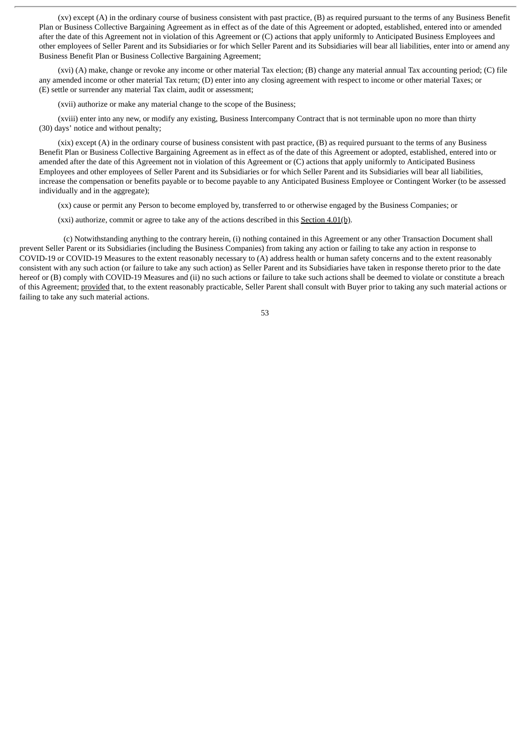(xv) except (A) in the ordinary course of business consistent with past practice, (B) as required pursuant to the terms of any Business Benefit Plan or Business Collective Bargaining Agreement as in effect as of the date of this Agreement or adopted, established, entered into or amended after the date of this Agreement not in violation of this Agreement or (C) actions that apply uniformly to Anticipated Business Employees and other employees of Seller Parent and its Subsidiaries or for which Seller Parent and its Subsidiaries will bear all liabilities, enter into or amend any Business Benefit Plan or Business Collective Bargaining Agreement;

(xvi) (A) make, change or revoke any income or other material Tax election; (B) change any material annual Tax accounting period; (C) file any amended income or other material Tax return; (D) enter into any closing agreement with respect to income or other material Taxes; or (E) settle or surrender any material Tax claim, audit or assessment;

(xvii) authorize or make any material change to the scope of the Business;

(xviii) enter into any new, or modify any existing, Business Intercompany Contract that is not terminable upon no more than thirty (30) days' notice and without penalty;

(xix) except (A) in the ordinary course of business consistent with past practice, (B) as required pursuant to the terms of any Business Benefit Plan or Business Collective Bargaining Agreement as in effect as of the date of this Agreement or adopted, established, entered into or amended after the date of this Agreement not in violation of this Agreement or (C) actions that apply uniformly to Anticipated Business Employees and other employees of Seller Parent and its Subsidiaries or for which Seller Parent and its Subsidiaries will bear all liabilities, increase the compensation or benefits payable or to become payable to any Anticipated Business Employee or Contingent Worker (to be assessed individually and in the aggregate);

(xx) cause or permit any Person to become employed by, transferred to or otherwise engaged by the Business Companies; or

(xxi) authorize, commit or agree to take any of the actions described in this  $Section 4.01(b)$ .

(c) Notwithstanding anything to the contrary herein, (i) nothing contained in this Agreement or any other Transaction Document shall prevent Seller Parent or its Subsidiaries (including the Business Companies) from taking any action or failing to take any action in response to COVID-19 or COVID-19 Measures to the extent reasonably necessary to (A) address health or human safety concerns and to the extent reasonably consistent with any such action (or failure to take any such action) as Seller Parent and its Subsidiaries have taken in response thereto prior to the date hereof or (B) comply with COVID-19 Measures and (ii) no such actions or failure to take such actions shall be deemed to violate or constitute a breach of this Agreement; provided that, to the extent reasonably practicable, Seller Parent shall consult with Buyer prior to taking any such material actions or failing to take any such material actions.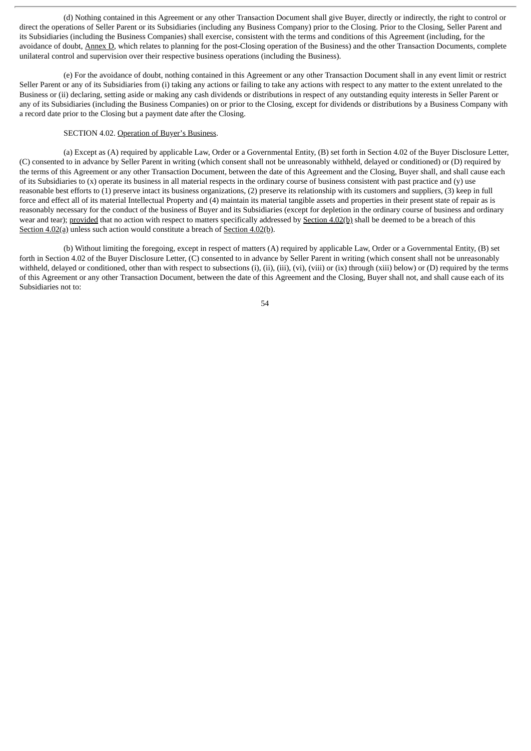(d) Nothing contained in this Agreement or any other Transaction Document shall give Buyer, directly or indirectly, the right to control or direct the operations of Seller Parent or its Subsidiaries (including any Business Company) prior to the Closing. Prior to the Closing, Seller Parent and its Subsidiaries (including the Business Companies) shall exercise, consistent with the terms and conditions of this Agreement (including, for the avoidance of doubt, Annex D, which relates to planning for the post-Closing operation of the Business) and the other Transaction Documents, complete unilateral control and supervision over their respective business operations (including the Business).

(e) For the avoidance of doubt, nothing contained in this Agreement or any other Transaction Document shall in any event limit or restrict Seller Parent or any of its Subsidiaries from (i) taking any actions or failing to take any actions with respect to any matter to the extent unrelated to the Business or (ii) declaring, setting aside or making any cash dividends or distributions in respect of any outstanding equity interests in Seller Parent or any of its Subsidiaries (including the Business Companies) on or prior to the Closing, except for dividends or distributions by a Business Company with a record date prior to the Closing but a payment date after the Closing.

# SECTION 4.02. Operation of Buyer's Business.

(a) Except as (A) required by applicable Law, Order or a Governmental Entity, (B) set forth in Section 4.02 of the Buyer Disclosure Letter, (C) consented to in advance by Seller Parent in writing (which consent shall not be unreasonably withheld, delayed or conditioned) or (D) required by the terms of this Agreement or any other Transaction Document, between the date of this Agreement and the Closing, Buyer shall, and shall cause each of its Subsidiaries to  $(x)$  operate its business in all material respects in the ordinary course of business consistent with past practice and  $(y)$  use reasonable best efforts to (1) preserve intact its business organizations, (2) preserve its relationship with its customers and suppliers, (3) keep in full force and effect all of its material Intellectual Property and (4) maintain its material tangible assets and properties in their present state of repair as is reasonably necessary for the conduct of the business of Buyer and its Subsidiaries (except for depletion in the ordinary course of business and ordinary wear and tear); provided that no action with respect to matters specifically addressed by Section 4.02(b) shall be deemed to be a breach of this Section 4.02(a) unless such action would constitute a breach of Section 4.02(b).

(b) Without limiting the foregoing, except in respect of matters (A) required by applicable Law, Order or a Governmental Entity, (B) set forth in Section 4.02 of the Buyer Disclosure Letter, (C) consented to in advance by Seller Parent in writing (which consent shall not be unreasonably withheld, delayed or conditioned, other than with respect to subsections (i), (ii), (iii), (vi), (viii) or (ix) through (xiii) below) or (D) required by the terms of this Agreement or any other Transaction Document, between the date of this Agreement and the Closing, Buyer shall not, and shall cause each of its Subsidiaries not to: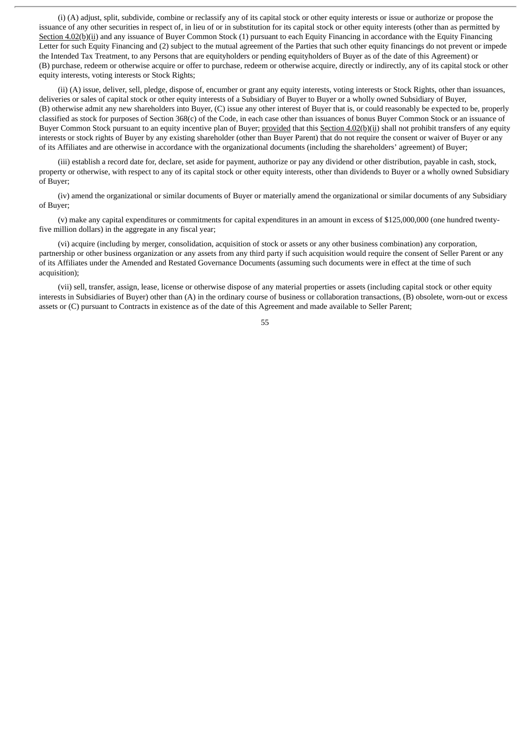(i) (A) adjust, split, subdivide, combine or reclassify any of its capital stock or other equity interests or issue or authorize or propose the issuance of any other securities in respect of, in lieu of or in substitution for its capital stock or other equity interests (other than as permitted by Section 4.02(b)(ii) and any issuance of Buyer Common Stock (1) pursuant to each Equity Financing in accordance with the Equity Financing Letter for such Equity Financing and (2) subject to the mutual agreement of the Parties that such other equity financings do not prevent or impede the Intended Tax Treatment, to any Persons that are equityholders or pending equityholders of Buyer as of the date of this Agreement) or (B) purchase, redeem or otherwise acquire or offer to purchase, redeem or otherwise acquire, directly or indirectly, any of its capital stock or other equity interests, voting interests or Stock Rights;

(ii) (A) issue, deliver, sell, pledge, dispose of, encumber or grant any equity interests, voting interests or Stock Rights, other than issuances, deliveries or sales of capital stock or other equity interests of a Subsidiary of Buyer to Buyer or a wholly owned Subsidiary of Buyer, (B) otherwise admit any new shareholders into Buyer, (C) issue any other interest of Buyer that is, or could reasonably be expected to be, properly classified as stock for purposes of Section 368(c) of the Code, in each case other than issuances of bonus Buyer Common Stock or an issuance of Buyer Common Stock pursuant to an equity incentive plan of Buyer; provided that this Section 4.02(b)(ii) shall not prohibit transfers of any equity interests or stock rights of Buyer by any existing shareholder (other than Buyer Parent) that do not require the consent or waiver of Buyer or any of its Affiliates and are otherwise in accordance with the organizational documents (including the shareholders' agreement) of Buyer;

(iii) establish a record date for, declare, set aside for payment, authorize or pay any dividend or other distribution, payable in cash, stock, property or otherwise, with respect to any of its capital stock or other equity interests, other than dividends to Buyer or a wholly owned Subsidiary of Buyer;

(iv) amend the organizational or similar documents of Buyer or materially amend the organizational or similar documents of any Subsidiary of Buyer;

(v) make any capital expenditures or commitments for capital expenditures in an amount in excess of \$125,000,000 (one hundred twentyfive million dollars) in the aggregate in any fiscal year;

(vi) acquire (including by merger, consolidation, acquisition of stock or assets or any other business combination) any corporation, partnership or other business organization or any assets from any third party if such acquisition would require the consent of Seller Parent or any of its Affiliates under the Amended and Restated Governance Documents (assuming such documents were in effect at the time of such acquisition);

(vii) sell, transfer, assign, lease, license or otherwise dispose of any material properties or assets (including capital stock or other equity interests in Subsidiaries of Buyer) other than (A) in the ordinary course of business or collaboration transactions, (B) obsolete, worn-out or excess assets or (C) pursuant to Contracts in existence as of the date of this Agreement and made available to Seller Parent;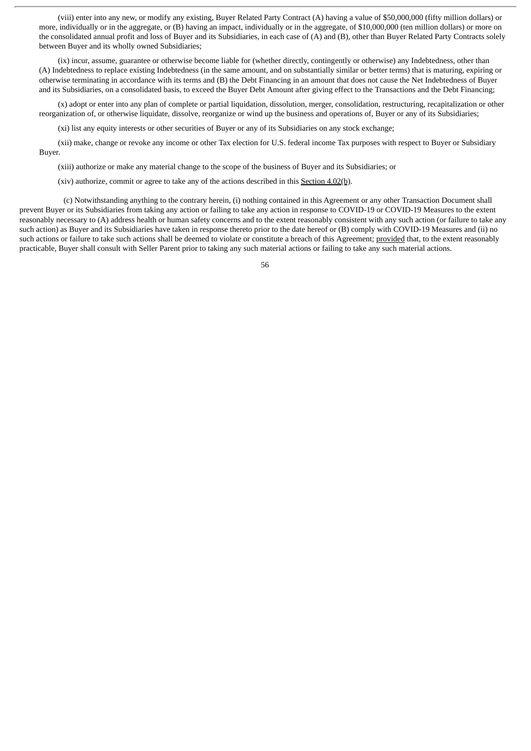(viii) enter into any new, or modify any existing, Buyer Related Party Contract (A) having a value of \$50,000,000 (fifty million dollars) or more, individually or in the aggregate, or (B) having an impact, individually or in the aggregate, of \$10,000,000 (ten million dollars) or more on the consolidated annual profit and loss of Buyer and its Subsidiaries, in each case of (A) and (B), other than Buyer Related Party Contracts solely between Buyer and its wholly owned Subsidiaries;

(ix) incur, assume, guarantee or otherwise become liable for (whether directly, contingently or otherwise) any Indebtedness, other than (A) Indebtedness to replace existing Indebtedness (in the same amount, and on substantially similar or better terms) that is maturing, expiring or otherwise terminating in accordance with its terms and (B) the Debt Financing in an amount that does not cause the Net Indebtedness of Buyer and its Subsidiaries, on a consolidated basis, to exceed the Buyer Debt Amount after giving effect to the Transactions and the Debt Financing;

(x) adopt or enter into any plan of complete or partial liquidation, dissolution, merger, consolidation, restructuring, recapitalization or other reorganization of, or otherwise liquidate, dissolve, reorganize or wind up the business and operations of, Buyer or any of its Subsidiaries;

(xi) list any equity interests or other securities of Buyer or any of its Subsidiaries on any stock exchange;

(xii) make, change or revoke any income or other Tax election for U.S. federal income Tax purposes with respect to Buyer or Subsidiary Buyer.

(xiii) authorize or make any material change to the scope of the business of Buyer and its Subsidiaries; or

(xiv) authorize, commit or agree to take any of the actions described in this Section 4.02(b).

(c) Notwithstanding anything to the contrary herein, (i) nothing contained in this Agreement or any other Transaction Document shall prevent Buyer or its Subsidiaries from taking any action or failing to take any action in response to COVID-19 or COVID-19 Measures to the extent reasonably necessary to (A) address health or human safety concerns and to the extent reasonably consistent with any such action (or failure to take any such action) as Buyer and its Subsidiaries have taken in response thereto prior to the date hereof or (B) comply with COVID-19 Measures and (ii) no such actions or failure to take such actions shall be deemed to violate or constitute a breach of this Agreement; provided that, to the extent reasonably practicable, Buyer shall consult with Seller Parent prior to taking any such material actions or failing to take any such material actions.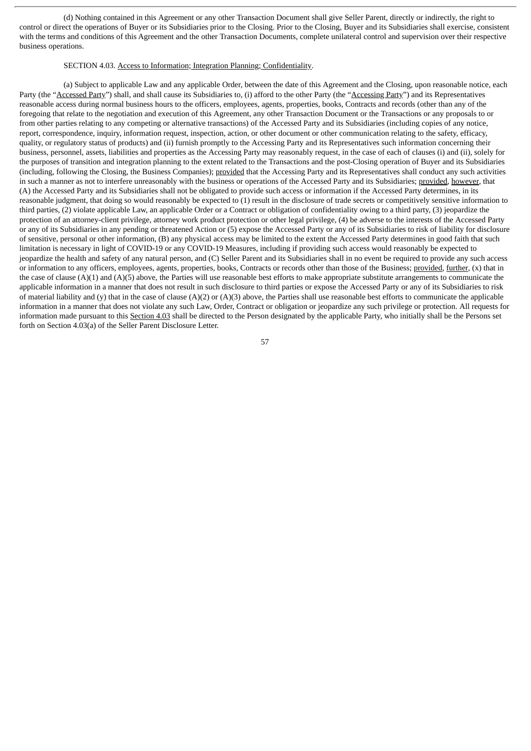(d) Nothing contained in this Agreement or any other Transaction Document shall give Seller Parent, directly or indirectly, the right to control or direct the operations of Buyer or its Subsidiaries prior to the Closing. Prior to the Closing, Buyer and its Subsidiaries shall exercise, consistent with the terms and conditions of this Agreement and the other Transaction Documents, complete unilateral control and supervision over their respective business operations.

### SECTION 4.03. Access to Information; Integration Planning; Confidentiality.

(a) Subject to applicable Law and any applicable Order, between the date of this Agreement and the Closing, upon reasonable notice, each Party (the "Accessed Party") shall, and shall cause its Subsidiaries to, (i) afford to the other Party (the "Accessing Party") and its Representatives reasonable access during normal business hours to the officers, employees, agents, properties, books, Contracts and records (other than any of the foregoing that relate to the negotiation and execution of this Agreement, any other Transaction Document or the Transactions or any proposals to or from other parties relating to any competing or alternative transactions) of the Accessed Party and its Subsidiaries (including copies of any notice, report, correspondence, inquiry, information request, inspection, action, or other document or other communication relating to the safety, efficacy, quality, or regulatory status of products) and (ii) furnish promptly to the Accessing Party and its Representatives such information concerning their business, personnel, assets, liabilities and properties as the Accessing Party may reasonably request, in the case of each of clauses (i) and (ii), solely for the purposes of transition and integration planning to the extent related to the Transactions and the post-Closing operation of Buyer and its Subsidiaries (including, following the Closing, the Business Companies); provided that the Accessing Party and its Representatives shall conduct any such activities in such a manner as not to interfere unreasonably with the business or operations of the Accessed Party and its Subsidiaries; provided, however, that (A) the Accessed Party and its Subsidiaries shall not be obligated to provide such access or information if the Accessed Party determines, in its reasonable judgment, that doing so would reasonably be expected to (1) result in the disclosure of trade secrets or competitively sensitive information to third parties, (2) violate applicable Law, an applicable Order or a Contract or obligation of confidentiality owing to a third party, (3) jeopardize the protection of an attorney-client privilege, attorney work product protection or other legal privilege, (4) be adverse to the interests of the Accessed Party or any of its Subsidiaries in any pending or threatened Action or (5) expose the Accessed Party or any of its Subsidiaries to risk of liability for disclosure of sensitive, personal or other information, (B) any physical access may be limited to the extent the Accessed Party determines in good faith that such limitation is necessary in light of COVID-19 or any COVID-19 Measures, including if providing such access would reasonably be expected to jeopardize the health and safety of any natural person, and (C) Seller Parent and its Subsidiaries shall in no event be required to provide any such access or information to any officers, employees, agents, properties, books, Contracts or records other than those of the Business; provided, further, (x) that in the case of clause  $(A)(1)$  and  $(A)(5)$  above, the Parties will use reasonable best efforts to make appropriate substitute arrangements to communicate the applicable information in a manner that does not result in such disclosure to third parties or expose the Accessed Party or any of its Subsidiaries to risk of material liability and (y) that in the case of clause  $(A)(2)$  or  $(A)(3)$  above, the Parties shall use reasonable best efforts to communicate the applicable information in a manner that does not violate any such Law, Order, Contract or obligation or jeopardize any such privilege or protection. All requests for information made pursuant to this Section 4.03 shall be directed to the Person designated by the applicable Party, who initially shall be the Persons set forth on Section 4.03(a) of the Seller Parent Disclosure Letter.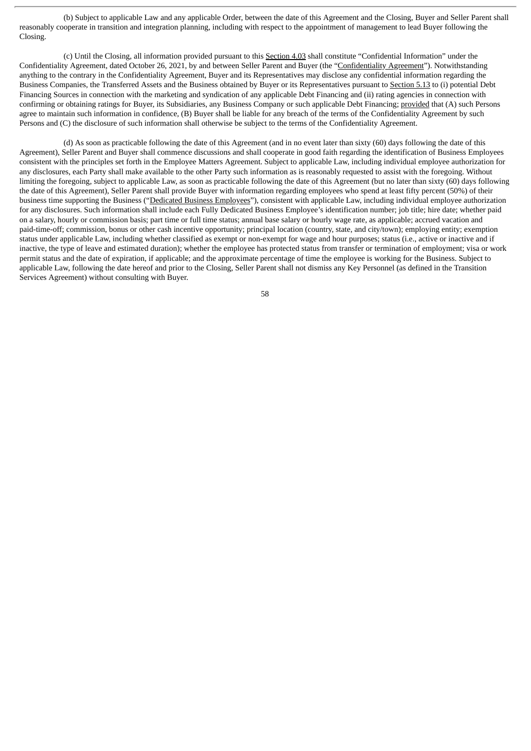(b) Subject to applicable Law and any applicable Order, between the date of this Agreement and the Closing, Buyer and Seller Parent shall reasonably cooperate in transition and integration planning, including with respect to the appointment of management to lead Buyer following the Closing.

(c) Until the Closing, all information provided pursuant to this Section 4.03 shall constitute "Confidential Information" under the Confidentiality Agreement, dated October 26, 2021, by and between Seller Parent and Buyer (the "Confidentiality Agreement"). Notwithstanding anything to the contrary in the Confidentiality Agreement, Buyer and its Representatives may disclose any confidential information regarding the Business Companies, the Transferred Assets and the Business obtained by Buyer or its Representatives pursuant to Section 5.13 to (i) potential Debt Financing Sources in connection with the marketing and syndication of any applicable Debt Financing and (ii) rating agencies in connection with confirming or obtaining ratings for Buyer, its Subsidiaries, any Business Company or such applicable Debt Financing; provided that (A) such Persons agree to maintain such information in confidence, (B) Buyer shall be liable for any breach of the terms of the Confidentiality Agreement by such Persons and (C) the disclosure of such information shall otherwise be subject to the terms of the Confidentiality Agreement.

(d) As soon as practicable following the date of this Agreement (and in no event later than sixty (60) days following the date of this Agreement), Seller Parent and Buyer shall commence discussions and shall cooperate in good faith regarding the identification of Business Employees consistent with the principles set forth in the Employee Matters Agreement. Subject to applicable Law, including individual employee authorization for any disclosures, each Party shall make available to the other Party such information as is reasonably requested to assist with the foregoing. Without limiting the foregoing, subject to applicable Law, as soon as practicable following the date of this Agreement (but no later than sixty (60) days following the date of this Agreement), Seller Parent shall provide Buyer with information regarding employees who spend at least fifty percent (50%) of their business time supporting the Business ("Dedicated Business Employees"), consistent with applicable Law, including individual employee authorization for any disclosures. Such information shall include each Fully Dedicated Business Employee's identification number; job title; hire date; whether paid on a salary, hourly or commission basis; part time or full time status; annual base salary or hourly wage rate, as applicable; accrued vacation and paid-time-off; commission, bonus or other cash incentive opportunity; principal location (country, state, and city/town); employing entity; exemption status under applicable Law, including whether classified as exempt or non-exempt for wage and hour purposes; status (i.e., active or inactive and if inactive, the type of leave and estimated duration); whether the employee has protected status from transfer or termination of employment; visa or work permit status and the date of expiration, if applicable; and the approximate percentage of time the employee is working for the Business. Subject to applicable Law, following the date hereof and prior to the Closing, Seller Parent shall not dismiss any Key Personnel (as defined in the Transition Services Agreement) without consulting with Buyer.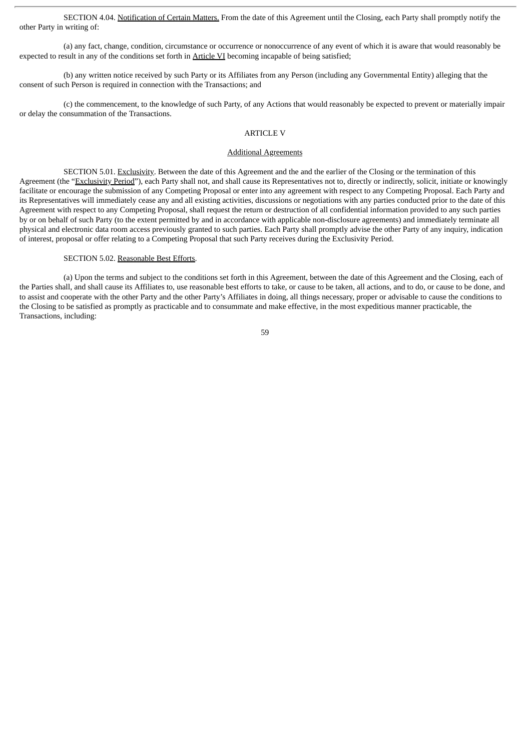SECTION 4.04. Notification of Certain Matters. From the date of this Agreement until the Closing, each Party shall promptly notify the other Party in writing of:

(a) any fact, change, condition, circumstance or occurrence or nonoccurrence of any event of which it is aware that would reasonably be expected to result in any of the conditions set forth in Article VI becoming incapable of being satisfied;

(b) any written notice received by such Party or its Affiliates from any Person (including any Governmental Entity) alleging that the consent of such Person is required in connection with the Transactions; and

(c) the commencement, to the knowledge of such Party, of any Actions that would reasonably be expected to prevent or materially impair or delay the consummation of the Transactions.

# ARTICLE V

### Additional Agreements

SECTION 5.01. Exclusivity. Between the date of this Agreement and the and the earlier of the Closing or the termination of this Agreement (the "Exclusivity Period"), each Party shall not, and shall cause its Representatives not to, directly or indirectly, solicit, initiate or knowingly facilitate or encourage the submission of any Competing Proposal or enter into any agreement with respect to any Competing Proposal. Each Party and its Representatives will immediately cease any and all existing activities, discussions or negotiations with any parties conducted prior to the date of this Agreement with respect to any Competing Proposal, shall request the return or destruction of all confidential information provided to any such parties by or on behalf of such Party (to the extent permitted by and in accordance with applicable non-disclosure agreements) and immediately terminate all physical and electronic data room access previously granted to such parties. Each Party shall promptly advise the other Party of any inquiry, indication of interest, proposal or offer relating to a Competing Proposal that such Party receives during the Exclusivity Period.

# SECTION 5.02. Reasonable Best Efforts.

(a) Upon the terms and subject to the conditions set forth in this Agreement, between the date of this Agreement and the Closing, each of the Parties shall, and shall cause its Affiliates to, use reasonable best efforts to take, or cause to be taken, all actions, and to do, or cause to be done, and to assist and cooperate with the other Party and the other Party's Affiliates in doing, all things necessary, proper or advisable to cause the conditions to the Closing to be satisfied as promptly as practicable and to consummate and make effective, in the most expeditious manner practicable, the Transactions, including: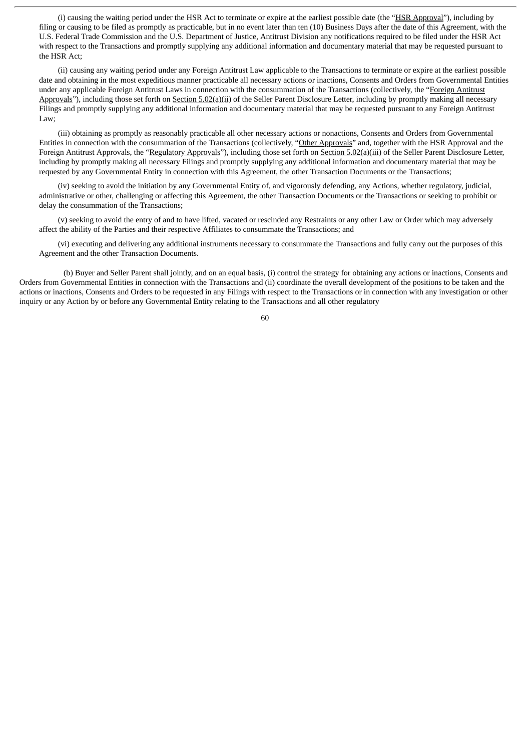(i) causing the waiting period under the HSR Act to terminate or expire at the earliest possible date (the "HSR Approval"), including by filing or causing to be filed as promptly as practicable, but in no event later than ten (10) Business Days after the date of this Agreement, with the U.S. Federal Trade Commission and the U.S. Department of Justice, Antitrust Division any notifications required to be filed under the HSR Act with respect to the Transactions and promptly supplying any additional information and documentary material that may be requested pursuant to the HSR Act;

(ii) causing any waiting period under any Foreign Antitrust Law applicable to the Transactions to terminate or expire at the earliest possible date and obtaining in the most expeditious manner practicable all necessary actions or inactions, Consents and Orders from Governmental Entities under any applicable Foreign Antitrust Laws in connection with the consummation of the Transactions (collectively, the "Foreign Antitrust Approvals"), including those set forth on Section 5.02(a)(ii) of the Seller Parent Disclosure Letter, including by promptly making all necessary Filings and promptly supplying any additional information and documentary material that may be requested pursuant to any Foreign Antitrust Law;

(iii) obtaining as promptly as reasonably practicable all other necessary actions or nonactions, Consents and Orders from Governmental Entities in connection with the consummation of the Transactions (collectively, "Other Approvals" and, together with the HSR Approval and the Foreign Antitrust Approvals, the "Regulatory Approvals"), including those set forth on Section 5.02(a)(iii) of the Seller Parent Disclosure Letter, including by promptly making all necessary Filings and promptly supplying any additional information and documentary material that may be requested by any Governmental Entity in connection with this Agreement, the other Transaction Documents or the Transactions;

(iv) seeking to avoid the initiation by any Governmental Entity of, and vigorously defending, any Actions, whether regulatory, judicial, administrative or other, challenging or affecting this Agreement, the other Transaction Documents or the Transactions or seeking to prohibit or delay the consummation of the Transactions;

(v) seeking to avoid the entry of and to have lifted, vacated or rescinded any Restraints or any other Law or Order which may adversely affect the ability of the Parties and their respective Affiliates to consummate the Transactions; and

(vi) executing and delivering any additional instruments necessary to consummate the Transactions and fully carry out the purposes of this Agreement and the other Transaction Documents.

(b) Buyer and Seller Parent shall jointly, and on an equal basis, (i) control the strategy for obtaining any actions or inactions, Consents and Orders from Governmental Entities in connection with the Transactions and (ii) coordinate the overall development of the positions to be taken and the actions or inactions, Consents and Orders to be requested in any Filings with respect to the Transactions or in connection with any investigation or other inquiry or any Action by or before any Governmental Entity relating to the Transactions and all other regulatory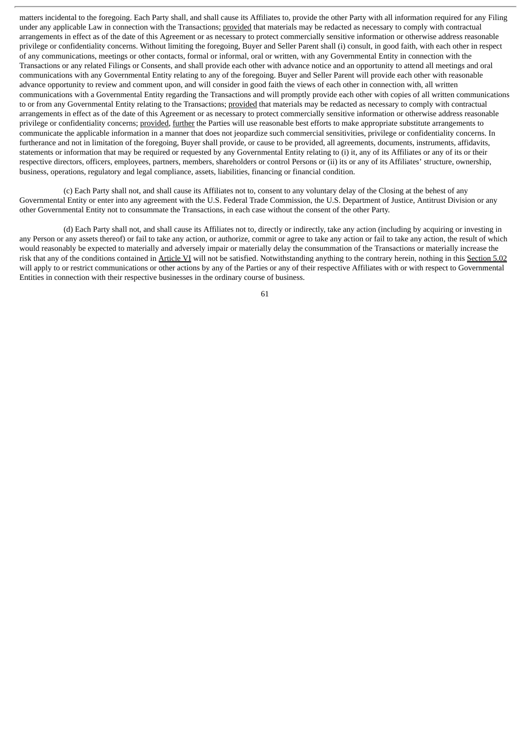matters incidental to the foregoing. Each Party shall, and shall cause its Affiliates to, provide the other Party with all information required for any Filing under any applicable Law in connection with the Transactions; provided that materials may be redacted as necessary to comply with contractual arrangements in effect as of the date of this Agreement or as necessary to protect commercially sensitive information or otherwise address reasonable privilege or confidentiality concerns. Without limiting the foregoing, Buyer and Seller Parent shall (i) consult, in good faith, with each other in respect of any communications, meetings or other contacts, formal or informal, oral or written, with any Governmental Entity in connection with the Transactions or any related Filings or Consents, and shall provide each other with advance notice and an opportunity to attend all meetings and oral communications with any Governmental Entity relating to any of the foregoing. Buyer and Seller Parent will provide each other with reasonable advance opportunity to review and comment upon, and will consider in good faith the views of each other in connection with, all written communications with a Governmental Entity regarding the Transactions and will promptly provide each other with copies of all written communications to or from any Governmental Entity relating to the Transactions; provided that materials may be redacted as necessary to comply with contractual arrangements in effect as of the date of this Agreement or as necessary to protect commercially sensitive information or otherwise address reasonable privilege or confidentiality concerns; provided, further the Parties will use reasonable best efforts to make appropriate substitute arrangements to communicate the applicable information in a manner that does not jeopardize such commercial sensitivities, privilege or confidentiality concerns. In furtherance and not in limitation of the foregoing, Buyer shall provide, or cause to be provided, all agreements, documents, instruments, affidavits, statements or information that may be required or requested by any Governmental Entity relating to (i) it, any of its Affiliates or any of its or their respective directors, officers, employees, partners, members, shareholders or control Persons or (ii) its or any of its Affiliates' structure, ownership, business, operations, regulatory and legal compliance, assets, liabilities, financing or financial condition.

(c) Each Party shall not, and shall cause its Affiliates not to, consent to any voluntary delay of the Closing at the behest of any Governmental Entity or enter into any agreement with the U.S. Federal Trade Commission, the U.S. Department of Justice, Antitrust Division or any other Governmental Entity not to consummate the Transactions, in each case without the consent of the other Party.

(d) Each Party shall not, and shall cause its Affiliates not to, directly or indirectly, take any action (including by acquiring or investing in any Person or any assets thereof) or fail to take any action, or authorize, commit or agree to take any action or fail to take any action, the result of which would reasonably be expected to materially and adversely impair or materially delay the consummation of the Transactions or materially increase the risk that any of the conditions contained in Article VI will not be satisfied. Notwithstanding anything to the contrary herein, nothing in this Section 5.02 will apply to or restrict communications or other actions by any of the Parties or any of their respective Affiliates with or with respect to Governmental Entities in connection with their respective businesses in the ordinary course of business.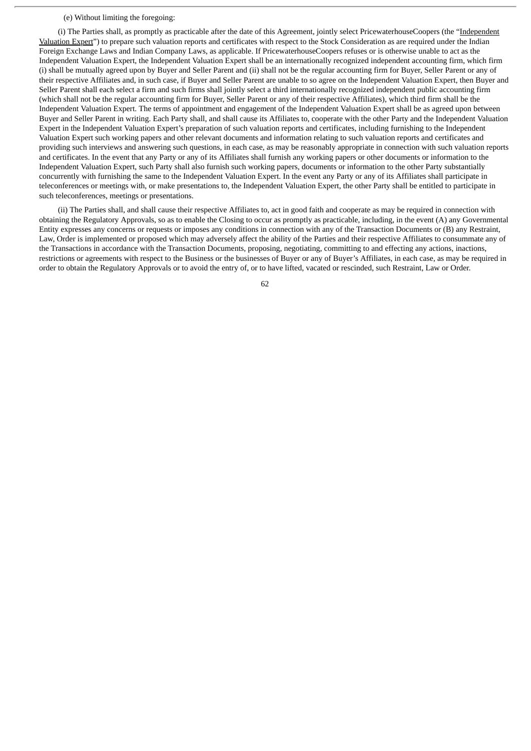### (e) Without limiting the foregoing:

(i) The Parties shall, as promptly as practicable after the date of this Agreement, jointly select PricewaterhouseCoopers (the "Independent Valuation Expert") to prepare such valuation reports and certificates with respect to the Stock Consideration as are required under the Indian Foreign Exchange Laws and Indian Company Laws, as applicable. If PricewaterhouseCoopers refuses or is otherwise unable to act as the Independent Valuation Expert, the Independent Valuation Expert shall be an internationally recognized independent accounting firm, which firm (i) shall be mutually agreed upon by Buyer and Seller Parent and (ii) shall not be the regular accounting firm for Buyer, Seller Parent or any of their respective Affiliates and, in such case, if Buyer and Seller Parent are unable to so agree on the Independent Valuation Expert, then Buyer and Seller Parent shall each select a firm and such firms shall jointly select a third internationally recognized independent public accounting firm (which shall not be the regular accounting firm for Buyer, Seller Parent or any of their respective Affiliates), which third firm shall be the Independent Valuation Expert. The terms of appointment and engagement of the Independent Valuation Expert shall be as agreed upon between Buyer and Seller Parent in writing. Each Party shall, and shall cause its Affiliates to, cooperate with the other Party and the Independent Valuation Expert in the Independent Valuation Expert's preparation of such valuation reports and certificates, including furnishing to the Independent Valuation Expert such working papers and other relevant documents and information relating to such valuation reports and certificates and providing such interviews and answering such questions, in each case, as may be reasonably appropriate in connection with such valuation reports and certificates. In the event that any Party or any of its Affiliates shall furnish any working papers or other documents or information to the Independent Valuation Expert, such Party shall also furnish such working papers, documents or information to the other Party substantially concurrently with furnishing the same to the Independent Valuation Expert. In the event any Party or any of its Affiliates shall participate in teleconferences or meetings with, or make presentations to, the Independent Valuation Expert, the other Party shall be entitled to participate in such teleconferences, meetings or presentations.

(ii) The Parties shall, and shall cause their respective Affiliates to, act in good faith and cooperate as may be required in connection with obtaining the Regulatory Approvals, so as to enable the Closing to occur as promptly as practicable, including, in the event (A) any Governmental Entity expresses any concerns or requests or imposes any conditions in connection with any of the Transaction Documents or (B) any Restraint, Law, Order is implemented or proposed which may adversely affect the ability of the Parties and their respective Affiliates to consummate any of the Transactions in accordance with the Transaction Documents, proposing, negotiating, committing to and effecting any actions, inactions, restrictions or agreements with respect to the Business or the businesses of Buyer or any of Buyer's Affiliates, in each case, as may be required in order to obtain the Regulatory Approvals or to avoid the entry of, or to have lifted, vacated or rescinded, such Restraint, Law or Order.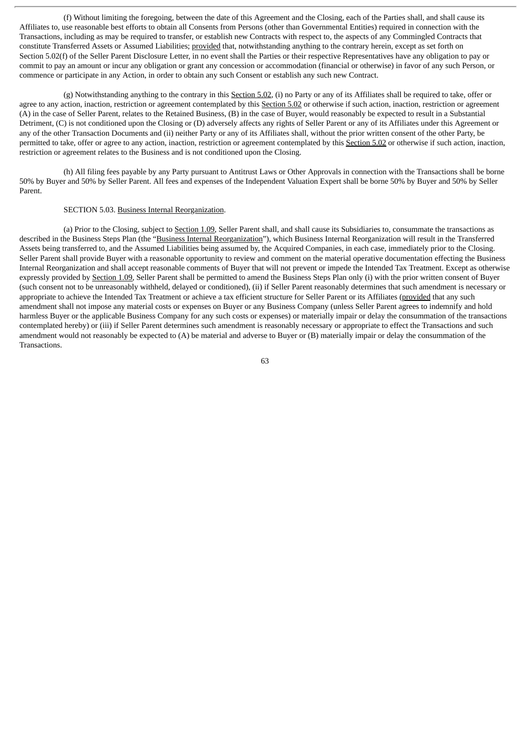(f) Without limiting the foregoing, between the date of this Agreement and the Closing, each of the Parties shall, and shall cause its Affiliates to, use reasonable best efforts to obtain all Consents from Persons (other than Governmental Entities) required in connection with the Transactions, including as may be required to transfer, or establish new Contracts with respect to, the aspects of any Commingled Contracts that constitute Transferred Assets or Assumed Liabilities; provided that, notwithstanding anything to the contrary herein, except as set forth on Section 5.02(f) of the Seller Parent Disclosure Letter, in no event shall the Parties or their respective Representatives have any obligation to pay or commit to pay an amount or incur any obligation or grant any concession or accommodation (financial or otherwise) in favor of any such Person, or commence or participate in any Action, in order to obtain any such Consent or establish any such new Contract.

 $(g)$  Notwithstanding anything to the contrary in this Section 5.02, (i) no Party or any of its Affiliates shall be required to take, offer or agree to any action, inaction, restriction or agreement contemplated by this Section 5.02 or otherwise if such action, inaction, restriction or agreement (A) in the case of Seller Parent, relates to the Retained Business, (B) in the case of Buyer, would reasonably be expected to result in a Substantial Detriment, (C) is not conditioned upon the Closing or (D) adversely affects any rights of Seller Parent or any of its Affiliates under this Agreement or any of the other Transaction Documents and (ii) neither Party or any of its Affiliates shall, without the prior written consent of the other Party, be permitted to take, offer or agree to any action, inaction, restriction or agreement contemplated by this Section 5.02 or otherwise if such action, inaction, restriction or agreement relates to the Business and is not conditioned upon the Closing.

(h) All filing fees payable by any Party pursuant to Antitrust Laws or Other Approvals in connection with the Transactions shall be borne 50% by Buyer and 50% by Seller Parent. All fees and expenses of the Independent Valuation Expert shall be borne 50% by Buyer and 50% by Seller Parent.

# SECTION 5.03. Business Internal Reorganization.

(a) Prior to the Closing, subject to Section 1.09, Seller Parent shall, and shall cause its Subsidiaries to, consummate the transactions as described in the Business Steps Plan (the "Business Internal Reorganization"), which Business Internal Reorganization will result in the Transferred Assets being transferred to, and the Assumed Liabilities being assumed by, the Acquired Companies, in each case, immediately prior to the Closing. Seller Parent shall provide Buyer with a reasonable opportunity to review and comment on the material operative documentation effecting the Business Internal Reorganization and shall accept reasonable comments of Buyer that will not prevent or impede the Intended Tax Treatment. Except as otherwise expressly provided by Section 1.09, Seller Parent shall be permitted to amend the Business Steps Plan only (i) with the prior written consent of Buyer (such consent not to be unreasonably withheld, delayed or conditioned), (ii) if Seller Parent reasonably determines that such amendment is necessary or appropriate to achieve the Intended Tax Treatment or achieve a tax efficient structure for Seller Parent or its Affiliates (provided that any such amendment shall not impose any material costs or expenses on Buyer or any Business Company (unless Seller Parent agrees to indemnify and hold harmless Buyer or the applicable Business Company for any such costs or expenses) or materially impair or delay the consummation of the transactions contemplated hereby) or (iii) if Seller Parent determines such amendment is reasonably necessary or appropriate to effect the Transactions and such amendment would not reasonably be expected to (A) be material and adverse to Buyer or (B) materially impair or delay the consummation of the Transactions.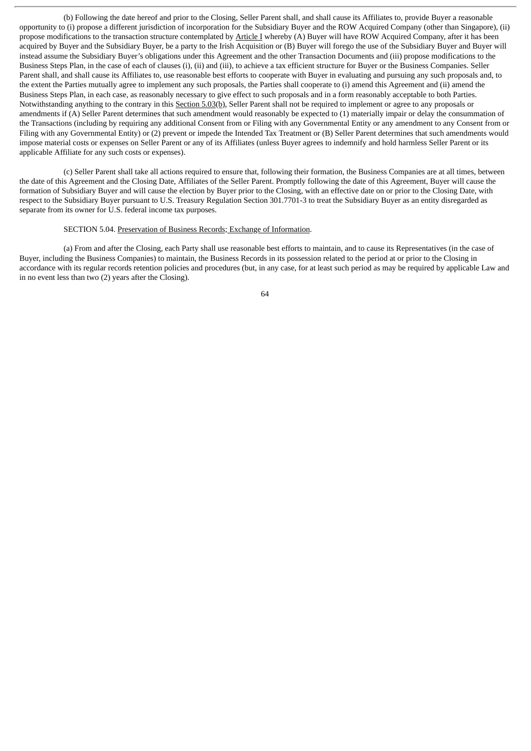(b) Following the date hereof and prior to the Closing, Seller Parent shall, and shall cause its Affiliates to, provide Buyer a reasonable opportunity to (i) propose a different jurisdiction of incorporation for the Subsidiary Buyer and the ROW Acquired Company (other than Singapore), (ii) propose modifications to the transaction structure contemplated by Article I whereby (A) Buyer will have ROW Acquired Company, after it has been acquired by Buyer and the Subsidiary Buyer, be a party to the Irish Acquisition or (B) Buyer will forego the use of the Subsidiary Buyer and Buyer will instead assume the Subsidiary Buyer's obligations under this Agreement and the other Transaction Documents and (iii) propose modifications to the Business Steps Plan, in the case of each of clauses (i), (ii) and (iii), to achieve a tax efficient structure for Buyer or the Business Companies. Seller Parent shall, and shall cause its Affiliates to, use reasonable best efforts to cooperate with Buyer in evaluating and pursuing any such proposals and, to the extent the Parties mutually agree to implement any such proposals, the Parties shall cooperate to (i) amend this Agreement and (ii) amend the Business Steps Plan, in each case, as reasonably necessary to give effect to such proposals and in a form reasonably acceptable to both Parties. Notwithstanding anything to the contrary in this Section 5.03(b), Seller Parent shall not be required to implement or agree to any proposals or amendments if (A) Seller Parent determines that such amendment would reasonably be expected to (1) materially impair or delay the consummation of the Transactions (including by requiring any additional Consent from or Filing with any Governmental Entity or any amendment to any Consent from or Filing with any Governmental Entity) or (2) prevent or impede the Intended Tax Treatment or (B) Seller Parent determines that such amendments would impose material costs or expenses on Seller Parent or any of its Affiliates (unless Buyer agrees to indemnify and hold harmless Seller Parent or its applicable Affiliate for any such costs or expenses).

(c) Seller Parent shall take all actions required to ensure that, following their formation, the Business Companies are at all times, between the date of this Agreement and the Closing Date, Affiliates of the Seller Parent. Promptly following the date of this Agreement, Buyer will cause the formation of Subsidiary Buyer and will cause the election by Buyer prior to the Closing, with an effective date on or prior to the Closing Date, with respect to the Subsidiary Buyer pursuant to U.S. Treasury Regulation Section 301.7701-3 to treat the Subsidiary Buyer as an entity disregarded as separate from its owner for U.S. federal income tax purposes.

# SECTION 5.04. Preservation of Business Records; Exchange of Information.

(a) From and after the Closing, each Party shall use reasonable best efforts to maintain, and to cause its Representatives (in the case of Buyer, including the Business Companies) to maintain, the Business Records in its possession related to the period at or prior to the Closing in accordance with its regular records retention policies and procedures (but, in any case, for at least such period as may be required by applicable Law and in no event less than two (2) years after the Closing).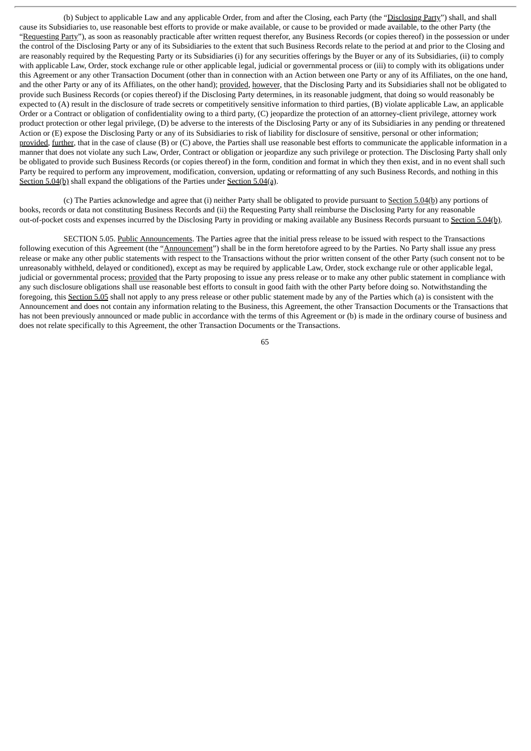(b) Subject to applicable Law and any applicable Order, from and after the Closing, each Party (the "Disclosing Party") shall, and shall cause its Subsidiaries to, use reasonable best efforts to provide or make available, or cause to be provided or made available, to the other Party (the "Requesting Party"), as soon as reasonably practicable after written request therefor, any Business Records (or copies thereof) in the possession or under the control of the Disclosing Party or any of its Subsidiaries to the extent that such Business Records relate to the period at and prior to the Closing and are reasonably required by the Requesting Party or its Subsidiaries (i) for any securities offerings by the Buyer or any of its Subsidiaries, (ii) to comply with applicable Law, Order, stock exchange rule or other applicable legal, judicial or governmental process or (iii) to comply with its obligations under this Agreement or any other Transaction Document (other than in connection with an Action between one Party or any of its Affiliates, on the one hand, and the other Party or any of its Affiliates, on the other hand); provided, however, that the Disclosing Party and its Subsidiaries shall not be obligated to provide such Business Records (or copies thereof) if the Disclosing Party determines, in its reasonable judgment, that doing so would reasonably be expected to (A) result in the disclosure of trade secrets or competitively sensitive information to third parties, (B) violate applicable Law, an applicable Order or a Contract or obligation of confidentiality owing to a third party, (C) jeopardize the protection of an attorney-client privilege, attorney work product protection or other legal privilege, (D) be adverse to the interests of the Disclosing Party or any of its Subsidiaries in any pending or threatened Action or (E) expose the Disclosing Party or any of its Subsidiaries to risk of liability for disclosure of sensitive, personal or other information; provided, further, that in the case of clause (B) or (C) above, the Parties shall use reasonable best efforts to communicate the applicable information in a manner that does not violate any such Law, Order, Contract or obligation or jeopardize any such privilege or protection. The Disclosing Party shall only be obligated to provide such Business Records (or copies thereof) in the form, condition and format in which they then exist, and in no event shall such Party be required to perform any improvement, modification, conversion, updating or reformatting of any such Business Records, and nothing in this Section 5.04(b) shall expand the obligations of the Parties under Section 5.04(a).

(c) The Parties acknowledge and agree that (i) neither Party shall be obligated to provide pursuant to Section 5.04(b) any portions of books, records or data not constituting Business Records and (ii) the Requesting Party shall reimburse the Disclosing Party for any reasonable out-of-pocket costs and expenses incurred by the Disclosing Party in providing or making available any Business Records pursuant to Section 5.04(b).

SECTION 5.05. Public Announcements. The Parties agree that the initial press release to be issued with respect to the Transactions following execution of this Agreement (the "Announcement") shall be in the form heretofore agreed to by the Parties. No Party shall issue any press release or make any other public statements with respect to the Transactions without the prior written consent of the other Party (such consent not to be unreasonably withheld, delayed or conditioned), except as may be required by applicable Law, Order, stock exchange rule or other applicable legal, judicial or governmental process; provided that the Party proposing to issue any press release or to make any other public statement in compliance with any such disclosure obligations shall use reasonable best efforts to consult in good faith with the other Party before doing so. Notwithstanding the foregoing, this Section 5.05 shall not apply to any press release or other public statement made by any of the Parties which (a) is consistent with the Announcement and does not contain any information relating to the Business, this Agreement, the other Transaction Documents or the Transactions that has not been previously announced or made public in accordance with the terms of this Agreement or (b) is made in the ordinary course of business and does not relate specifically to this Agreement, the other Transaction Documents or the Transactions.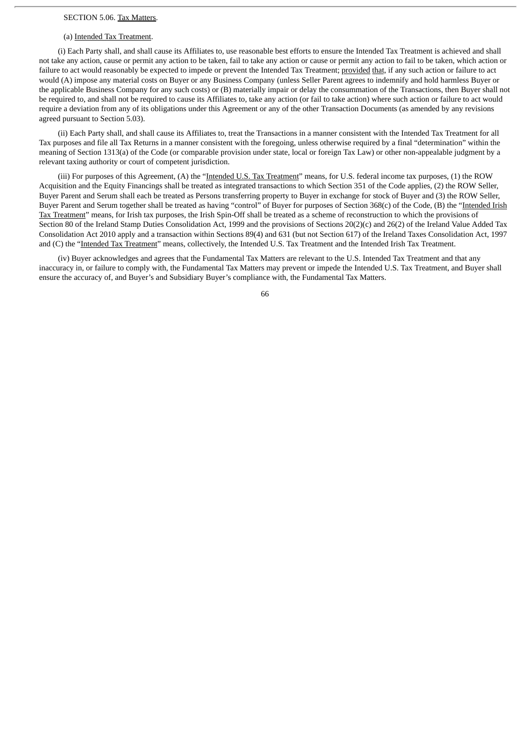#### SECTION 5.06. Tax Matters.

#### (a) Intended Tax Treatment.

(i) Each Party shall, and shall cause its Affiliates to, use reasonable best efforts to ensure the Intended Tax Treatment is achieved and shall not take any action, cause or permit any action to be taken, fail to take any action or cause or permit any action to fail to be taken, which action or failure to act would reasonably be expected to impede or prevent the Intended Tax Treatment; provided that, if any such action or failure to act would (A) impose any material costs on Buyer or any Business Company (unless Seller Parent agrees to indemnify and hold harmless Buyer or the applicable Business Company for any such costs) or (B) materially impair or delay the consummation of the Transactions, then Buyer shall not be required to, and shall not be required to cause its Affiliates to, take any action (or fail to take action) where such action or failure to act would require a deviation from any of its obligations under this Agreement or any of the other Transaction Documents (as amended by any revisions agreed pursuant to Section 5.03).

(ii) Each Party shall, and shall cause its Affiliates to, treat the Transactions in a manner consistent with the Intended Tax Treatment for all Tax purposes and file all Tax Returns in a manner consistent with the foregoing, unless otherwise required by a final "determination" within the meaning of Section 1313(a) of the Code (or comparable provision under state, local or foreign Tax Law) or other non-appealable judgment by a relevant taxing authority or court of competent jurisdiction.

(iii) For purposes of this Agreement, (A) the "Intended U.S. Tax Treatment" means, for U.S. federal income tax purposes, (1) the ROW Acquisition and the Equity Financings shall be treated as integrated transactions to which Section 351 of the Code applies, (2) the ROW Seller, Buyer Parent and Serum shall each be treated as Persons transferring property to Buyer in exchange for stock of Buyer and (3) the ROW Seller, Buyer Parent and Serum together shall be treated as having "control" of Buyer for purposes of Section 368(c) of the Code, (B) the "Intended Irish Tax Treatment" means, for Irish tax purposes, the Irish Spin-Off shall be treated as a scheme of reconstruction to which the provisions of Section 80 of the Ireland Stamp Duties Consolidation Act, 1999 and the provisions of Sections 20(2)(c) and 26(2) of the Ireland Value Added Tax Consolidation Act 2010 apply and a transaction within Sections 89(4) and 631 (but not Section 617) of the Ireland Taxes Consolidation Act, 1997 and (C) the "Intended Tax Treatment" means, collectively, the Intended U.S. Tax Treatment and the Intended Irish Tax Treatment.

(iv) Buyer acknowledges and agrees that the Fundamental Tax Matters are relevant to the U.S. Intended Tax Treatment and that any inaccuracy in, or failure to comply with, the Fundamental Tax Matters may prevent or impede the Intended U.S. Tax Treatment, and Buyer shall ensure the accuracy of, and Buyer's and Subsidiary Buyer's compliance with, the Fundamental Tax Matters.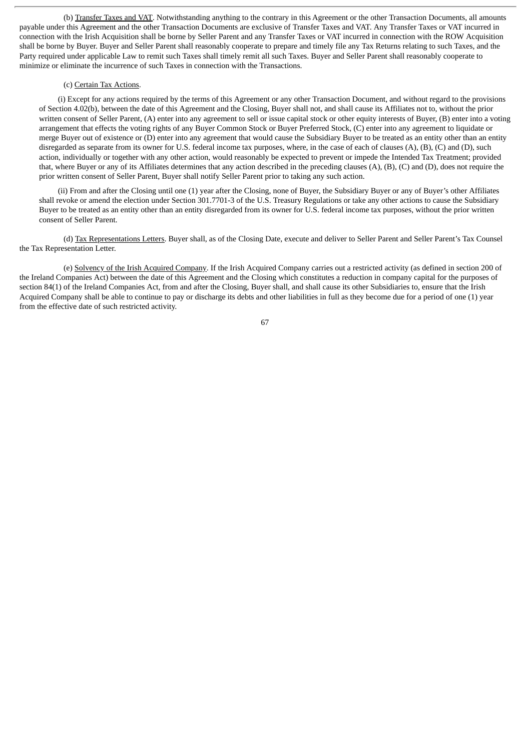(b) Transfer Taxes and VAT. Notwithstanding anything to the contrary in this Agreement or the other Transaction Documents, all amounts payable under this Agreement and the other Transaction Documents are exclusive of Transfer Taxes and VAT. Any Transfer Taxes or VAT incurred in connection with the Irish Acquisition shall be borne by Seller Parent and any Transfer Taxes or VAT incurred in connection with the ROW Acquisition shall be borne by Buyer. Buyer and Seller Parent shall reasonably cooperate to prepare and timely file any Tax Returns relating to such Taxes, and the Party required under applicable Law to remit such Taxes shall timely remit all such Taxes. Buyer and Seller Parent shall reasonably cooperate to minimize or eliminate the incurrence of such Taxes in connection with the Transactions.

#### (c) Certain Tax Actions.

(i) Except for any actions required by the terms of this Agreement or any other Transaction Document, and without regard to the provisions of Section 4.02(b), between the date of this Agreement and the Closing, Buyer shall not, and shall cause its Affiliates not to, without the prior written consent of Seller Parent, (A) enter into any agreement to sell or issue capital stock or other equity interests of Buyer, (B) enter into a voting arrangement that effects the voting rights of any Buyer Common Stock or Buyer Preferred Stock, (C) enter into any agreement to liquidate or merge Buyer out of existence or (D) enter into any agreement that would cause the Subsidiary Buyer to be treated as an entity other than an entity disregarded as separate from its owner for U.S. federal income tax purposes, where, in the case of each of clauses (A), (B), (C) and (D), such action, individually or together with any other action, would reasonably be expected to prevent or impede the Intended Tax Treatment; provided that, where Buyer or any of its Affiliates determines that any action described in the preceding clauses (A), (B), (C) and (D), does not require the prior written consent of Seller Parent, Buyer shall notify Seller Parent prior to taking any such action.

(ii) From and after the Closing until one (1) year after the Closing, none of Buyer, the Subsidiary Buyer or any of Buyer's other Affiliates shall revoke or amend the election under Section 301.7701-3 of the U.S. Treasury Regulations or take any other actions to cause the Subsidiary Buyer to be treated as an entity other than an entity disregarded from its owner for U.S. federal income tax purposes, without the prior written consent of Seller Parent.

(d) Tax Representations Letters. Buyer shall, as of the Closing Date, execute and deliver to Seller Parent and Seller Parent's Tax Counsel the Tax Representation Letter.

(e) Solvency of the Irish Acquired Company. If the Irish Acquired Company carries out a restricted activity (as defined in section 200 of the Ireland Companies Act) between the date of this Agreement and the Closing which constitutes a reduction in company capital for the purposes of section 84(1) of the Ireland Companies Act, from and after the Closing, Buyer shall, and shall cause its other Subsidiaries to, ensure that the Irish Acquired Company shall be able to continue to pay or discharge its debts and other liabilities in full as they become due for a period of one (1) year from the effective date of such restricted activity.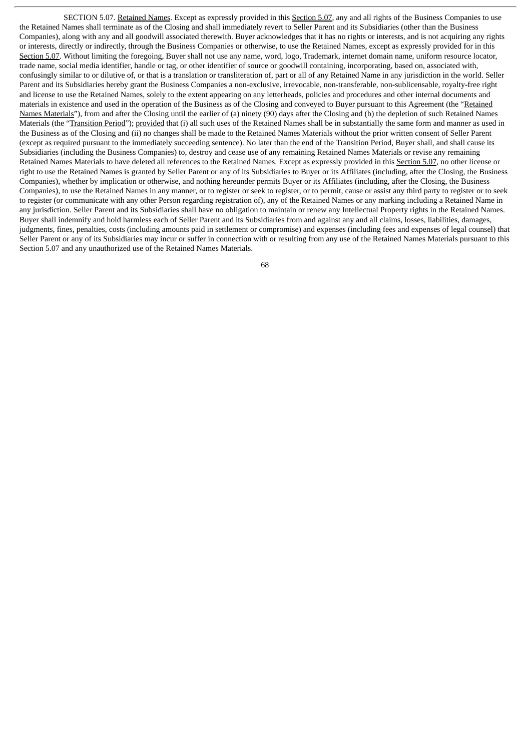SECTION 5.07. Retained Names. Except as expressly provided in this Section 5.07, any and all rights of the Business Companies to use the Retained Names shall terminate as of the Closing and shall immediately revert to Seller Parent and its Subsidiaries (other than the Business Companies), along with any and all goodwill associated therewith. Buyer acknowledges that it has no rights or interests, and is not acquiring any rights or interests, directly or indirectly, through the Business Companies or otherwise, to use the Retained Names, except as expressly provided for in this Section 5.07. Without limiting the foregoing, Buyer shall not use any name, word, logo, Trademark, internet domain name, uniform resource locator, trade name, social media identifier, handle or tag, or other identifier of source or goodwill containing, incorporating, based on, associated with, confusingly similar to or dilutive of, or that is a translation or transliteration of, part or all of any Retained Name in any jurisdiction in the world. Seller Parent and its Subsidiaries hereby grant the Business Companies a non-exclusive, irrevocable, non-transferable, non-sublicensable, royalty-free right and license to use the Retained Names, solely to the extent appearing on any letterheads, policies and procedures and other internal documents and materials in existence and used in the operation of the Business as of the Closing and conveyed to Buyer pursuant to this Agreement (the "Retained Names Materials"), from and after the Closing until the earlier of (a) ninety (90) days after the Closing and (b) the depletion of such Retained Names Materials (the "Transition Period"); provided that (i) all such uses of the Retained Names shall be in substantially the same form and manner as used in the Business as of the Closing and (ii) no changes shall be made to the Retained Names Materials without the prior written consent of Seller Parent (except as required pursuant to the immediately succeeding sentence). No later than the end of the Transition Period, Buyer shall, and shall cause its Subsidiaries (including the Business Companies) to, destroy and cease use of any remaining Retained Names Materials or revise any remaining Retained Names Materials to have deleted all references to the Retained Names. Except as expressly provided in this Section 5.07, no other license or right to use the Retained Names is granted by Seller Parent or any of its Subsidiaries to Buyer or its Affiliates (including, after the Closing, the Business Companies), whether by implication or otherwise, and nothing hereunder permits Buyer or its Affiliates (including, after the Closing, the Business Companies), to use the Retained Names in any manner, or to register or seek to register, or to permit, cause or assist any third party to register or to seek to register (or communicate with any other Person regarding registration of), any of the Retained Names or any marking including a Retained Name in any jurisdiction. Seller Parent and its Subsidiaries shall have no obligation to maintain or renew any Intellectual Property rights in the Retained Names. Buyer shall indemnify and hold harmless each of Seller Parent and its Subsidiaries from and against any and all claims, losses, liabilities, damages, judgments, fines, penalties, costs (including amounts paid in settlement or compromise) and expenses (including fees and expenses of legal counsel) that Seller Parent or any of its Subsidiaries may incur or suffer in connection with or resulting from any use of the Retained Names Materials pursuant to this Section 5.07 and any unauthorized use of the Retained Names Materials.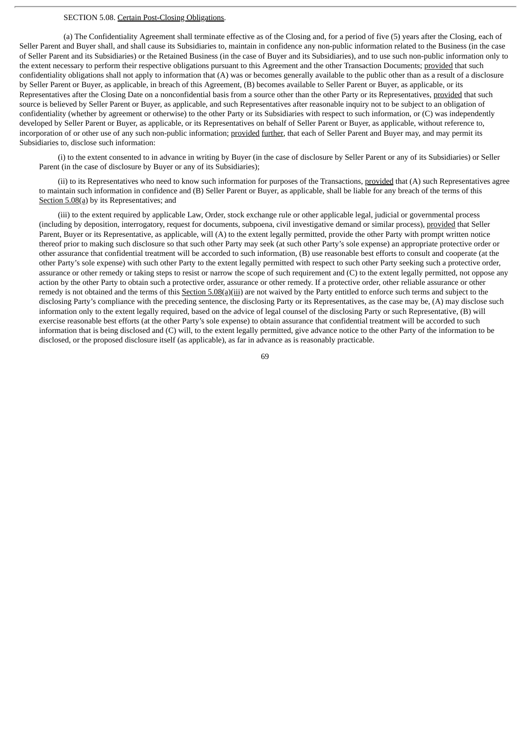# SECTION 5.08. Certain Post-Closing Obligations.

(a) The Confidentiality Agreement shall terminate effective as of the Closing and, for a period of five (5) years after the Closing, each of Seller Parent and Buyer shall, and shall cause its Subsidiaries to, maintain in confidence any non-public information related to the Business (in the case of Seller Parent and its Subsidiaries) or the Retained Business (in the case of Buyer and its Subsidiaries), and to use such non-public information only to the extent necessary to perform their respective obligations pursuant to this Agreement and the other Transaction Documents; provided that such confidentiality obligations shall not apply to information that (A) was or becomes generally available to the public other than as a result of a disclosure by Seller Parent or Buyer, as applicable, in breach of this Agreement, (B) becomes available to Seller Parent or Buyer, as applicable, or its Representatives after the Closing Date on a nonconfidential basis from a source other than the other Party or its Representatives, provided that such source is believed by Seller Parent or Buyer, as applicable, and such Representatives after reasonable inquiry not to be subject to an obligation of confidentiality (whether by agreement or otherwise) to the other Party or its Subsidiaries with respect to such information, or (C) was independently developed by Seller Parent or Buyer, as applicable, or its Representatives on behalf of Seller Parent or Buyer, as applicable, without reference to, incorporation of or other use of any such non-public information; provided further, that each of Seller Parent and Buyer may, and may permit its Subsidiaries to, disclose such information:

(i) to the extent consented to in advance in writing by Buyer (in the case of disclosure by Seller Parent or any of its Subsidiaries) or Seller Parent (in the case of disclosure by Buyer or any of its Subsidiaries);

(ii) to its Representatives who need to know such information for purposes of the Transactions, provided that (A) such Representatives agree to maintain such information in confidence and (B) Seller Parent or Buyer, as applicable, shall be liable for any breach of the terms of this Section 5.08(a) by its Representatives; and

(iii) to the extent required by applicable Law, Order, stock exchange rule or other applicable legal, judicial or governmental process (including by deposition, interrogatory, request for documents, subpoena, civil investigative demand or similar process), provided that Seller Parent, Buyer or its Representative, as applicable, will (A) to the extent legally permitted, provide the other Party with prompt written notice thereof prior to making such disclosure so that such other Party may seek (at such other Party's sole expense) an appropriate protective order or other assurance that confidential treatment will be accorded to such information, (B) use reasonable best efforts to consult and cooperate (at the other Party's sole expense) with such other Party to the extent legally permitted with respect to such other Party seeking such a protective order, assurance or other remedy or taking steps to resist or narrow the scope of such requirement and (C) to the extent legally permitted, not oppose any action by the other Party to obtain such a protective order, assurance or other remedy. If a protective order, other reliable assurance or other remedy is not obtained and the terms of this Section 5.08(a)(iii) are not waived by the Party entitled to enforce such terms and subject to the disclosing Party's compliance with the preceding sentence, the disclosing Party or its Representatives, as the case may be, (A) may disclose such information only to the extent legally required, based on the advice of legal counsel of the disclosing Party or such Representative, (B) will exercise reasonable best efforts (at the other Party's sole expense) to obtain assurance that confidential treatment will be accorded to such information that is being disclosed and (C) will, to the extent legally permitted, give advance notice to the other Party of the information to be disclosed, or the proposed disclosure itself (as applicable), as far in advance as is reasonably practicable.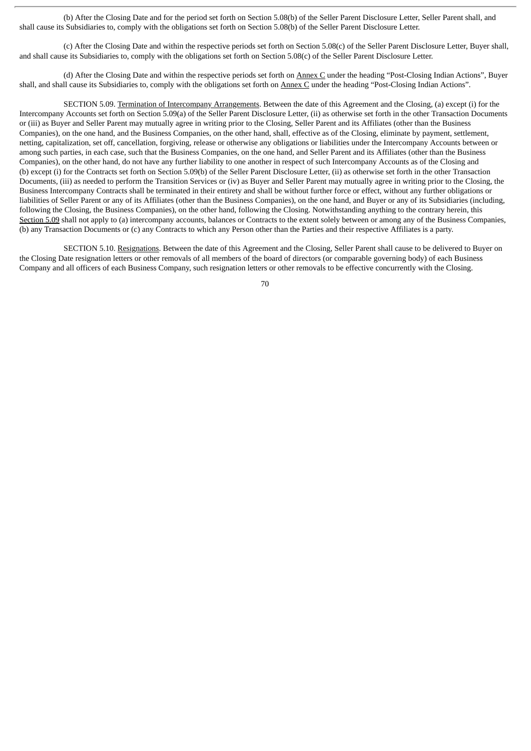(b) After the Closing Date and for the period set forth on Section 5.08(b) of the Seller Parent Disclosure Letter, Seller Parent shall, and shall cause its Subsidiaries to, comply with the obligations set forth on Section 5.08(b) of the Seller Parent Disclosure Letter.

(c) After the Closing Date and within the respective periods set forth on Section 5.08(c) of the Seller Parent Disclosure Letter, Buyer shall, and shall cause its Subsidiaries to, comply with the obligations set forth on Section 5.08(c) of the Seller Parent Disclosure Letter.

(d) After the Closing Date and within the respective periods set forth on Annex C under the heading "Post-Closing Indian Actions", Buyer shall, and shall cause its Subsidiaries to, comply with the obligations set forth on Annex C under the heading "Post-Closing Indian Actions".

SECTION 5.09. Termination of Intercompany Arrangements. Between the date of this Agreement and the Closing, (a) except (i) for the Intercompany Accounts set forth on Section 5.09(a) of the Seller Parent Disclosure Letter, (ii) as otherwise set forth in the other Transaction Documents or (iii) as Buyer and Seller Parent may mutually agree in writing prior to the Closing, Seller Parent and its Affiliates (other than the Business Companies), on the one hand, and the Business Companies, on the other hand, shall, effective as of the Closing, eliminate by payment, settlement, netting, capitalization, set off, cancellation, forgiving, release or otherwise any obligations or liabilities under the Intercompany Accounts between or among such parties, in each case, such that the Business Companies, on the one hand, and Seller Parent and its Affiliates (other than the Business Companies), on the other hand, do not have any further liability to one another in respect of such Intercompany Accounts as of the Closing and (b) except (i) for the Contracts set forth on Section 5.09(b) of the Seller Parent Disclosure Letter, (ii) as otherwise set forth in the other Transaction Documents, (iii) as needed to perform the Transition Services or (iv) as Buyer and Seller Parent may mutually agree in writing prior to the Closing, the Business Intercompany Contracts shall be terminated in their entirety and shall be without further force or effect, without any further obligations or liabilities of Seller Parent or any of its Affiliates (other than the Business Companies), on the one hand, and Buyer or any of its Subsidiaries (including, following the Closing, the Business Companies), on the other hand, following the Closing. Notwithstanding anything to the contrary herein, this Section 5.09 shall not apply to (a) intercompany accounts, balances or Contracts to the extent solely between or among any of the Business Companies, (b) any Transaction Documents or (c) any Contracts to which any Person other than the Parties and their respective Affiliates is a party.

SECTION 5.10. Resignations. Between the date of this Agreement and the Closing, Seller Parent shall cause to be delivered to Buyer on the Closing Date resignation letters or other removals of all members of the board of directors (or comparable governing body) of each Business Company and all officers of each Business Company, such resignation letters or other removals to be effective concurrently with the Closing.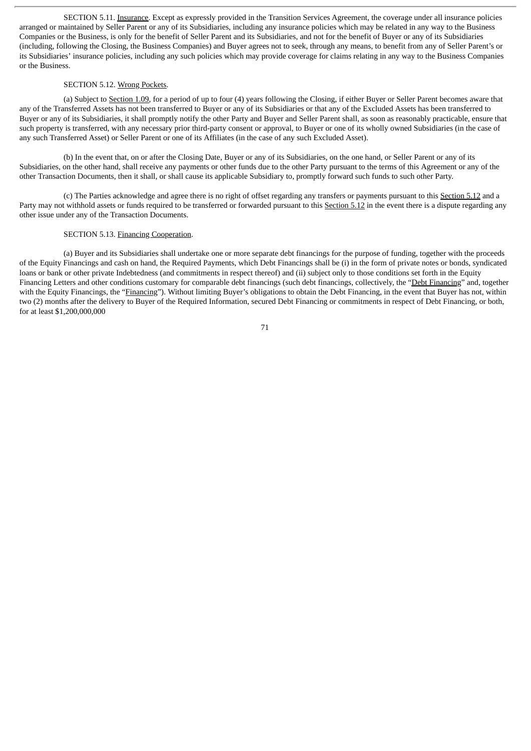SECTION 5.11. Insurance. Except as expressly provided in the Transition Services Agreement, the coverage under all insurance policies arranged or maintained by Seller Parent or any of its Subsidiaries, including any insurance policies which may be related in any way to the Business Companies or the Business, is only for the benefit of Seller Parent and its Subsidiaries, and not for the benefit of Buyer or any of its Subsidiaries (including, following the Closing, the Business Companies) and Buyer agrees not to seek, through any means, to benefit from any of Seller Parent's or its Subsidiaries' insurance policies, including any such policies which may provide coverage for claims relating in any way to the Business Companies or the Business.

# SECTION 5.12. Wrong Pockets.

(a) Subject to Section 1.09, for a period of up to four (4) years following the Closing, if either Buyer or Seller Parent becomes aware that any of the Transferred Assets has not been transferred to Buyer or any of its Subsidiaries or that any of the Excluded Assets has been transferred to Buyer or any of its Subsidiaries, it shall promptly notify the other Party and Buyer and Seller Parent shall, as soon as reasonably practicable, ensure that such property is transferred, with any necessary prior third-party consent or approval, to Buyer or one of its wholly owned Subsidiaries (in the case of any such Transferred Asset) or Seller Parent or one of its Affiliates (in the case of any such Excluded Asset).

(b) In the event that, on or after the Closing Date, Buyer or any of its Subsidiaries, on the one hand, or Seller Parent or any of its Subsidiaries, on the other hand, shall receive any payments or other funds due to the other Party pursuant to the terms of this Agreement or any of the other Transaction Documents, then it shall, or shall cause its applicable Subsidiary to, promptly forward such funds to such other Party.

(c) The Parties acknowledge and agree there is no right of offset regarding any transfers or payments pursuant to this Section 5.12 and a Party may not withhold assets or funds required to be transferred or forwarded pursuant to this Section 5.12 in the event there is a dispute regarding any other issue under any of the Transaction Documents.

# SECTION 5.13. Financing Cooperation.

(a) Buyer and its Subsidiaries shall undertake one or more separate debt financings for the purpose of funding, together with the proceeds of the Equity Financings and cash on hand, the Required Payments, which Debt Financings shall be (i) in the form of private notes or bonds, syndicated loans or bank or other private Indebtedness (and commitments in respect thereof) and (ii) subject only to those conditions set forth in the Equity Financing Letters and other conditions customary for comparable debt financings (such debt financings, collectively, the "Debt Financing" and, together with the Equity Financings, the "*Financing*"). Without limiting Buyer's obligations to obtain the Debt Financing, in the event that Buyer has not, within two (2) months after the delivery to Buyer of the Required Information, secured Debt Financing or commitments in respect of Debt Financing, or both, for at least \$1,200,000,000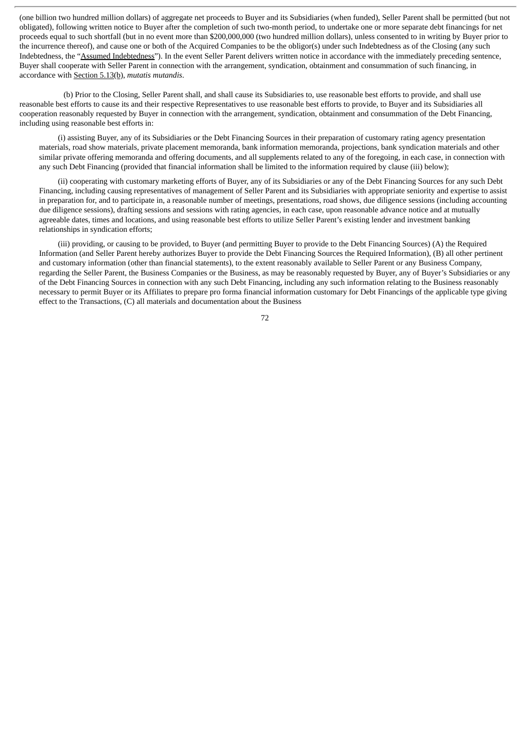(one billion two hundred million dollars) of aggregate net proceeds to Buyer and its Subsidiaries (when funded), Seller Parent shall be permitted (but not obligated), following written notice to Buyer after the completion of such two-month period, to undertake one or more separate debt financings for net proceeds equal to such shortfall (but in no event more than \$200,000,000 (two hundred million dollars), unless consented to in writing by Buyer prior to the incurrence thereof), and cause one or both of the Acquired Companies to be the obligor(s) under such Indebtedness as of the Closing (any such Indebtedness, the "Assumed Indebtedness"). In the event Seller Parent delivers written notice in accordance with the immediately preceding sentence, Buyer shall cooperate with Seller Parent in connection with the arrangement, syndication, obtainment and consummation of such financing, in accordance with Section 5.13(b), *mutatis mutandis*.

(b) Prior to the Closing, Seller Parent shall, and shall cause its Subsidiaries to, use reasonable best efforts to provide, and shall use reasonable best efforts to cause its and their respective Representatives to use reasonable best efforts to provide, to Buyer and its Subsidiaries all cooperation reasonably requested by Buyer in connection with the arrangement, syndication, obtainment and consummation of the Debt Financing, including using reasonable best efforts in:

(i) assisting Buyer, any of its Subsidiaries or the Debt Financing Sources in their preparation of customary rating agency presentation materials, road show materials, private placement memoranda, bank information memoranda, projections, bank syndication materials and other similar private offering memoranda and offering documents, and all supplements related to any of the foregoing, in each case, in connection with any such Debt Financing (provided that financial information shall be limited to the information required by clause (iii) below);

(ii) cooperating with customary marketing efforts of Buyer, any of its Subsidiaries or any of the Debt Financing Sources for any such Debt Financing, including causing representatives of management of Seller Parent and its Subsidiaries with appropriate seniority and expertise to assist in preparation for, and to participate in, a reasonable number of meetings, presentations, road shows, due diligence sessions (including accounting due diligence sessions), drafting sessions and sessions with rating agencies, in each case, upon reasonable advance notice and at mutually agreeable dates, times and locations, and using reasonable best efforts to utilize Seller Parent's existing lender and investment banking relationships in syndication efforts;

(iii) providing, or causing to be provided, to Buyer (and permitting Buyer to provide to the Debt Financing Sources) (A) the Required Information (and Seller Parent hereby authorizes Buyer to provide the Debt Financing Sources the Required Information), (B) all other pertinent and customary information (other than financial statements), to the extent reasonably available to Seller Parent or any Business Company, regarding the Seller Parent, the Business Companies or the Business, as may be reasonably requested by Buyer, any of Buyer's Subsidiaries or any of the Debt Financing Sources in connection with any such Debt Financing, including any such information relating to the Business reasonably necessary to permit Buyer or its Affiliates to prepare pro forma financial information customary for Debt Financings of the applicable type giving effect to the Transactions, (C) all materials and documentation about the Business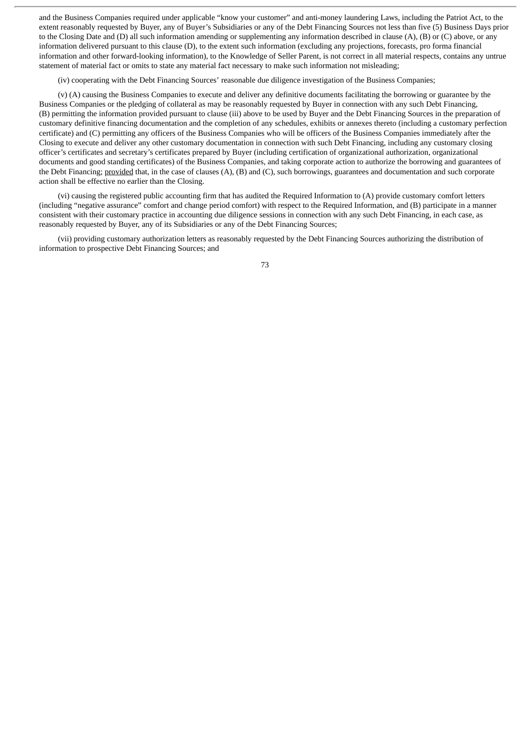and the Business Companies required under applicable "know your customer" and anti-money laundering Laws, including the Patriot Act, to the extent reasonably requested by Buyer, any of Buyer's Subsidiaries or any of the Debt Financing Sources not less than five (5) Business Days prior to the Closing Date and (D) all such information amending or supplementing any information described in clause (A), (B) or (C) above, or any information delivered pursuant to this clause (D), to the extent such information (excluding any projections, forecasts, pro forma financial information and other forward-looking information), to the Knowledge of Seller Parent, is not correct in all material respects, contains any untrue statement of material fact or omits to state any material fact necessary to make such information not misleading;

(iv) cooperating with the Debt Financing Sources' reasonable due diligence investigation of the Business Companies;

(v) (A) causing the Business Companies to execute and deliver any definitive documents facilitating the borrowing or guarantee by the Business Companies or the pledging of collateral as may be reasonably requested by Buyer in connection with any such Debt Financing, (B) permitting the information provided pursuant to clause (iii) above to be used by Buyer and the Debt Financing Sources in the preparation of customary definitive financing documentation and the completion of any schedules, exhibits or annexes thereto (including a customary perfection certificate) and (C) permitting any officers of the Business Companies who will be officers of the Business Companies immediately after the Closing to execute and deliver any other customary documentation in connection with such Debt Financing, including any customary closing officer's certificates and secretary's certificates prepared by Buyer (including certification of organizational authorization, organizational documents and good standing certificates) of the Business Companies, and taking corporate action to authorize the borrowing and guarantees of the Debt Financing; provided that, in the case of clauses (A), (B) and (C), such borrowings, guarantees and documentation and such corporate action shall be effective no earlier than the Closing.

(vi) causing the registered public accounting firm that has audited the Required Information to (A) provide customary comfort letters (including "negative assurance" comfort and change period comfort) with respect to the Required Information, and (B) participate in a manner consistent with their customary practice in accounting due diligence sessions in connection with any such Debt Financing, in each case, as reasonably requested by Buyer, any of its Subsidiaries or any of the Debt Financing Sources;

(vii) providing customary authorization letters as reasonably requested by the Debt Financing Sources authorizing the distribution of information to prospective Debt Financing Sources; and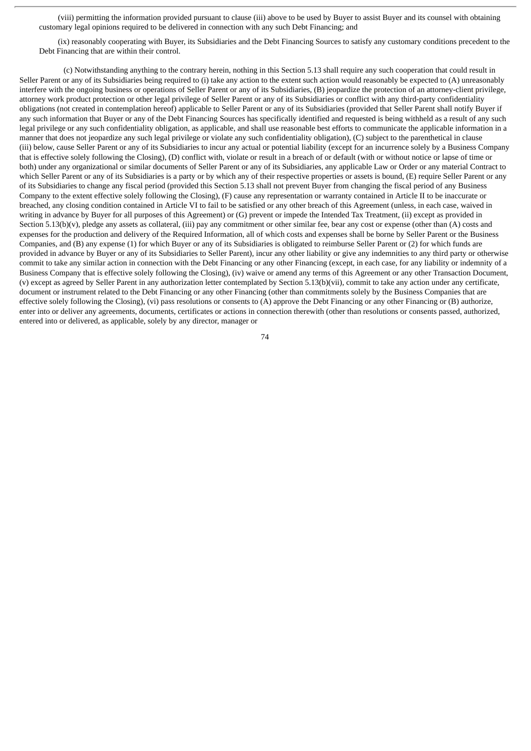(viii) permitting the information provided pursuant to clause (iii) above to be used by Buyer to assist Buyer and its counsel with obtaining customary legal opinions required to be delivered in connection with any such Debt Financing; and

(ix) reasonably cooperating with Buyer, its Subsidiaries and the Debt Financing Sources to satisfy any customary conditions precedent to the Debt Financing that are within their control.

(c) Notwithstanding anything to the contrary herein, nothing in this Section 5.13 shall require any such cooperation that could result in Seller Parent or any of its Subsidiaries being required to (i) take any action to the extent such action would reasonably be expected to (A) unreasonably interfere with the ongoing business or operations of Seller Parent or any of its Subsidiaries, (B) jeopardize the protection of an attorney-client privilege, attorney work product protection or other legal privilege of Seller Parent or any of its Subsidiaries or conflict with any third-party confidentiality obligations (not created in contemplation hereof) applicable to Seller Parent or any of its Subsidiaries (provided that Seller Parent shall notify Buyer if any such information that Buyer or any of the Debt Financing Sources has specifically identified and requested is being withheld as a result of any such legal privilege or any such confidentiality obligation, as applicable, and shall use reasonable best efforts to communicate the applicable information in a manner that does not jeopardize any such legal privilege or violate any such confidentiality obligation), (C) subject to the parenthetical in clause (iii) below, cause Seller Parent or any of its Subsidiaries to incur any actual or potential liability (except for an incurrence solely by a Business Company that is effective solely following the Closing), (D) conflict with, violate or result in a breach of or default (with or without notice or lapse of time or both) under any organizational or similar documents of Seller Parent or any of its Subsidiaries, any applicable Law or Order or any material Contract to which Seller Parent or any of its Subsidiaries is a party or by which any of their respective properties or assets is bound, (E) require Seller Parent or any of its Subsidiaries to change any fiscal period (provided this Section 5.13 shall not prevent Buyer from changing the fiscal period of any Business Company to the extent effective solely following the Closing), (F) cause any representation or warranty contained in Article II to be inaccurate or breached, any closing condition contained in Article VI to fail to be satisfied or any other breach of this Agreement (unless, in each case, waived in writing in advance by Buyer for all purposes of this Agreement) or (G) prevent or impede the Intended Tax Treatment, (ii) except as provided in Section 5.13(b)(v), pledge any assets as collateral, (iii) pay any commitment or other similar fee, bear any cost or expense (other than (A) costs and expenses for the production and delivery of the Required Information, all of which costs and expenses shall be borne by Seller Parent or the Business Companies, and (B) any expense (1) for which Buyer or any of its Subsidiaries is obligated to reimburse Seller Parent or (2) for which funds are provided in advance by Buyer or any of its Subsidiaries to Seller Parent), incur any other liability or give any indemnities to any third party or otherwise commit to take any similar action in connection with the Debt Financing or any other Financing (except, in each case, for any liability or indemnity of a Business Company that is effective solely following the Closing), (iv) waive or amend any terms of this Agreement or any other Transaction Document, (v) except as agreed by Seller Parent in any authorization letter contemplated by Section 5.13(b)(vii), commit to take any action under any certificate, document or instrument related to the Debt Financing or any other Financing (other than commitments solely by the Business Companies that are effective solely following the Closing), (vi) pass resolutions or consents to (A) approve the Debt Financing or any other Financing or (B) authorize, enter into or deliver any agreements, documents, certificates or actions in connection therewith (other than resolutions or consents passed, authorized, entered into or delivered, as applicable, solely by any director, manager or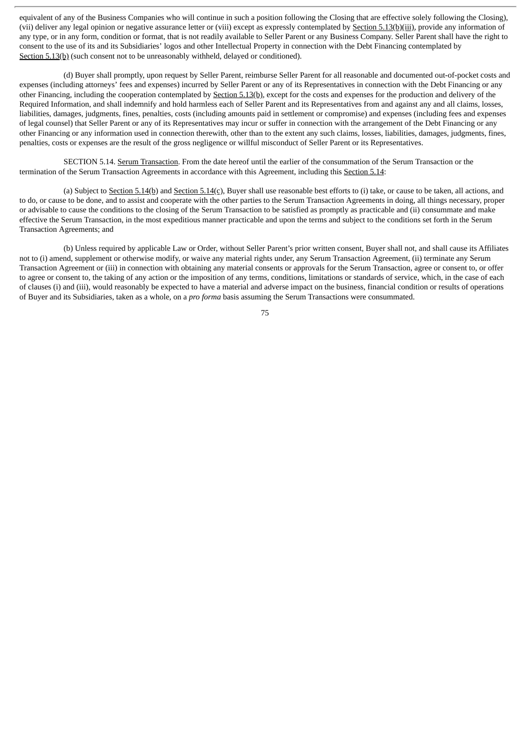equivalent of any of the Business Companies who will continue in such a position following the Closing that are effective solely following the Closing), (vii) deliver any legal opinion or negative assurance letter or (viii) except as expressly contemplated by Section 5.13(b)(iii), provide any information of any type, or in any form, condition or format, that is not readily available to Seller Parent or any Business Company. Seller Parent shall have the right to consent to the use of its and its Subsidiaries' logos and other Intellectual Property in connection with the Debt Financing contemplated by Section 5.13(b) (such consent not to be unreasonably withheld, delayed or conditioned).

(d) Buyer shall promptly, upon request by Seller Parent, reimburse Seller Parent for all reasonable and documented out-of-pocket costs and expenses (including attorneys' fees and expenses) incurred by Seller Parent or any of its Representatives in connection with the Debt Financing or any other Financing, including the cooperation contemplated by Section 5.13(b), except for the costs and expenses for the production and delivery of the Required Information, and shall indemnify and hold harmless each of Seller Parent and its Representatives from and against any and all claims, losses, liabilities, damages, judgments, fines, penalties, costs (including amounts paid in settlement or compromise) and expenses (including fees and expenses of legal counsel) that Seller Parent or any of its Representatives may incur or suffer in connection with the arrangement of the Debt Financing or any other Financing or any information used in connection therewith, other than to the extent any such claims, losses, liabilities, damages, judgments, fines, penalties, costs or expenses are the result of the gross negligence or willful misconduct of Seller Parent or its Representatives.

SECTION 5.14. Serum Transaction. From the date hereof until the earlier of the consummation of the Serum Transaction or the termination of the Serum Transaction Agreements in accordance with this Agreement, including this Section 5.14:

(a) Subject to Section 5.14(b) and Section 5.14(c), Buyer shall use reasonable best efforts to (i) take, or cause to be taken, all actions, and to do, or cause to be done, and to assist and cooperate with the other parties to the Serum Transaction Agreements in doing, all things necessary, proper or advisable to cause the conditions to the closing of the Serum Transaction to be satisfied as promptly as practicable and (ii) consummate and make effective the Serum Transaction, in the most expeditious manner practicable and upon the terms and subject to the conditions set forth in the Serum Transaction Agreements; and

(b) Unless required by applicable Law or Order, without Seller Parent's prior written consent, Buyer shall not, and shall cause its Affiliates not to (i) amend, supplement or otherwise modify, or waive any material rights under, any Serum Transaction Agreement, (ii) terminate any Serum Transaction Agreement or (iii) in connection with obtaining any material consents or approvals for the Serum Transaction, agree or consent to, or offer to agree or consent to, the taking of any action or the imposition of any terms, conditions, limitations or standards of service, which, in the case of each of clauses (i) and (iii), would reasonably be expected to have a material and adverse impact on the business, financial condition or results of operations of Buyer and its Subsidiaries, taken as a whole, on a *pro forma* basis assuming the Serum Transactions were consummated.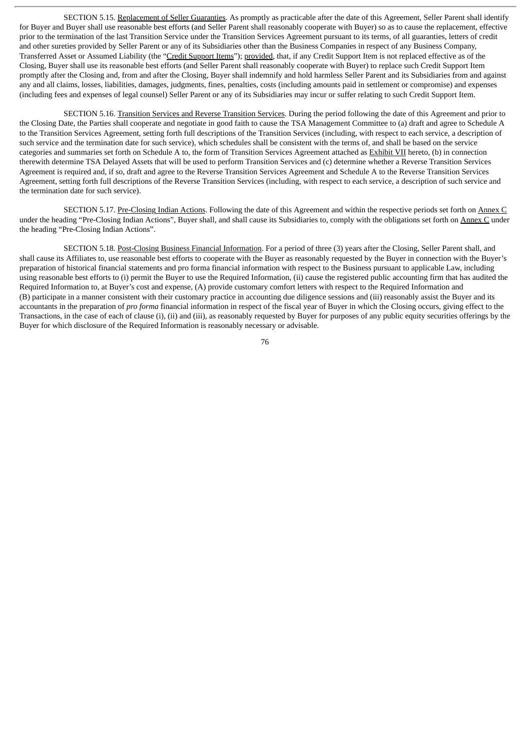SECTION 5.15. Replacement of Seller Guaranties. As promptly as practicable after the date of this Agreement, Seller Parent shall identify for Buyer and Buyer shall use reasonable best efforts (and Seller Parent shall reasonably cooperate with Buyer) so as to cause the replacement, effective prior to the termination of the last Transition Service under the Transition Services Agreement pursuant to its terms, of all guaranties, letters of credit and other sureties provided by Seller Parent or any of its Subsidiaries other than the Business Companies in respect of any Business Company, Transferred Asset or Assumed Liability (the "Credit Support Items"); provided, that, if any Credit Support Item is not replaced effective as of the Closing, Buyer shall use its reasonable best efforts (and Seller Parent shall reasonably cooperate with Buyer) to replace such Credit Support Item promptly after the Closing and, from and after the Closing, Buyer shall indemnify and hold harmless Seller Parent and its Subsidiaries from and against any and all claims, losses, liabilities, damages, judgments, fines, penalties, costs (including amounts paid in settlement or compromise) and expenses (including fees and expenses of legal counsel) Seller Parent or any of its Subsidiaries may incur or suffer relating to such Credit Support Item.

SECTION 5.16. Transition Services and Reverse Transition Services. During the period following the date of this Agreement and prior to the Closing Date, the Parties shall cooperate and negotiate in good faith to cause the TSA Management Committee to (a) draft and agree to Schedule A to the Transition Services Agreement, setting forth full descriptions of the Transition Services (including, with respect to each service, a description of such service and the termination date for such service), which schedules shall be consistent with the terms of, and shall be based on the service categories and summaries set forth on Schedule A to, the form of Transition Services Agreement attached as Exhibit VII hereto, (b) in connection therewith determine TSA Delayed Assets that will be used to perform Transition Services and (c) determine whether a Reverse Transition Services Agreement is required and, if so, draft and agree to the Reverse Transition Services Agreement and Schedule A to the Reverse Transition Services Agreement, setting forth full descriptions of the Reverse Transition Services (including, with respect to each service, a description of such service and the termination date for such service).

SECTION 5.17. Pre-Closing Indian Actions. Following the date of this Agreement and within the respective periods set forth on Annex C under the heading "Pre-Closing Indian Actions", Buyer shall, and shall cause its Subsidiaries to, comply with the obligations set forth on Annex C under the heading "Pre-Closing Indian Actions".

SECTION 5.18. Post-Closing Business Financial Information. For a period of three (3) years after the Closing, Seller Parent shall, and shall cause its Affiliates to, use reasonable best efforts to cooperate with the Buyer as reasonably requested by the Buyer in connection with the Buyer's preparation of historical financial statements and pro forma financial information with respect to the Business pursuant to applicable Law, including using reasonable best efforts to (i) permit the Buyer to use the Required Information, (ii) cause the registered public accounting firm that has audited the Required Information to, at Buyer's cost and expense, (A) provide customary comfort letters with respect to the Required Information and (B) participate in a manner consistent with their customary practice in accounting due diligence sessions and (iii) reasonably assist the Buyer and its accountants in the preparation of *pro forma* financial information in respect of the fiscal year of Buyer in which the Closing occurs, giving effect to the Transactions, in the case of each of clause (i), (ii) and (iii), as reasonably requested by Buyer for purposes of any public equity securities offerings by the Buyer for which disclosure of the Required Information is reasonably necessary or advisable.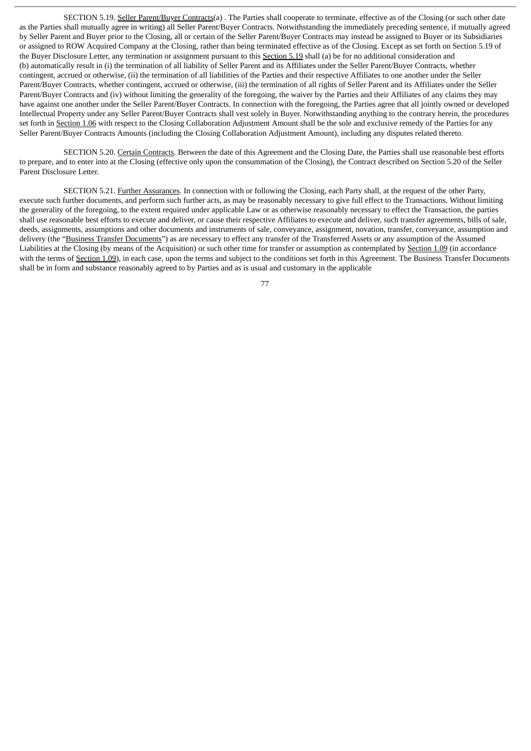SECTION 5.19. Seller Parent/Buyer Contracts(a) . The Parties shall cooperate to terminate, effective as of the Closing (or such other date as the Parties shall mutually agree in writing) all Seller Parent/Buyer Contracts. Notwithstanding the immediately preceding sentence, if mutually agreed by Seller Parent and Buyer prior to the Closing, all or certain of the Seller Parent/Buyer Contracts may instead be assigned to Buyer or its Subsidiaries or assigned to ROW Acquired Company at the Closing, rather than being terminated effective as of the Closing. Except as set forth on Section 5.19 of the Buyer Disclosure Letter, any termination or assignment pursuant to this Section 5.19 shall (a) be for no additional consideration and (b) automatically result in (i) the termination of all liability of Seller Parent and its Affiliates under the Seller Parent/Buyer Contracts, whether contingent, accrued or otherwise, (ii) the termination of all liabilities of the Parties and their respective Affiliates to one another under the Seller Parent/Buyer Contracts, whether contingent, accrued or otherwise, (iii) the termination of all rights of Seller Parent and its Affiliates under the Seller Parent/Buyer Contracts and (iv) without limiting the generality of the foregoing, the waiver by the Parties and their Affiliates of any claims they may have against one another under the Seller Parent/Buyer Contracts. In connection with the foregoing, the Parties agree that all jointly owned or developed Intellectual Property under any Seller Parent/Buyer Contracts shall vest solely in Buyer. Notwithstanding anything to the contrary herein, the procedures set forth in Section 1.06 with respect to the Closing Collaboration Adjustment Amount shall be the sole and exclusive remedy of the Parties for any Seller Parent/Buyer Contracts Amounts (including the Closing Collaboration Adjustment Amount), including any disputes related thereto.

SECTION 5.20. Certain Contracts. Between the date of this Agreement and the Closing Date, the Parties shall use reasonable best efforts to prepare, and to enter into at the Closing (effective only upon the consummation of the Closing), the Contract described on Section 5.20 of the Seller Parent Disclosure Letter.

SECTION 5.21. Further Assurances. In connection with or following the Closing, each Party shall, at the request of the other Party, execute such further documents, and perform such further acts, as may be reasonably necessary to give full effect to the Transactions. Without limiting the generality of the foregoing, to the extent required under applicable Law or as otherwise reasonably necessary to effect the Transaction, the parties shall use reasonable best efforts to execute and deliver, or cause their respective Affiliates to execute and deliver, such transfer agreements, bills of sale, deeds, assignments, assumptions and other documents and instruments of sale, conveyance, assignment, novation, transfer, conveyance, assumption and delivery (the "Business Transfer Documents") as are necessary to effect any transfer of the Transferred Assets or any assumption of the Assumed Liabilities at the Closing (by means of the Acquisition) or such other time for transfer or assumption as contemplated by Section 1.09 (in accordance with the terms of Section 1.09), in each case, upon the terms and subject to the conditions set forth in this Agreement. The Business Transfer Documents shall be in form and substance reasonably agreed to by Parties and as is usual and customary in the applicable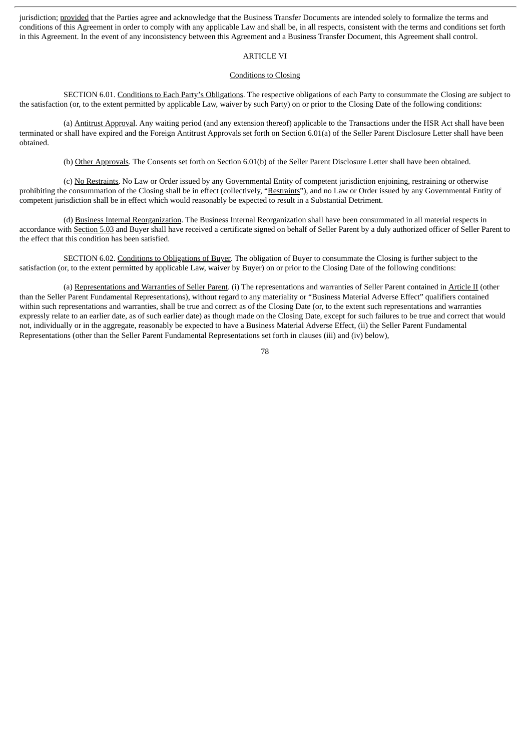jurisdiction; provided that the Parties agree and acknowledge that the Business Transfer Documents are intended solely to formalize the terms and conditions of this Agreement in order to comply with any applicable Law and shall be, in all respects, consistent with the terms and conditions set forth in this Agreement. In the event of any inconsistency between this Agreement and a Business Transfer Document, this Agreement shall control.

# ARTICLE VI

# Conditions to Closing

SECTION 6.01. Conditions to Each Party's Obligations. The respective obligations of each Party to consummate the Closing are subject to the satisfaction (or, to the extent permitted by applicable Law, waiver by such Party) on or prior to the Closing Date of the following conditions:

(a) Antitrust Approval. Any waiting period (and any extension thereof) applicable to the Transactions under the HSR Act shall have been terminated or shall have expired and the Foreign Antitrust Approvals set forth on Section 6.01(a) of the Seller Parent Disclosure Letter shall have been obtained.

(b) Other Approvals. The Consents set forth on Section 6.01(b) of the Seller Parent Disclosure Letter shall have been obtained.

(c) No Restraints. No Law or Order issued by any Governmental Entity of competent jurisdiction enjoining, restraining or otherwise prohibiting the consummation of the Closing shall be in effect (collectively, "Restraints"), and no Law or Order issued by any Governmental Entity of competent jurisdiction shall be in effect which would reasonably be expected to result in a Substantial Detriment.

(d) Business Internal Reorganization. The Business Internal Reorganization shall have been consummated in all material respects in accordance with Section 5.03 and Buyer shall have received a certificate signed on behalf of Seller Parent by a duly authorized officer of Seller Parent to the effect that this condition has been satisfied.

SECTION 6.02. Conditions to Obligations of Buyer. The obligation of Buyer to consummate the Closing is further subject to the satisfaction (or, to the extent permitted by applicable Law, waiver by Buyer) on or prior to the Closing Date of the following conditions:

(a) Representations and Warranties of Seller Parent. (i) The representations and warranties of Seller Parent contained in Article II (other than the Seller Parent Fundamental Representations), without regard to any materiality or "Business Material Adverse Effect" qualifiers contained within such representations and warranties, shall be true and correct as of the Closing Date (or, to the extent such representations and warranties expressly relate to an earlier date, as of such earlier date) as though made on the Closing Date, except for such failures to be true and correct that would not, individually or in the aggregate, reasonably be expected to have a Business Material Adverse Effect, (ii) the Seller Parent Fundamental Representations (other than the Seller Parent Fundamental Representations set forth in clauses (iii) and (iv) below),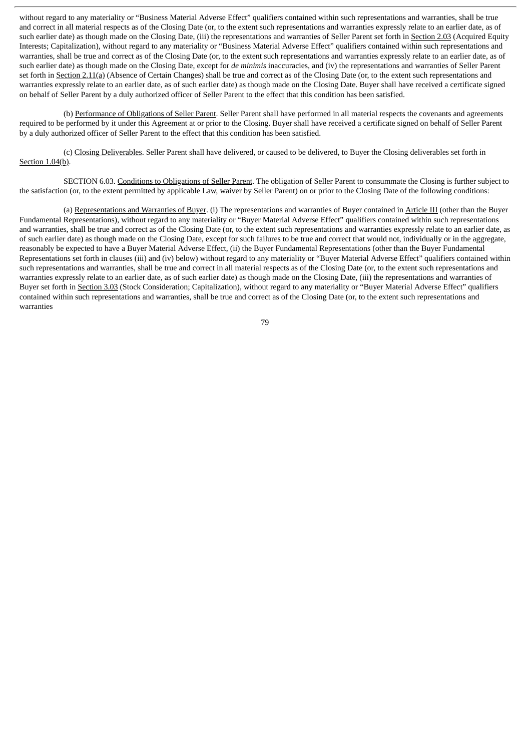without regard to any materiality or "Business Material Adverse Effect" qualifiers contained within such representations and warranties, shall be true and correct in all material respects as of the Closing Date (or, to the extent such representations and warranties expressly relate to an earlier date, as of such earlier date) as though made on the Closing Date, (iii) the representations and warranties of Seller Parent set forth in Section 2.03 (Acquired Equity Interests; Capitalization), without regard to any materiality or "Business Material Adverse Effect" qualifiers contained within such representations and warranties, shall be true and correct as of the Closing Date (or, to the extent such representations and warranties expressly relate to an earlier date, as of such earlier date) as though made on the Closing Date, except for *de minimis* inaccuracies, and (iv) the representations and warranties of Seller Parent set forth in Section 2.11(a) (Absence of Certain Changes) shall be true and correct as of the Closing Date (or, to the extent such representations and warranties expressly relate to an earlier date, as of such earlier date) as though made on the Closing Date. Buyer shall have received a certificate signed on behalf of Seller Parent by a duly authorized officer of Seller Parent to the effect that this condition has been satisfied.

(b) Performance of Obligations of Seller Parent. Seller Parent shall have performed in all material respects the covenants and agreements required to be performed by it under this Agreement at or prior to the Closing. Buyer shall have received a certificate signed on behalf of Seller Parent by a duly authorized officer of Seller Parent to the effect that this condition has been satisfied.

(c) Closing Deliverables. Seller Parent shall have delivered, or caused to be delivered, to Buyer the Closing deliverables set forth in Section 1.04(b).

SECTION 6.03. Conditions to Obligations of Seller Parent. The obligation of Seller Parent to consummate the Closing is further subject to the satisfaction (or, to the extent permitted by applicable Law, waiver by Seller Parent) on or prior to the Closing Date of the following conditions:

(a) Representations and Warranties of Buyer. (i) The representations and warranties of Buyer contained in Article III (other than the Buyer Fundamental Representations), without regard to any materiality or "Buyer Material Adverse Effect" qualifiers contained within such representations and warranties, shall be true and correct as of the Closing Date (or, to the extent such representations and warranties expressly relate to an earlier date, as of such earlier date) as though made on the Closing Date, except for such failures to be true and correct that would not, individually or in the aggregate, reasonably be expected to have a Buyer Material Adverse Effect, (ii) the Buyer Fundamental Representations (other than the Buyer Fundamental Representations set forth in clauses (iii) and (iv) below) without regard to any materiality or "Buyer Material Adverse Effect" qualifiers contained within such representations and warranties, shall be true and correct in all material respects as of the Closing Date (or, to the extent such representations and warranties expressly relate to an earlier date, as of such earlier date) as though made on the Closing Date, (iii) the representations and warranties of Buyer set forth in Section 3.03 (Stock Consideration; Capitalization), without regard to any materiality or "Buyer Material Adverse Effect" qualifiers contained within such representations and warranties, shall be true and correct as of the Closing Date (or, to the extent such representations and warranties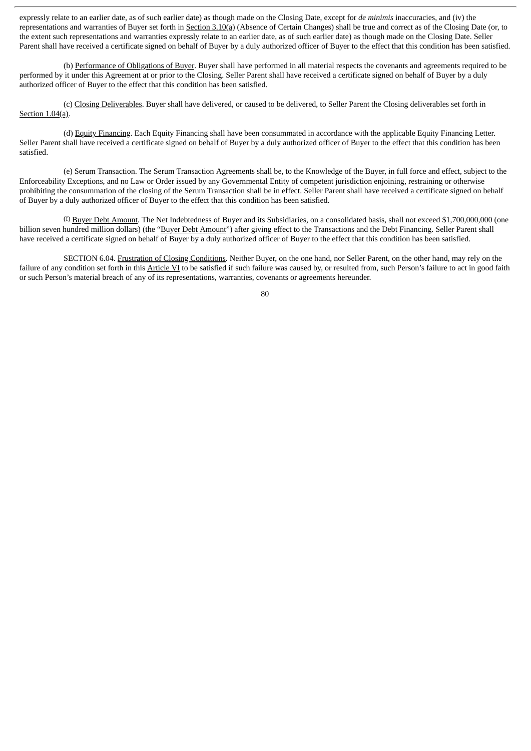expressly relate to an earlier date, as of such earlier date) as though made on the Closing Date, except for *de minimis* inaccuracies, and (iv) the representations and warranties of Buyer set forth in Section 3.10(a) (Absence of Certain Changes) shall be true and correct as of the Closing Date (or, to the extent such representations and warranties expressly relate to an earlier date, as of such earlier date) as though made on the Closing Date. Seller Parent shall have received a certificate signed on behalf of Buyer by a duly authorized officer of Buyer to the effect that this condition has been satisfied.

(b) Performance of Obligations of Buyer. Buyer shall have performed in all material respects the covenants and agreements required to be performed by it under this Agreement at or prior to the Closing. Seller Parent shall have received a certificate signed on behalf of Buyer by a duly authorized officer of Buyer to the effect that this condition has been satisfied.

(c) Closing Deliverables. Buyer shall have delivered, or caused to be delivered, to Seller Parent the Closing deliverables set forth in Section 1.04(a).

(d) Equity Financing. Each Equity Financing shall have been consummated in accordance with the applicable Equity Financing Letter. Seller Parent shall have received a certificate signed on behalf of Buyer by a duly authorized officer of Buyer to the effect that this condition has been satisfied.

(e) Serum Transaction. The Serum Transaction Agreements shall be, to the Knowledge of the Buyer, in full force and effect, subject to the Enforceability Exceptions, and no Law or Order issued by any Governmental Entity of competent jurisdiction enjoining, restraining or otherwise prohibiting the consummation of the closing of the Serum Transaction shall be in effect. Seller Parent shall have received a certificate signed on behalf of Buyer by a duly authorized officer of Buyer to the effect that this condition has been satisfied.

(f) Buyer Debt Amount. The Net Indebtedness of Buyer and its Subsidiaries, on a consolidated basis, shall not exceed \$1,700,000,000 (one billion seven hundred million dollars) (the "Buyer Debt Amount") after giving effect to the Transactions and the Debt Financing. Seller Parent shall have received a certificate signed on behalf of Buyer by a duly authorized officer of Buyer to the effect that this condition has been satisfied.

SECTION 6.04. Frustration of Closing Conditions. Neither Buyer, on the one hand, nor Seller Parent, on the other hand, may rely on the failure of any condition set forth in this Article VI to be satisfied if such failure was caused by, or resulted from, such Person's failure to act in good faith or such Person's material breach of any of its representations, warranties, covenants or agreements hereunder.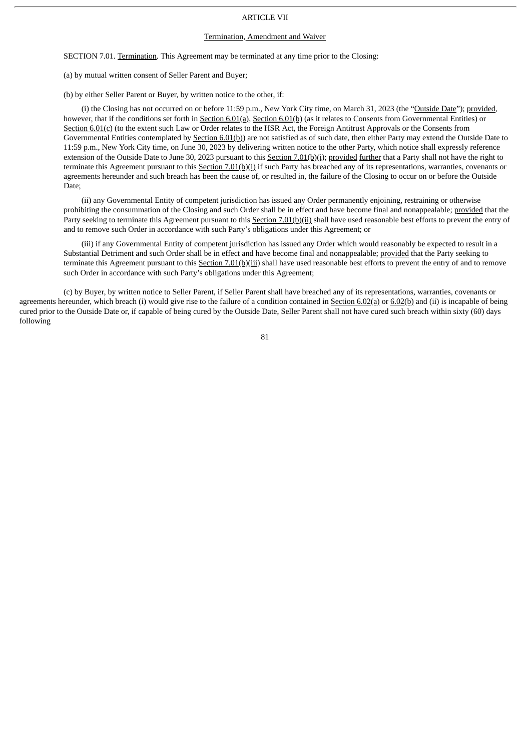# ARTICLE VII

#### Termination, Amendment and Waiver

SECTION 7.01. Termination. This Agreement may be terminated at any time prior to the Closing:

(a) by mutual written consent of Seller Parent and Buyer;

(b) by either Seller Parent or Buyer, by written notice to the other, if:

(i) the Closing has not occurred on or before 11:59 p.m., New York City time, on March 31, 2023 (the "Outside Date"); provided, however, that if the conditions set forth in Section 6.01(a), Section 6.01(b) (as it relates to Consents from Governmental Entities) or Section 6.01(c) (to the extent such Law or Order relates to the HSR Act, the Foreign Antitrust Approvals or the Consents from Governmental Entities contemplated by Section 6.01(b)) are not satisfied as of such date, then either Party may extend the Outside Date to 11:59 p.m., New York City time, on June 30, 2023 by delivering written notice to the other Party, which notice shall expressly reference extension of the Outside Date to June 30, 2023 pursuant to this Section 7.01(b)(i); provided further that a Party shall not have the right to terminate this Agreement pursuant to this Section  $7.01(b)(i)$  if such Party has breached any of its representations, warranties, covenants or agreements hereunder and such breach has been the cause of, or resulted in, the failure of the Closing to occur on or before the Outside Date;

(ii) any Governmental Entity of competent jurisdiction has issued any Order permanently enjoining, restraining or otherwise prohibiting the consummation of the Closing and such Order shall be in effect and have become final and nonappealable; provided that the Party seeking to terminate this Agreement pursuant to this Section 7.01(b)(ii) shall have used reasonable best efforts to prevent the entry of and to remove such Order in accordance with such Party's obligations under this Agreement; or

(iii) if any Governmental Entity of competent jurisdiction has issued any Order which would reasonably be expected to result in a Substantial Detriment and such Order shall be in effect and have become final and nonappealable; provided that the Party seeking to terminate this Agreement pursuant to this Section  $7.01(b)(iii)$  shall have used reasonable best efforts to prevent the entry of and to remove such Order in accordance with such Party's obligations under this Agreement;

(c) by Buyer, by written notice to Seller Parent, if Seller Parent shall have breached any of its representations, warranties, covenants or agreements hereunder, which breach (i) would give rise to the failure of a condition contained in  $Section 6.02(a)$  or  $6.02(b)$  and (ii) is incapable of being cured prior to the Outside Date or, if capable of being cured by the Outside Date, Seller Parent shall not have cured such breach within sixty (60) days following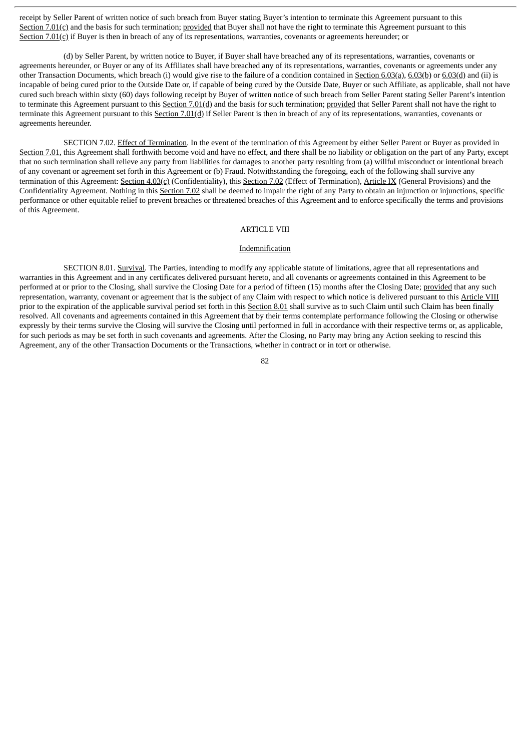receipt by Seller Parent of written notice of such breach from Buyer stating Buyer's intention to terminate this Agreement pursuant to this Section 7.01(c) and the basis for such termination; provided that Buyer shall not have the right to terminate this Agreement pursuant to this Section 7.01(c) if Buyer is then in breach of any of its representations, warranties, covenants or agreements hereunder; or

(d) by Seller Parent, by written notice to Buyer, if Buyer shall have breached any of its representations, warranties, covenants or agreements hereunder, or Buyer or any of its Affiliates shall have breached any of its representations, warranties, covenants or agreements under any other Transaction Documents, which breach (i) would give rise to the failure of a condition contained in Section 6.03(a), 6.03(b) or 6.03(d) and (ii) is incapable of being cured prior to the Outside Date or, if capable of being cured by the Outside Date, Buyer or such Affiliate, as applicable, shall not have cured such breach within sixty (60) days following receipt by Buyer of written notice of such breach from Seller Parent stating Seller Parent's intention to terminate this Agreement pursuant to this Section 7.01(d) and the basis for such termination; provided that Seller Parent shall not have the right to terminate this Agreement pursuant to this Section 7.01(d) if Seller Parent is then in breach of any of its representations, warranties, covenants or agreements hereunder.

SECTION 7.02. Effect of Termination. In the event of the termination of this Agreement by either Seller Parent or Buyer as provided in Section 7.01, this Agreement shall forthwith become void and have no effect, and there shall be no liability or obligation on the part of any Party, except that no such termination shall relieve any party from liabilities for damages to another party resulting from (a) willful misconduct or intentional breach of any covenant or agreement set forth in this Agreement or (b) Fraud. Notwithstanding the foregoing, each of the following shall survive any termination of this Agreement: Section 4.03(c) (Confidentiality), this Section 7.02 (Effect of Termination), Article IX (General Provisions) and the Confidentiality Agreement. Nothing in this Section 7.02 shall be deemed to impair the right of any Party to obtain an injunction or injunctions, specific performance or other equitable relief to prevent breaches or threatened breaches of this Agreement and to enforce specifically the terms and provisions of this Agreement.

# ARTICLE VIII

## Indemnification

SECTION 8.01. Survival. The Parties, intending to modify any applicable statute of limitations, agree that all representations and warranties in this Agreement and in any certificates delivered pursuant hereto, and all covenants or agreements contained in this Agreement to be performed at or prior to the Closing, shall survive the Closing Date for a period of fifteen (15) months after the Closing Date; provided that any such representation, warranty, covenant or agreement that is the subject of any Claim with respect to which notice is delivered pursuant to this Article VIII prior to the expiration of the applicable survival period set forth in this Section 8.01 shall survive as to such Claim until such Claim has been finally resolved. All covenants and agreements contained in this Agreement that by their terms contemplate performance following the Closing or otherwise expressly by their terms survive the Closing will survive the Closing until performed in full in accordance with their respective terms or, as applicable, for such periods as may be set forth in such covenants and agreements. After the Closing, no Party may bring any Action seeking to rescind this Agreement, any of the other Transaction Documents or the Transactions, whether in contract or in tort or otherwise.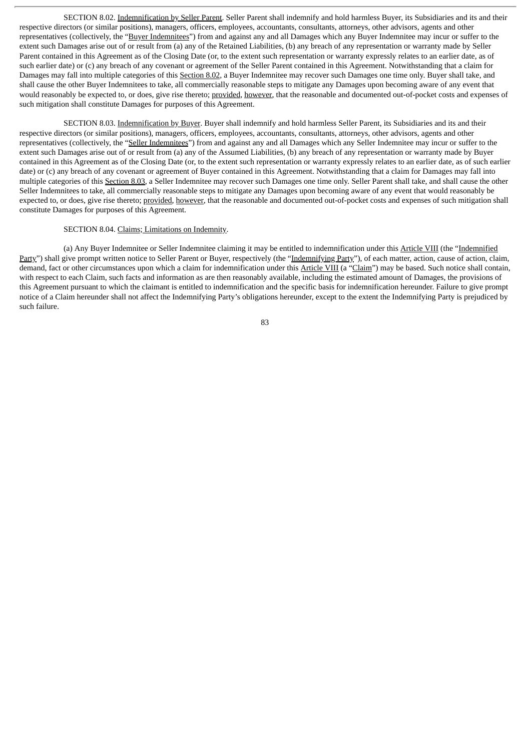SECTION 8.02. Indemnification by Seller Parent. Seller Parent shall indemnify and hold harmless Buyer, its Subsidiaries and its and their respective directors (or similar positions), managers, officers, employees, accountants, consultants, attorneys, other advisors, agents and other representatives (collectively, the "Buyer Indemnitees") from and against any and all Damages which any Buyer Indemnitee may incur or suffer to the extent such Damages arise out of or result from (a) any of the Retained Liabilities, (b) any breach of any representation or warranty made by Seller Parent contained in this Agreement as of the Closing Date (or, to the extent such representation or warranty expressly relates to an earlier date, as of such earlier date) or (c) any breach of any covenant or agreement of the Seller Parent contained in this Agreement. Notwithstanding that a claim for Damages may fall into multiple categories of this Section 8.02, a Buyer Indemnitee may recover such Damages one time only. Buyer shall take, and shall cause the other Buyer Indemnitees to take, all commercially reasonable steps to mitigate any Damages upon becoming aware of any event that would reasonably be expected to, or does, give rise thereto; provided, however, that the reasonable and documented out-of-pocket costs and expenses of such mitigation shall constitute Damages for purposes of this Agreement.

SECTION 8.03. Indemnification by Buyer. Buyer shall indemnify and hold harmless Seller Parent, its Subsidiaries and its and their respective directors (or similar positions), managers, officers, employees, accountants, consultants, attorneys, other advisors, agents and other representatives (collectively, the "Seller Indemnitees") from and against any and all Damages which any Seller Indemnitee may incur or suffer to the extent such Damages arise out of or result from (a) any of the Assumed Liabilities, (b) any breach of any representation or warranty made by Buyer contained in this Agreement as of the Closing Date (or, to the extent such representation or warranty expressly relates to an earlier date, as of such earlier date) or (c) any breach of any covenant or agreement of Buyer contained in this Agreement. Notwithstanding that a claim for Damages may fall into multiple categories of this Section 8.03, a Seller Indemnitee may recover such Damages one time only. Seller Parent shall take, and shall cause the other Seller Indemnitees to take, all commercially reasonable steps to mitigate any Damages upon becoming aware of any event that would reasonably be expected to, or does, give rise thereto; provided, however, that the reasonable and documented out-of-pocket costs and expenses of such mitigation shall constitute Damages for purposes of this Agreement.

## SECTION 8.04. Claims; Limitations on Indemnity.

(a) Any Buyer Indemnitee or Seller Indemnitee claiming it may be entitled to indemnification under this Article VIII (the "Indemnified Party") shall give prompt written notice to Seller Parent or Buyer, respectively (the "Indemnifying Party"), of each matter, action, cause of action, claim, demand, fact or other circumstances upon which a claim for indemnification under this Article VIII (a "Claim") may be based. Such notice shall contain, with respect to each Claim, such facts and information as are then reasonably available, including the estimated amount of Damages, the provisions of this Agreement pursuant to which the claimant is entitled to indemnification and the specific basis for indemnification hereunder. Failure to give prompt notice of a Claim hereunder shall not affect the Indemnifying Party's obligations hereunder, except to the extent the Indemnifying Party is prejudiced by such failure.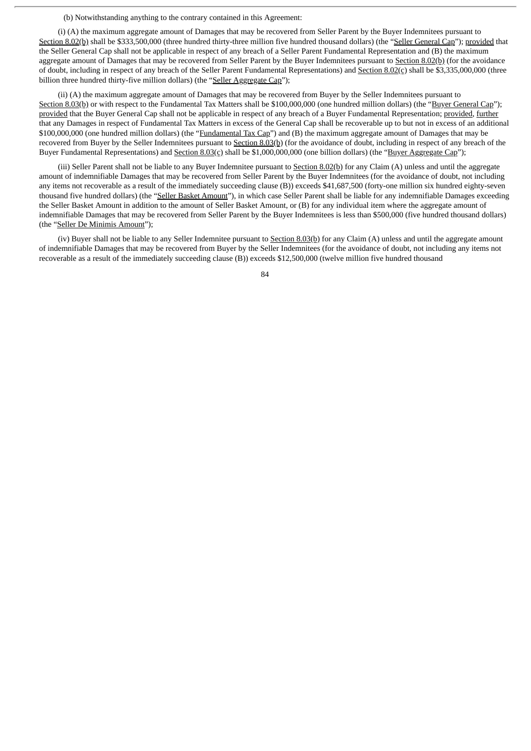(b) Notwithstanding anything to the contrary contained in this Agreement:

(i) (A) the maximum aggregate amount of Damages that may be recovered from Seller Parent by the Buyer Indemnitees pursuant to Section 8.02(b) shall be \$333,500,000 (three hundred thirty-three million five hundred thousand dollars) (the "Seller General Cap"); provided that the Seller General Cap shall not be applicable in respect of any breach of a Seller Parent Fundamental Representation and (B) the maximum aggregate amount of Damages that may be recovered from Seller Parent by the Buyer Indemnitees pursuant to Section 8.02(b) (for the avoidance of doubt, including in respect of any breach of the Seller Parent Fundamental Representations) and Section 8.02(c) shall be \$3,335,000,000 (three billion three hundred thirty-five million dollars) (the "Seller Aggregate Cap");

(ii) (A) the maximum aggregate amount of Damages that may be recovered from Buyer by the Seller Indemnitees pursuant to Section 8.03(b) or with respect to the Fundamental Tax Matters shall be \$100,000,000 (one hundred million dollars) (the "Buyer General Cap"); provided that the Buyer General Cap shall not be applicable in respect of any breach of a Buyer Fundamental Representation; provided, further that any Damages in respect of Fundamental Tax Matters in excess of the General Cap shall be recoverable up to but not in excess of an additional \$100,000,000 (one hundred million dollars) (the "Fundamental Tax Cap") and (B) the maximum aggregate amount of Damages that may be recovered from Buyer by the Seller Indemnitees pursuant to Section 8.03(b) (for the avoidance of doubt, including in respect of any breach of the Buyer Fundamental Representations) and Section 8.03(c) shall be \$1,000,000,000 (one billion dollars) (the "Buyer Aggregate Cap");

(iii) Seller Parent shall not be liable to any Buyer Indemnitee pursuant to Section  $8.02(b)$  for any Claim (A) unless and until the aggregate amount of indemnifiable Damages that may be recovered from Seller Parent by the Buyer Indemnitees (for the avoidance of doubt, not including any items not recoverable as a result of the immediately succeeding clause (B)) exceeds \$41,687,500 (forty-one million six hundred eighty-seven thousand five hundred dollars) (the "Seller Basket Amount"), in which case Seller Parent shall be liable for any indemnifiable Damages exceeding the Seller Basket Amount in addition to the amount of Seller Basket Amount, or (B) for any individual item where the aggregate amount of indemnifiable Damages that may be recovered from Seller Parent by the Buyer Indemnitees is less than \$500,000 (five hundred thousand dollars) (the "Seller De Minimis Amount");

(iv) Buyer shall not be liable to any Seller Indemnitee pursuant to Section 8.03(b) for any Claim (A) unless and until the aggregate amount of indemnifiable Damages that may be recovered from Buyer by the Seller Indemnitees (for the avoidance of doubt, not including any items not recoverable as a result of the immediately succeeding clause (B)) exceeds \$12,500,000 (twelve million five hundred thousand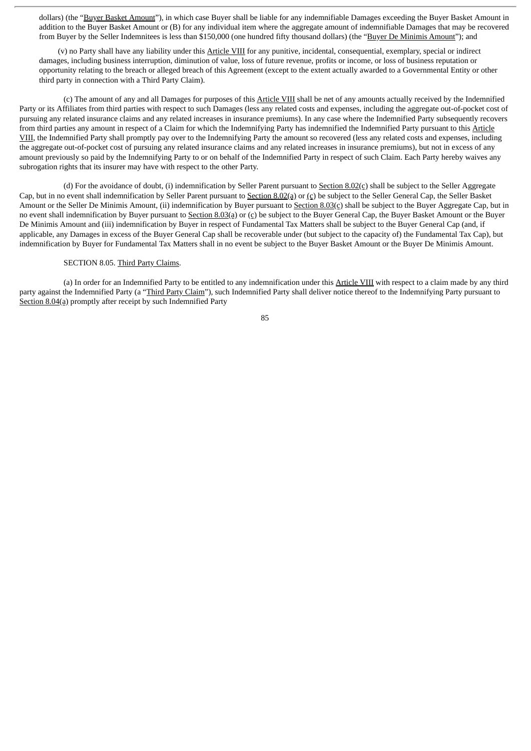dollars) (the "Buyer Basket Amount"), in which case Buyer shall be liable for any indemnifiable Damages exceeding the Buyer Basket Amount in addition to the Buyer Basket Amount or (B) for any individual item where the aggregate amount of indemnifiable Damages that may be recovered from Buyer by the Seller Indemnitees is less than \$150,000 (one hundred fifty thousand dollars) (the "Buyer De Minimis Amount"); and

(v) no Party shall have any liability under this Article VIII for any punitive, incidental, consequential, exemplary, special or indirect damages, including business interruption, diminution of value, loss of future revenue, profits or income, or loss of business reputation or opportunity relating to the breach or alleged breach of this Agreement (except to the extent actually awarded to a Governmental Entity or other third party in connection with a Third Party Claim).

(c) The amount of any and all Damages for purposes of this Article VIII shall be net of any amounts actually received by the Indemnified Party or its Affiliates from third parties with respect to such Damages (less any related costs and expenses, including the aggregate out-of-pocket cost of pursuing any related insurance claims and any related increases in insurance premiums). In any case where the Indemnified Party subsequently recovers from third parties any amount in respect of a Claim for which the Indemnifying Party has indemnified the Indemnified Party pursuant to this Article VIII, the Indemnified Party shall promptly pay over to the Indemnifying Party the amount so recovered (less any related costs and expenses, including the aggregate out-of-pocket cost of pursuing any related insurance claims and any related increases in insurance premiums), but not in excess of any amount previously so paid by the Indemnifying Party to or on behalf of the Indemnified Party in respect of such Claim. Each Party hereby waives any subrogation rights that its insurer may have with respect to the other Party.

(d) For the avoidance of doubt, (i) indemnification by Seller Parent pursuant to  $Section 8.02(c)$  shall be subject to the Seller Aggregate Cap, but in no event shall indemnification by Seller Parent pursuant to Section 8.02(a) or (c) be subject to the Seller General Cap, the Seller Basket Amount or the Seller De Minimis Amount, (ii) indemnification by Buyer pursuant to Section 8.03(c) shall be subject to the Buyer Aggregate Cap, but in no event shall indemnification by Buyer pursuant to Section 8.03(a) or  $(c)$  be subject to the Buyer General Cap, the Buyer Basket Amount or the Buyer De Minimis Amount and (iii) indemnification by Buyer in respect of Fundamental Tax Matters shall be subject to the Buyer General Cap (and, if applicable, any Damages in excess of the Buyer General Cap shall be recoverable under (but subject to the capacity of) the Fundamental Tax Cap), but indemnification by Buyer for Fundamental Tax Matters shall in no event be subject to the Buyer Basket Amount or the Buyer De Minimis Amount.

# SECTION 8.05. Third Party Claims.

(a) In order for an Indemnified Party to be entitled to any indemnification under this Article VIII with respect to a claim made by any third party against the Indemnified Party (a "Third Party Claim"), such Indemnified Party shall deliver notice thereof to the Indemnifying Party pursuant to Section 8.04(a) promptly after receipt by such Indemnified Party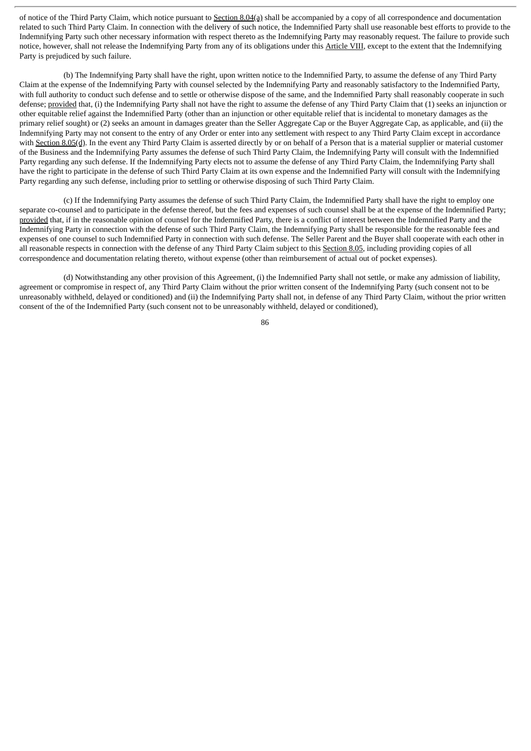of notice of the Third Party Claim, which notice pursuant to Section 8.04(a) shall be accompanied by a copy of all correspondence and documentation related to such Third Party Claim. In connection with the delivery of such notice, the Indemnified Party shall use reasonable best efforts to provide to the Indemnifying Party such other necessary information with respect thereto as the Indemnifying Party may reasonably request. The failure to provide such notice, however, shall not release the Indemnifying Party from any of its obligations under this Article VIII, except to the extent that the Indemnifying Party is prejudiced by such failure.

(b) The Indemnifying Party shall have the right, upon written notice to the Indemnified Party, to assume the defense of any Third Party Claim at the expense of the Indemnifying Party with counsel selected by the Indemnifying Party and reasonably satisfactory to the Indemnified Party, with full authority to conduct such defense and to settle or otherwise dispose of the same, and the Indemnified Party shall reasonably cooperate in such defense; provided that, (i) the Indemnifying Party shall not have the right to assume the defense of any Third Party Claim that (1) seeks an injunction or other equitable relief against the Indemnified Party (other than an injunction or other equitable relief that is incidental to monetary damages as the primary relief sought) or (2) seeks an amount in damages greater than the Seller Aggregate Cap or the Buyer Aggregate Cap, as applicable, and (ii) the Indemnifying Party may not consent to the entry of any Order or enter into any settlement with respect to any Third Party Claim except in accordance with Section 8.05(d). In the event any Third Party Claim is asserted directly by or on behalf of a Person that is a material supplier or material customer of the Business and the Indemnifying Party assumes the defense of such Third Party Claim, the Indemnifying Party will consult with the Indemnified Party regarding any such defense. If the Indemnifying Party elects not to assume the defense of any Third Party Claim, the Indemnifying Party shall have the right to participate in the defense of such Third Party Claim at its own expense and the Indemnified Party will consult with the Indemnifying Party regarding any such defense, including prior to settling or otherwise disposing of such Third Party Claim.

(c) If the Indemnifying Party assumes the defense of such Third Party Claim, the Indemnified Party shall have the right to employ one separate co-counsel and to participate in the defense thereof, but the fees and expenses of such counsel shall be at the expense of the Indemnified Party; provided that, if in the reasonable opinion of counsel for the Indemnified Party, there is a conflict of interest between the Indemnified Party and the Indemnifying Party in connection with the defense of such Third Party Claim, the Indemnifying Party shall be responsible for the reasonable fees and expenses of one counsel to such Indemnified Party in connection with such defense. The Seller Parent and the Buyer shall cooperate with each other in all reasonable respects in connection with the defense of any Third Party Claim subject to this Section 8.05, including providing copies of all correspondence and documentation relating thereto, without expense (other than reimbursement of actual out of pocket expenses).

(d) Notwithstanding any other provision of this Agreement, (i) the Indemnified Party shall not settle, or make any admission of liability, agreement or compromise in respect of, any Third Party Claim without the prior written consent of the Indemnifying Party (such consent not to be unreasonably withheld, delayed or conditioned) and (ii) the Indemnifying Party shall not, in defense of any Third Party Claim, without the prior written consent of the of the Indemnified Party (such consent not to be unreasonably withheld, delayed or conditioned),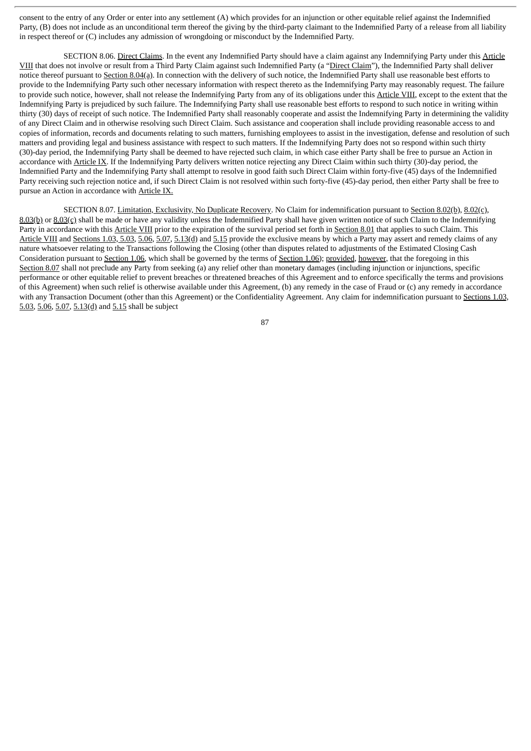consent to the entry of any Order or enter into any settlement (A) which provides for an injunction or other equitable relief against the Indemnified Party, (B) does not include as an unconditional term thereof the giving by the third-party claimant to the Indemnified Party of a release from all liability in respect thereof or (C) includes any admission of wrongdoing or misconduct by the Indemnified Party.

SECTION 8.06. Direct Claims. In the event any Indemnified Party should have a claim against any Indemnifying Party under this Article VIII that does not involve or result from a Third Party Claim against such Indemnified Party (a "Direct Claim"), the Indemnified Party shall deliver notice thereof pursuant to Section 8.04(a). In connection with the delivery of such notice, the Indemnified Party shall use reasonable best efforts to provide to the Indemnifying Party such other necessary information with respect thereto as the Indemnifying Party may reasonably request. The failure to provide such notice, however, shall not release the Indemnifying Party from any of its obligations under this Article VIII, except to the extent that the Indemnifying Party is prejudiced by such failure. The Indemnifying Party shall use reasonable best efforts to respond to such notice in writing within thirty (30) days of receipt of such notice. The Indemnified Party shall reasonably cooperate and assist the Indemnifying Party in determining the validity of any Direct Claim and in otherwise resolving such Direct Claim. Such assistance and cooperation shall include providing reasonable access to and copies of information, records and documents relating to such matters, furnishing employees to assist in the investigation, defense and resolution of such matters and providing legal and business assistance with respect to such matters. If the Indemnifying Party does not so respond within such thirty (30)-day period, the Indemnifying Party shall be deemed to have rejected such claim, in which case either Party shall be free to pursue an Action in accordance with Article IX. If the Indemnifying Party delivers written notice rejecting any Direct Claim within such thirty (30)-day period, the Indemnified Party and the Indemnifying Party shall attempt to resolve in good faith such Direct Claim within forty-five (45) days of the Indemnified Party receiving such rejection notice and, if such Direct Claim is not resolved within such forty-five (45)-day period, then either Party shall be free to pursue an Action in accordance with Article IX.

SECTION 8.07. Limitation, Exclusivity, No Duplicate Recovery. No Claim for indemnification pursuant to Section 8.02(b), 8.02(c), 8.03(b) or 8.03(c) shall be made or have any validity unless the Indemnified Party shall have given written notice of such Claim to the Indemnifying Party in accordance with this Article VIII prior to the expiration of the survival period set forth in Section 8.01 that applies to such Claim. This Article VIII and Sections 1.03, 5.03, 5.06, 5.07, 5.13(d) and 5.15 provide the exclusive means by which a Party may assert and remedy claims of any nature whatsoever relating to the Transactions following the Closing (other than disputes related to adjustments of the Estimated Closing Cash Consideration pursuant to Section 1.06, which shall be governed by the terms of Section 1.06); provided, however, that the foregoing in this Section 8.07 shall not preclude any Party from seeking (a) any relief other than monetary damages (including injunction or injunctions, specific performance or other equitable relief to prevent breaches or threatened breaches of this Agreement and to enforce specifically the terms and provisions of this Agreement) when such relief is otherwise available under this Agreement, (b) any remedy in the case of Fraud or (c) any remedy in accordance with any Transaction Document (other than this Agreement) or the Confidentiality Agreement. Any claim for indemnification pursuant to Sections 1.03, 5.03, 5.06, 5.07, 5.13(d) and 5.15 shall be subject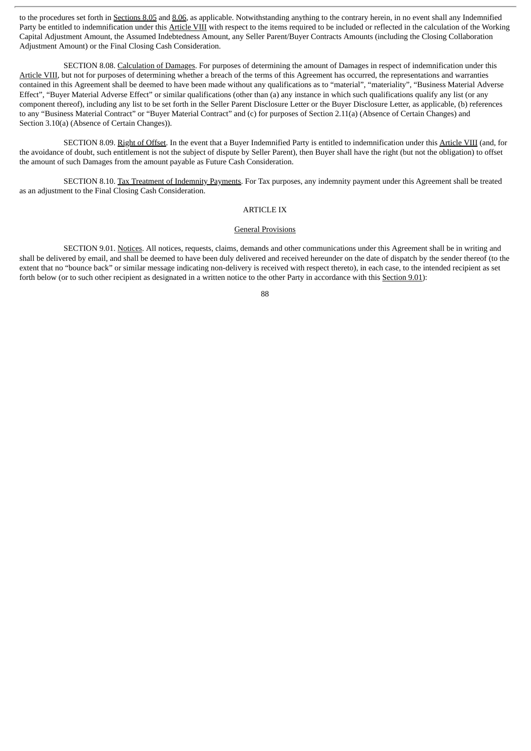to the procedures set forth in Sections 8.05 and 8.06, as applicable. Notwithstanding anything to the contrary herein, in no event shall any Indemnified Party be entitled to indemnification under this Article VIII with respect to the items required to be included or reflected in the calculation of the Working Capital Adjustment Amount, the Assumed Indebtedness Amount, any Seller Parent/Buyer Contracts Amounts (including the Closing Collaboration Adjustment Amount) or the Final Closing Cash Consideration.

SECTION 8.08. Calculation of Damages. For purposes of determining the amount of Damages in respect of indemnification under this Article VIII, but not for purposes of determining whether a breach of the terms of this Agreement has occurred, the representations and warranties contained in this Agreement shall be deemed to have been made without any qualifications as to "material", "materiality", "Business Material Adverse Effect", "Buyer Material Adverse Effect" or similar qualifications (other than (a) any instance in which such qualifications qualify any list (or any component thereof), including any list to be set forth in the Seller Parent Disclosure Letter or the Buyer Disclosure Letter, as applicable, (b) references to any "Business Material Contract" or "Buyer Material Contract" and (c) for purposes of Section 2.11(a) (Absence of Certain Changes) and Section 3.10(a) (Absence of Certain Changes)).

SECTION 8.09. Right of Offset. In the event that a Buyer Indemnified Party is entitled to indemnification under this Article VIII (and, for the avoidance of doubt, such entitlement is not the subject of dispute by Seller Parent), then Buyer shall have the right (but not the obligation) to offset the amount of such Damages from the amount payable as Future Cash Consideration.

SECTION 8.10. Tax Treatment of Indemnity Payments. For Tax purposes, any indemnity payment under this Agreement shall be treated as an adjustment to the Final Closing Cash Consideration.

# ARTICLE IX

## General Provisions

SECTION 9.01. Notices. All notices, requests, claims, demands and other communications under this Agreement shall be in writing and shall be delivered by email, and shall be deemed to have been duly delivered and received hereunder on the date of dispatch by the sender thereof (to the extent that no "bounce back" or similar message indicating non-delivery is received with respect thereto), in each case, to the intended recipient as set forth below (or to such other recipient as designated in a written notice to the other Party in accordance with this Section 9.01):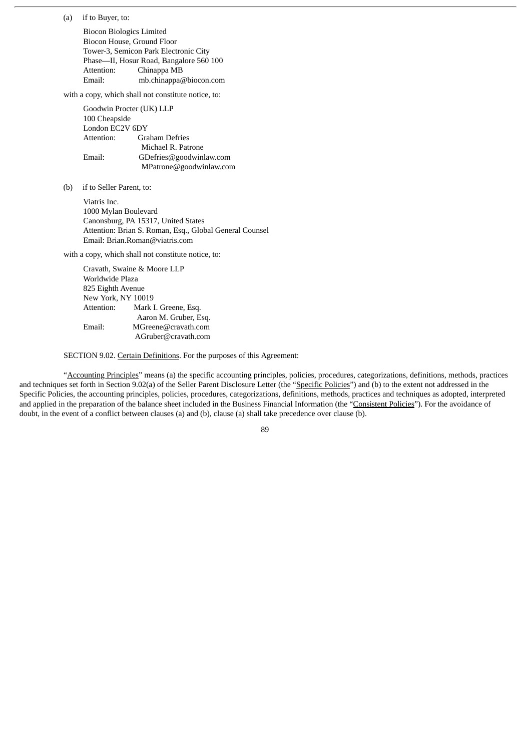(a) if to Buyer, to:

Biocon Biologics Limited Biocon House, Ground Floor Tower-3, Semicon Park Electronic City Phase—II, Hosur Road, Bangalore 560 100 Attention: Chinappa MB Email: mb.chinappa@biocon.com

with a copy, which shall not constitute notice, to:

Goodwin Procter (UK) LLP 100 Cheapside London EC2V 6DY Attention: Graham Defries Michael R. Patrone Email: GDefries@goodwinlaw.com MPatrone@goodwinlaw.com

(b) if to Seller Parent, to:

Viatris Inc. 1000 Mylan Boulevard Canonsburg, PA 15317, United States Attention: Brian S. Roman, Esq., Global General Counsel Email: Brian.Roman@viatris.com

with a copy, which shall not constitute notice, to:

Cravath, Swaine & Moore LLP Worldwide Plaza 825 Eighth Avenue New York, NY 10019 Attention: Mark I. Greene, Esq. Aaron M. Gruber, Esq. Email: MGreene@cravath.com AGruber@cravath.com

SECTION 9.02. Certain Definitions. For the purposes of this Agreement:

"Accounting Principles" means (a) the specific accounting principles, policies, procedures, categorizations, definitions, methods, practices and techniques set forth in Section 9.02(a) of the Seller Parent Disclosure Letter (the "Specific Policies") and (b) to the extent not addressed in the Specific Policies, the accounting principles, policies, procedures, categorizations, definitions, methods, practices and techniques as adopted, interpreted and applied in the preparation of the balance sheet included in the Business Financial Information (the "Consistent Policies"). For the avoidance of doubt, in the event of a conflict between clauses (a) and (b), clause (a) shall take precedence over clause (b).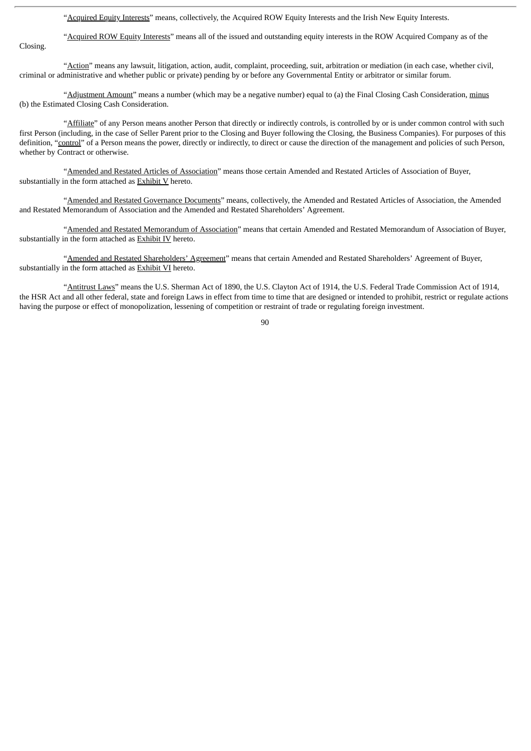"Acquired Equity Interests" means, collectively, the Acquired ROW Equity Interests and the Irish New Equity Interests.

"Acquired ROW Equity Interests" means all of the issued and outstanding equity interests in the ROW Acquired Company as of the

Closing.

"Action" means any lawsuit, litigation, action, audit, complaint, proceeding, suit, arbitration or mediation (in each case, whether civil, criminal or administrative and whether public or private) pending by or before any Governmental Entity or arbitrator or similar forum.

"Adjustment Amount" means a number (which may be a negative number) equal to (a) the Final Closing Cash Consideration, minus (b) the Estimated Closing Cash Consideration.

"Affiliate" of any Person means another Person that directly or indirectly controls, is controlled by or is under common control with such first Person (including, in the case of Seller Parent prior to the Closing and Buyer following the Closing, the Business Companies). For purposes of this definition, "control" of a Person means the power, directly or indirectly, to direct or cause the direction of the management and policies of such Person, whether by Contract or otherwise.

"Amended and Restated Articles of Association" means those certain Amended and Restated Articles of Association of Buyer, substantially in the form attached as **Exhibit V** hereto.

"Amended and Restated Governance Documents" means, collectively, the Amended and Restated Articles of Association, the Amended and Restated Memorandum of Association and the Amended and Restated Shareholders' Agreement.

"Amended and Restated Memorandum of Association" means that certain Amended and Restated Memorandum of Association of Buyer, substantially in the form attached as Exhibit IV hereto.

"Amended and Restated Shareholders' Agreement" means that certain Amended and Restated Shareholders' Agreement of Buyer, substantially in the form attached as **Exhibit VI** hereto.

"Antitrust Laws" means the U.S. Sherman Act of 1890, the U.S. Clayton Act of 1914, the U.S. Federal Trade Commission Act of 1914, the HSR Act and all other federal, state and foreign Laws in effect from time to time that are designed or intended to prohibit, restrict or regulate actions having the purpose or effect of monopolization, lessening of competition or restraint of trade or regulating foreign investment.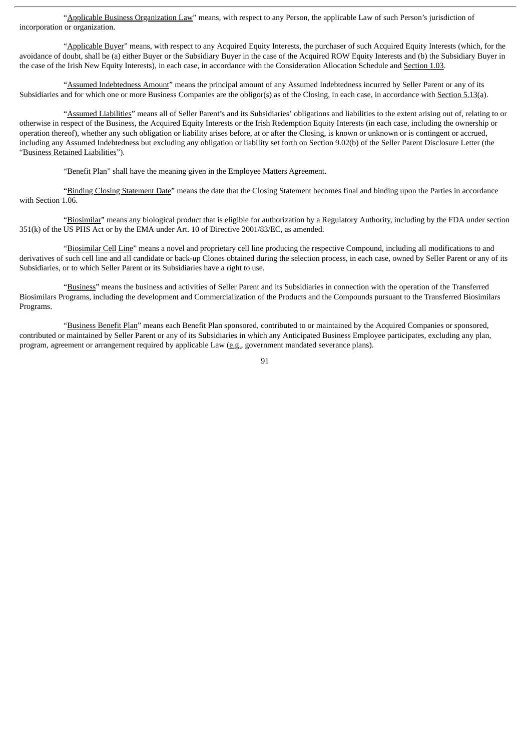"Applicable Business Organization Law" means, with respect to any Person, the applicable Law of such Person's jurisdiction of incorporation or organization.

"Applicable Buyer" means, with respect to any Acquired Equity Interests, the purchaser of such Acquired Equity Interests (which, for the avoidance of doubt, shall be (a) either Buyer or the Subsidiary Buyer in the case of the Acquired ROW Equity Interests and (b) the Subsidiary Buyer in the case of the Irish New Equity Interests), in each case, in accordance with the Consideration Allocation Schedule and Section 1.03.

"Assumed Indebtedness Amount" means the principal amount of any Assumed Indebtedness incurred by Seller Parent or any of its Subsidiaries and for which one or more Business Companies are the obligor(s) as of the Closing, in each case, in accordance with Section 5.13(a).

"Assumed Liabilities" means all of Seller Parent's and its Subsidiaries' obligations and liabilities to the extent arising out of, relating to or otherwise in respect of the Business, the Acquired Equity Interests or the Irish Redemption Equity Interests (in each case, including the ownership or operation thereof), whether any such obligation or liability arises before, at or after the Closing, is known or unknown or is contingent or accrued, including any Assumed Indebtedness but excluding any obligation or liability set forth on Section 9.02(b) of the Seller Parent Disclosure Letter (the "Business Retained Liabilities").

"Benefit Plan" shall have the meaning given in the Employee Matters Agreement.

"Binding Closing Statement Date" means the date that the Closing Statement becomes final and binding upon the Parties in accordance with Section 1.06.

"Biosimilar" means any biological product that is eligible for authorization by a Regulatory Authority, including by the FDA under section 351(k) of the US PHS Act or by the EMA under Art. 10 of Directive 2001/83/EC, as amended.

"Biosimilar Cell Line" means a novel and proprietary cell line producing the respective Compound, including all modifications to and derivatives of such cell line and all candidate or back-up Clones obtained during the selection process, in each case, owned by Seller Parent or any of its Subsidiaries, or to which Seller Parent or its Subsidiaries have a right to use.

"Business" means the business and activities of Seller Parent and its Subsidiaries in connection with the operation of the Transferred Biosimilars Programs, including the development and Commercialization of the Products and the Compounds pursuant to the Transferred Biosimilars Programs.

"Business Benefit Plan" means each Benefit Plan sponsored, contributed to or maintained by the Acquired Companies or sponsored, contributed or maintained by Seller Parent or any of its Subsidiaries in which any Anticipated Business Employee participates, excluding any plan, program, agreement or arrangement required by applicable Law  $(\underline{e}, \underline{g}, \underline{g})$  government mandated severance plans).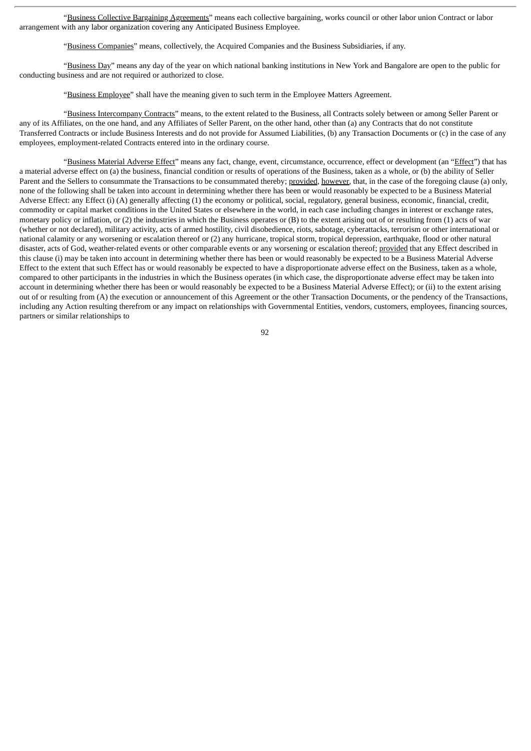"Business Collective Bargaining Agreements" means each collective bargaining, works council or other labor union Contract or labor arrangement with any labor organization covering any Anticipated Business Employee.

"Business Companies" means, collectively, the Acquired Companies and the Business Subsidiaries, if any.

"Business Day" means any day of the year on which national banking institutions in New York and Bangalore are open to the public for conducting business and are not required or authorized to close.

"Business Employee" shall have the meaning given to such term in the Employee Matters Agreement.

"Business Intercompany Contracts" means, to the extent related to the Business, all Contracts solely between or among Seller Parent or any of its Affiliates, on the one hand, and any Affiliates of Seller Parent, on the other hand, other than (a) any Contracts that do not constitute Transferred Contracts or include Business Interests and do not provide for Assumed Liabilities, (b) any Transaction Documents or (c) in the case of any employees, employment-related Contracts entered into in the ordinary course.

"Business Material Adverse Effect" means any fact, change, event, circumstance, occurrence, effect or development (an "Effect") that has a material adverse effect on (a) the business, financial condition or results of operations of the Business, taken as a whole, or (b) the ability of Seller Parent and the Sellers to consummate the Transactions to be consummated thereby; provided, however, that, in the case of the foregoing clause (a) only, none of the following shall be taken into account in determining whether there has been or would reasonably be expected to be a Business Material Adverse Effect: any Effect (i) (A) generally affecting (1) the economy or political, social, regulatory, general business, economic, financial, credit, commodity or capital market conditions in the United States or elsewhere in the world, in each case including changes in interest or exchange rates, monetary policy or inflation, or (2) the industries in which the Business operates or (B) to the extent arising out of or resulting from (1) acts of war (whether or not declared), military activity, acts of armed hostility, civil disobedience, riots, sabotage, cyberattacks, terrorism or other international or national calamity or any worsening or escalation thereof or (2) any hurricane, tropical storm, tropical depression, earthquake, flood or other natural disaster, acts of God, weather-related events or other comparable events or any worsening or escalation thereof; provided that any Effect described in this clause (i) may be taken into account in determining whether there has been or would reasonably be expected to be a Business Material Adverse Effect to the extent that such Effect has or would reasonably be expected to have a disproportionate adverse effect on the Business, taken as a whole, compared to other participants in the industries in which the Business operates (in which case, the disproportionate adverse effect may be taken into account in determining whether there has been or would reasonably be expected to be a Business Material Adverse Effect); or (ii) to the extent arising out of or resulting from (A) the execution or announcement of this Agreement or the other Transaction Documents, or the pendency of the Transactions, including any Action resulting therefrom or any impact on relationships with Governmental Entities, vendors, customers, employees, financing sources, partners or similar relationships to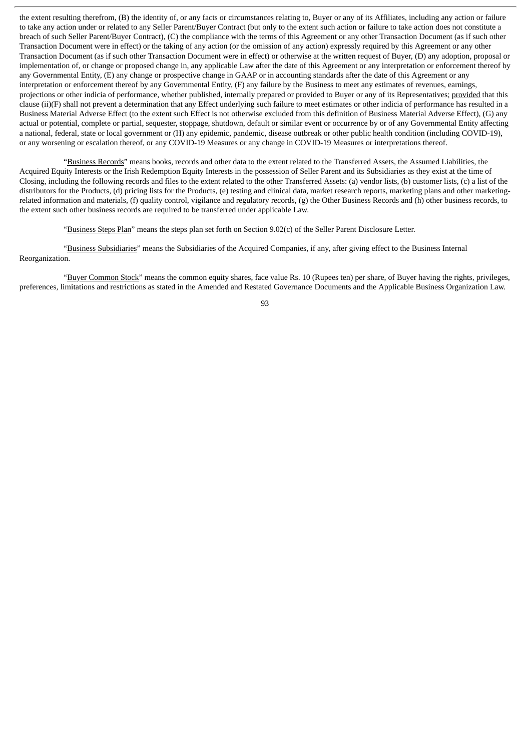the extent resulting therefrom, (B) the identity of, or any facts or circumstances relating to, Buyer or any of its Affiliates, including any action or failure to take any action under or related to any Seller Parent/Buyer Contract (but only to the extent such action or failure to take action does not constitute a breach of such Seller Parent/Buyer Contract), (C) the compliance with the terms of this Agreement or any other Transaction Document (as if such other Transaction Document were in effect) or the taking of any action (or the omission of any action) expressly required by this Agreement or any other Transaction Document (as if such other Transaction Document were in effect) or otherwise at the written request of Buyer, (D) any adoption, proposal or implementation of, or change or proposed change in, any applicable Law after the date of this Agreement or any interpretation or enforcement thereof by any Governmental Entity, (E) any change or prospective change in GAAP or in accounting standards after the date of this Agreement or any interpretation or enforcement thereof by any Governmental Entity, (F) any failure by the Business to meet any estimates of revenues, earnings, projections or other indicia of performance, whether published, internally prepared or provided to Buyer or any of its Representatives; provided that this clause (ii)(F) shall not prevent a determination that any Effect underlying such failure to meet estimates or other indicia of performance has resulted in a Business Material Adverse Effect (to the extent such Effect is not otherwise excluded from this definition of Business Material Adverse Effect), (G) any actual or potential, complete or partial, sequester, stoppage, shutdown, default or similar event or occurrence by or of any Governmental Entity affecting a national, federal, state or local government or (H) any epidemic, pandemic, disease outbreak or other public health condition (including COVID-19), or any worsening or escalation thereof, or any COVID-19 Measures or any change in COVID-19 Measures or interpretations thereof.

"Business Records" means books, records and other data to the extent related to the Transferred Assets, the Assumed Liabilities, the Acquired Equity Interests or the Irish Redemption Equity Interests in the possession of Seller Parent and its Subsidiaries as they exist at the time of Closing, including the following records and files to the extent related to the other Transferred Assets: (a) vendor lists, (b) customer lists, (c) a list of the distributors for the Products, (d) pricing lists for the Products, (e) testing and clinical data, market research reports, marketing plans and other marketingrelated information and materials, (f) quality control, vigilance and regulatory records, (g) the Other Business Records and (h) other business records, to the extent such other business records are required to be transferred under applicable Law.

"Business Steps Plan" means the steps plan set forth on Section 9.02(c) of the Seller Parent Disclosure Letter.

"Business Subsidiaries" means the Subsidiaries of the Acquired Companies, if any, after giving effect to the Business Internal Reorganization.

"Buyer Common Stock" means the common equity shares, face value Rs. 10 (Rupees ten) per share, of Buyer having the rights, privileges, preferences, limitations and restrictions as stated in the Amended and Restated Governance Documents and the Applicable Business Organization Law.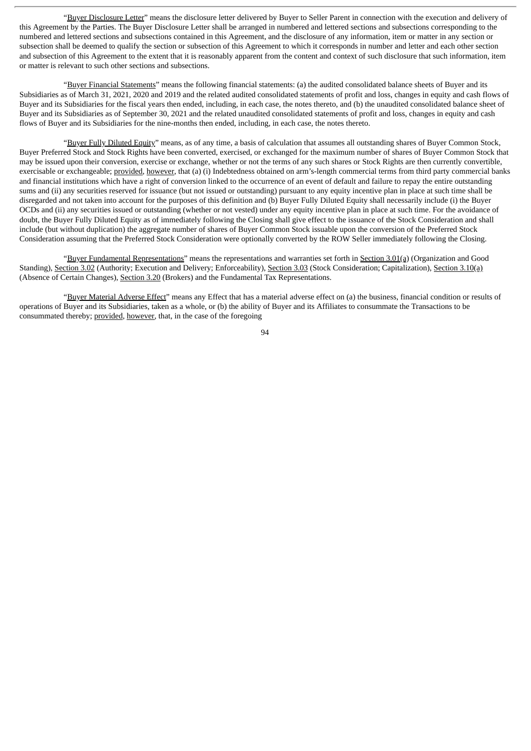"Buyer Disclosure Letter" means the disclosure letter delivered by Buyer to Seller Parent in connection with the execution and delivery of this Agreement by the Parties. The Buyer Disclosure Letter shall be arranged in numbered and lettered sections and subsections corresponding to the numbered and lettered sections and subsections contained in this Agreement, and the disclosure of any information, item or matter in any section or subsection shall be deemed to qualify the section or subsection of this Agreement to which it corresponds in number and letter and each other section and subsection of this Agreement to the extent that it is reasonably apparent from the content and context of such disclosure that such information, item or matter is relevant to such other sections and subsections.

"Buyer Financial Statements" means the following financial statements: (a) the audited consolidated balance sheets of Buyer and its Subsidiaries as of March 31, 2021, 2020 and 2019 and the related audited consolidated statements of profit and loss, changes in equity and cash flows of Buyer and its Subsidiaries for the fiscal years then ended, including, in each case, the notes thereto, and (b) the unaudited consolidated balance sheet of Buyer and its Subsidiaries as of September 30, 2021 and the related unaudited consolidated statements of profit and loss, changes in equity and cash flows of Buyer and its Subsidiaries for the nine-months then ended, including, in each case, the notes thereto.

"Buyer Fully Diluted Equity" means, as of any time, a basis of calculation that assumes all outstanding shares of Buyer Common Stock, Buyer Preferred Stock and Stock Rights have been converted, exercised, or exchanged for the maximum number of shares of Buyer Common Stock that may be issued upon their conversion, exercise or exchange, whether or not the terms of any such shares or Stock Rights are then currently convertible, exercisable or exchangeable; provided, however, that (a) (i) Indebtedness obtained on arm's-length commercial terms from third party commercial banks and financial institutions which have a right of conversion linked to the occurrence of an event of default and failure to repay the entire outstanding sums and (ii) any securities reserved for issuance (but not issued or outstanding) pursuant to any equity incentive plan in place at such time shall be disregarded and not taken into account for the purposes of this definition and (b) Buyer Fully Diluted Equity shall necessarily include (i) the Buyer OCDs and (ii) any securities issued or outstanding (whether or not vested) under any equity incentive plan in place at such time. For the avoidance of doubt, the Buyer Fully Diluted Equity as of immediately following the Closing shall give effect to the issuance of the Stock Consideration and shall include (but without duplication) the aggregate number of shares of Buyer Common Stock issuable upon the conversion of the Preferred Stock Consideration assuming that the Preferred Stock Consideration were optionally converted by the ROW Seller immediately following the Closing.

"Buyer Fundamental Representations" means the representations and warranties set forth in Section 3.01(a) (Organization and Good Standing), Section 3.02 (Authority; Execution and Delivery; Enforceability), Section 3.03 (Stock Consideration; Capitalization), Section 3.10(a) (Absence of Certain Changes), Section 3.20 (Brokers) and the Fundamental Tax Representations.

"Buyer Material Adverse Effect" means any Effect that has a material adverse effect on (a) the business, financial condition or results of operations of Buyer and its Subsidiaries, taken as a whole, or (b) the ability of Buyer and its Affiliates to consummate the Transactions to be consummated thereby; provided, however, that, in the case of the foregoing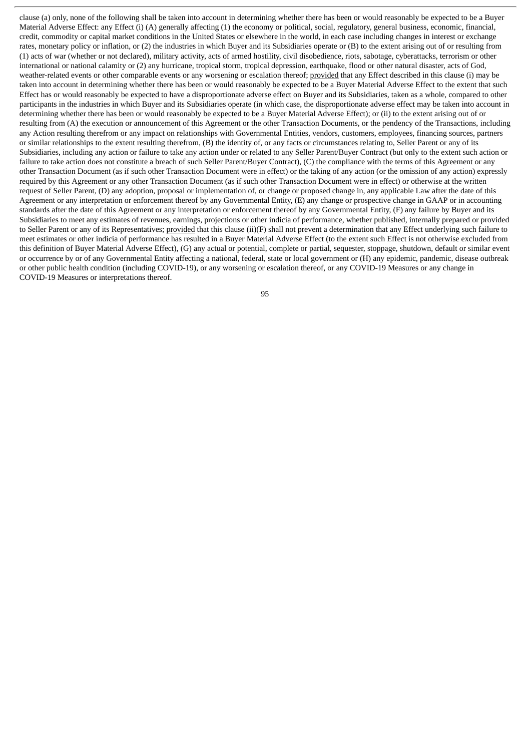clause (a) only, none of the following shall be taken into account in determining whether there has been or would reasonably be expected to be a Buyer Material Adverse Effect: any Effect (i) (A) generally affecting (1) the economy or political, social, regulatory, general business, economic, financial, credit, commodity or capital market conditions in the United States or elsewhere in the world, in each case including changes in interest or exchange rates, monetary policy or inflation, or (2) the industries in which Buyer and its Subsidiaries operate or (B) to the extent arising out of or resulting from (1) acts of war (whether or not declared), military activity, acts of armed hostility, civil disobedience, riots, sabotage, cyberattacks, terrorism or other international or national calamity or (2) any hurricane, tropical storm, tropical depression, earthquake, flood or other natural disaster, acts of God, weather-related events or other comparable events or any worsening or escalation thereof; provided that any Effect described in this clause (i) may be taken into account in determining whether there has been or would reasonably be expected to be a Buyer Material Adverse Effect to the extent that such Effect has or would reasonably be expected to have a disproportionate adverse effect on Buyer and its Subsidiaries, taken as a whole, compared to other participants in the industries in which Buyer and its Subsidiaries operate (in which case, the disproportionate adverse effect may be taken into account in determining whether there has been or would reasonably be expected to be a Buyer Material Adverse Effect); or (ii) to the extent arising out of or resulting from (A) the execution or announcement of this Agreement or the other Transaction Documents, or the pendency of the Transactions, including any Action resulting therefrom or any impact on relationships with Governmental Entities, vendors, customers, employees, financing sources, partners or similar relationships to the extent resulting therefrom, (B) the identity of, or any facts or circumstances relating to, Seller Parent or any of its Subsidiaries, including any action or failure to take any action under or related to any Seller Parent/Buyer Contract (but only to the extent such action or failure to take action does not constitute a breach of such Seller Parent/Buyer Contract), (C) the compliance with the terms of this Agreement or any other Transaction Document (as if such other Transaction Document were in effect) or the taking of any action (or the omission of any action) expressly required by this Agreement or any other Transaction Document (as if such other Transaction Document were in effect) or otherwise at the written request of Seller Parent, (D) any adoption, proposal or implementation of, or change or proposed change in, any applicable Law after the date of this Agreement or any interpretation or enforcement thereof by any Governmental Entity, (E) any change or prospective change in GAAP or in accounting standards after the date of this Agreement or any interpretation or enforcement thereof by any Governmental Entity, (F) any failure by Buyer and its Subsidiaries to meet any estimates of revenues, earnings, projections or other indicia of performance, whether published, internally prepared or provided to Seller Parent or any of its Representatives; provided that this clause (ii)(F) shall not prevent a determination that any Effect underlying such failure to meet estimates or other indicia of performance has resulted in a Buyer Material Adverse Effect (to the extent such Effect is not otherwise excluded from this definition of Buyer Material Adverse Effect), (G) any actual or potential, complete or partial, sequester, stoppage, shutdown, default or similar event or occurrence by or of any Governmental Entity affecting a national, federal, state or local government or (H) any epidemic, pandemic, disease outbreak or other public health condition (including COVID-19), or any worsening or escalation thereof, or any COVID-19 Measures or any change in COVID-19 Measures or interpretations thereof.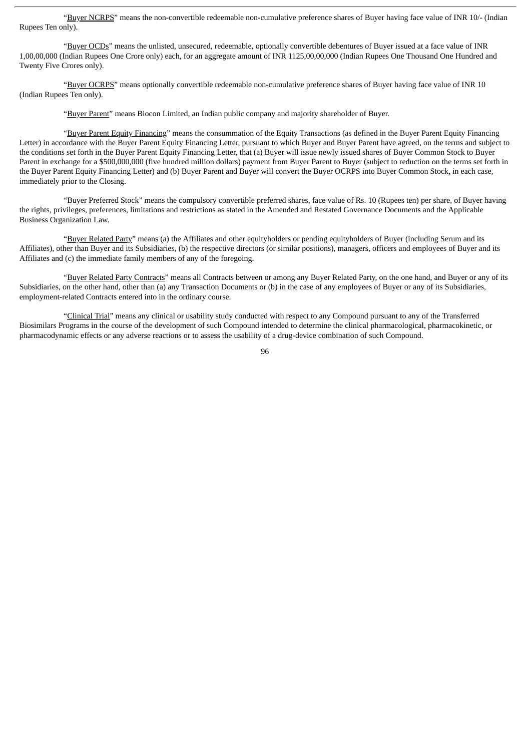"Buyer NCRPS" means the non-convertible redeemable non-cumulative preference shares of Buyer having face value of INR 10/- (Indian Rupees Ten only).

"Buyer OCDs" means the unlisted, unsecured, redeemable, optionally convertible debentures of Buyer issued at a face value of INR 1,00,00,000 (Indian Rupees One Crore only) each, for an aggregate amount of INR 1125,00,00,000 (Indian Rupees One Thousand One Hundred and Twenty Five Crores only).

"Buyer OCRPS" means optionally convertible redeemable non-cumulative preference shares of Buyer having face value of INR 10 (Indian Rupees Ten only).

"Buyer Parent" means Biocon Limited, an Indian public company and majority shareholder of Buyer.

"Buyer Parent Equity Financing" means the consummation of the Equity Transactions (as defined in the Buyer Parent Equity Financing Letter) in accordance with the Buyer Parent Equity Financing Letter, pursuant to which Buyer and Buyer Parent have agreed, on the terms and subject to the conditions set forth in the Buyer Parent Equity Financing Letter, that (a) Buyer will issue newly issued shares of Buyer Common Stock to Buyer Parent in exchange for a \$500,000,000 (five hundred million dollars) payment from Buyer Parent to Buyer (subject to reduction on the terms set forth in the Buyer Parent Equity Financing Letter) and (b) Buyer Parent and Buyer will convert the Buyer OCRPS into Buyer Common Stock, in each case, immediately prior to the Closing.

"Buyer Preferred Stock" means the compulsory convertible preferred shares, face value of Rs. 10 (Rupees ten) per share, of Buyer having the rights, privileges, preferences, limitations and restrictions as stated in the Amended and Restated Governance Documents and the Applicable Business Organization Law.

"Buyer Related Party" means (a) the Affiliates and other equityholders or pending equityholders of Buyer (including Serum and its Affiliates), other than Buyer and its Subsidiaries, (b) the respective directors (or similar positions), managers, officers and employees of Buyer and its Affiliates and (c) the immediate family members of any of the foregoing.

"Buyer Related Party Contracts" means all Contracts between or among any Buyer Related Party, on the one hand, and Buyer or any of its Subsidiaries, on the other hand, other than (a) any Transaction Documents or (b) in the case of any employees of Buyer or any of its Subsidiaries, employment-related Contracts entered into in the ordinary course.

"Clinical Trial" means any clinical or usability study conducted with respect to any Compound pursuant to any of the Transferred Biosimilars Programs in the course of the development of such Compound intended to determine the clinical pharmacological, pharmacokinetic, or pharmacodynamic effects or any adverse reactions or to assess the usability of a drug-device combination of such Compound.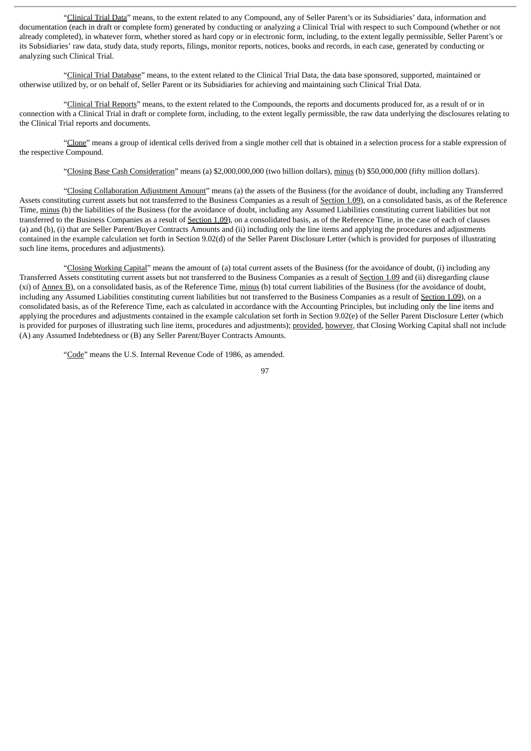"Clinical Trial Data" means, to the extent related to any Compound, any of Seller Parent's or its Subsidiaries' data, information and documentation (each in draft or complete form) generated by conducting or analyzing a Clinical Trial with respect to such Compound (whether or not already completed), in whatever form, whether stored as hard copy or in electronic form, including, to the extent legally permissible, Seller Parent's or its Subsidiaries' raw data, study data, study reports, filings, monitor reports, notices, books and records, in each case, generated by conducting or analyzing such Clinical Trial.

"Clinical Trial Database" means, to the extent related to the Clinical Trial Data, the data base sponsored, supported, maintained or otherwise utilized by, or on behalf of, Seller Parent or its Subsidiaries for achieving and maintaining such Clinical Trial Data.

"Clinical Trial Reports" means, to the extent related to the Compounds, the reports and documents produced for, as a result of or in connection with a Clinical Trial in draft or complete form, including, to the extent legally permissible, the raw data underlying the disclosures relating to the Clinical Trial reports and documents.

"Clone" means a group of identical cells derived from a single mother cell that is obtained in a selection process for a stable expression of the respective Compound.

"Closing Base Cash Consideration" means (a) \$2,000,000,000 (two billion dollars), minus (b) \$50,000,000 (fifty million dollars).

"Closing Collaboration Adjustment Amount" means (a) the assets of the Business (for the avoidance of doubt, including any Transferred Assets constituting current assets but not transferred to the Business Companies as a result of Section 1.09), on a consolidated basis, as of the Reference Time, minus (b) the liabilities of the Business (for the avoidance of doubt, including any Assumed Liabilities constituting current liabilities but not transferred to the Business Companies as a result of Section 1.09), on a consolidated basis, as of the Reference Time, in the case of each of clauses (a) and (b), (i) that are Seller Parent/Buyer Contracts Amounts and (ii) including only the line items and applying the procedures and adjustments contained in the example calculation set forth in Section 9.02(d) of the Seller Parent Disclosure Letter (which is provided for purposes of illustrating such line items, procedures and adjustments).

"Closing Working Capital" means the amount of (a) total current assets of the Business (for the avoidance of doubt, (i) including any Transferred Assets constituting current assets but not transferred to the Business Companies as a result of Section 1.09 and (ii) disregarding clause (xi) of Annex B), on a consolidated basis, as of the Reference Time, minus (b) total current liabilities of the Business (for the avoidance of doubt, including any Assumed Liabilities constituting current liabilities but not transferred to the Business Companies as a result of Section 1.09), on a consolidated basis, as of the Reference Time, each as calculated in accordance with the Accounting Principles, but including only the line items and applying the procedures and adjustments contained in the example calculation set forth in Section 9.02(e) of the Seller Parent Disclosure Letter (which is provided for purposes of illustrating such line items, procedures and adjustments); provided, however, that Closing Working Capital shall not include (A) any Assumed Indebtedness or (B) any Seller Parent/Buyer Contracts Amounts.

"Code" means the U.S. Internal Revenue Code of 1986, as amended.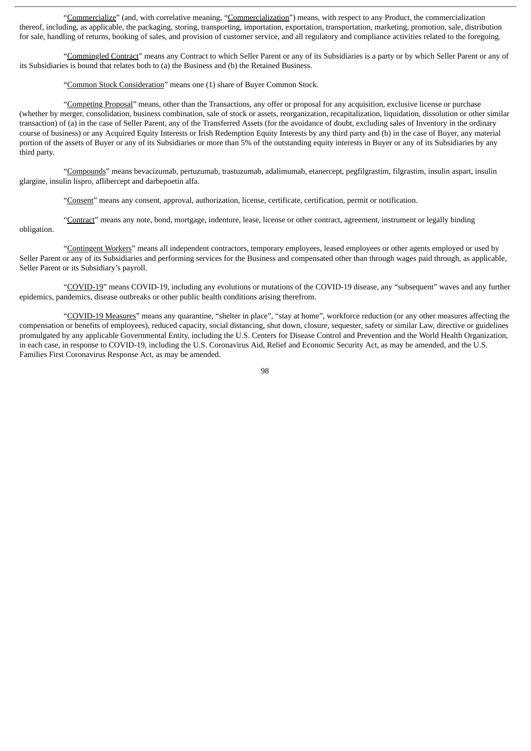"Commercialize" (and, with correlative meaning, "Commercialization") means, with respect to any Product, the commercialization thereof, including, as applicable, the packaging, storing, transporting, importation, exportation, transportation, marketing, promotion, sale, distribution for sale, handling of returns, booking of sales, and provision of customer service, and all regulatory and compliance activities related to the foregoing.

"Commingled Contract" means any Contract to which Seller Parent or any of its Subsidiaries is a party or by which Seller Parent or any of its Subsidiaries is bound that relates both to (a) the Business and (b) the Retained Business.

"Common Stock Consideration" means one (1) share of Buyer Common Stock.

"Competing Proposal" means, other than the Transactions, any offer or proposal for any acquisition, exclusive license or purchase (whether by merger, consolidation, business combination, sale of stock or assets, reorganization, recapitalization, liquidation, dissolution or other similar transaction) of (a) in the case of Seller Parent, any of the Transferred Assets (for the avoidance of doubt, excluding sales of Inventory in the ordinary course of business) or any Acquired Equity Interests or Irish Redemption Equity Interests by any third party and (b) in the case of Buyer, any material portion of the assets of Buyer or any of its Subsidiaries or more than 5% of the outstanding equity interests in Buyer or any of its Subsidiaries by any third party.

"Compounds" means bevacizumab, pertuzumab, trastuzumab, adalimumab, etanercept, pegfilgrastim, filgrastim, insulin aspart, insulin glargine, insulin lispro, aflibercept and darbepoetin alfa.

"Consent" means any consent, approval, authorization, license, certificate, certification, permit or notification.

"Contract" means any note, bond, mortgage, indenture, lease, license or other contract, agreement, instrument or legally binding obligation.

"Contingent Workers" means all independent contractors, temporary employees, leased employees or other agents employed or used by Seller Parent or any of its Subsidiaries and performing services for the Business and compensated other than through wages paid through, as applicable, Seller Parent or its Subsidiary's payroll.

"COVID-19" means COVID-19, including any evolutions or mutations of the COVID-19 disease, any "subsequent" waves and any further epidemics, pandemics, disease outbreaks or other public health conditions arising therefrom.

"COVID-19 Measures" means any quarantine, "shelter in place", "stay at home", workforce reduction (or any other measures affecting the compensation or benefits of employees), reduced capacity, social distancing, shut down, closure, sequester, safety or similar Law, directive or guidelines promulgated by any applicable Governmental Entity, including the U.S. Centers for Disease Control and Prevention and the World Health Organization, in each case, in response to COVID-19, including the U.S. Coronavirus Aid, Relief and Economic Security Act, as may be amended, and the U.S. Families First Coronavirus Response Act, as may be amended.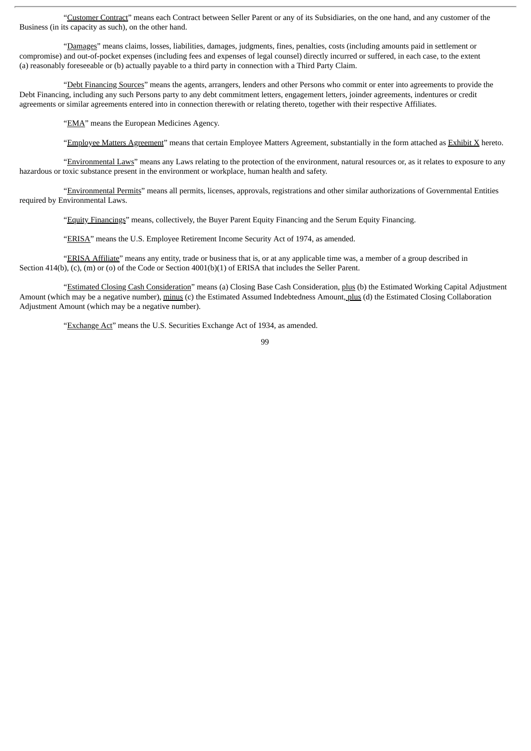"Customer Contract" means each Contract between Seller Parent or any of its Subsidiaries, on the one hand, and any customer of the Business (in its capacity as such), on the other hand.

"Damages" means claims, losses, liabilities, damages, judgments, fines, penalties, costs (including amounts paid in settlement or compromise) and out-of-pocket expenses (including fees and expenses of legal counsel) directly incurred or suffered, in each case, to the extent (a) reasonably foreseeable or (b) actually payable to a third party in connection with a Third Party Claim.

"Debt Financing Sources" means the agents, arrangers, lenders and other Persons who commit or enter into agreements to provide the Debt Financing, including any such Persons party to any debt commitment letters, engagement letters, joinder agreements, indentures or credit agreements or similar agreements entered into in connection therewith or relating thereto, together with their respective Affiliates.

"EMA" means the European Medicines Agency.

"Employee Matters Agreement" means that certain Employee Matters Agreement, substantially in the form attached as Exhibit X hereto.

"Environmental Laws" means any Laws relating to the protection of the environment, natural resources or, as it relates to exposure to any hazardous or toxic substance present in the environment or workplace, human health and safety.

"Environmental Permits" means all permits, licenses, approvals, registrations and other similar authorizations of Governmental Entities required by Environmental Laws.

"Equity Financings" means, collectively, the Buyer Parent Equity Financing and the Serum Equity Financing.

"ERISA" means the U.S. Employee Retirement Income Security Act of 1974, as amended.

"ERISA Affiliate" means any entity, trade or business that is, or at any applicable time was, a member of a group described in Section 414(b), (c), (m) or (o) of the Code or Section 4001(b)(1) of ERISA that includes the Seller Parent.

"Estimated Closing Cash Consideration" means (a) Closing Base Cash Consideration, plus (b) the Estimated Working Capital Adjustment Amount (which may be a negative number), minus (c) the Estimated Assumed Indebtedness Amount, plus (d) the Estimated Closing Collaboration Adjustment Amount (which may be a negative number).

"Exchange Act" means the U.S. Securities Exchange Act of 1934, as amended.

 $0<sub>9</sub>$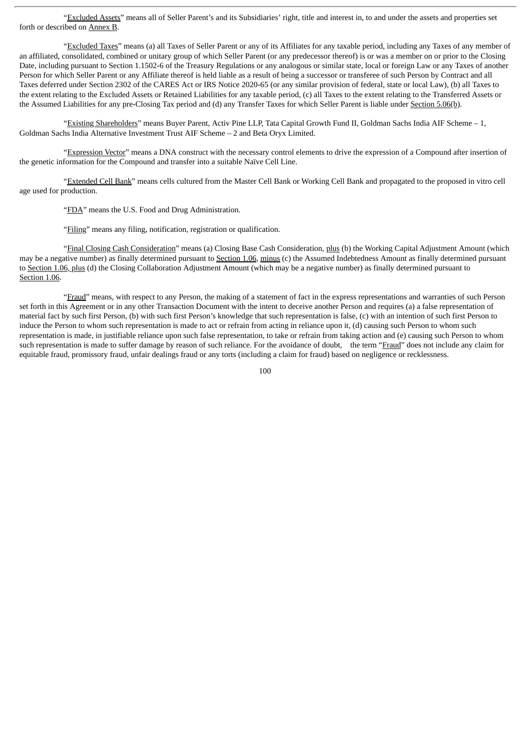"Excluded Assets" means all of Seller Parent's and its Subsidiaries' right, title and interest in, to and under the assets and properties set forth or described on Annex B.

"Excluded Taxes" means (a) all Taxes of Seller Parent or any of its Affiliates for any taxable period, including any Taxes of any member of an affiliated, consolidated, combined or unitary group of which Seller Parent (or any predecessor thereof) is or was a member on or prior to the Closing Date, including pursuant to Section 1.1502-6 of the Treasury Regulations or any analogous or similar state, local or foreign Law or any Taxes of another Person for which Seller Parent or any Affiliate thereof is held liable as a result of being a successor or transferee of such Person by Contract and all Taxes deferred under Section 2302 of the CARES Act or IRS Notice 2020-65 (or any similar provision of federal, state or local Law), (b) all Taxes to the extent relating to the Excluded Assets or Retained Liabilities for any taxable period, (c) all Taxes to the extent relating to the Transferred Assets or the Assumed Liabilities for any pre-Closing Tax period and (d) any Transfer Taxes for which Seller Parent is liable under Section 5.06(b).

"Existing Shareholders" means Buyer Parent, Activ Pine LLP, Tata Capital Growth Fund II, Goldman Sachs India AIF Scheme – 1, Goldman Sachs India Alternative Investment Trust AIF Scheme – 2 and Beta Oryx Limited.

"Expression Vector" means a DNA construct with the necessary control elements to drive the expression of a Compound after insertion of the genetic information for the Compound and transfer into a suitable Naïve Cell Line.

"Extended Cell Bank" means cells cultured from the Master Cell Bank or Working Cell Bank and propagated to the proposed in vitro cell age used for production.

"FDA" means the U.S. Food and Drug Administration.

"Filing" means any filing, notification, registration or qualification.

"Final Closing Cash Consideration" means (a) Closing Base Cash Consideration, plus (b) the Working Capital Adjustment Amount (which may be a negative number) as finally determined pursuant to Section 1.06, minus (c) the Assumed Indebtedness Amount as finally determined pursuant to Section 1.06, plus (d) the Closing Collaboration Adjustment Amount (which may be a negative number) as finally determined pursuant to Section 1.06.

"Fraud" means, with respect to any Person, the making of a statement of fact in the express representations and warranties of such Person set forth in this Agreement or in any other Transaction Document with the intent to deceive another Person and requires (a) a false representation of material fact by such first Person, (b) with such first Person's knowledge that such representation is false, (c) with an intention of such first Person to induce the Person to whom such representation is made to act or refrain from acting in reliance upon it, (d) causing such Person to whom such representation is made, in justifiable reliance upon such false representation, to take or refrain from taking action and (e) causing such Person to whom such representation is made to suffer damage by reason of such reliance. For the avoidance of doubt, the term "Fraud" does not include any claim for equitable fraud, promissory fraud, unfair dealings fraud or any torts (including a claim for fraud) based on negligence or recklessness.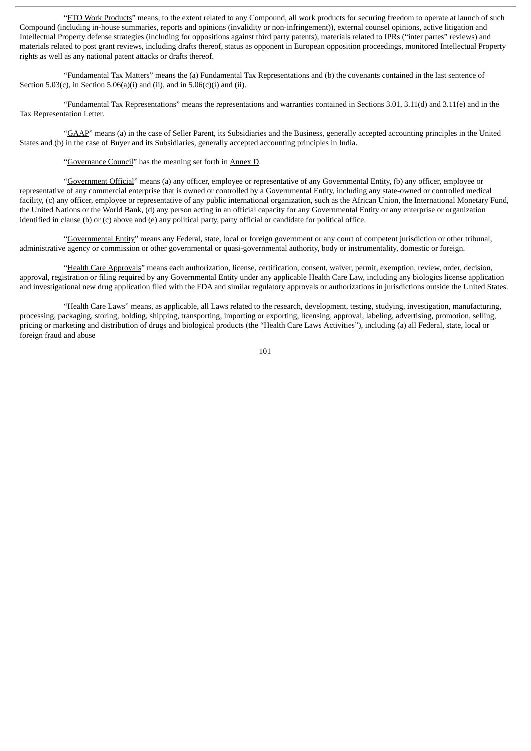"FTO Work Products" means, to the extent related to any Compound, all work products for securing freedom to operate at launch of such Compound (including in-house summaries, reports and opinions (invalidity or non-infringement)), external counsel opinions, active litigation and Intellectual Property defense strategies (including for oppositions against third party patents), materials related to IPRs ("inter partes" reviews) and materials related to post grant reviews, including drafts thereof, status as opponent in European opposition proceedings, monitored Intellectual Property rights as well as any national patent attacks or drafts thereof.

"Fundamental Tax Matters" means the (a) Fundamental Tax Representations and (b) the covenants contained in the last sentence of Section 5.03(c), in Section 5.06(a)(i) and (ii), and in  $5.06(c)$ (i) and (ii).

"Fundamental Tax Representations" means the representations and warranties contained in Sections 3.01, 3.11(d) and 3.11(e) and in the Tax Representation Letter.

"GAAP" means (a) in the case of Seller Parent, its Subsidiaries and the Business, generally accepted accounting principles in the United States and (b) in the case of Buyer and its Subsidiaries, generally accepted accounting principles in India.

"Governance Council" has the meaning set forth in Annex D.

"Government Official" means (a) any officer, employee or representative of any Governmental Entity, (b) any officer, employee or representative of any commercial enterprise that is owned or controlled by a Governmental Entity, including any state-owned or controlled medical facility, (c) any officer, employee or representative of any public international organization, such as the African Union, the International Monetary Fund, the United Nations or the World Bank, (d) any person acting in an official capacity for any Governmental Entity or any enterprise or organization identified in clause (b) or (c) above and (e) any political party, party official or candidate for political office.

"Governmental Entity" means any Federal, state, local or foreign government or any court of competent jurisdiction or other tribunal, administrative agency or commission or other governmental or quasi-governmental authority, body or instrumentality, domestic or foreign.

"Health Care Approvals" means each authorization, license, certification, consent, waiver, permit, exemption, review, order, decision, approval, registration or filing required by any Governmental Entity under any applicable Health Care Law, including any biologics license application and investigational new drug application filed with the FDA and similar regulatory approvals or authorizations in jurisdictions outside the United States.

"Health Care Laws" means, as applicable, all Laws related to the research, development, testing, studying, investigation, manufacturing, processing, packaging, storing, holding, shipping, transporting, importing or exporting, licensing, approval, labeling, advertising, promotion, selling, pricing or marketing and distribution of drugs and biological products (the "Health Care Laws Activities"), including (a) all Federal, state, local or foreign fraud and abuse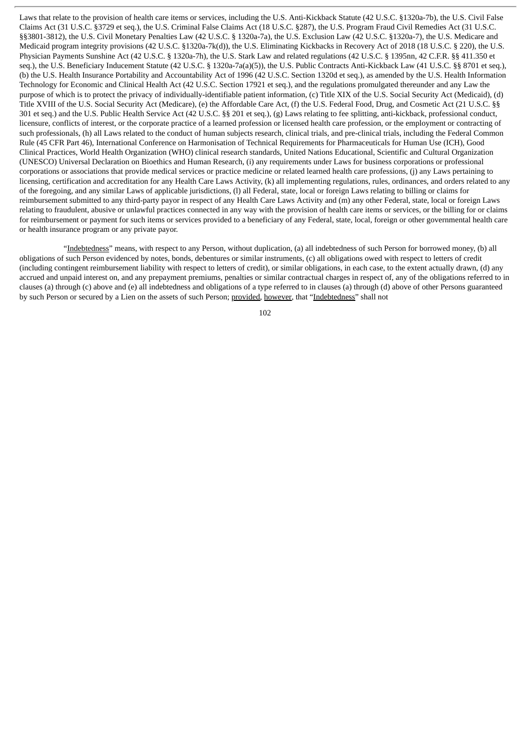Laws that relate to the provision of health care items or services, including the U.S. Anti-Kickback Statute (42 U.S.C. §1320a-7b), the U.S. Civil False Claims Act (31 U.S.C. §3729 et seq.), the U.S. Criminal False Claims Act (18 U.S.C. §287), the U.S. Program Fraud Civil Remedies Act (31 U.S.C. §§3801-3812), the U.S. Civil Monetary Penalties Law (42 U.S.C. § 1320a-7a), the U.S. Exclusion Law (42 U.S.C. §1320a-7), the U.S. Medicare and Medicaid program integrity provisions (42 U.S.C. §1320a-7k(d)), the U.S. Eliminating Kickbacks in Recovery Act of 2018 (18 U.S.C. § 220), the U.S. Physician Payments Sunshine Act (42 U.S.C. § 1320a-7h), the U.S. Stark Law and related regulations (42 U.S.C. § 1395nn, 42 C.F.R. §§ 411.350 et seq.), the U.S. Beneficiary Inducement Statute (42 U.S.C. § 1320a-7a(a)(5)), the U.S. Public Contracts Anti-Kickback Law (41 U.S.C. §§ 8701 et seq.), (b) the U.S. Health Insurance Portability and Accountability Act of 1996 (42 U.S.C. Section 1320d et seq.), as amended by the U.S. Health Information Technology for Economic and Clinical Health Act (42 U.S.C. Section 17921 et seq.), and the regulations promulgated thereunder and any Law the purpose of which is to protect the privacy of individually-identifiable patient information, (c) Title XIX of the U.S. Social Security Act (Medicaid), (d) Title XVIII of the U.S. Social Security Act (Medicare), (e) the Affordable Care Act, (f) the U.S. Federal Food, Drug, and Cosmetic Act (21 U.S.C. §§ 301 et seq.) and the U.S. Public Health Service Act (42 U.S.C. §§ 201 et seq.), (g) Laws relating to fee splitting, anti-kickback, professional conduct, licensure, conflicts of interest, or the corporate practice of a learned profession or licensed health care profession, or the employment or contracting of such professionals, (h) all Laws related to the conduct of human subjects research, clinical trials, and pre-clinical trials, including the Federal Common Rule (45 CFR Part 46), International Conference on Harmonisation of Technical Requirements for Pharmaceuticals for Human Use (ICH), Good Clinical Practices, World Health Organization (WHO) clinical research standards, United Nations Educational, Scientific and Cultural Organization (UNESCO) Universal Declaration on Bioethics and Human Research, (i) any requirements under Laws for business corporations or professional corporations or associations that provide medical services or practice medicine or related learned health care professions, (j) any Laws pertaining to licensing, certification and accreditation for any Health Care Laws Activity, (k) all implementing regulations, rules, ordinances, and orders related to any of the foregoing, and any similar Laws of applicable jurisdictions, (l) all Federal, state, local or foreign Laws relating to billing or claims for reimbursement submitted to any third-party payor in respect of any Health Care Laws Activity and (m) any other Federal, state, local or foreign Laws relating to fraudulent, abusive or unlawful practices connected in any way with the provision of health care items or services, or the billing for or claims for reimbursement or payment for such items or services provided to a beneficiary of any Federal, state, local, foreign or other governmental health care or health insurance program or any private payor.

"Indebtedness" means, with respect to any Person, without duplication, (a) all indebtedness of such Person for borrowed money, (b) all obligations of such Person evidenced by notes, bonds, debentures or similar instruments, (c) all obligations owed with respect to letters of credit (including contingent reimbursement liability with respect to letters of credit), or similar obligations, in each case, to the extent actually drawn, (d) any accrued and unpaid interest on, and any prepayment premiums, penalties or similar contractual charges in respect of, any of the obligations referred to in clauses (a) through (c) above and (e) all indebtedness and obligations of a type referred to in clauses (a) through (d) above of other Persons guaranteed by such Person or secured by a Lien on the assets of such Person; provided, however, that "Indebtedness" shall not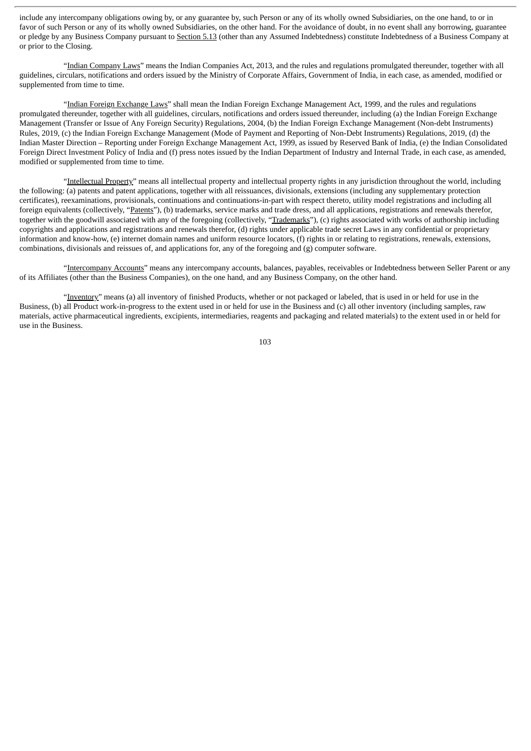include any intercompany obligations owing by, or any guarantee by, such Person or any of its wholly owned Subsidiaries, on the one hand, to or in favor of such Person or any of its wholly owned Subsidiaries, on the other hand. For the avoidance of doubt, in no event shall any borrowing, guarantee or pledge by any Business Company pursuant to Section 5.13 (other than any Assumed Indebtedness) constitute Indebtedness of a Business Company at or prior to the Closing.

"Indian Company Laws" means the Indian Companies Act, 2013, and the rules and regulations promulgated thereunder, together with all guidelines, circulars, notifications and orders issued by the Ministry of Corporate Affairs, Government of India, in each case, as amended, modified or supplemented from time to time.

"Indian Foreign Exchange Laws" shall mean the Indian Foreign Exchange Management Act, 1999, and the rules and regulations promulgated thereunder, together with all guidelines, circulars, notifications and orders issued thereunder, including (a) the Indian Foreign Exchange Management (Transfer or Issue of Any Foreign Security) Regulations, 2004, (b) the Indian Foreign Exchange Management (Non-debt Instruments) Rules, 2019, (c) the Indian Foreign Exchange Management (Mode of Payment and Reporting of Non-Debt Instruments) Regulations, 2019, (d) the Indian Master Direction – Reporting under Foreign Exchange Management Act, 1999, as issued by Reserved Bank of India, (e) the Indian Consolidated Foreign Direct Investment Policy of India and (f) press notes issued by the Indian Department of Industry and Internal Trade, in each case, as amended, modified or supplemented from time to time.

"Intellectual Property" means all intellectual property and intellectual property rights in any jurisdiction throughout the world, including the following: (a) patents and patent applications, together with all reissuances, divisionals, extensions (including any supplementary protection certificates), reexaminations, provisionals, continuations and continuations-in-part with respect thereto, utility model registrations and including all foreign equivalents (collectively, "Patents"), (b) trademarks, service marks and trade dress, and all applications, registrations and renewals therefor, together with the goodwill associated with any of the foregoing (collectively, "Trademarks"), (c) rights associated with works of authorship including copyrights and applications and registrations and renewals therefor, (d) rights under applicable trade secret Laws in any confidential or proprietary information and know-how, (e) internet domain names and uniform resource locators, (f) rights in or relating to registrations, renewals, extensions, combinations, divisionals and reissues of, and applications for, any of the foregoing and (g) computer software.

"Intercompany Accounts" means any intercompany accounts, balances, payables, receivables or Indebtedness between Seller Parent or any of its Affiliates (other than the Business Companies), on the one hand, and any Business Company, on the other hand.

"Inventory" means (a) all inventory of finished Products, whether or not packaged or labeled, that is used in or held for use in the Business, (b) all Product work-in-progress to the extent used in or held for use in the Business and (c) all other inventory (including samples, raw materials, active pharmaceutical ingredients, excipients, intermediaries, reagents and packaging and related materials) to the extent used in or held for use in the Business.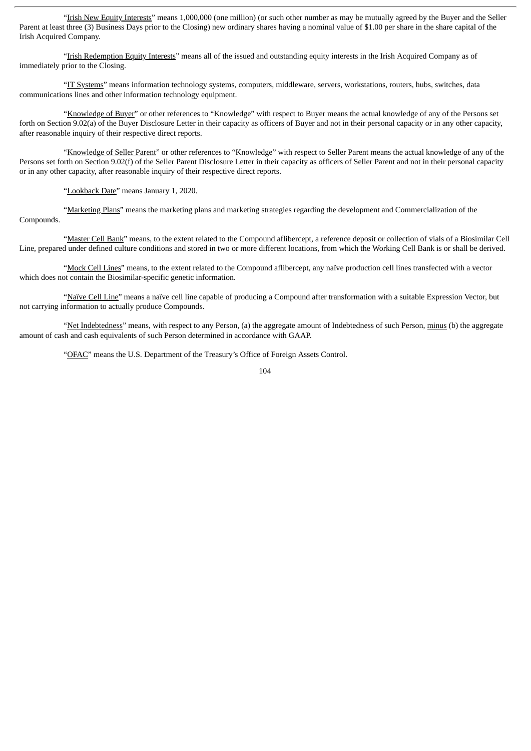"Irish New Equity Interests" means 1,000,000 (one million) (or such other number as may be mutually agreed by the Buyer and the Seller Parent at least three (3) Business Days prior to the Closing) new ordinary shares having a nominal value of \$1.00 per share in the share capital of the Irish Acquired Company.

"Irish Redemption Equity Interests" means all of the issued and outstanding equity interests in the Irish Acquired Company as of immediately prior to the Closing.

"IT Systems" means information technology systems, computers, middleware, servers, workstations, routers, hubs, switches, data communications lines and other information technology equipment.

"Knowledge of Buyer" or other references to "Knowledge" with respect to Buyer means the actual knowledge of any of the Persons set forth on Section 9.02(a) of the Buyer Disclosure Letter in their capacity as officers of Buyer and not in their personal capacity or in any other capacity, after reasonable inquiry of their respective direct reports.

"Knowledge of Seller Parent" or other references to "Knowledge" with respect to Seller Parent means the actual knowledge of any of the Persons set forth on Section 9.02(f) of the Seller Parent Disclosure Letter in their capacity as officers of Seller Parent and not in their personal capacity or in any other capacity, after reasonable inquiry of their respective direct reports.

"Lookback Date" means January 1, 2020.

"Marketing Plans" means the marketing plans and marketing strategies regarding the development and Commercialization of the Compounds.

"Master Cell Bank" means, to the extent related to the Compound aflibercept, a reference deposit or collection of vials of a Biosimilar Cell Line, prepared under defined culture conditions and stored in two or more different locations, from which the Working Cell Bank is or shall be derived.

"Mock Cell Lines" means, to the extent related to the Compound aflibercept, any naïve production cell lines transfected with a vector which does not contain the Biosimilar-specific genetic information.

"Naïve Cell Line" means a naïve cell line capable of producing a Compound after transformation with a suitable Expression Vector, but not carrying information to actually produce Compounds.

"Net Indebtedness" means, with respect to any Person, (a) the aggregate amount of Indebtedness of such Person, minus (b) the aggregate amount of cash and cash equivalents of such Person determined in accordance with GAAP.

"OFAC" means the U.S. Department of the Treasury's Office of Foreign Assets Control.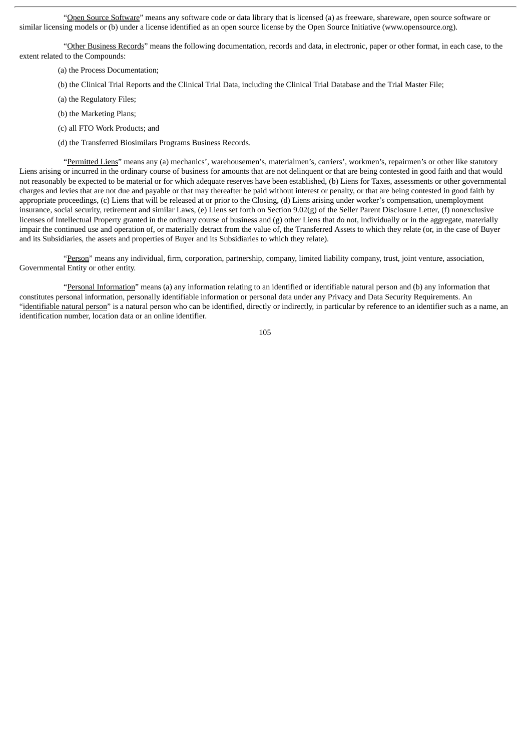"Open Source Software" means any software code or data library that is licensed (a) as freeware, shareware, open source software or similar licensing models or (b) under a license identified as an open source license by the Open Source Initiative (www.opensource.org).

"Other Business Records" means the following documentation, records and data, in electronic, paper or other format, in each case, to the extent related to the Compounds:

- (a) the Process Documentation;
- (b) the Clinical Trial Reports and the Clinical Trial Data, including the Clinical Trial Database and the Trial Master File;
- (a) the Regulatory Files;
- (b) the Marketing Plans;
- (c) all FTO Work Products; and
- (d) the Transferred Biosimilars Programs Business Records.

"Permitted Liens" means any (a) mechanics', warehousemen's, materialmen's, carriers', workmen's, repairmen's or other like statutory Liens arising or incurred in the ordinary course of business for amounts that are not delinquent or that are being contested in good faith and that would not reasonably be expected to be material or for which adequate reserves have been established, (b) Liens for Taxes, assessments or other governmental charges and levies that are not due and payable or that may thereafter be paid without interest or penalty, or that are being contested in good faith by appropriate proceedings, (c) Liens that will be released at or prior to the Closing, (d) Liens arising under worker's compensation, unemployment insurance, social security, retirement and similar Laws, (e) Liens set forth on Section 9.02(g) of the Seller Parent Disclosure Letter, (f) nonexclusive licenses of Intellectual Property granted in the ordinary course of business and (g) other Liens that do not, individually or in the aggregate, materially impair the continued use and operation of, or materially detract from the value of, the Transferred Assets to which they relate (or, in the case of Buyer and its Subsidiaries, the assets and properties of Buyer and its Subsidiaries to which they relate).

"Person" means any individual, firm, corporation, partnership, company, limited liability company, trust, joint venture, association, Governmental Entity or other entity.

"Personal Information" means (a) any information relating to an identified or identifiable natural person and (b) any information that constitutes personal information, personally identifiable information or personal data under any Privacy and Data Security Requirements. An "identifiable natural person" is a natural person who can be identified, directly or indirectly, in particular by reference to an identifier such as a name, an identification number, location data or an online identifier.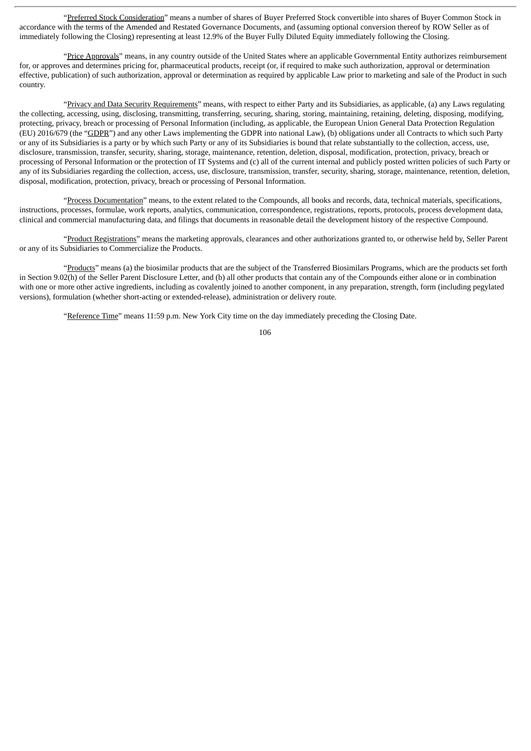"Preferred Stock Consideration" means a number of shares of Buyer Preferred Stock convertible into shares of Buyer Common Stock in accordance with the terms of the Amended and Restated Governance Documents, and (assuming optional conversion thereof by ROW Seller as of immediately following the Closing) representing at least 12.9% of the Buyer Fully Diluted Equity immediately following the Closing.

"Price Approvals" means, in any country outside of the United States where an applicable Governmental Entity authorizes reimbursement for, or approves and determines pricing for, pharmaceutical products, receipt (or, if required to make such authorization, approval or determination effective, publication) of such authorization, approval or determination as required by applicable Law prior to marketing and sale of the Product in such country.

"Privacy and Data Security Requirements" means, with respect to either Party and its Subsidiaries, as applicable, (a) any Laws regulating the collecting, accessing, using, disclosing, transmitting, transferring, securing, sharing, storing, maintaining, retaining, deleting, disposing, modifying, protecting, privacy, breach or processing of Personal Information (including, as applicable, the European Union General Data Protection Regulation (EU) 2016/679 (the "GDPR") and any other Laws implementing the GDPR into national Law), (b) obligations under all Contracts to which such Party or any of its Subsidiaries is a party or by which such Party or any of its Subsidiaries is bound that relate substantially to the collection, access, use, disclosure, transmission, transfer, security, sharing, storage, maintenance, retention, deletion, disposal, modification, protection, privacy, breach or processing of Personal Information or the protection of IT Systems and (c) all of the current internal and publicly posted written policies of such Party or any of its Subsidiaries regarding the collection, access, use, disclosure, transmission, transfer, security, sharing, storage, maintenance, retention, deletion, disposal, modification, protection, privacy, breach or processing of Personal Information.

"Process Documentation" means, to the extent related to the Compounds, all books and records, data, technical materials, specifications, instructions, processes, formulae, work reports, analytics, communication, correspondence, registrations, reports, protocols, process development data, clinical and commercial manufacturing data, and filings that documents in reasonable detail the development history of the respective Compound.

"Product Registrations" means the marketing approvals, clearances and other authorizations granted to, or otherwise held by, Seller Parent or any of its Subsidiaries to Commercialize the Products.

"Products" means (a) the biosimilar products that are the subject of the Transferred Biosimilars Programs, which are the products set forth in Section 9.02(h) of the Seller Parent Disclosure Letter, and (b) all other products that contain any of the Compounds either alone or in combination with one or more other active ingredients, including as covalently joined to another component, in any preparation, strength, form (including pegylated versions), formulation (whether short-acting or extended-release), administration or delivery route.

"Reference Time" means 11:59 p.m. New York City time on the day immediately preceding the Closing Date.

106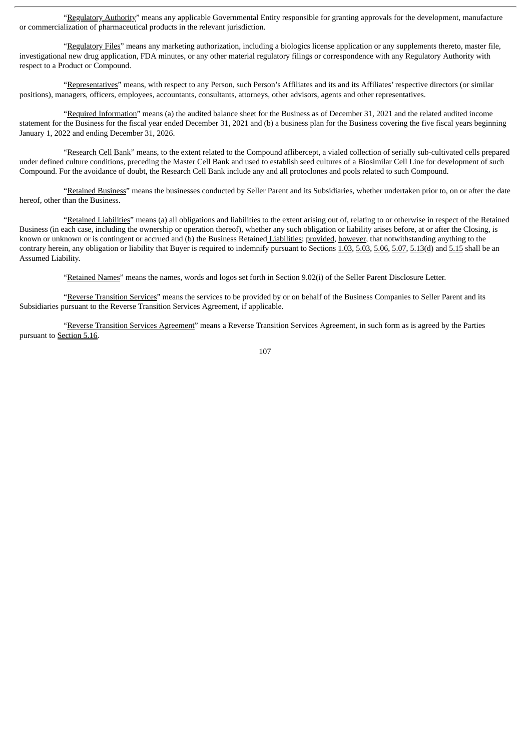"Regulatory Authority" means any applicable Governmental Entity responsible for granting approvals for the development, manufacture or commercialization of pharmaceutical products in the relevant jurisdiction.

"Regulatory Files" means any marketing authorization, including a biologics license application or any supplements thereto, master file, investigational new drug application, FDA minutes, or any other material regulatory filings or correspondence with any Regulatory Authority with respect to a Product or Compound.

"Representatives" means, with respect to any Person, such Person's Affiliates and its and its Affiliates' respective directors (or similar positions), managers, officers, employees, accountants, consultants, attorneys, other advisors, agents and other representatives.

"Required Information" means (a) the audited balance sheet for the Business as of December 31, 2021 and the related audited income statement for the Business for the fiscal year ended December 31, 2021 and (b) a business plan for the Business covering the five fiscal years beginning January 1, 2022 and ending December 31, 2026.

"Research Cell Bank" means, to the extent related to the Compound aflibercept, a vialed collection of serially sub-cultivated cells prepared under defined culture conditions, preceding the Master Cell Bank and used to establish seed cultures of a Biosimilar Cell Line for development of such Compound. For the avoidance of doubt, the Research Cell Bank include any and all protoclones and pools related to such Compound.

"Retained Business" means the businesses conducted by Seller Parent and its Subsidiaries, whether undertaken prior to, on or after the date hereof, other than the Business.

"Retained Liabilities" means (a) all obligations and liabilities to the extent arising out of, relating to or otherwise in respect of the Retained Business (in each case, including the ownership or operation thereof), whether any such obligation or liability arises before, at or after the Closing, is known or unknown or is contingent or accrued and (b) the Business Retained Liabilities; provided, however, that notwithstanding anything to the contrary herein, any obligation or liability that Buyer is required to indemnify pursuant to Sections 1.03, 5.03, 5.06, 5.07, 5.13(d) and 5.15 shall be an Assumed Liability.

"Retained Names" means the names, words and logos set forth in Section 9.02(i) of the Seller Parent Disclosure Letter.

"Reverse Transition Services" means the services to be provided by or on behalf of the Business Companies to Seller Parent and its Subsidiaries pursuant to the Reverse Transition Services Agreement, if applicable.

"Reverse Transition Services Agreement" means a Reverse Transition Services Agreement, in such form as is agreed by the Parties pursuant to Section 5.16.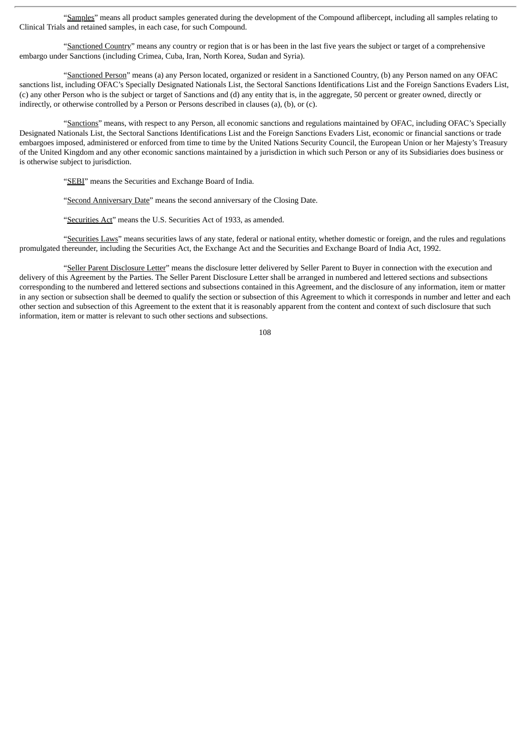"Samples" means all product samples generated during the development of the Compound aflibercept, including all samples relating to Clinical Trials and retained samples, in each case, for such Compound.

"Sanctioned Country" means any country or region that is or has been in the last five years the subject or target of a comprehensive embargo under Sanctions (including Crimea, Cuba, Iran, North Korea, Sudan and Syria).

"Sanctioned Person" means (a) any Person located, organized or resident in a Sanctioned Country, (b) any Person named on any OFAC sanctions list, including OFAC's Specially Designated Nationals List, the Sectoral Sanctions Identifications List and the Foreign Sanctions Evaders List, (c) any other Person who is the subject or target of Sanctions and (d) any entity that is, in the aggregate, 50 percent or greater owned, directly or indirectly, or otherwise controlled by a Person or Persons described in clauses (a), (b), or (c).

"Sanctions" means, with respect to any Person, all economic sanctions and regulations maintained by OFAC, including OFAC's Specially Designated Nationals List, the Sectoral Sanctions Identifications List and the Foreign Sanctions Evaders List, economic or financial sanctions or trade embargoes imposed, administered or enforced from time to time by the United Nations Security Council, the European Union or her Majesty's Treasury of the United Kingdom and any other economic sanctions maintained by a jurisdiction in which such Person or any of its Subsidiaries does business or is otherwise subject to jurisdiction.

"SEBI" means the Securities and Exchange Board of India.

"Second Anniversary Date" means the second anniversary of the Closing Date.

"Securities Act" means the U.S. Securities Act of 1933, as amended.

"Securities Laws" means securities laws of any state, federal or national entity, whether domestic or foreign, and the rules and regulations promulgated thereunder, including the Securities Act, the Exchange Act and the Securities and Exchange Board of India Act, 1992.

"Seller Parent Disclosure Letter" means the disclosure letter delivered by Seller Parent to Buyer in connection with the execution and delivery of this Agreement by the Parties. The Seller Parent Disclosure Letter shall be arranged in numbered and lettered sections and subsections corresponding to the numbered and lettered sections and subsections contained in this Agreement, and the disclosure of any information, item or matter in any section or subsection shall be deemed to qualify the section or subsection of this Agreement to which it corresponds in number and letter and each other section and subsection of this Agreement to the extent that it is reasonably apparent from the content and context of such disclosure that such information, item or matter is relevant to such other sections and subsections.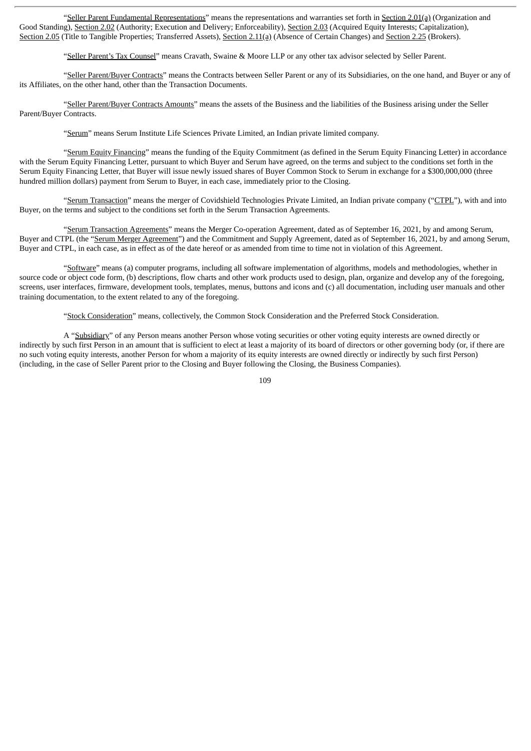"Seller Parent Fundamental Representations" means the representations and warranties set forth in Section 2.01(a) (Organization and Good Standing), Section 2.02 (Authority; Execution and Delivery; Enforceability), Section 2.03 (Acquired Equity Interests; Capitalization), Section 2.05 (Title to Tangible Properties; Transferred Assets), Section 2.11(a) (Absence of Certain Changes) and Section 2.25 (Brokers).

"Seller Parent's Tax Counsel" means Cravath, Swaine & Moore LLP or any other tax advisor selected by Seller Parent.

"Seller Parent/Buyer Contracts" means the Contracts between Seller Parent or any of its Subsidiaries, on the one hand, and Buyer or any of its Affiliates, on the other hand, other than the Transaction Documents.

"Seller Parent/Buyer Contracts Amounts" means the assets of the Business and the liabilities of the Business arising under the Seller Parent/Buyer Contracts.

"Serum" means Serum Institute Life Sciences Private Limited, an Indian private limited company.

"Serum Equity Financing" means the funding of the Equity Commitment (as defined in the Serum Equity Financing Letter) in accordance with the Serum Equity Financing Letter, pursuant to which Buyer and Serum have agreed, on the terms and subject to the conditions set forth in the Serum Equity Financing Letter, that Buyer will issue newly issued shares of Buyer Common Stock to Serum in exchange for a \$300,000,000 (three hundred million dollars) payment from Serum to Buyer, in each case, immediately prior to the Closing.

"Serum Transaction" means the merger of Covidshield Technologies Private Limited, an Indian private company ("CTPL"), with and into Buyer, on the terms and subject to the conditions set forth in the Serum Transaction Agreements.

"Serum Transaction Agreements" means the Merger Co-operation Agreement, dated as of September 16, 2021, by and among Serum, Buyer and CTPL (the "Serum Merger Agreement") and the Commitment and Supply Agreement, dated as of September 16, 2021, by and among Serum, Buyer and CTPL, in each case, as in effect as of the date hereof or as amended from time to time not in violation of this Agreement.

"Software" means (a) computer programs, including all software implementation of algorithms, models and methodologies, whether in source code or object code form, (b) descriptions, flow charts and other work products used to design, plan, organize and develop any of the foregoing, screens, user interfaces, firmware, development tools, templates, menus, buttons and icons and (c) all documentation, including user manuals and other training documentation, to the extent related to any of the foregoing.

"Stock Consideration" means, collectively, the Common Stock Consideration and the Preferred Stock Consideration.

A "Subsidiary" of any Person means another Person whose voting securities or other voting equity interests are owned directly or indirectly by such first Person in an amount that is sufficient to elect at least a majority of its board of directors or other governing body (or, if there are no such voting equity interests, another Person for whom a majority of its equity interests are owned directly or indirectly by such first Person) (including, in the case of Seller Parent prior to the Closing and Buyer following the Closing, the Business Companies).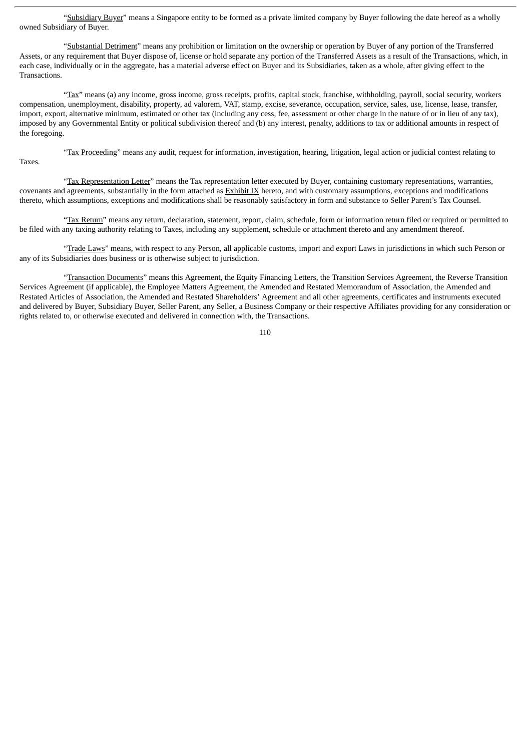"Subsidiary Buyer" means a Singapore entity to be formed as a private limited company by Buyer following the date hereof as a wholly owned Subsidiary of Buyer.

"Substantial Detriment" means any prohibition or limitation on the ownership or operation by Buyer of any portion of the Transferred Assets, or any requirement that Buyer dispose of, license or hold separate any portion of the Transferred Assets as a result of the Transactions, which, in each case, individually or in the aggregate, has a material adverse effect on Buyer and its Subsidiaries, taken as a whole, after giving effect to the Transactions.

"Tax" means (a) any income, gross income, gross receipts, profits, capital stock, franchise, withholding, payroll, social security, workers compensation, unemployment, disability, property, ad valorem, VAT, stamp, excise, severance, occupation, service, sales, use, license, lease, transfer, import, export, alternative minimum, estimated or other tax (including any cess, fee, assessment or other charge in the nature of or in lieu of any tax), imposed by any Governmental Entity or political subdivision thereof and (b) any interest, penalty, additions to tax or additional amounts in respect of the foregoing.

"Tax Proceeding" means any audit, request for information, investigation, hearing, litigation, legal action or judicial contest relating to Taxes.

"Tax Representation Letter" means the Tax representation letter executed by Buyer, containing customary representations, warranties, covenants and agreements, substantially in the form attached as Exhibit IX hereto, and with customary assumptions, exceptions and modifications thereto, which assumptions, exceptions and modifications shall be reasonably satisfactory in form and substance to Seller Parent's Tax Counsel.

"Tax Return" means any return, declaration, statement, report, claim, schedule, form or information return filed or required or permitted to be filed with any taxing authority relating to Taxes, including any supplement, schedule or attachment thereto and any amendment thereof.

"Trade Laws" means, with respect to any Person, all applicable customs, import and export Laws in jurisdictions in which such Person or any of its Subsidiaries does business or is otherwise subject to jurisdiction.

"Transaction Documents" means this Agreement, the Equity Financing Letters, the Transition Services Agreement, the Reverse Transition Services Agreement (if applicable), the Employee Matters Agreement, the Amended and Restated Memorandum of Association, the Amended and Restated Articles of Association, the Amended and Restated Shareholders' Agreement and all other agreements, certificates and instruments executed and delivered by Buyer, Subsidiary Buyer, Seller Parent, any Seller, a Business Company or their respective Affiliates providing for any consideration or rights related to, or otherwise executed and delivered in connection with, the Transactions.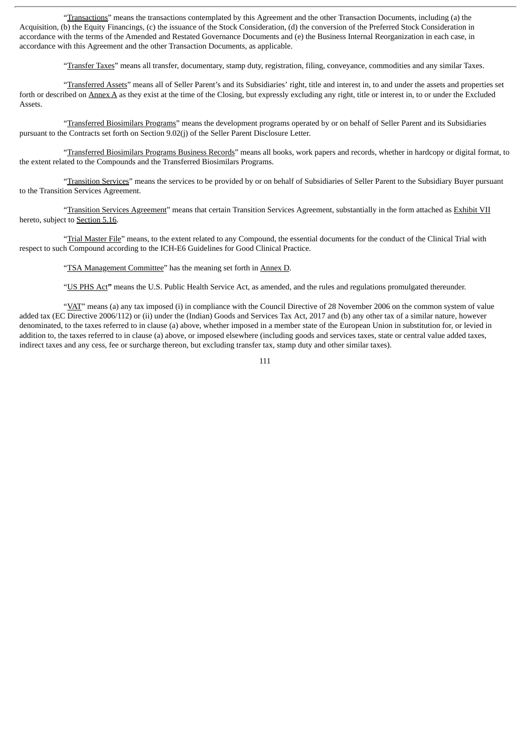"Transactions" means the transactions contemplated by this Agreement and the other Transaction Documents, including (a) the Acquisition, (b) the Equity Financings, (c) the issuance of the Stock Consideration, (d) the conversion of the Preferred Stock Consideration in accordance with the terms of the Amended and Restated Governance Documents and (e) the Business Internal Reorganization in each case, in accordance with this Agreement and the other Transaction Documents, as applicable.

"Transfer Taxes" means all transfer, documentary, stamp duty, registration, filing, conveyance, commodities and any similar Taxes.

"Transferred Assets" means all of Seller Parent's and its Subsidiaries' right, title and interest in, to and under the assets and properties set forth or described on Annex A as they exist at the time of the Closing, but expressly excluding any right, title or interest in, to or under the Excluded Assets.

"Transferred Biosimilars Programs" means the development programs operated by or on behalf of Seller Parent and its Subsidiaries pursuant to the Contracts set forth on Section 9.02(j) of the Seller Parent Disclosure Letter.

"Transferred Biosimilars Programs Business Records" means all books, work papers and records, whether in hardcopy or digital format, to the extent related to the Compounds and the Transferred Biosimilars Programs.

"Transition Services" means the services to be provided by or on behalf of Subsidiaries of Seller Parent to the Subsidiary Buyer pursuant to the Transition Services Agreement.

"Transition Services Agreement" means that certain Transition Services Agreement, substantially in the form attached as Exhibit VII hereto, subject to Section 5.16.

"Trial Master File" means, to the extent related to any Compound, the essential documents for the conduct of the Clinical Trial with respect to such Compound according to the ICH-E6 Guidelines for Good Clinical Practice.

"TSA Management Committee" has the meaning set forth in Annex D.

"US PHS Act**"** means the U.S. Public Health Service Act, as amended, and the rules and regulations promulgated thereunder.

"VAT" means (a) any tax imposed (i) in compliance with the Council Directive of 28 November 2006 on the common system of value added tax (EC Directive 2006/112) or (ii) under the (Indian) Goods and Services Tax Act, 2017 and (b) any other tax of a similar nature, however denominated, to the taxes referred to in clause (a) above, whether imposed in a member state of the European Union in substitution for, or levied in addition to, the taxes referred to in clause (a) above, or imposed elsewhere (including goods and services taxes, state or central value added taxes, indirect taxes and any cess, fee or surcharge thereon, but excluding transfer tax, stamp duty and other similar taxes).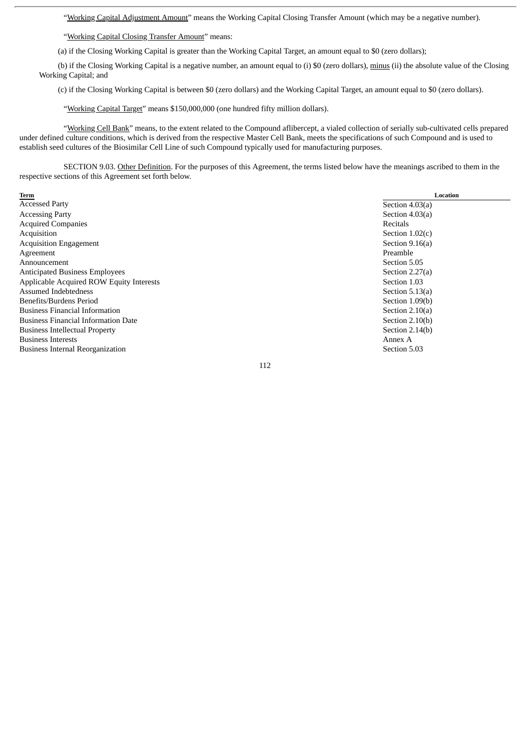"Working Capital Adjustment Amount" means the Working Capital Closing Transfer Amount (which may be a negative number).

"Working Capital Closing Transfer Amount" means:

(a) if the Closing Working Capital is greater than the Working Capital Target, an amount equal to \$0 (zero dollars);

(b) if the Closing Working Capital is a negative number, an amount equal to (i) \$0 (zero dollars), minus (ii) the absolute value of the Closing Working Capital; and

(c) if the Closing Working Capital is between \$0 (zero dollars) and the Working Capital Target, an amount equal to \$0 (zero dollars).

"Working Capital Target" means \$150,000,000 (one hundred fifty million dollars).

"Working Cell Bank" means, to the extent related to the Compound aflibercept, a vialed collection of serially sub-cultivated cells prepared under defined culture conditions, which is derived from the respective Master Cell Bank, meets the specifications of such Compound and is used to establish seed cultures of the Biosimilar Cell Line of such Compound typically used for manufacturing purposes.

SECTION 9.03. Other Definition. For the purposes of this Agreement, the terms listed below have the meanings ascribed to them in the respective sections of this Agreement set forth below.

| Term                                       | <b>Location</b>   |
|--------------------------------------------|-------------------|
| <b>Accessed Party</b>                      | Section $4.03(a)$ |
| <b>Accessing Party</b>                     | Section $4.03(a)$ |
| <b>Acquired Companies</b>                  | Recitals          |
| Acquisition                                | Section $1.02(c)$ |
| <b>Acquisition Engagement</b>              | Section $9.16(a)$ |
| Agreement                                  | Preamble          |
| Announcement                               | Section 5.05      |
| <b>Anticipated Business Employees</b>      | Section $2.27(a)$ |
| Applicable Acquired ROW Equity Interests   | Section 1.03      |
| Assumed Indebtedness                       | Section $5.13(a)$ |
| Benefits/Burdens Period                    | Section 1.09(b)   |
| <b>Business Financial Information</b>      | Section $2.10(a)$ |
| <b>Business Financial Information Date</b> | Section 2.10(b)   |
| <b>Business Intellectual Property</b>      | Section $2.14(b)$ |
| <b>Business Interests</b>                  | Annex A           |
| <b>Business Internal Reorganization</b>    | Section 5.03      |
|                                            |                   |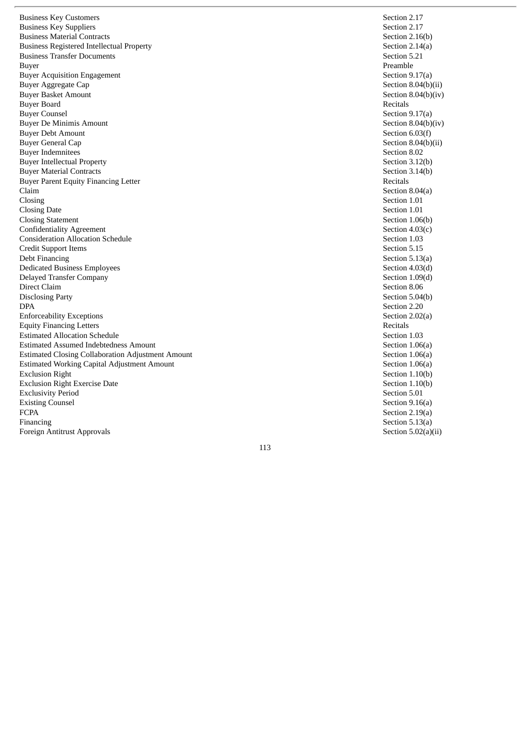Business Key Customers Business Key Suppliers Business Material Contracts Business Registered Intellectual Property Business Transfer Documents **Buyer** Buyer Acquisition Engagement Buyer Aggregate Cap Buyer Basket Amount Buyer Board Buyer Counsel Buyer De Minimis Amount Buyer Debt Amount Buyer General Cap Buyer Indemnitees Buyer Intellectual Property Buyer Material Contracts Buyer Parent Equity Financing Letter C la i m Closing Closing Date Closing Statement Confidentiality Agreement Consideration Allocation Schedule Credit Support Items Debt Financing Dedicated Business Employees Delayed Transfer Company Direct Claim Disclosing Party D PA Enforceability Exceptions Equity Financing Letters Estimated Allocation Schedule Estimated Assumed Indebtedness Amount Estimated Closing Collaboration Adjustment Amount Estimated Working Capital Adjustment Amount Exclusion Right Exclusion Right Exercise Date Exclusivity Period **Existing Counsel** F C PA Financing Foreign Antitrust Approvals

Section 2.17 Section 2.17 Section 2.16(b) Section  $2.14(a)$ Section 5.21 P r e a m b l e Section 9.17(a) Section  $8.04(b)$ (ii) Section  $8.04(b)(iv)$ Recitals Section 9.17(a) Section  $8.04(b)(iv)$ Section 6.03(f) Section  $8.04(b)$ (ii) Section 8.02 Section 3.12(b) Section 3.14(b) Recitals Section 8.04(a) Section 1.01 Section 1.01 Section 1.06(b) Section  $4.03(c)$ Section 1.03 Section 5.15 Section 5.13(a) Section 4.03(d) Section  $1.09(d)$ Section 8.06 Section 5.04(b) Section 2.20 Section 2.02(a) Recitals Section 1.03 Section  $1.06(a)$ Section  $1.06(a)$ Section  $1.06(a)$ Section 1.10(b) Section 1.10(b) Section 5.01 Section  $9.16(a)$ Section  $2.19(a)$ Section 5.13(a) Section  $5.02(a)(ii)$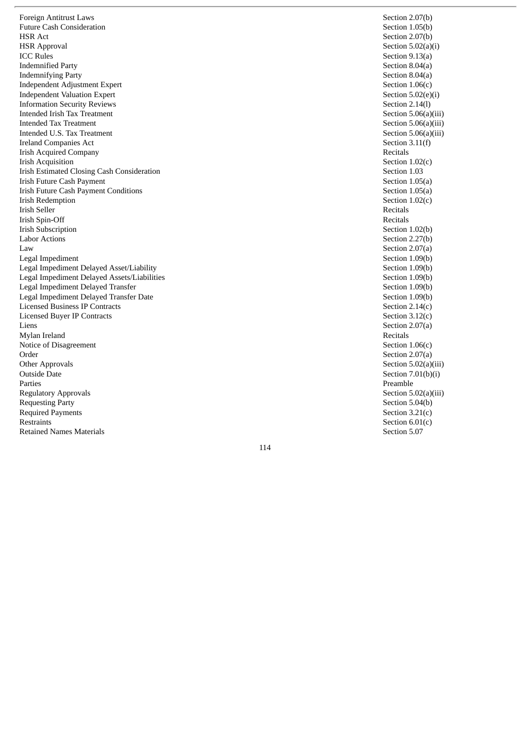Foreign Antitrust Laws Future Cash Consideration HSR Act HSR Approval ICC Rules Indemnified Party Indemnifying Party Independent Adjustment Expert Independent Valuation Expert Information Security Reviews Intended Irish Tax Treatment Intended Tax Treatment Intended U.S. Tax Treatment Ireland Companies Act Irish Acquired Company Irish Acquisition Irish Estimated Closing Cash Consideration Irish Future Cash Payment Irish Future Cash Payment Conditions Irish Redemption Irish Seller Irish Spin-Off Irish Subscription Labor Actions L a w Legal Impediment Legal Impediment Delayed Asset/Liability Legal Impediment Delayed Assets/Liabilities Legal Impediment Delayed Transfer Legal Impediment Delayed Transfer Date Licensed Business IP Contracts Licensed Buyer IP Contracts Liens Mylan Ireland Notice of Disagreement Order Other Approvals Outside Date Parties Regulatory Approvals Requesting Party Required Payments Restraints Retained Names Materials

Section 2.07(b) Section 1.05(b) Section 2.07(b) Section  $5.02(a)(i)$ Section 9.13(a) Section 8.04(a) Section 8.04(a) Section  $1.06(c)$ Section  $5.02(e)(i)$ Section 2.14(l) Section  $5.06(a)(iii)$ Section  $5.06(a)(iii)$ Section  $5.06(a)(iii)$ Section 3.11(f) Recitals Section  $1.02(c)$ Section 1.03 Section  $1.05(a)$ Section  $1.05(a)$ Section  $1.02(c)$ Recitals Recitals Section 1.02(b) Section 2.27(b) Section  $2.07(a)$ Section 1.09(b) Section 1.09(b) Section 1.09(b) Section 1.09(b) Section 1.09(b) Section  $2.14(c)$ Section  $3.12(c)$ Section  $2.07(a)$ Recitals Section  $1.06(c)$ Section 2.07(a) Section  $5.02(a)(iii)$ Section  $7.01(b)(i)$ Preamble Section  $5.02(a)(iii)$ Section 5.04(b) Section  $3.21(c)$ Section  $6.01(c)$ Section 5.07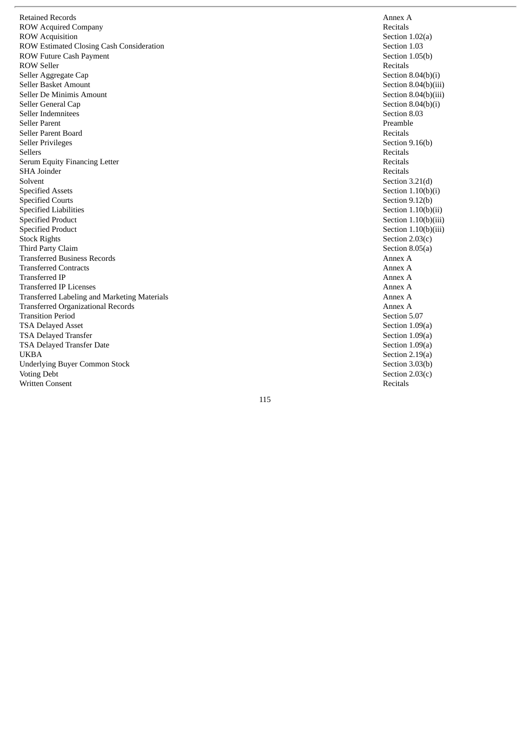Retained Records ROW Acquired Company ROW Acquisition ROW Estimated Closing Cash Consideration ROW Future Cash Payment ROW Seller Seller Aggregate Cap Seller Basket Amount Seller De Minimis Amount Seller General Cap Seller Indemnitees Seller Parent Seller Parent Board Seller Privileges Sellers Serum Equity Financing Letter SHA Joinder Solvent Specified Assets Specified Courts Specified Liabilities Specified Product Specified Product Stock Rights Third Party Claim Transferred Business Records Transferred Contracts Transferred IP Transferred IP Licenses Transferred Labeling and Marketing Materials Transferred Organizational Records Transition Period TSA Delayed Asset TSA Delayed Transfer TSA Delayed Transfer Date U K B A Underlying Buyer Common Stock Voting Debt Written Consent

A n n e x A Recitals Section  $1.02(a)$ Section 1.03 Section 1.05(b) Recitals Section  $8.04(b)(i)$ Section 8.04(b)(iii) Section 8.04(b)(iii) Section  $8.04(b)(i)$ Section 8.03 Preamble Recitals Section 9.16(b) Recitals Recitals Recitals Section  $3.21(d)$ Section  $1.10(b)(i)$ Section 9.12(b) Section  $1.10(b)(ii)$ Section  $1.10(b)(iii)$ Section  $1.10(b)(iii)$ Section  $2.03(c)$ Section 8.05(a) A n n e x A A n n e x A A n n e x A A n n e x A A n n e x A A n n e x A Section 5.07 Section  $1.09(a)$ Section  $1.09(a)$ Section  $1.09(a)$ Section  $2.19(a)$ Section 3.03(b) Section  $2.03(c)$ Recitals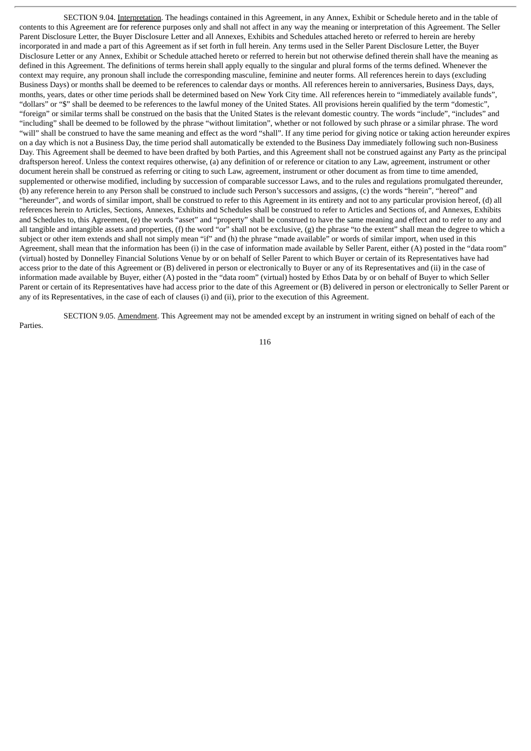SECTION 9.04. Interpretation. The headings contained in this Agreement, in any Annex, Exhibit or Schedule hereto and in the table of contents to this Agreement are for reference purposes only and shall not affect in any way the meaning or interpretation of this Agreement. The Seller Parent Disclosure Letter, the Buyer Disclosure Letter and all Annexes, Exhibits and Schedules attached hereto or referred to herein are hereby incorporated in and made a part of this Agreement as if set forth in full herein. Any terms used in the Seller Parent Disclosure Letter, the Buyer Disclosure Letter or any Annex, Exhibit or Schedule attached hereto or referred to herein but not otherwise defined therein shall have the meaning as defined in this Agreement. The definitions of terms herein shall apply equally to the singular and plural forms of the terms defined. Whenever the context may require, any pronoun shall include the corresponding masculine, feminine and neuter forms. All references herein to days (excluding Business Days) or months shall be deemed to be references to calendar days or months. All references herein to anniversaries, Business Days, days, months, years, dates or other time periods shall be determined based on New York City time. All references herein to "immediately available funds", "dollars" or "\$" shall be deemed to be references to the lawful money of the United States. All provisions herein qualified by the term "domestic", "foreign" or similar terms shall be construed on the basis that the United States is the relevant domestic country. The words "include", "includes" and "including" shall be deemed to be followed by the phrase "without limitation", whether or not followed by such phrase or a similar phrase. The word "will" shall be construed to have the same meaning and effect as the word "shall". If any time period for giving notice or taking action hereunder expires on a day which is not a Business Day, the time period shall automatically be extended to the Business Day immediately following such non-Business Day. This Agreement shall be deemed to have been drafted by both Parties, and this Agreement shall not be construed against any Party as the principal draftsperson hereof. Unless the context requires otherwise, (a) any definition of or reference or citation to any Law, agreement, instrument or other document herein shall be construed as referring or citing to such Law, agreement, instrument or other document as from time to time amended, supplemented or otherwise modified, including by succession of comparable successor Laws, and to the rules and regulations promulgated thereunder, (b) any reference herein to any Person shall be construed to include such Person's successors and assigns, (c) the words "herein", "hereof" and "hereunder", and words of similar import, shall be construed to refer to this Agreement in its entirety and not to any particular provision hereof, (d) all references herein to Articles, Sections, Annexes, Exhibits and Schedules shall be construed to refer to Articles and Sections of, and Annexes, Exhibits and Schedules to, this Agreement, (e) the words "asset" and "property" shall be construed to have the same meaning and effect and to refer to any and all tangible and intangible assets and properties, (f) the word "or" shall not be exclusive, (g) the phrase "to the extent" shall mean the degree to which a subject or other item extends and shall not simply mean "if" and (h) the phrase "made available" or words of similar import, when used in this Agreement, shall mean that the information has been (i) in the case of information made available by Seller Parent, either (A) posted in the "data room" (virtual) hosted by Donnelley Financial Solutions Venue by or on behalf of Seller Parent to which Buyer or certain of its Representatives have had access prior to the date of this Agreement or (B) delivered in person or electronically to Buyer or any of its Representatives and (ii) in the case of information made available by Buyer, either (A) posted in the "data room" (virtual) hosted by Ethos Data by or on behalf of Buyer to which Seller Parent or certain of its Representatives have had access prior to the date of this Agreement or (B) delivered in person or electronically to Seller Parent or any of its Representatives, in the case of each of clauses (i) and (ii), prior to the execution of this Agreement.

SECTION 9.05. Amendment. This Agreement may not be amended except by an instrument in writing signed on behalf of each of the

Parties.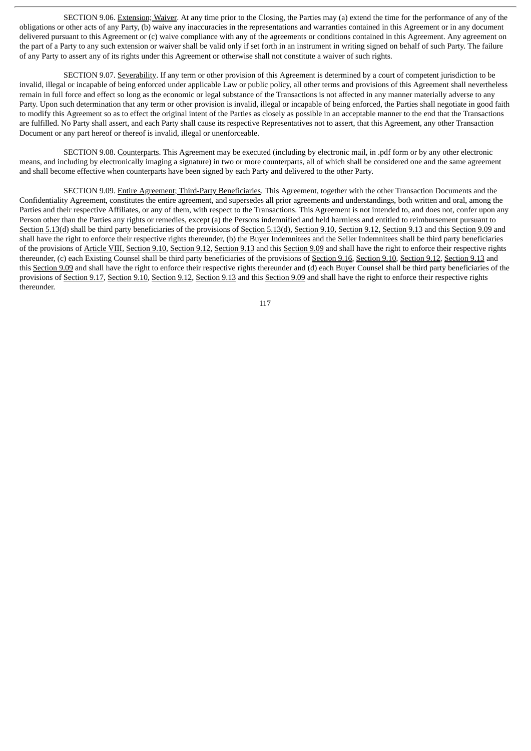SECTION 9.06. Extension; Waiver. At any time prior to the Closing, the Parties may (a) extend the time for the performance of any of the obligations or other acts of any Party, (b) waive any inaccuracies in the representations and warranties contained in this Agreement or in any document delivered pursuant to this Agreement or (c) waive compliance with any of the agreements or conditions contained in this Agreement. Any agreement on the part of a Party to any such extension or waiver shall be valid only if set forth in an instrument in writing signed on behalf of such Party. The failure of any Party to assert any of its rights under this Agreement or otherwise shall not constitute a waiver of such rights.

SECTION 9.07. Severability. If any term or other provision of this Agreement is determined by a court of competent jurisdiction to be invalid, illegal or incapable of being enforced under applicable Law or public policy, all other terms and provisions of this Agreement shall nevertheless remain in full force and effect so long as the economic or legal substance of the Transactions is not affected in any manner materially adverse to any Party. Upon such determination that any term or other provision is invalid, illegal or incapable of being enforced, the Parties shall negotiate in good faith to modify this Agreement so as to effect the original intent of the Parties as closely as possible in an acceptable manner to the end that the Transactions are fulfilled. No Party shall assert, and each Party shall cause its respective Representatives not to assert, that this Agreement, any other Transaction Document or any part hereof or thereof is invalid, illegal or unenforceable.

SECTION 9.08. Counterparts. This Agreement may be executed (including by electronic mail, in .pdf form or by any other electronic means, and including by electronically imaging a signature) in two or more counterparts, all of which shall be considered one and the same agreement and shall become effective when counterparts have been signed by each Party and delivered to the other Party.

SECTION 9.09. Entire Agreement; Third-Party Beneficiaries. This Agreement, together with the other Transaction Documents and the Confidentiality Agreement, constitutes the entire agreement, and supersedes all prior agreements and understandings, both written and oral, among the Parties and their respective Affiliates, or any of them, with respect to the Transactions. This Agreement is not intended to, and does not, confer upon any Person other than the Parties any rights or remedies, except (a) the Persons indemnified and held harmless and entitled to reimbursement pursuant to Section 5.13(d) shall be third party beneficiaries of the provisions of Section 5.13(d), Section 9.10, Section 9.12, Section 9.13 and this Section 9.09 and shall have the right to enforce their respective rights thereunder, (b) the Buyer Indemnitees and the Seller Indemnitees shall be third party beneficiaries of the provisions of Article VIII, Section 9.10, Section 9.12, Section 9.13 and this Section 9.09 and shall have the right to enforce their respective rights thereunder, (c) each Existing Counsel shall be third party beneficiaries of the provisions of Section 9.16, Section 9.10, Section 9.12, Section 9.13 and this Section 9.09 and shall have the right to enforce their respective rights thereunder and (d) each Buyer Counsel shall be third party beneficiaries of the provisions of Section 9.17, Section 9.10, Section 9.12, Section 9.13 and this Section 9.09 and shall have the right to enforce their respective rights thereunder.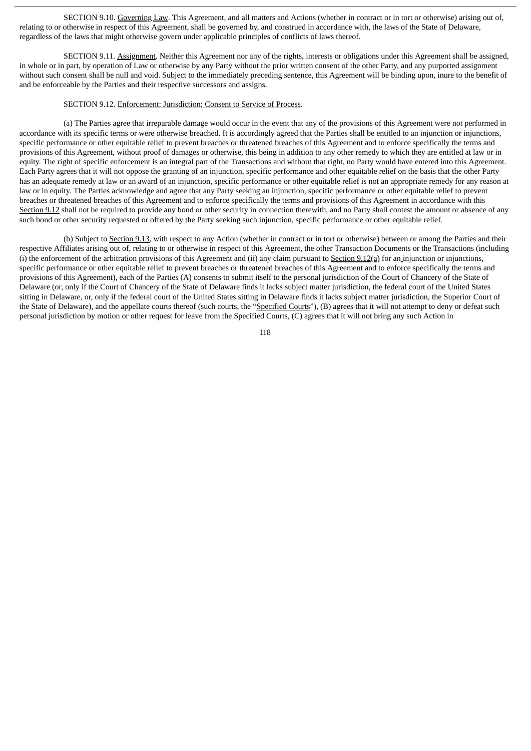SECTION 9.10. Governing Law. This Agreement, and all matters and Actions (whether in contract or in tort or otherwise) arising out of, relating to or otherwise in respect of this Agreement, shall be governed by, and construed in accordance with, the laws of the State of Delaware, regardless of the laws that might otherwise govern under applicable principles of conflicts of laws thereof.

SECTION 9.11. Assignment. Neither this Agreement nor any of the rights, interests or obligations under this Agreement shall be assigned, in whole or in part, by operation of Law or otherwise by any Party without the prior written consent of the other Party, and any purported assignment without such consent shall be null and void. Subject to the immediately preceding sentence, this Agreement will be binding upon, inure to the benefit of and be enforceable by the Parties and their respective successors and assigns.

#### SECTION 9.12. Enforcement; Jurisdiction; Consent to Service of Process.

(a) The Parties agree that irreparable damage would occur in the event that any of the provisions of this Agreement were not performed in accordance with its specific terms or were otherwise breached. It is accordingly agreed that the Parties shall be entitled to an injunction or injunctions, specific performance or other equitable relief to prevent breaches or threatened breaches of this Agreement and to enforce specifically the terms and provisions of this Agreement, without proof of damages or otherwise, this being in addition to any other remedy to which they are entitled at law or in equity. The right of specific enforcement is an integral part of the Transactions and without that right, no Party would have entered into this Agreement. Each Party agrees that it will not oppose the granting of an injunction, specific performance and other equitable relief on the basis that the other Party has an adequate remedy at law or an award of an injunction, specific performance or other equitable relief is not an appropriate remedy for any reason at law or in equity. The Parties acknowledge and agree that any Party seeking an injunction, specific performance or other equitable relief to prevent breaches or threatened breaches of this Agreement and to enforce specifically the terms and provisions of this Agreement in accordance with this Section 9.12 shall not be required to provide any bond or other security in connection therewith, and no Party shall contest the amount or absence of any such bond or other security requested or offered by the Party seeking such injunction, specific performance or other equitable relief.

(b) Subject to Section 9.13, with respect to any Action (whether in contract or in tort or otherwise) between or among the Parties and their respective Affiliates arising out of, relating to or otherwise in respect of this Agreement, the other Transaction Documents or the Transactions (including (i) the enforcement of the arbitration provisions of this Agreement and (ii) any claim pursuant to Section 9.12(a) for an injunction or injunctions, specific performance or other equitable relief to prevent breaches or threatened breaches of this Agreement and to enforce specifically the terms and provisions of this Agreement), each of the Parties (A) consents to submit itself to the personal jurisdiction of the Court of Chancery of the State of Delaware (or, only if the Court of Chancery of the State of Delaware finds it lacks subject matter jurisdiction, the federal court of the United States sitting in Delaware, or, only if the federal court of the United States sitting in Delaware finds it lacks subject matter jurisdiction, the Superior Court of the State of Delaware), and the appellate courts thereof (such courts, the "Specified Courts"), (B) agrees that it will not attempt to deny or defeat such personal jurisdiction by motion or other request for leave from the Specified Courts, (C) agrees that it will not bring any such Action in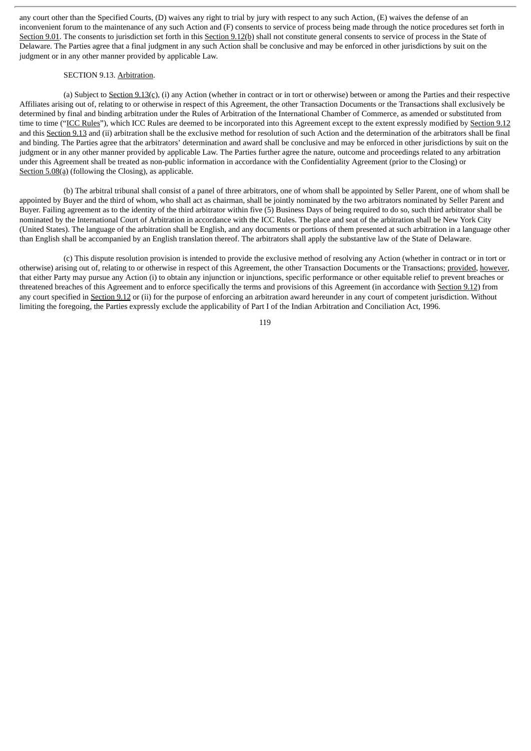any court other than the Specified Courts, (D) waives any right to trial by jury with respect to any such Action, (E) waives the defense of an inconvenient forum to the maintenance of any such Action and (F) consents to service of process being made through the notice procedures set forth in Section 9.01. The consents to jurisdiction set forth in this Section 9.12(b) shall not constitute general consents to service of process in the State of Delaware. The Parties agree that a final judgment in any such Action shall be conclusive and may be enforced in other jurisdictions by suit on the judgment or in any other manner provided by applicable Law.

#### SECTION 9.13. Arbitration.

(a) Subject to Section  $9.13(c)$ , (i) any Action (whether in contract or in tort or otherwise) between or among the Parties and their respective Affiliates arising out of, relating to or otherwise in respect of this Agreement, the other Transaction Documents or the Transactions shall exclusively be determined by final and binding arbitration under the Rules of Arbitration of the International Chamber of Commerce, as amended or substituted from time to time ("ICC Rules"), which ICC Rules are deemed to be incorporated into this Agreement except to the extent expressly modified by Section 9.12 and this Section 9.13 and (ii) arbitration shall be the exclusive method for resolution of such Action and the determination of the arbitrators shall be final and binding. The Parties agree that the arbitrators' determination and award shall be conclusive and may be enforced in other jurisdictions by suit on the judgment or in any other manner provided by applicable Law. The Parties further agree the nature, outcome and proceedings related to any arbitration under this Agreement shall be treated as non-public information in accordance with the Confidentiality Agreement (prior to the Closing) or Section 5.08(a) (following the Closing), as applicable.

(b) The arbitral tribunal shall consist of a panel of three arbitrators, one of whom shall be appointed by Seller Parent, one of whom shall be appointed by Buyer and the third of whom, who shall act as chairman, shall be jointly nominated by the two arbitrators nominated by Seller Parent and Buyer. Failing agreement as to the identity of the third arbitrator within five (5) Business Days of being required to do so, such third arbitrator shall be nominated by the International Court of Arbitration in accordance with the ICC Rules. The place and seat of the arbitration shall be New York City (United States). The language of the arbitration shall be English, and any documents or portions of them presented at such arbitration in a language other than English shall be accompanied by an English translation thereof. The arbitrators shall apply the substantive law of the State of Delaware.

(c) This dispute resolution provision is intended to provide the exclusive method of resolving any Action (whether in contract or in tort or otherwise) arising out of, relating to or otherwise in respect of this Agreement, the other Transaction Documents or the Transactions; provided, however, that either Party may pursue any Action (i) to obtain any injunction or injunctions, specific performance or other equitable relief to prevent breaches or threatened breaches of this Agreement and to enforce specifically the terms and provisions of this Agreement (in accordance with Section 9.12) from any court specified in Section 9.12 or (ii) for the purpose of enforcing an arbitration award hereunder in any court of competent jurisdiction. Without limiting the foregoing, the Parties expressly exclude the applicability of Part I of the Indian Arbitration and Conciliation Act, 1996.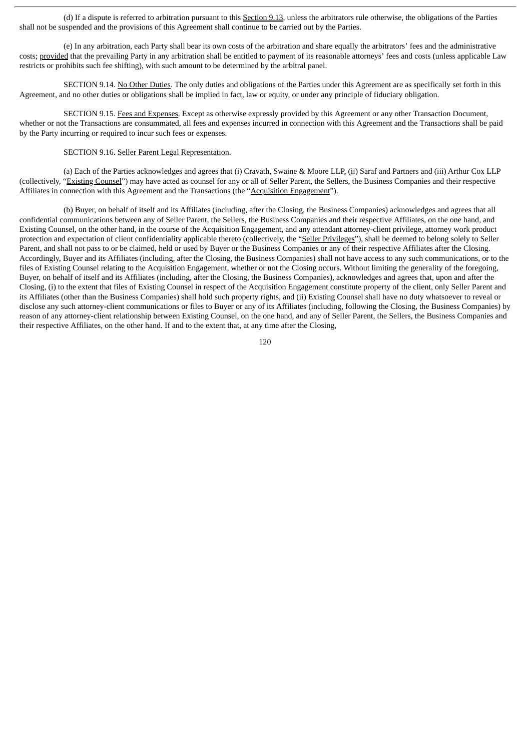(d) If a dispute is referred to arbitration pursuant to this Section 9.13, unless the arbitrators rule otherwise, the obligations of the Parties shall not be suspended and the provisions of this Agreement shall continue to be carried out by the Parties.

(e) In any arbitration, each Party shall bear its own costs of the arbitration and share equally the arbitrators' fees and the administrative costs; provided that the prevailing Party in any arbitration shall be entitled to payment of its reasonable attorneys' fees and costs (unless applicable Law restricts or prohibits such fee shifting), with such amount to be determined by the arbitral panel.

SECTION 9.14. No Other Duties. The only duties and obligations of the Parties under this Agreement are as specifically set forth in this Agreement, and no other duties or obligations shall be implied in fact, law or equity, or under any principle of fiduciary obligation.

SECTION 9.15. Fees and Expenses. Except as otherwise expressly provided by this Agreement or any other Transaction Document, whether or not the Transactions are consummated, all fees and expenses incurred in connection with this Agreement and the Transactions shall be paid by the Party incurring or required to incur such fees or expenses.

# SECTION 9.16. Seller Parent Legal Representation.

(a) Each of the Parties acknowledges and agrees that (i) Cravath, Swaine & Moore LLP, (ii) Saraf and Partners and (iii) Arthur Cox LLP (collectively, "Existing Counsel") may have acted as counsel for any or all of Seller Parent, the Sellers, the Business Companies and their respective Affiliates in connection with this Agreement and the Transactions (the "Acquisition Engagement").

(b) Buyer, on behalf of itself and its Affiliates (including, after the Closing, the Business Companies) acknowledges and agrees that all confidential communications between any of Seller Parent, the Sellers, the Business Companies and their respective Affiliates, on the one hand, and Existing Counsel, on the other hand, in the course of the Acquisition Engagement, and any attendant attorney-client privilege, attorney work product protection and expectation of client confidentiality applicable thereto (collectively, the "Seller Privileges"), shall be deemed to belong solely to Seller Parent, and shall not pass to or be claimed, held or used by Buyer or the Business Companies or any of their respective Affiliates after the Closing. Accordingly, Buyer and its Affiliates (including, after the Closing, the Business Companies) shall not have access to any such communications, or to the files of Existing Counsel relating to the Acquisition Engagement, whether or not the Closing occurs. Without limiting the generality of the foregoing, Buyer, on behalf of itself and its Affiliates (including, after the Closing, the Business Companies), acknowledges and agrees that, upon and after the Closing, (i) to the extent that files of Existing Counsel in respect of the Acquisition Engagement constitute property of the client, only Seller Parent and its Affiliates (other than the Business Companies) shall hold such property rights, and (ii) Existing Counsel shall have no duty whatsoever to reveal or disclose any such attorney-client communications or files to Buyer or any of its Affiliates (including, following the Closing, the Business Companies) by reason of any attorney-client relationship between Existing Counsel, on the one hand, and any of Seller Parent, the Sellers, the Business Companies and their respective Affiliates, on the other hand. If and to the extent that, at any time after the Closing,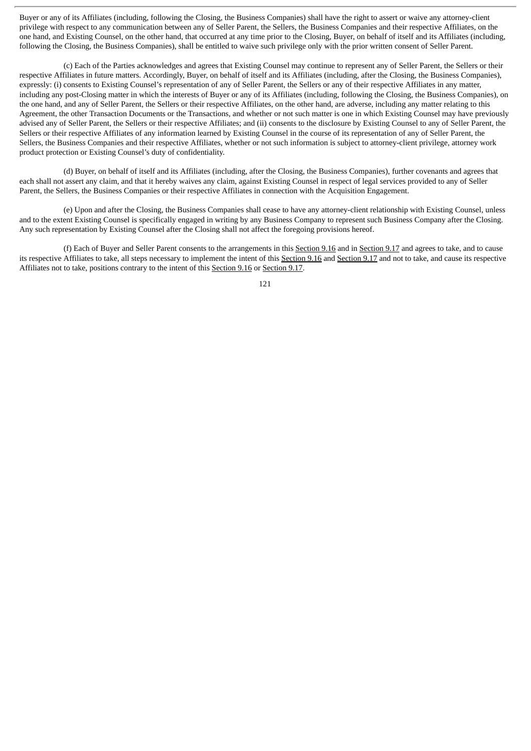Buyer or any of its Affiliates (including, following the Closing, the Business Companies) shall have the right to assert or waive any attorney-client privilege with respect to any communication between any of Seller Parent, the Sellers, the Business Companies and their respective Affiliates, on the one hand, and Existing Counsel, on the other hand, that occurred at any time prior to the Closing, Buyer, on behalf of itself and its Affiliates (including, following the Closing, the Business Companies), shall be entitled to waive such privilege only with the prior written consent of Seller Parent.

(c) Each of the Parties acknowledges and agrees that Existing Counsel may continue to represent any of Seller Parent, the Sellers or their respective Affiliates in future matters. Accordingly, Buyer, on behalf of itself and its Affiliates (including, after the Closing, the Business Companies), expressly: (i) consents to Existing Counsel's representation of any of Seller Parent, the Sellers or any of their respective Affiliates in any matter, including any post-Closing matter in which the interests of Buyer or any of its Affiliates (including, following the Closing, the Business Companies), on the one hand, and any of Seller Parent, the Sellers or their respective Affiliates, on the other hand, are adverse, including any matter relating to this Agreement, the other Transaction Documents or the Transactions, and whether or not such matter is one in which Existing Counsel may have previously advised any of Seller Parent, the Sellers or their respective Affiliates; and (ii) consents to the disclosure by Existing Counsel to any of Seller Parent, the Sellers or their respective Affiliates of any information learned by Existing Counsel in the course of its representation of any of Seller Parent, the Sellers, the Business Companies and their respective Affiliates, whether or not such information is subject to attorney-client privilege, attorney work product protection or Existing Counsel's duty of confidentiality.

(d) Buyer, on behalf of itself and its Affiliates (including, after the Closing, the Business Companies), further covenants and agrees that each shall not assert any claim, and that it hereby waives any claim, against Existing Counsel in respect of legal services provided to any of Seller Parent, the Sellers, the Business Companies or their respective Affiliates in connection with the Acquisition Engagement.

(e) Upon and after the Closing, the Business Companies shall cease to have any attorney-client relationship with Existing Counsel, unless and to the extent Existing Counsel is specifically engaged in writing by any Business Company to represent such Business Company after the Closing. Any such representation by Existing Counsel after the Closing shall not affect the foregoing provisions hereof.

(f) Each of Buyer and Seller Parent consents to the arrangements in this Section 9.16 and in Section 9.17 and agrees to take, and to cause its respective Affiliates to take, all steps necessary to implement the intent of this Section 9.16 and Section 9.17 and not to take, and cause its respective Affiliates not to take, positions contrary to the intent of this Section 9.16 or Section 9.17.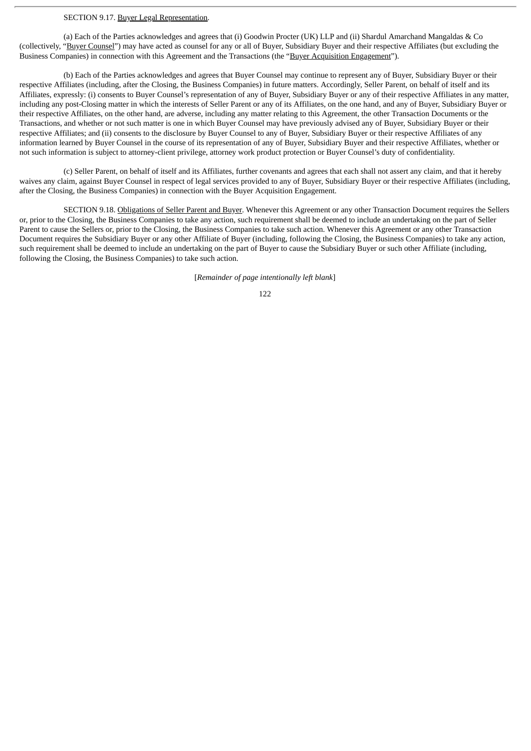# SECTION 9.17. Buyer Legal Representation.

(a) Each of the Parties acknowledges and agrees that (i) Goodwin Procter (UK) LLP and (ii) Shardul Amarchand Mangaldas & Co (collectively, "Buyer Counsel") may have acted as counsel for any or all of Buyer, Subsidiary Buyer and their respective Affiliates (but excluding the Business Companies) in connection with this Agreement and the Transactions (the "Buyer Acquisition Engagement").

(b) Each of the Parties acknowledges and agrees that Buyer Counsel may continue to represent any of Buyer, Subsidiary Buyer or their respective Affiliates (including, after the Closing, the Business Companies) in future matters. Accordingly, Seller Parent, on behalf of itself and its Affiliates, expressly: (i) consents to Buyer Counsel's representation of any of Buyer, Subsidiary Buyer or any of their respective Affiliates in any matter, including any post-Closing matter in which the interests of Seller Parent or any of its Affiliates, on the one hand, and any of Buyer, Subsidiary Buyer or their respective Affiliates, on the other hand, are adverse, including any matter relating to this Agreement, the other Transaction Documents or the Transactions, and whether or not such matter is one in which Buyer Counsel may have previously advised any of Buyer, Subsidiary Buyer or their respective Affiliates; and (ii) consents to the disclosure by Buyer Counsel to any of Buyer, Subsidiary Buyer or their respective Affiliates of any information learned by Buyer Counsel in the course of its representation of any of Buyer, Subsidiary Buyer and their respective Affiliates, whether or not such information is subject to attorney-client privilege, attorney work product protection or Buyer Counsel's duty of confidentiality.

(c) Seller Parent, on behalf of itself and its Affiliates, further covenants and agrees that each shall not assert any claim, and that it hereby waives any claim, against Buyer Counsel in respect of legal services provided to any of Buyer, Subsidiary Buyer or their respective Affiliates (including, after the Closing, the Business Companies) in connection with the Buyer Acquisition Engagement.

SECTION 9.18. Obligations of Seller Parent and Buyer. Whenever this Agreement or any other Transaction Document requires the Sellers or, prior to the Closing, the Business Companies to take any action, such requirement shall be deemed to include an undertaking on the part of Seller Parent to cause the Sellers or, prior to the Closing, the Business Companies to take such action. Whenever this Agreement or any other Transaction Document requires the Subsidiary Buyer or any other Affiliate of Buyer (including, following the Closing, the Business Companies) to take any action, such requirement shall be deemed to include an undertaking on the part of Buyer to cause the Subsidiary Buyer or such other Affiliate (including, following the Closing, the Business Companies) to take such action.

[*Remainder of page intentionally left blank*]

<sup>122</sup>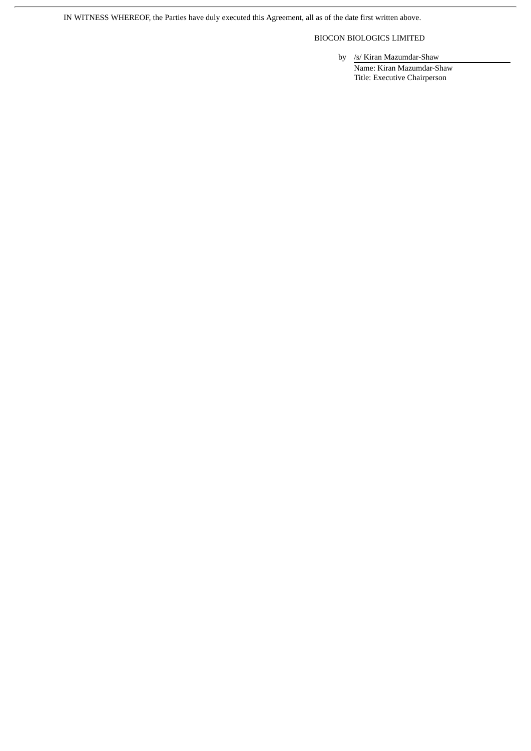IN WITNESS WHEREOF, the Parties have duly executed this Agreement, all as of the date first written above.

BIOCON BIOLOGICS LIMITED

by /s/ Kiran Mazumdar-Shaw

Name: Kiran Mazumdar-Shaw Title: Executive Chairperson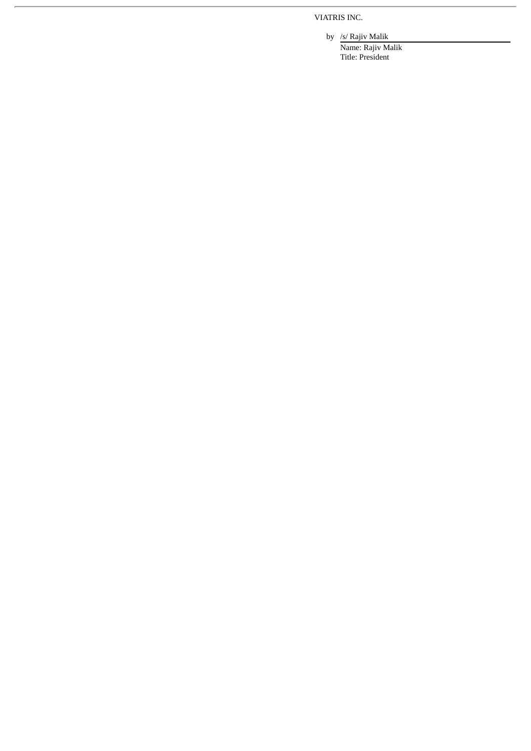VIATRIS INC.

by /s/ Rajiv Malik

Name: Rajiv Malik Title: President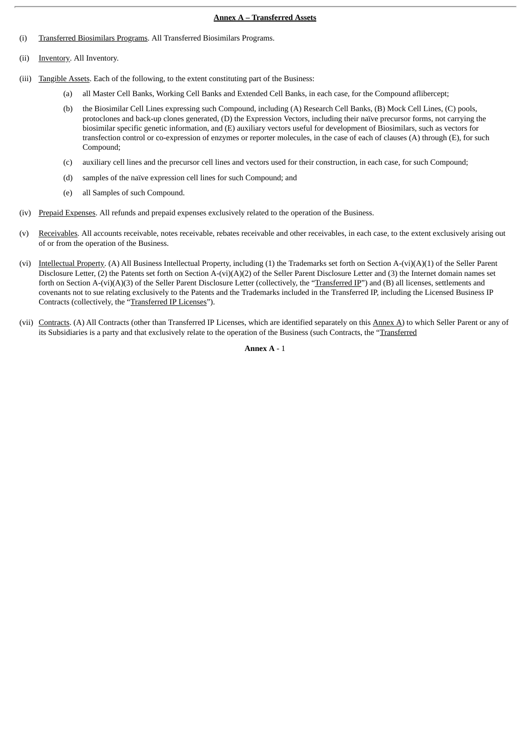#### **Annex A – Transferred Assets**

- (i) Transferred Biosimilars Programs. All Transferred Biosimilars Programs.
- (ii) Inventory. All Inventory.
- (iii) Tangible Assets. Each of the following, to the extent constituting part of the Business:
	- (a) all Master Cell Banks, Working Cell Banks and Extended Cell Banks, in each case, for the Compound aflibercept;
	- (b) the Biosimilar Cell Lines expressing such Compound, including (A) Research Cell Banks, (B) Mock Cell Lines, (C) pools, protoclones and back-up clones generated, (D) the Expression Vectors, including their naïve precursor forms, not carrying the biosimilar specific genetic information, and (E) auxiliary vectors useful for development of Biosimilars, such as vectors for transfection control or co-expression of enzymes or reporter molecules, in the case of each of clauses (A) through (E), for such Compound;
	- (c) auxiliary cell lines and the precursor cell lines and vectors used for their construction, in each case, for such Compound;
	- (d) samples of the naïve expression cell lines for such Compound; and
	- (e) all Samples of such Compound.
- (iv) Prepaid Expenses. All refunds and prepaid expenses exclusively related to the operation of the Business.
- (v) Receivables. All accounts receivable, notes receivable, rebates receivable and other receivables, in each case, to the extent exclusively arising out of or from the operation of the Business.
- (vi) Intellectual Property. (A) All Business Intellectual Property, including (1) the Trademarks set forth on Section A-(vi)(A)(1) of the Seller Parent Disclosure Letter, (2) the Patents set forth on Section A-(vi)(A)(2) of the Seller Parent Disclosure Letter and (3) the Internet domain names set forth on Section A-(vi)(A)(3) of the Seller Parent Disclosure Letter (collectively, the "Transferred IP") and (B) all licenses, settlements and covenants not to sue relating exclusively to the Patents and the Trademarks included in the Transferred IP, including the Licensed Business IP Contracts (collectively, the "Transferred IP Licenses").
- (vii) Contracts. (A) All Contracts (other than Transferred IP Licenses, which are identified separately on this Annex A) to which Seller Parent or any of its Subsidiaries is a party and that exclusively relate to the operation of the Business (such Contracts, the "Transferred

**Annex A** - 1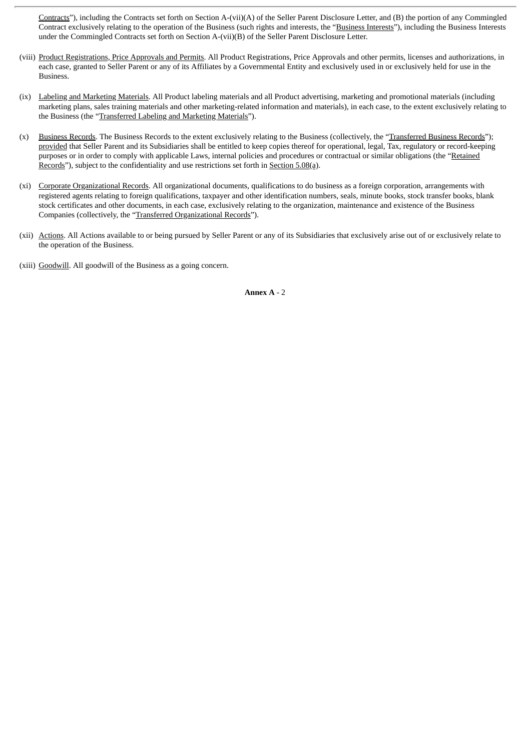Contracts"), including the Contracts set forth on Section A-(vii)(A) of the Seller Parent Disclosure Letter, and (B) the portion of any Commingled Contract exclusively relating to the operation of the Business (such rights and interests, the "Business Interests"), including the Business Interests under the Commingled Contracts set forth on Section A-(vii)(B) of the Seller Parent Disclosure Letter.

- (viii) Product Registrations, Price Approvals and Permits. All Product Registrations, Price Approvals and other permits, licenses and authorizations, in each case, granted to Seller Parent or any of its Affiliates by a Governmental Entity and exclusively used in or exclusively held for use in the **Business**
- (ix) Labeling and Marketing Materials. All Product labeling materials and all Product advertising, marketing and promotional materials (including marketing plans, sales training materials and other marketing-related information and materials), in each case, to the extent exclusively relating to the Business (the "Transferred Labeling and Marketing Materials").
- (x) Business Records. The Business Records to the extent exclusively relating to the Business (collectively, the "Transferred Business Records"); provided that Seller Parent and its Subsidiaries shall be entitled to keep copies thereof for operational, legal, Tax, regulatory or record-keeping purposes or in order to comply with applicable Laws, internal policies and procedures or contractual or similar obligations (the "Retained Records"), subject to the confidentiality and use restrictions set forth in Section 5.08(a).
- (xi) Corporate Organizational Records. All organizational documents, qualifications to do business as a foreign corporation, arrangements with registered agents relating to foreign qualifications, taxpayer and other identification numbers, seals, minute books, stock transfer books, blank stock certificates and other documents, in each case, exclusively relating to the organization, maintenance and existence of the Business Companies (collectively, the "Transferred Organizational Records").
- (xii) Actions. All Actions available to or being pursued by Seller Parent or any of its Subsidiaries that exclusively arise out of or exclusively relate to the operation of the Business.
- (xiii) Goodwill. All goodwill of the Business as a going concern.

**Annex A** - 2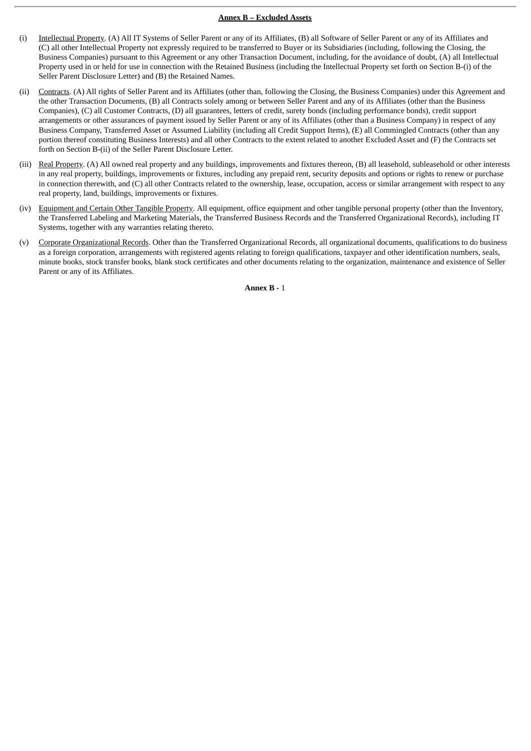## **Annex B – Excluded Assets**

- (i) Intellectual Property. (A) All IT Systems of Seller Parent or any of its Affiliates, (B) all Software of Seller Parent or any of its Affiliates and (C) all other Intellectual Property not expressly required to be transferred to Buyer or its Subsidiaries (including, following the Closing, the Business Companies) pursuant to this Agreement or any other Transaction Document, including, for the avoidance of doubt, (A) all Intellectual Property used in or held for use in connection with the Retained Business (including the Intellectual Property set forth on Section B-(i) of the Seller Parent Disclosure Letter) and (B) the Retained Names.
- (ii) Contracts. (A) All rights of Seller Parent and its Affiliates (other than, following the Closing, the Business Companies) under this Agreement and the other Transaction Documents, (B) all Contracts solely among or between Seller Parent and any of its Affiliates (other than the Business Companies), (C) all Customer Contracts, (D) all guarantees, letters of credit, surety bonds (including performance bonds), credit support arrangements or other assurances of payment issued by Seller Parent or any of its Affiliates (other than a Business Company) in respect of any Business Company, Transferred Asset or Assumed Liability (including all Credit Support Items), (E) all Commingled Contracts (other than any portion thereof constituting Business Interests) and all other Contracts to the extent related to another Excluded Asset and (F) the Contracts set forth on Section B-(ii) of the Seller Parent Disclosure Letter.
- (iii) Real Property. (A) All owned real property and any buildings, improvements and fixtures thereon, (B) all leasehold, subleasehold or other interests in any real property, buildings, improvements or fixtures, including any prepaid rent, security deposits and options or rights to renew or purchase in connection therewith, and (C) all other Contracts related to the ownership, lease, occupation, access or similar arrangement with respect to any real property, land, buildings, improvements or fixtures.
- (iv) Equipment and Certain Other Tangible Property. All equipment, office equipment and other tangible personal property (other than the Inventory, the Transferred Labeling and Marketing Materials, the Transferred Business Records and the Transferred Organizational Records), including IT Systems, together with any warranties relating thereto.
- (v) Corporate Organizational Records. Other than the Transferred Organizational Records, all organizational documents, qualifications to do business as a foreign corporation, arrangements with registered agents relating to foreign qualifications, taxpayer and other identification numbers, seals, minute books, stock transfer books, blank stock certificates and other documents relating to the organization, maintenance and existence of Seller Parent or any of its Affiliates.

**Annex B -** 1